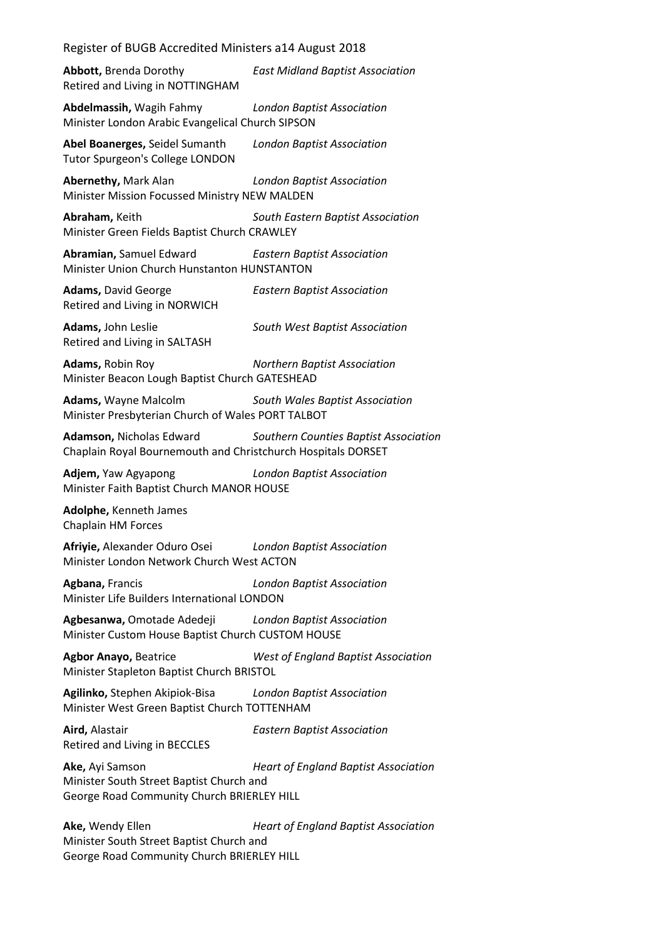**Abbott,** Brenda Dorothy *East Midland Baptist Association* Retired and Living in NOTTINGHAM

**Abdelmassih,** Wagih Fahmy *London Baptist Association* Minister London Arabic Evangelical Church SIPSON

**Abel Boanerges,** Seidel Sumanth *London Baptist Association* Tutor Spurgeon's College LONDON

**Abernethy,** Mark Alan *London Baptist Association* Minister Mission Focussed Ministry NEW MALDEN

**Abraham,** Keith *South Eastern Baptist Association* Minister Green Fields Baptist Church CRAWLEY

**Abramian,** Samuel Edward *Eastern Baptist Association* Minister Union Church Hunstanton HUNSTANTON

**Adams,** David George *Eastern Baptist Association* Retired and Living in NORWICH

**Adams,** John Leslie *South West Baptist Association* Retired and Living in SALTASH

**Adams,** Robin Roy *Northern Baptist Association* Minister Beacon Lough Baptist Church GATESHEAD

**Adams,** Wayne Malcolm *South Wales Baptist Association* Minister Presbyterian Church of Wales PORT TALBOT

**Adamson,** Nicholas Edward *Southern Counties Baptist Association* Chaplain Royal Bournemouth and Christchurch Hospitals DORSET

**Adjem,** Yaw Agyapong *London Baptist Association* Minister Faith Baptist Church MANOR HOUSE

**Adolphe,** Kenneth James Chaplain HM Forces

**Afriyie,** Alexander Oduro Osei *London Baptist Association* Minister London Network Church West ACTON

**Agbana,** Francis *London Baptist Association* Minister Life Builders International LONDON

**Agbesanwa,** Omotade Adedeji *London Baptist Association* Minister Custom House Baptist Church CUSTOM HOUSE

**Agbor Anayo,** Beatrice *West of England Baptist Association* Minister Stapleton Baptist Church BRISTOL

**Agilinko,** Stephen Akipiok-Bisa *London Baptist Association* Minister West Green Baptist Church TOTTENHAM

**Aird,** Alastair *Eastern Baptist Association* Retired and Living in BECCLES

**Ake,** Ayi Samson *Heart of England Baptist Association* Minister South Street Baptist Church and George Road Community Church BRIERLEY HILL

**Ake,** Wendy Ellen *Heart of England Baptist Association* Minister South Street Baptist Church and George Road Community Church BRIERLEY HILL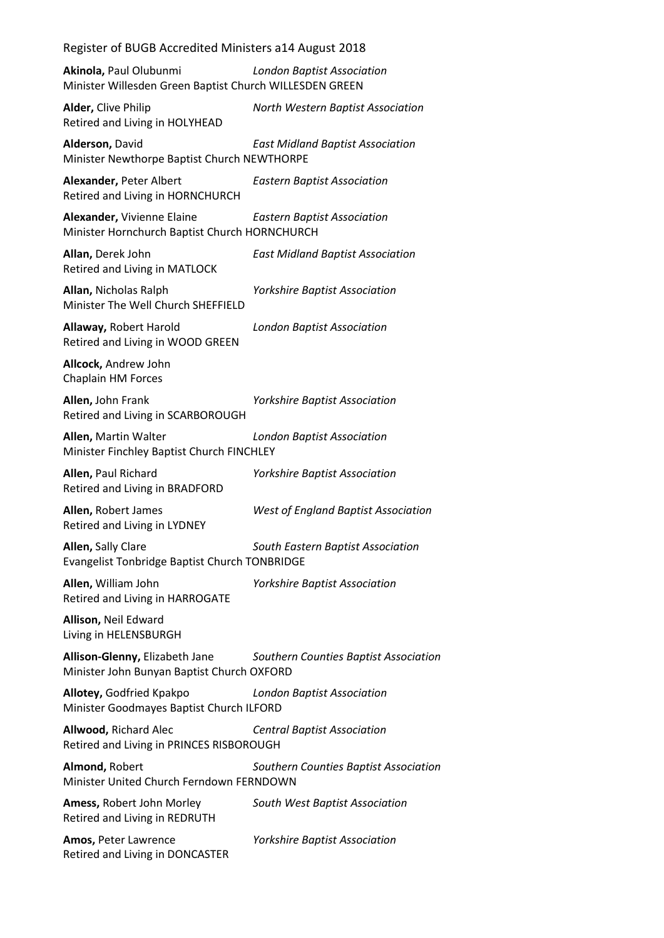**Akinola,** Paul Olubunmi *London Baptist Association* Minister Willesden Green Baptist Church WILLESDEN GREEN

**Alder,** Clive Philip *North Western Baptist Association* Retired and Living in HOLYHEAD

**Alderson,** David *East Midland Baptist Association* Minister Newthorpe Baptist Church NEWTHORPE

**Alexander,** Peter Albert *Eastern Baptist Association* Retired and Living in HORNCHURCH

**Alexander,** Vivienne Elaine *Eastern Baptist Association* Minister Hornchurch Baptist Church HORNCHURCH

**Allan,** Derek John *East Midland Baptist Association* Retired and Living in MATLOCK

**Allan,** Nicholas Ralph *Yorkshire Baptist Association* Minister The Well Church SHEFFIELD

**Allaway,** Robert Harold *London Baptist Association* Retired and Living in WOOD GREEN

**Allcock,** Andrew John Chaplain HM Forces

**Allen,** John Frank *Yorkshire Baptist Association* Retired and Living in SCARBOROUGH

**Allen,** Martin Walter *London Baptist Association* Minister Finchley Baptist Church FINCHLEY

**Allen,** Paul Richard *Yorkshire Baptist Association* Retired and Living in BRADFORD

**Allen,** Robert James *West of England Baptist Association* Retired and Living in LYDNEY

**Allen,** Sally Clare *South Eastern Baptist Association* Evangelist Tonbridge Baptist Church TONBRIDGE

**Allen,** William John *Yorkshire Baptist Association* Retired and Living in HARROGATE

**Allison,** Neil Edward Living in HELENSBURGH

**Allison-Glenny,** Elizabeth Jane *Southern Counties Baptist Association* Minister John Bunyan Baptist Church OXFORD

**Allotey,** Godfried Kpakpo *London Baptist Association* Minister Goodmayes Baptist Church ILFORD

**Allwood,** Richard Alec *Central Baptist Association* Retired and Living in PRINCES RISBOROUGH

**Almond,** Robert *Southern Counties Baptist Association* Minister United Church Ferndown FERNDOWN

**Amess,** Robert John Morley *South West Baptist Association* Retired and Living in REDRUTH

Retired and Living in DONCASTER

**Amos,** Peter Lawrence *Yorkshire Baptist Association*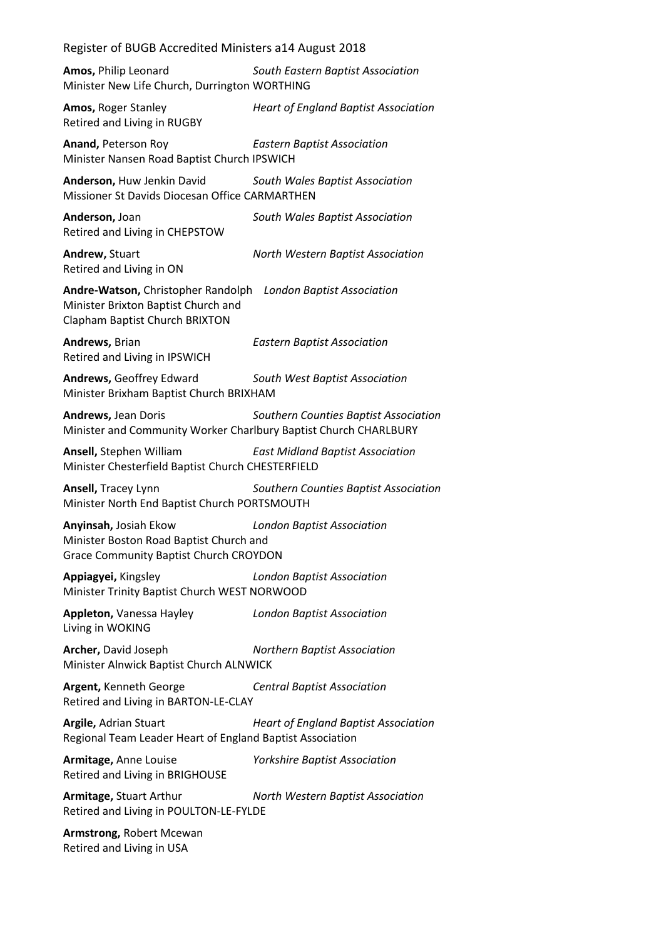**Amos,** Philip Leonard *South Eastern Baptist Association* Minister New Life Church, Durrington WORTHING

**Amos,** Roger Stanley *Heart of England Baptist Association* Retired and Living in RUGBY

**Anand,** Peterson Roy *Eastern Baptist Association* Minister Nansen Road Baptist Church IPSWICH

**Anderson,** Huw Jenkin David *South Wales Baptist Association* Missioner St Davids Diocesan Office CARMARTHEN

**Anderson,** Joan *South Wales Baptist Association* Retired and Living in CHEPSTOW

Retired and Living in ON

**Andrew,** Stuart *North Western Baptist Association*

**Andre-Watson,** Christopher Randolph *London Baptist Association* Minister Brixton Baptist Church and Clapham Baptist Church BRIXTON

**Andrews,** Brian *Eastern Baptist Association* Retired and Living in IPSWICH

**Andrews,** Geoffrey Edward *South West Baptist Association* Minister Brixham Baptist Church BRIXHAM

**Andrews,** Jean Doris *Southern Counties Baptist Association* Minister and Community Worker Charlbury Baptist Church CHARLBURY

**Ansell,** Stephen William *East Midland Baptist Association* Minister Chesterfield Baptist Church CHESTERFIELD

**Ansell,** Tracey Lynn *Southern Counties Baptist Association* Minister North End Baptist Church PORTSMOUTH

**Anyinsah,** Josiah Ekow *London Baptist Association* Minister Boston Road Baptist Church and Grace Community Baptist Church CROYDON

**Appiagyei,** Kingsley *London Baptist Association* Minister Trinity Baptist Church WEST NORWOOD

**Appleton,** Vanessa Hayley *London Baptist Association* Living in WOKING

**Archer,** David Joseph *Northern Baptist Association* Minister Alnwick Baptist Church ALNWICK

**Argent,** Kenneth George *Central Baptist Association* Retired and Living in BARTON-LE-CLAY

**Argile,** Adrian Stuart *Heart of England Baptist Association* Regional Team Leader Heart of England Baptist Association

**Armitage,** Anne Louise *Yorkshire Baptist Association* Retired and Living in BRIGHOUSE

**Armitage,** Stuart Arthur *North Western Baptist Association* Retired and Living in POULTON-LE-FYLDE

**Armstrong,** Robert Mcewan Retired and Living in USA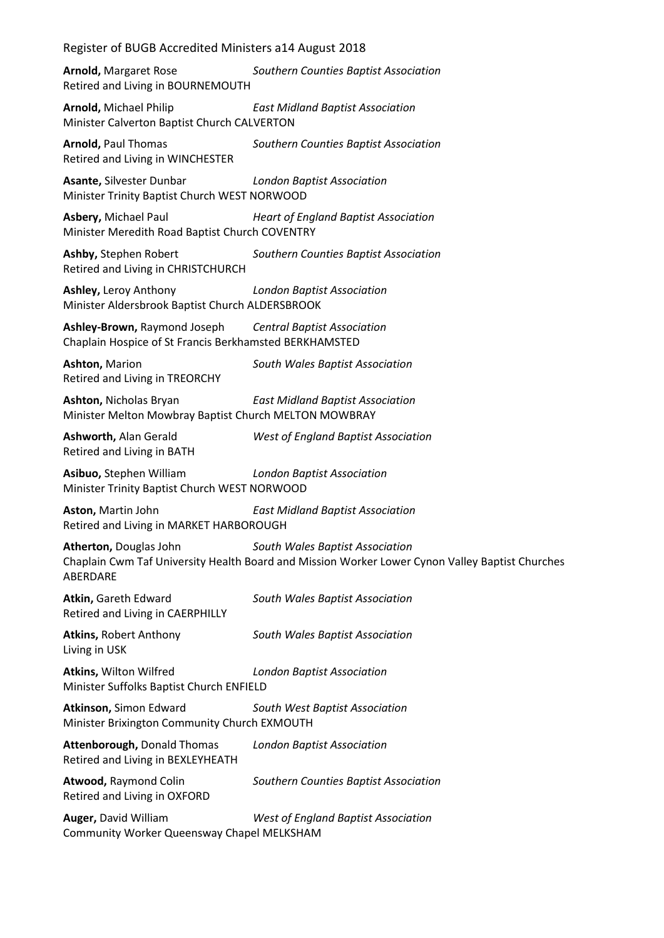**Arnold,** Margaret Rose *Southern Counties Baptist Association* Retired and Living in BOURNEMOUTH

**Arnold,** Michael Philip *East Midland Baptist Association* Minister Calverton Baptist Church CALVERTON

**Arnold,** Paul Thomas *Southern Counties Baptist Association* Retired and Living in WINCHESTER

**Asante,** Silvester Dunbar *London Baptist Association* Minister Trinity Baptist Church WEST NORWOOD

**Asbery,** Michael Paul *Heart of England Baptist Association* Minister Meredith Road Baptist Church COVENTRY

**Ashby,** Stephen Robert *Southern Counties Baptist Association* Retired and Living in CHRISTCHURCH

**Ashley,** Leroy Anthony *London Baptist Association* Minister Aldersbrook Baptist Church ALDERSBROOK

**Ashley-Brown,** Raymond Joseph *Central Baptist Association* Chaplain Hospice of St Francis Berkhamsted BERKHAMSTED

**Ashton,** Marion *South Wales Baptist Association* Retired and Living in TREORCHY

**Ashton,** Nicholas Bryan *East Midland Baptist Association* Minister Melton Mowbray Baptist Church MELTON MOWBRAY

Retired and Living in BATH

**Ashworth,** Alan Gerald *West of England Baptist Association*

**Asibuo,** Stephen William *London Baptist Association* Minister Trinity Baptist Church WEST NORWOOD

**Aston,** Martin John *East Midland Baptist Association* Retired and Living in MARKET HARBOROUGH

**Atherton,** Douglas John *South Wales Baptist Association* Chaplain Cwm Taf University Health Board and Mission Worker Lower Cynon Valley Baptist Churches ABERDARE

**Atkin,** Gareth Edward *South Wales Baptist Association* Retired and Living in CAERPHILLY

**Atkins,** Robert Anthony *South Wales Baptist Association* Living in USK

**Atkins,** Wilton Wilfred *London Baptist Association* Minister Suffolks Baptist Church ENFIELD

**Atkinson,** Simon Edward *South West Baptist Association* Minister Brixington Community Church EXMOUTH

**Attenborough,** Donald Thomas *London Baptist Association* Retired and Living in BEXLEYHEATH

**Atwood,** Raymond Colin *Southern Counties Baptist Association* Retired and Living in OXFORD

**Auger,** David William *West of England Baptist Association* Community Worker Queensway Chapel MELKSHAM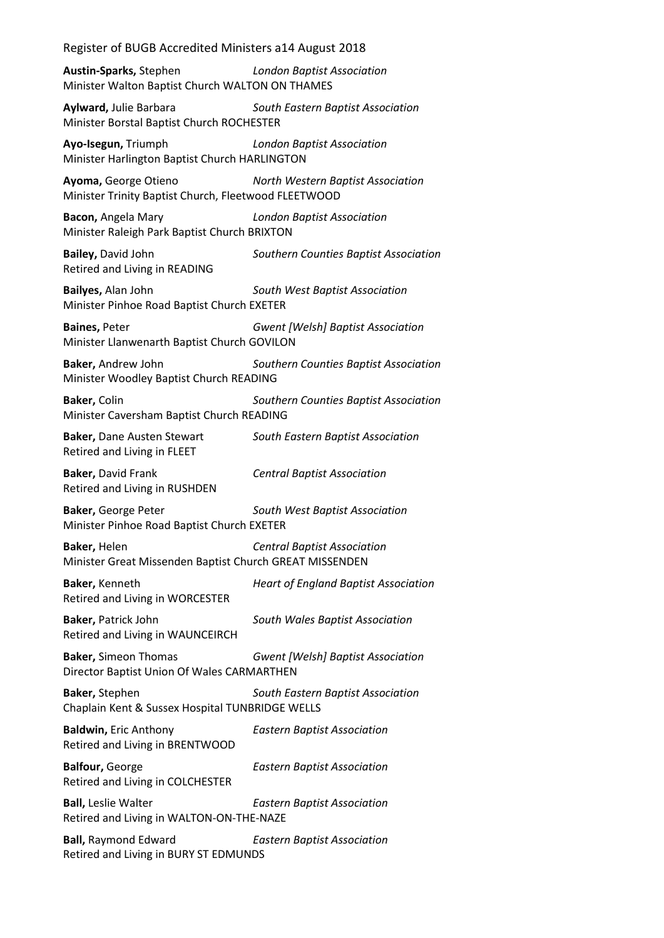**Austin-Sparks,** Stephen *London Baptist Association* Minister Walton Baptist Church WALTON ON THAMES

**Aylward,** Julie Barbara *South Eastern Baptist Association* Minister Borstal Baptist Church ROCHESTER

**Ayo-Isegun,** Triumph *London Baptist Association* Minister Harlington Baptist Church HARLINGTON

**Ayoma,** George Otieno *North Western Baptist Association* Minister Trinity Baptist Church, Fleetwood FLEETWOOD

**Bacon,** Angela Mary *London Baptist Association* Minister Raleigh Park Baptist Church BRIXTON

**Bailey,** David John *Southern Counties Baptist Association* Retired and Living in READING

**Bailyes,** Alan John *South West Baptist Association* Minister Pinhoe Road Baptist Church EXETER

**Baines,** Peter *Gwent [Welsh] Baptist Association* Minister Llanwenarth Baptist Church GOVILON

**Baker,** Andrew John *Southern Counties Baptist Association* Minister Woodley Baptist Church READING

**Baker,** Colin *Southern Counties Baptist Association* Minister Caversham Baptist Church READING

**Baker,** Dane Austen Stewart *South Eastern Baptist Association* Retired and Living in FLEET

**Baker,** David Frank *Central Baptist Association* Retired and Living in RUSHDEN

**Baker,** George Peter *South West Baptist Association* Minister Pinhoe Road Baptist Church EXETER

**Baker,** Helen *Central Baptist Association* Minister Great Missenden Baptist Church GREAT MISSENDEN

**Baker,** Kenneth *Heart of England Baptist Association* Retired and Living in WORCESTER

**Baker,** Patrick John *South Wales Baptist Association* Retired and Living in WAUNCEIRCH

**Baker,** Simeon Thomas *Gwent [Welsh] Baptist Association* Director Baptist Union Of Wales CARMARTHEN

**Baker,** Stephen *South Eastern Baptist Association* Chaplain Kent & Sussex Hospital TUNBRIDGE WELLS

**Baldwin,** Eric Anthony *Eastern Baptist Association* Retired and Living in BRENTWOOD

**Balfour,** George *Eastern Baptist Association* Retired and Living in COLCHESTER

**Ball,** Leslie Walter *Eastern Baptist Association* Retired and Living in WALTON-ON-THE-NAZE

**Ball,** Raymond Edward *Eastern Baptist Association* Retired and Living in BURY ST EDMUNDS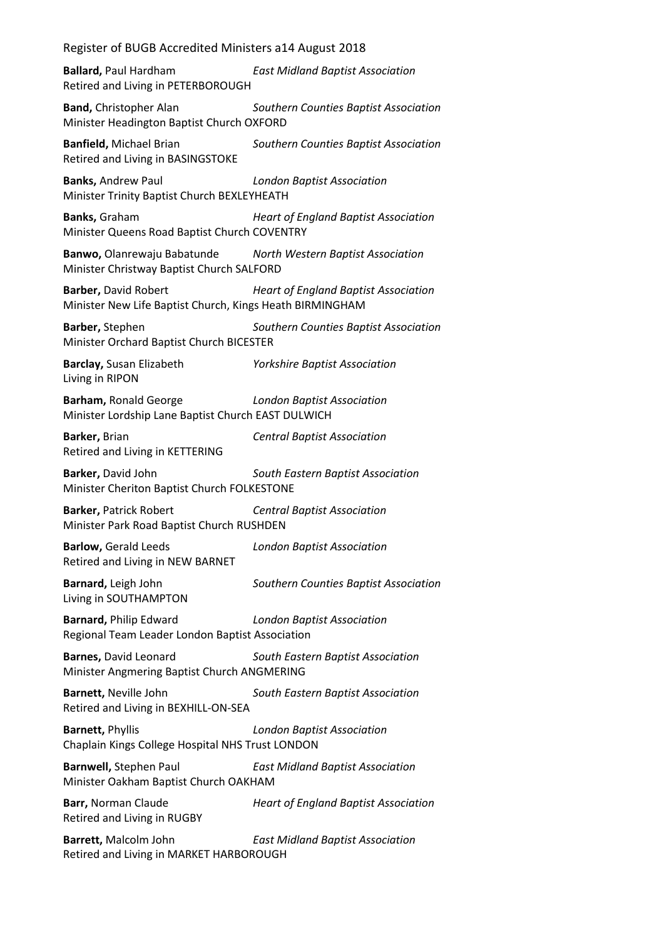**Ballard,** Paul Hardham *East Midland Baptist Association* Retired and Living in PETERBOROUGH

**Band,** Christopher Alan *Southern Counties Baptist Association* Minister Headington Baptist Church OXFORD

**Banfield,** Michael Brian *Southern Counties Baptist Association* Retired and Living in BASINGSTOKE

**Banks,** Andrew Paul *London Baptist Association* Minister Trinity Baptist Church BEXLEYHEATH

**Banks,** Graham *Heart of England Baptist Association* Minister Queens Road Baptist Church COVENTRY

**Banwo,** Olanrewaju Babatunde *North Western Baptist Association* Minister Christway Baptist Church SALFORD

**Barber,** David Robert *Heart of England Baptist Association* Minister New Life Baptist Church, Kings Heath BIRMINGHAM

**Barber,** Stephen *Southern Counties Baptist Association* Minister Orchard Baptist Church BICESTER

**Barclay,** Susan Elizabeth *Yorkshire Baptist Association* Living in RIPON

**Barham,** Ronald George *London Baptist Association* Minister Lordship Lane Baptist Church EAST DULWICH

**Barker,** Brian *Central Baptist Association* Retired and Living in KETTERING

**Barker,** David John *South Eastern Baptist Association* Minister Cheriton Baptist Church FOLKESTONE

**Barker,** Patrick Robert *Central Baptist Association* Minister Park Road Baptist Church RUSHDEN

**Barlow,** Gerald Leeds *London Baptist Association* Retired and Living in NEW BARNET

**Barnard,** Leigh John *Southern Counties Baptist Association* Living in SOUTHAMPTON

**Barnard,** Philip Edward *London Baptist Association* Regional Team Leader London Baptist Association

**Barnes,** David Leonard *South Eastern Baptist Association* Minister Angmering Baptist Church ANGMERING

**Barnett,** Neville John *South Eastern Baptist Association* Retired and Living in BEXHILL-ON-SEA

**Barnett,** Phyllis *London Baptist Association* Chaplain Kings College Hospital NHS Trust LONDON

**Barnwell,** Stephen Paul *East Midland Baptist Association* Minister Oakham Baptist Church OAKHAM

**Barr,** Norman Claude *Heart of England Baptist Association* Retired and Living in RUGBY

**Barrett,** Malcolm John *East Midland Baptist Association* Retired and Living in MARKET HARBOROUGH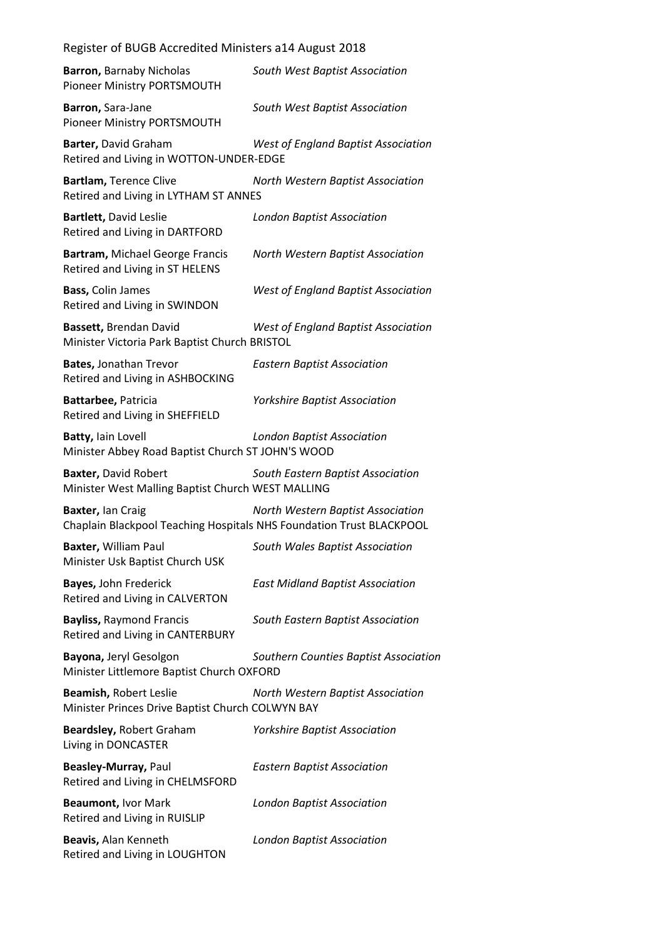| <b>Barron, Barnaby Nicholas</b><br>Pioneer Ministry PORTSMOUTH                            | South West Baptist Association             |
|-------------------------------------------------------------------------------------------|--------------------------------------------|
| Barron, Sara-Jane<br>Pioneer Ministry PORTSMOUTH                                          | South West Baptist Association             |
| Barter, David Graham<br>Retired and Living in WOTTON-UNDER-EDGE                           | <b>West of England Baptist Association</b> |
| Bartlam, Terence Clive<br>Retired and Living in LYTHAM ST ANNES                           | North Western Baptist Association          |
| Bartlett, David Leslie<br>Retired and Living in DARTFORD                                  | <b>London Baptist Association</b>          |
| Bartram, Michael George Francis<br>Retired and Living in ST HELENS                        | North Western Baptist Association          |
| Bass, Colin James<br>Retired and Living in SWINDON                                        | <b>West of England Baptist Association</b> |
| Bassett, Brendan David<br>Minister Victoria Park Baptist Church BRISTOL                   | West of England Baptist Association        |
| <b>Bates, Jonathan Trevor</b><br>Retired and Living in ASHBOCKING                         | <b>Eastern Baptist Association</b>         |
| Battarbee, Patricia<br>Retired and Living in SHEFFIELD                                    | <b>Yorkshire Baptist Association</b>       |
| Batty, lain Lovell<br>Minister Abbey Road Baptist Church ST JOHN'S WOOD                   | <b>London Baptist Association</b>          |
| <b>Baxter, David Robert</b><br>Minister West Malling Baptist Church WEST MALLING          | South Eastern Baptist Association          |
| Baxter, lan Craig<br>Chaplain Blackpool Teaching Hospitals NHS Foundation Trust BLACKPOOL | North Western Baptist Association          |
| Baxter, William Paul<br>Minister Usk Baptist Church USK                                   | South Wales Baptist Association            |
| Bayes, John Frederick<br>Retired and Living in CALVERTON                                  | <b>East Midland Baptist Association</b>    |
| <b>Bayliss, Raymond Francis</b><br>Retired and Living in CANTERBURY                       | South Eastern Baptist Association          |
| Bayona, Jeryl Gesolgon<br>Minister Littlemore Baptist Church OXFORD                       | Southern Counties Baptist Association      |
| Beamish, Robert Leslie<br>Minister Princes Drive Baptist Church COLWYN BAY                | North Western Baptist Association          |
| <b>Beardsley, Robert Graham</b><br>Living in DONCASTER                                    | <b>Yorkshire Baptist Association</b>       |
| Beasley-Murray, Paul<br>Retired and Living in CHELMSFORD                                  | <b>Eastern Baptist Association</b>         |
| Beaumont, Ivor Mark<br>Retired and Living in RUISLIP                                      | <b>London Baptist Association</b>          |
| Beavis, Alan Kenneth<br>Retired and Living in LOUGHTON                                    | <b>London Baptist Association</b>          |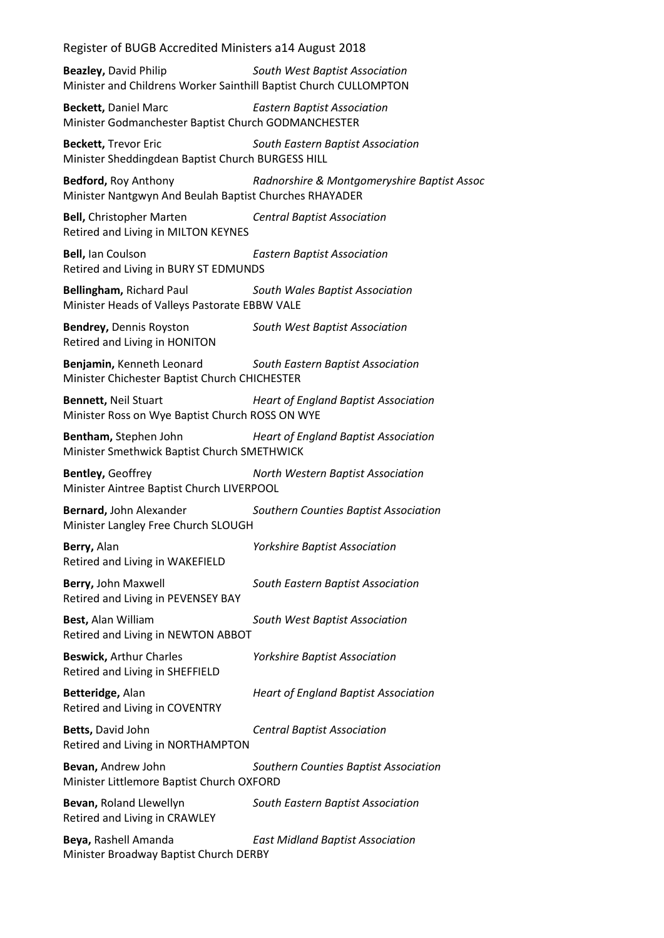**Beazley,** David Philip *South West Baptist Association* Minister and Childrens Worker Sainthill Baptist Church CULLOMPTON

**Beckett,** Daniel Marc *Eastern Baptist Association* Minister Godmanchester Baptist Church GODMANCHESTER

**Beckett,** Trevor Eric *South Eastern Baptist Association* Minister Sheddingdean Baptist Church BURGESS HILL

**Bedford,** Roy Anthony *Radnorshire & Montgomeryshire Baptist Assoc* Minister Nantgwyn And Beulah Baptist Churches RHAYADER

**Bell,** Christopher Marten *Central Baptist Association* Retired and Living in MILTON KEYNES

**Bell,** Ian Coulson *Eastern Baptist Association* Retired and Living in BURY ST EDMUNDS

**Bellingham,** Richard Paul *South Wales Baptist Association* Minister Heads of Valleys Pastorate EBBW VALE

**Bendrey,** Dennis Royston *South West Baptist Association* Retired and Living in HONITON

**Benjamin,** Kenneth Leonard *South Eastern Baptist Association* Minister Chichester Baptist Church CHICHESTER

**Bennett,** Neil Stuart *Heart of England Baptist Association* Minister Ross on Wye Baptist Church ROSS ON WYE

**Bentham,** Stephen John *Heart of England Baptist Association* Minister Smethwick Baptist Church SMETHWICK

**Bentley,** Geoffrey *North Western Baptist Association* Minister Aintree Baptist Church LIVERPOOL

**Bernard,** John Alexander *Southern Counties Baptist Association* Minister Langley Free Church SLOUGH

**Berry,** Alan *Yorkshire Baptist Association* Retired and Living in WAKEFIELD

**Berry,** John Maxwell *South Eastern Baptist Association* Retired and Living in PEVENSEY BAY

**Best,** Alan William *South West Baptist Association* Retired and Living in NEWTON ABBOT

**Beswick,** Arthur Charles *Yorkshire Baptist Association* Retired and Living in SHEFFIELD

**Betteridge,** Alan *Heart of England Baptist Association* Retired and Living in COVENTRY

**Betts,** David John *Central Baptist Association* Retired and Living in NORTHAMPTON

**Bevan,** Andrew John *Southern Counties Baptist Association* Minister Littlemore Baptist Church OXFORD

**Bevan,** Roland Llewellyn *South Eastern Baptist Association* Retired and Living in CRAWLEY

**Beya,** Rashell Amanda *East Midland Baptist Association* Minister Broadway Baptist Church DERBY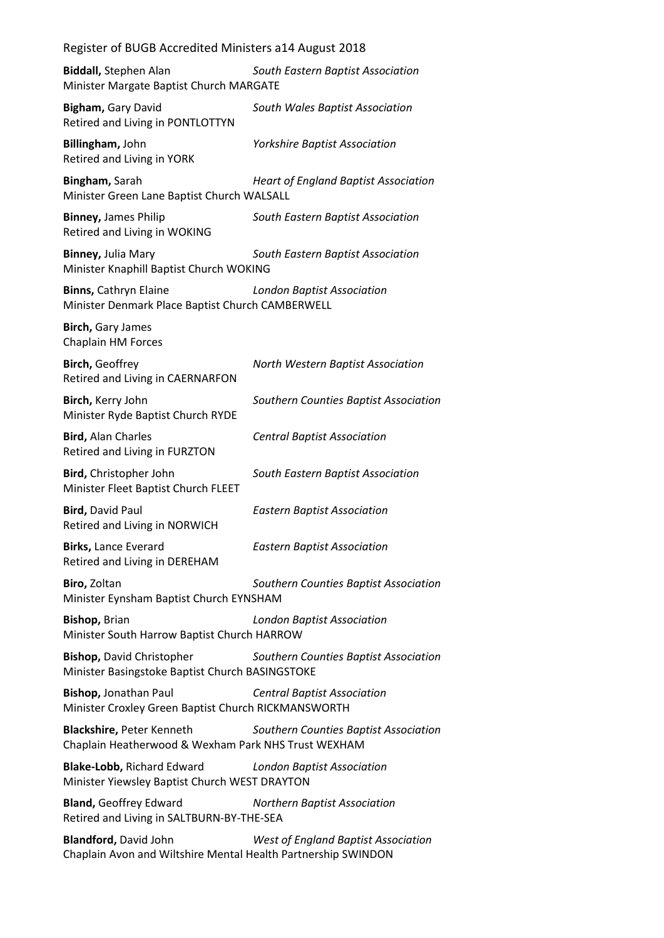| Register of BUGB Accredited Ministers a14 August 2018                                         |                                             |
|-----------------------------------------------------------------------------------------------|---------------------------------------------|
| <b>Biddall, Stephen Alan</b><br>Minister Margate Baptist Church MARGATE                       | South Eastern Baptist Association           |
| Bigham, Gary David<br>Retired and Living in PONTLOTTYN                                        | South Wales Baptist Association             |
| Billingham, John<br>Retired and Living in YORK                                                | <b>Yorkshire Baptist Association</b>        |
| Bingham, Sarah<br>Minister Green Lane Baptist Church WALSALL                                  | <b>Heart of England Baptist Association</b> |
| <b>Binney, James Philip</b><br>Retired and Living in WOKING                                   | South Eastern Baptist Association           |
| Binney, Julia Mary<br>Minister Knaphill Baptist Church WOKING                                 | South Eastern Baptist Association           |
| <b>Binns, Cathryn Elaine</b><br>Minister Denmark Place Baptist Church CAMBERWELL              | <b>London Baptist Association</b>           |
| Birch, Gary James<br>Chaplain HM Forces                                                       |                                             |
| <b>Birch, Geoffrey</b><br>Retired and Living in CAERNARFON                                    | North Western Baptist Association           |
| Birch, Kerry John<br>Minister Ryde Baptist Church RYDE                                        | Southern Counties Baptist Association       |
| <b>Bird, Alan Charles</b><br>Retired and Living in FURZTON                                    | <b>Central Baptist Association</b>          |
| Bird, Christopher John<br>Minister Fleet Baptist Church FLEET                                 | South Eastern Baptist Association           |
| <b>Bird, David Paul</b><br>Retired and Living in NORWICH                                      | <b>Eastern Baptist Association</b>          |
| Birks, Lance Everard<br>Retired and Living in DEREHAM                                         | <b>Eastern Baptist Association</b>          |
| Biro, Zoltan<br>Minister Eynsham Baptist Church EYNSHAM                                       | Southern Counties Baptist Association       |
| Bishop, Brian<br>Minister South Harrow Baptist Church HARROW                                  | <b>London Baptist Association</b>           |
| <b>Bishop, David Christopher</b><br>Minister Basingstoke Baptist Church BASINGSTOKE           | Southern Counties Baptist Association       |
| Bishop, Jonathan Paul<br>Minister Croxley Green Baptist Church RICKMANSWORTH                  | <b>Central Baptist Association</b>          |
| Blackshire, Peter Kenneth<br>Chaplain Heatherwood & Wexham Park NHS Trust WEXHAM              | Southern Counties Baptist Association       |
| <b>Blake-Lobb, Richard Edward</b><br>Minister Yiewsley Baptist Church WEST DRAYTON            | <b>London Baptist Association</b>           |
| <b>Bland, Geoffrey Edward</b><br>Retired and Living in SALTBURN-BY-THE-SEA                    | <b>Northern Baptist Association</b>         |
| <b>Blandford, David John</b><br>Chaplain Avon and Wiltshire Mental Health Partnership SWINDON | <b>West of England Baptist Association</b>  |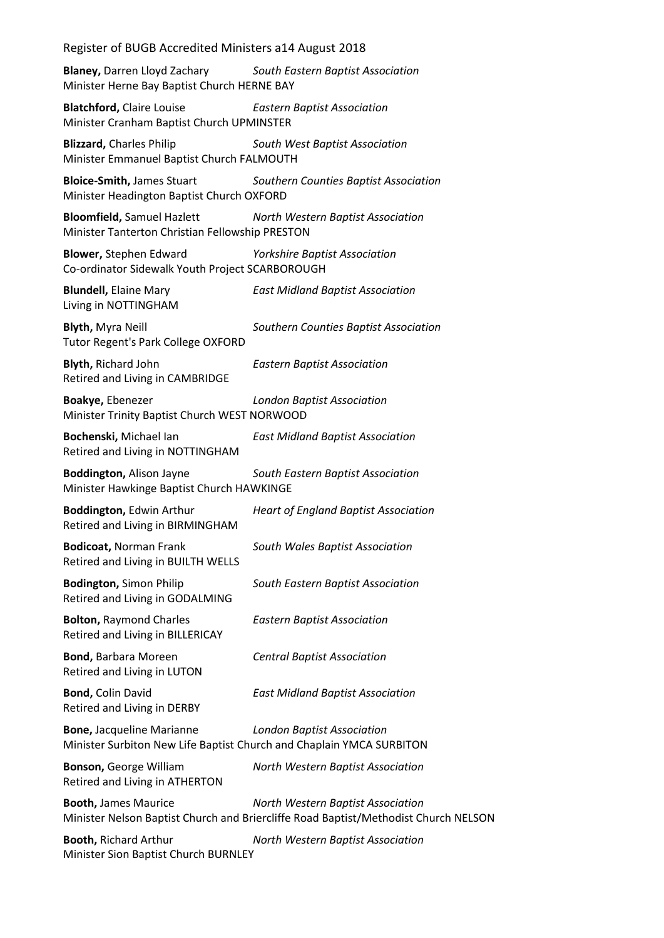**Blaney,** Darren Lloyd Zachary *South Eastern Baptist Association* Minister Herne Bay Baptist Church HERNE BAY

**Blatchford,** Claire Louise *Eastern Baptist Association* Minister Cranham Baptist Church UPMINSTER

**Blizzard,** Charles Philip *South West Baptist Association* Minister Emmanuel Baptist Church FALMOUTH

**Bloice-Smith,** James Stuart *Southern Counties Baptist Association* Minister Headington Baptist Church OXFORD

**Bloomfield,** Samuel Hazlett *North Western Baptist Association* Minister Tanterton Christian Fellowship PRESTON

**Blower,** Stephen Edward *Yorkshire Baptist Association* Co-ordinator Sidewalk Youth Project SCARBOROUGH

**Blundell,** Elaine Mary *East Midland Baptist Association* Living in NOTTINGHAM

**Blyth,** Myra Neill *Southern Counties Baptist Association* Tutor Regent's Park College OXFORD

**Blyth,** Richard John *Eastern Baptist Association* Retired and Living in CAMBRIDGE

**Boakye,** Ebenezer *London Baptist Association* Minister Trinity Baptist Church WEST NORWOOD

**Bochenski,** Michael Ian *East Midland Baptist Association* Retired and Living in NOTTINGHAM

**Boddington,** Alison Jayne *South Eastern Baptist Association* Minister Hawkinge Baptist Church HAWKINGE

**Boddington,** Edwin Arthur *Heart of England Baptist Association* Retired and Living in BIRMINGHAM

**Bodicoat,** Norman Frank *South Wales Baptist Association* Retired and Living in BUILTH WELLS

**Bodington,** Simon Philip *South Eastern Baptist Association* Retired and Living in GODALMING

**Bolton,** Raymond Charles *Eastern Baptist Association* Retired and Living in BILLERICAY

**Bond,** Barbara Moreen *Central Baptist Association* Retired and Living in LUTON

**Bond,** Colin David *East Midland Baptist Association* Retired and Living in DERBY

**Bone,** Jacqueline Marianne *London Baptist Association* Minister Surbiton New Life Baptist Church and Chaplain YMCA SURBITON

**Bonson,** George William *North Western Baptist Association* Retired and Living in ATHERTON

**Booth,** James Maurice *North Western Baptist Association* Minister Nelson Baptist Church and Briercliffe Road Baptist/Methodist Church NELSON

**Booth,** Richard Arthur *North Western Baptist Association* Minister Sion Baptist Church BURNLEY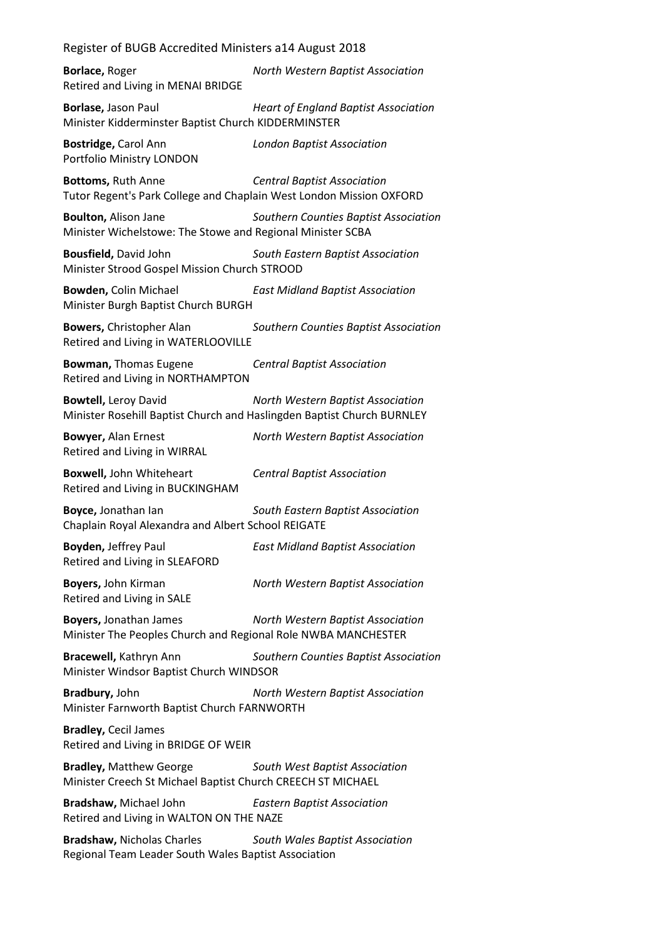**Borlace,** Roger *North Western Baptist Association* Retired and Living in MENAI BRIDGE

**Borlase,** Jason Paul *Heart of England Baptist Association* Minister Kidderminster Baptist Church KIDDERMINSTER

**Bostridge,** Carol Ann *London Baptist Association* Portfolio Ministry LONDON

**Bottoms,** Ruth Anne *Central Baptist Association*

Tutor Regent's Park College and Chaplain West London Mission OXFORD

**Boulton,** Alison Jane *Southern Counties Baptist Association* Minister Wichelstowe: The Stowe and Regional Minister SCBA

**Bousfield,** David John *South Eastern Baptist Association* Minister Strood Gospel Mission Church STROOD

**Bowden,** Colin Michael *East Midland Baptist Association* Minister Burgh Baptist Church BURGH

**Bowers,** Christopher Alan *Southern Counties Baptist Association* Retired and Living in WATERLOOVILLE

**Bowman,** Thomas Eugene *Central Baptist Association* Retired and Living in NORTHAMPTON

**Bowtell,** Leroy David *North Western Baptist Association* Minister Rosehill Baptist Church and Haslingden Baptist Church BURNLEY

Retired and Living in WIRRAL

**Bowyer,** Alan Ernest *North Western Baptist Association*

**Boxwell,** John Whiteheart *Central Baptist Association* Retired and Living in BUCKINGHAM

**Boyce,** Jonathan Ian *South Eastern Baptist Association* Chaplain Royal Alexandra and Albert School REIGATE

**Boyden,** Jeffrey Paul *East Midland Baptist Association* Retired and Living in SLEAFORD

**Boyers,** John Kirman *North Western Baptist Association* Retired and Living in SALE

**Boyers,** Jonathan James *North Western Baptist Association* Minister The Peoples Church and Regional Role NWBA MANCHESTER

**Bracewell,** Kathryn Ann *Southern Counties Baptist Association* Minister Windsor Baptist Church WINDSOR

**Bradbury,** John *North Western Baptist Association* Minister Farnworth Baptist Church FARNWORTH

**Bradley,** Cecil James Retired and Living in BRIDGE OF WEIR

**Bradley,** Matthew George *South West Baptist Association* Minister Creech St Michael Baptist Church CREECH ST MICHAEL

**Bradshaw,** Michael John *Eastern Baptist Association* Retired and Living in WALTON ON THE NAZE

**Bradshaw,** Nicholas Charles *South Wales Baptist Association* Regional Team Leader South Wales Baptist Association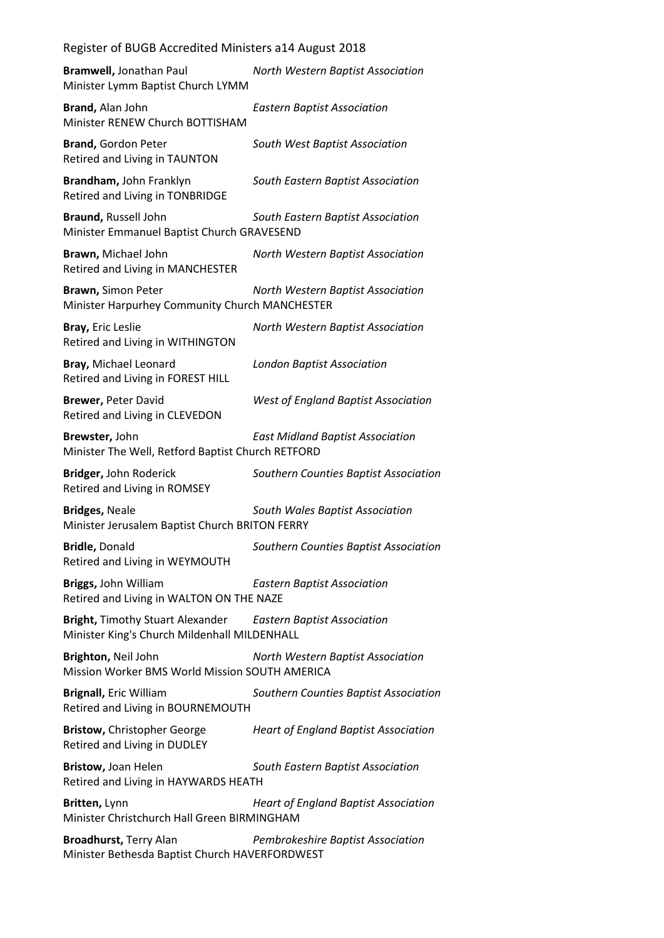| Bramwell, Jonathan Paul<br>Minister Lymm Baptist Church LYMM                                                 | North Western Baptist Association           |
|--------------------------------------------------------------------------------------------------------------|---------------------------------------------|
| Brand, Alan John<br>Minister RENEW Church BOTTISHAM                                                          | <b>Eastern Baptist Association</b>          |
| <b>Brand, Gordon Peter</b><br>Retired and Living in TAUNTON                                                  | South West Baptist Association              |
| Brandham, John Franklyn<br>Retired and Living in TONBRIDGE                                                   | South Eastern Baptist Association           |
| Braund, Russell John<br>Minister Emmanuel Baptist Church GRAVESEND                                           | South Eastern Baptist Association           |
| Brawn, Michael John<br>Retired and Living in MANCHESTER                                                      | North Western Baptist Association           |
| <b>Brawn, Simon Peter</b><br>Minister Harpurhey Community Church MANCHESTER                                  | North Western Baptist Association           |
| Bray, Eric Leslie<br>Retired and Living in WITHINGTON                                                        | North Western Baptist Association           |
| Bray, Michael Leonard<br>Retired and Living in FOREST HILL                                                   | <b>London Baptist Association</b>           |
| <b>Brewer, Peter David</b><br>Retired and Living in CLEVEDON                                                 | <b>West of England Baptist Association</b>  |
| Brewster, John<br>Minister The Well, Retford Baptist Church RETFORD                                          | <b>East Midland Baptist Association</b>     |
| Bridger, John Roderick<br>Retired and Living in ROMSEY                                                       | Southern Counties Baptist Association       |
| <b>Bridges, Neale</b><br>Minister Jerusalem Baptist Church BRITON FERRY                                      | South Wales Baptist Association             |
| <b>Bridle, Donald</b><br>Retired and Living in WEYMOUTH                                                      | Southern Counties Baptist Association       |
| Briggs, John William<br>Retired and Living in WALTON ON THE NAZE                                             | <b>Eastern Baptist Association</b>          |
| Bright, Timothy Stuart Alexander Eastern Baptist Association<br>Minister King's Church Mildenhall MILDENHALL |                                             |
| Brighton, Neil John<br>Mission Worker BMS World Mission SOUTH AMERICA                                        | North Western Baptist Association           |
| <b>Brignall, Eric William</b><br>Retired and Living in BOURNEMOUTH                                           | Southern Counties Baptist Association       |
| <b>Bristow, Christopher George</b><br>Retired and Living in DUDLEY                                           | <b>Heart of England Baptist Association</b> |
| Bristow, Joan Helen<br>Retired and Living in HAYWARDS HEATH                                                  | South Eastern Baptist Association           |
| Britten, Lynn<br>Minister Christchurch Hall Green BIRMINGHAM                                                 | <b>Heart of England Baptist Association</b> |
| <b>Broadhurst, Terry Alan</b><br>Minister Bethesda Baptist Church HAVERFORDWEST                              | Pembrokeshire Baptist Association           |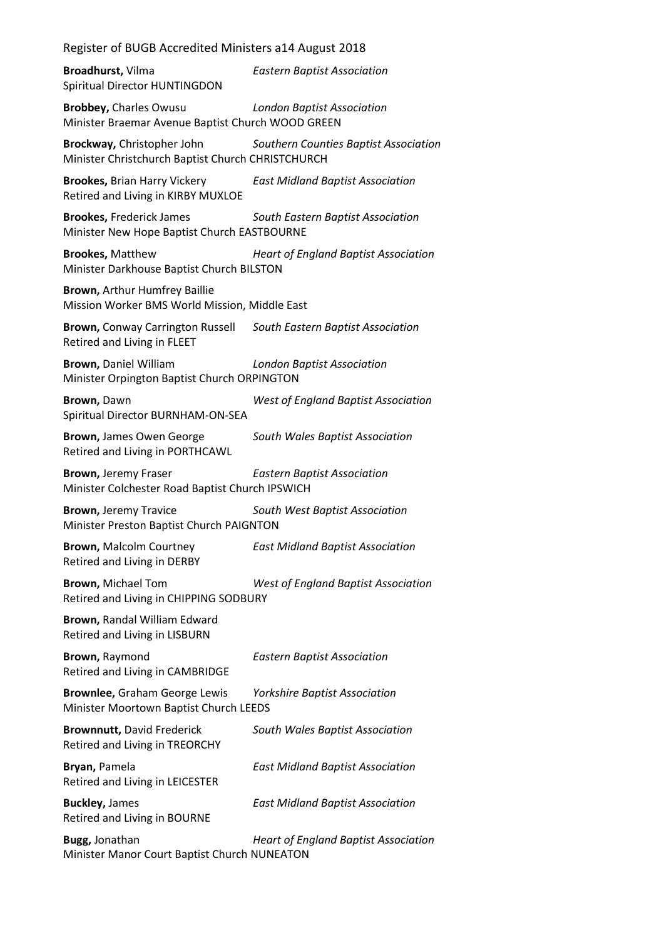**Broadhurst,** Vilma *Eastern Baptist Association* Spiritual Director HUNTINGDON **Brobbey,** Charles Owusu *London Baptist Association* Minister Braemar Avenue Baptist Church WOOD GREEN **Brockway,** Christopher John *Southern Counties Baptist Association* Minister Christchurch Baptist Church CHRISTCHURCH **Brookes,** Brian Harry Vickery *East Midland Baptist Association* Retired and Living in KIRBY MUXLOE **Brookes,** Frederick James *South Eastern Baptist Association* Minister New Hope Baptist Church EASTBOURNE **Brookes,** Matthew *Heart of England Baptist Association* Minister Darkhouse Baptist Church BILSTON **Brown,** Arthur Humfrey Baillie Mission Worker BMS World Mission, Middle East **Brown,** Conway Carrington Russell *South Eastern Baptist Association* Retired and Living in FLEET **Brown,** Daniel William *London Baptist Association* Minister Orpington Baptist Church ORPINGTON **Brown,** Dawn *West of England Baptist Association* Spiritual Director BURNHAM-ON-SEA **Brown,** James Owen George *South Wales Baptist Association* Retired and Living in PORTHCAWL **Brown,** Jeremy Fraser *Eastern Baptist Association* Minister Colchester Road Baptist Church IPSWICH **Brown,** Jeremy Travice *South West Baptist Association* Minister Preston Baptist Church PAIGNTON **Brown,** Malcolm Courtney *East Midland Baptist Association* Retired and Living in DERBY **Brown,** Michael Tom *West of England Baptist Association* Retired and Living in CHIPPING SODBURY **Brown,** Randal William Edward Retired and Living in LISBURN **Brown,** Raymond *Eastern Baptist Association* Retired and Living in CAMBRIDGE **Brownlee,** Graham George Lewis *Yorkshire Baptist Association* Minister Moortown Baptist Church LEEDS **Brownnutt,** David Frederick *South Wales Baptist Association* Retired and Living in TREORCHY **Bryan,** Pamela *East Midland Baptist Association* Retired and Living in LEICESTER **Buckley,** James *East Midland Baptist Association* Retired and Living in BOURNE

**Bugg,** Jonathan *Heart of England Baptist Association* Minister Manor Court Baptist Church NUNEATON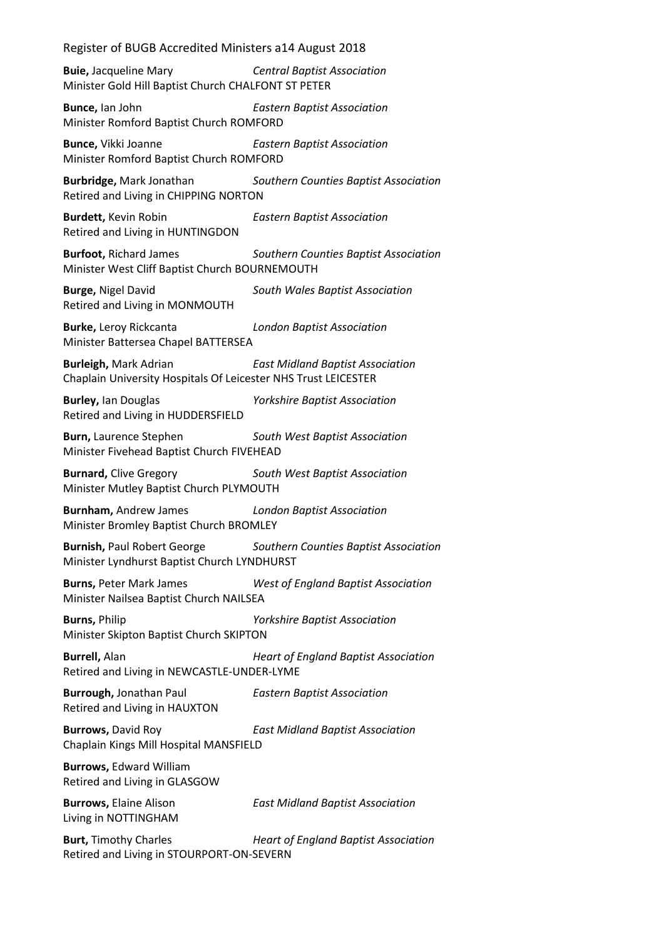**Buie,** Jacqueline Mary *Central Baptist Association* Minister Gold Hill Baptist Church CHALFONT ST PETER

**Bunce,** Ian John *Eastern Baptist Association* Minister Romford Baptist Church ROMFORD

**Bunce,** Vikki Joanne *Eastern Baptist Association* Minister Romford Baptist Church ROMFORD

**Burbridge,** Mark Jonathan *Southern Counties Baptist Association* Retired and Living in CHIPPING NORTON

**Burdett,** Kevin Robin *Eastern Baptist Association* Retired and Living in HUNTINGDON

**Burfoot,** Richard James *Southern Counties Baptist Association* Minister West Cliff Baptist Church BOURNEMOUTH

**Burge,** Nigel David *South Wales Baptist Association* Retired and Living in MONMOUTH

**Burke,** Leroy Rickcanta *London Baptist Association* Minister Battersea Chapel BATTERSEA

**Burleigh,** Mark Adrian *East Midland Baptist Association* Chaplain University Hospitals Of Leicester NHS Trust LEICESTER

**Burley,** Ian Douglas *Yorkshire Baptist Association* Retired and Living in HUDDERSFIELD

**Burn,** Laurence Stephen *South West Baptist Association* Minister Fivehead Baptist Church FIVEHEAD

**Burnard,** Clive Gregory *South West Baptist Association* Minister Mutley Baptist Church PLYMOUTH

**Burnham,** Andrew James *London Baptist Association* Minister Bromley Baptist Church BROMLEY

**Burnish,** Paul Robert George *Southern Counties Baptist Association* Minister Lyndhurst Baptist Church LYNDHURST

**Burns,** Peter Mark James *West of England Baptist Association* Minister Nailsea Baptist Church NAILSEA

**Burns,** Philip *Yorkshire Baptist Association* Minister Skipton Baptist Church SKIPTON

**Burrell,** Alan *Heart of England Baptist Association* Retired and Living in NEWCASTLE-UNDER-LYME

**Burrough,** Jonathan Paul *Eastern Baptist Association* Retired and Living in HAUXTON

**Burrows,** David Roy *East Midland Baptist Association* Chaplain Kings Mill Hospital MANSFIELD

**Burrows,** Edward William Retired and Living in GLASGOW

**Burrows,** Elaine Alison *East Midland Baptist Association* Living in NOTTINGHAM

**Burt,** Timothy Charles *Heart of England Baptist Association* Retired and Living in STOURPORT-ON-SEVERN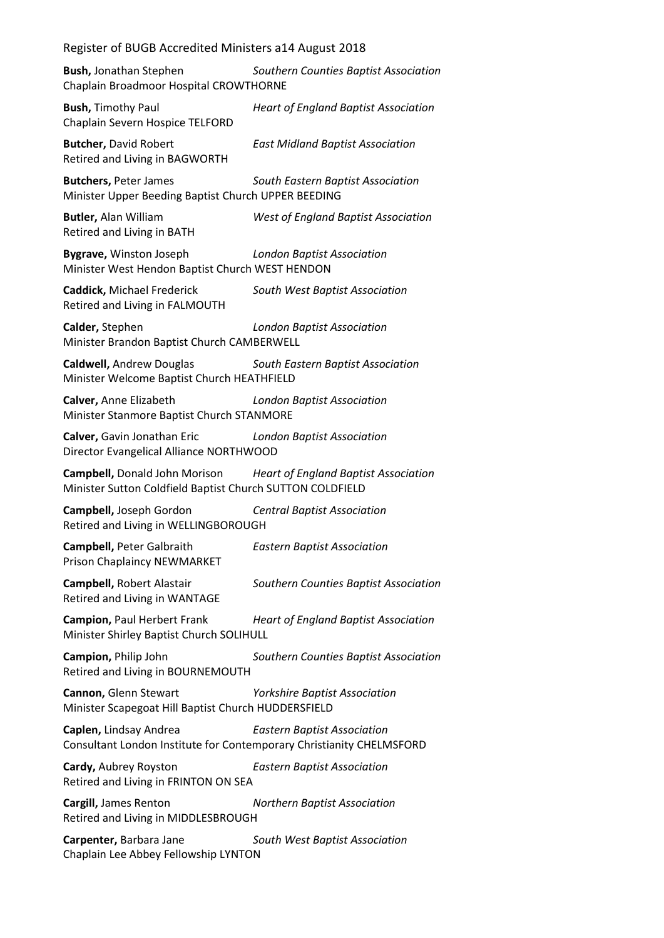**Bush,** Jonathan Stephen *Southern Counties Baptist Association* Chaplain Broadmoor Hospital CROWTHORNE

**Bush,** Timothy Paul *Heart of England Baptist Association* Chaplain Severn Hospice TELFORD

**Butcher,** David Robert *East Midland Baptist Association* Retired and Living in BAGWORTH

**Butchers,** Peter James *South Eastern Baptist Association* Minister Upper Beeding Baptist Church UPPER BEEDING

**Butler,** Alan William *West of England Baptist Association* Retired and Living in BATH

**Bygrave,** Winston Joseph *London Baptist Association* Minister West Hendon Baptist Church WEST HENDON

**Caddick,** Michael Frederick *South West Baptist Association* Retired and Living in FALMOUTH

**Calder,** Stephen *London Baptist Association* Minister Brandon Baptist Church CAMBERWELL

**Caldwell,** Andrew Douglas *South Eastern Baptist Association* Minister Welcome Baptist Church HEATHFIELD

**Calver,** Anne Elizabeth *London Baptist Association* Minister Stanmore Baptist Church STANMORE

**Calver,** Gavin Jonathan Eric *London Baptist Association* Director Evangelical Alliance NORTHWOOD

**Campbell,** Donald John Morison *Heart of England Baptist Association* Minister Sutton Coldfield Baptist Church SUTTON COLDFIELD

**Campbell,** Joseph Gordon *Central Baptist Association* Retired and Living in WELLINGBOROUGH

**Campbell,** Peter Galbraith *Eastern Baptist Association* Prison Chaplaincy NEWMARKET

**Campbell,** Robert Alastair *Southern Counties Baptist Association* Retired and Living in WANTAGE

**Campion,** Paul Herbert Frank *Heart of England Baptist Association* Minister Shirley Baptist Church SOLIHULL

**Campion,** Philip John *Southern Counties Baptist Association* Retired and Living in BOURNEMOUTH

**Cannon,** Glenn Stewart *Yorkshire Baptist Association* Minister Scapegoat Hill Baptist Church HUDDERSFIELD

**Caplen,** Lindsay Andrea *Eastern Baptist Association* Consultant London Institute for Contemporary Christianity CHELMSFORD

**Cardy,** Aubrey Royston *Eastern Baptist Association* Retired and Living in FRINTON ON SEA

**Cargill,** James Renton *Northern Baptist Association* Retired and Living in MIDDLESBROUGH

**Carpenter,** Barbara Jane *South West Baptist Association* Chaplain Lee Abbey Fellowship LYNTON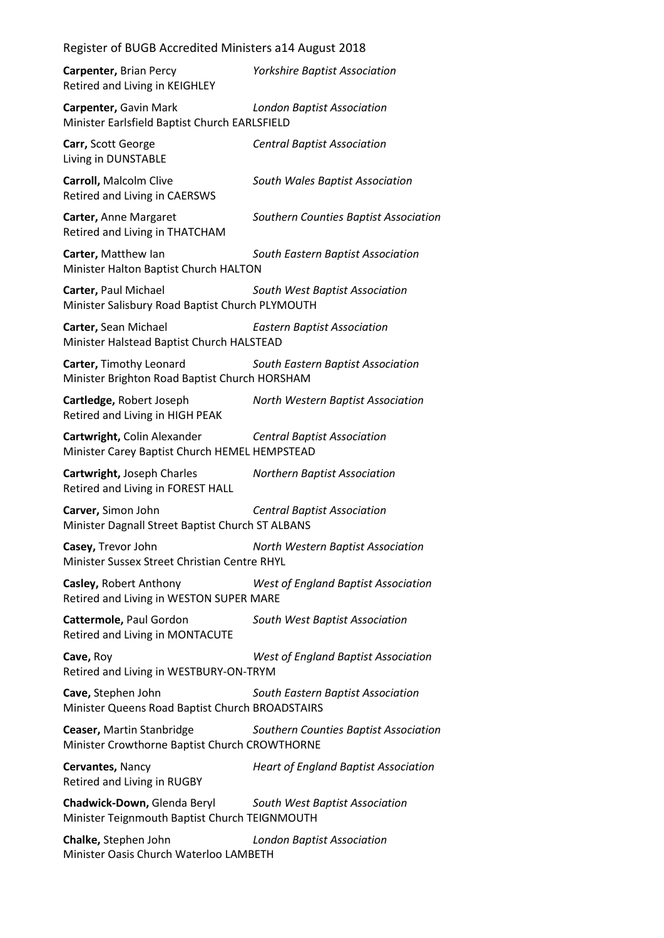| Register of BUGB Accredited Ministers a14 August 2018                        |                                             |  |
|------------------------------------------------------------------------------|---------------------------------------------|--|
| Carpenter, Brian Percy<br>Retired and Living in KEIGHLEY                     | <b>Yorkshire Baptist Association</b>        |  |
| Carpenter, Gavin Mark<br>Minister Earlsfield Baptist Church EARLSFIELD       | <b>London Baptist Association</b>           |  |
| Carr, Scott George<br>Living in DUNSTABLE                                    | <b>Central Baptist Association</b>          |  |
| <b>Carroll, Malcolm Clive</b><br>Retired and Living in CAERSWS               | South Wales Baptist Association             |  |
| Carter, Anne Margaret<br>Retired and Living in THATCHAM                      | Southern Counties Baptist Association       |  |
| Carter, Matthew Ian<br>Minister Halton Baptist Church HALTON                 | South Eastern Baptist Association           |  |
| Carter, Paul Michael<br>Minister Salisbury Road Baptist Church PLYMOUTH      | South West Baptist Association              |  |
| Carter, Sean Michael<br>Minister Halstead Baptist Church HALSTEAD            | <b>Eastern Baptist Association</b>          |  |
| Carter, Timothy Leonard<br>Minister Brighton Road Baptist Church HORSHAM     | South Eastern Baptist Association           |  |
| Cartledge, Robert Joseph<br>Retired and Living in HIGH PEAK                  | North Western Baptist Association           |  |
| Cartwright, Colin Alexander<br>Minister Carey Baptist Church HEMEL HEMPSTEAD | <b>Central Baptist Association</b>          |  |
| Cartwright, Joseph Charles<br>Retired and Living in FOREST HALL              | <b>Northern Baptist Association</b>         |  |
| Carver, Simon John<br>Minister Dagnall Street Baptist Church ST ALBANS       | <b>Central Baptist Association</b>          |  |
| Casey, Trevor John<br>Minister Sussex Street Christian Centre RHYL           | North Western Baptist Association           |  |
| Casley, Robert Anthony<br>Retired and Living in WESTON SUPER MARE            | <b>West of England Baptist Association</b>  |  |
| Cattermole, Paul Gordon<br>Retired and Living in MONTACUTE                   | South West Baptist Association              |  |
| Cave, Roy<br>Retired and Living in WESTBURY-ON-TRYM                          | <b>West of England Baptist Association</b>  |  |
| Cave, Stephen John<br>Minister Queens Road Baptist Church BROADSTAIRS        | South Eastern Baptist Association           |  |
| Ceaser, Martin Stanbridge<br>Minister Crowthorne Baptist Church CROWTHORNE   | Southern Counties Baptist Association       |  |
| Cervantes, Nancy<br>Retired and Living in RUGBY                              | <b>Heart of England Baptist Association</b> |  |
| Chadwick-Down, Glenda Beryl<br>Minister Teignmouth Baptist Church TEIGNMOUTH | South West Baptist Association              |  |
| Chalke, Stephen John<br>Minister Oasis Church Waterloo LAMBETH               | <b>London Baptist Association</b>           |  |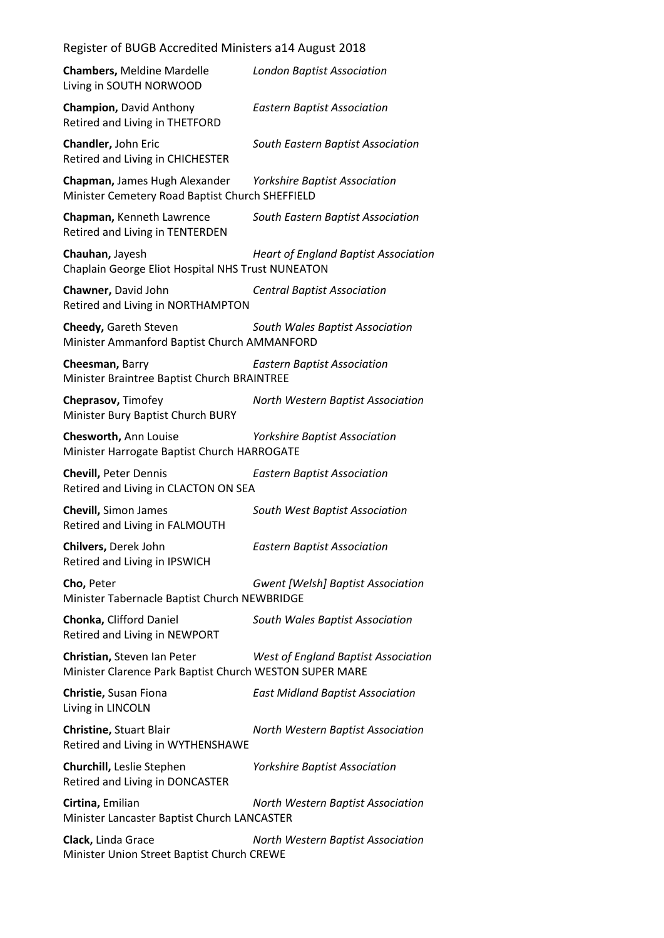| Register of BUGB Accredited Ministers a14 August 2018 |                                   |
|-------------------------------------------------------|-----------------------------------|
| <b>Chambers, Meldine Mardelle</b>                     | <b>London Baptist Association</b> |

**Champion,** David Anthony *Eastern Baptist Association* Retired and Living in THETFORD

Living in SOUTH NORWOOD

**Chandler,** John Eric *South Eastern Baptist Association* Retired and Living in CHICHESTER

**Chapman,** James Hugh Alexander *Yorkshire Baptist Association* Minister Cemetery Road Baptist Church SHEFFIELD

**Chapman,** Kenneth Lawrence *South Eastern Baptist Association* Retired and Living in TENTERDEN

**Chauhan,** Jayesh *Heart of England Baptist Association* Chaplain George Eliot Hospital NHS Trust NUNEATON

**Chawner,** David John *Central Baptist Association* Retired and Living in NORTHAMPTON

**Cheedy,** Gareth Steven *South Wales Baptist Association* Minister Ammanford Baptist Church AMMANFORD

**Cheesman,** Barry *Eastern Baptist Association* Minister Braintree Baptist Church BRAINTREE

**Cheprasov,** Timofey *North Western Baptist Association* Minister Bury Baptist Church BURY

**Chesworth,** Ann Louise *Yorkshire Baptist Association* Minister Harrogate Baptist Church HARROGATE

**Chevill,** Peter Dennis *Eastern Baptist Association* Retired and Living in CLACTON ON SEA

**Chevill,** Simon James *South West Baptist Association* Retired and Living in FALMOUTH

**Chilvers,** Derek John *Eastern Baptist Association* Retired and Living in IPSWICH

**Cho,** Peter *Gwent [Welsh] Baptist Association* Minister Tabernacle Baptist Church NEWBRIDGE

**Chonka,** Clifford Daniel *South Wales Baptist Association* Retired and Living in NEWPORT

**Christian,** Steven Ian Peter *West of England Baptist Association* Minister Clarence Park Baptist Church WESTON SUPER MARE

**Christie,** Susan Fiona *East Midland Baptist Association* Living in LINCOLN

**Christine,** Stuart Blair *North Western Baptist Association* Retired and Living in WYTHENSHAWE

**Churchill,** Leslie Stephen *Yorkshire Baptist Association* Retired and Living in DONCASTER

**Cirtina,** Emilian *North Western Baptist Association* Minister Lancaster Baptist Church LANCASTER

**Clack,** Linda Grace *North Western Baptist Association* Minister Union Street Baptist Church CREWE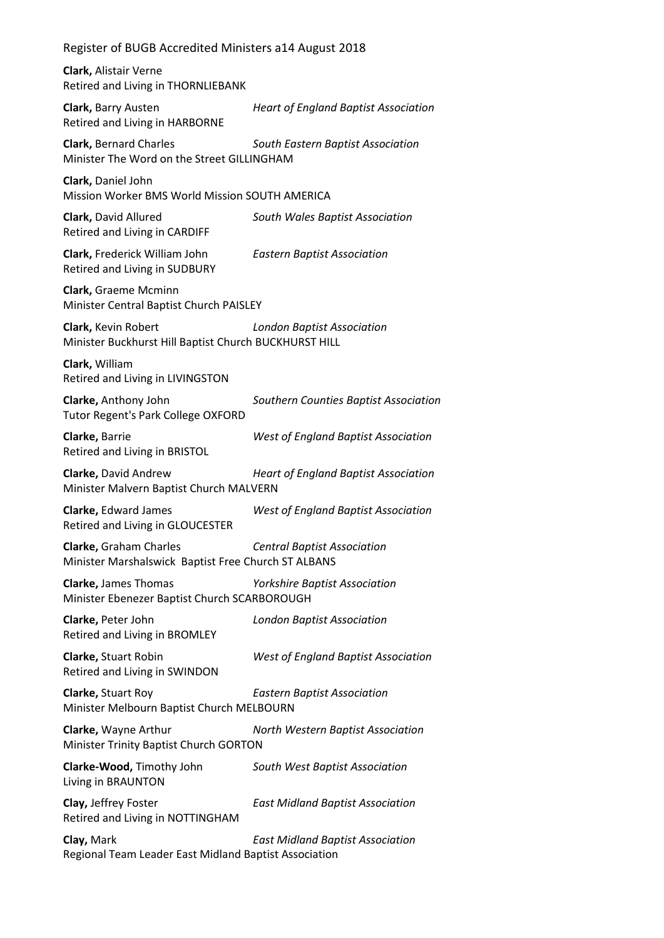| Register of BUGB Accredited Ministers a14 August 2018                                                          |                                             |  |
|----------------------------------------------------------------------------------------------------------------|---------------------------------------------|--|
| Clark, Alistair Verne<br>Retired and Living in THORNLIEBANK                                                    |                                             |  |
| Clark, Barry Austen<br>Retired and Living in HARBORNE                                                          | <b>Heart of England Baptist Association</b> |  |
| <b>Clark, Bernard Charles</b><br>Minister The Word on the Street GILLINGHAM                                    | South Eastern Baptist Association           |  |
| Clark, Daniel John<br>Mission Worker BMS World Mission SOUTH AMERICA                                           |                                             |  |
| Clark, David Allured<br>Retired and Living in CARDIFF                                                          | South Wales Baptist Association             |  |
| Clark, Frederick William John<br>Retired and Living in SUDBURY                                                 | <b>Eastern Baptist Association</b>          |  |
| Clark, Graeme Mcminn<br>Minister Central Baptist Church PAISLEY                                                |                                             |  |
| Clark, Kevin Robert<br>Minister Buckhurst Hill Baptist Church BUCKHURST HILL                                   | <b>London Baptist Association</b>           |  |
| Clark, William<br>Retired and Living in LIVINGSTON                                                             |                                             |  |
| Clarke, Anthony John<br><b>Tutor Regent's Park College OXFORD</b>                                              | Southern Counties Baptist Association       |  |
| Clarke, Barrie<br>Retired and Living in BRISTOL                                                                | <b>West of England Baptist Association</b>  |  |
| Clarke, David Andrew<br><b>Heart of England Baptist Association</b><br>Minister Malvern Baptist Church MALVERN |                                             |  |
| Clarke, Edward James<br>Retired and Living in GLOUCESTER                                                       | <b>West of England Baptist Association</b>  |  |
| Clarke, Graham Charles<br>Minister Marshalswick Baptist Free Church ST ALBANS                                  | <b>Central Baptist Association</b>          |  |
| <b>Clarke, James Thomas</b><br>Minister Ebenezer Baptist Church SCARBOROUGH                                    | <b>Yorkshire Baptist Association</b>        |  |
| Clarke, Peter John<br>Retired and Living in BROMLEY                                                            | <b>London Baptist Association</b>           |  |
| <b>Clarke, Stuart Robin</b><br>Retired and Living in SWINDON                                                   | <b>West of England Baptist Association</b>  |  |
| Clarke, Stuart Roy<br>Minister Melbourn Baptist Church MELBOURN                                                | <b>Eastern Baptist Association</b>          |  |
| Clarke, Wayne Arthur<br>Minister Trinity Baptist Church GORTON                                                 | North Western Baptist Association           |  |
| Clarke-Wood, Timothy John<br>Living in BRAUNTON                                                                | South West Baptist Association              |  |
| Clay, Jeffrey Foster<br>Retired and Living in NOTTINGHAM                                                       | <b>East Midland Baptist Association</b>     |  |
| Clay, Mark<br>Regional Team Leader East Midland Baptist Association                                            | <b>East Midland Baptist Association</b>     |  |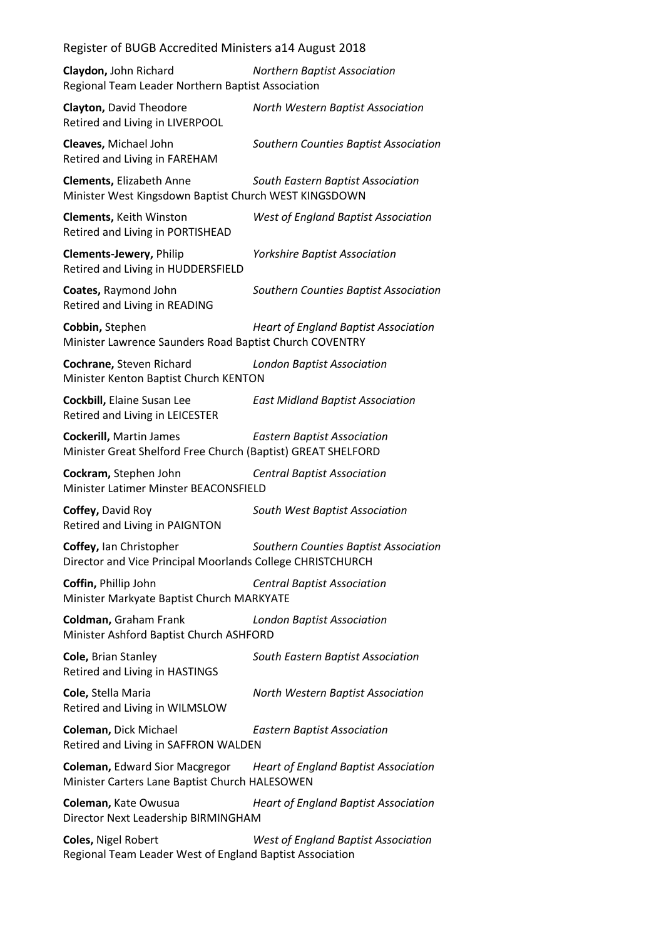**Claydon,** John Richard *Northern Baptist Association* Regional Team Leader Northern Baptist Association

**Clayton,** David Theodore *North Western Baptist Association* Retired and Living in LIVERPOOL **Cleaves,** Michael John *Southern Counties Baptist Association*

Retired and Living in FAREHAM

**Clements,** Elizabeth Anne *South Eastern Baptist Association* Minister West Kingsdown Baptist Church WEST KINGSDOWN

**Clements,** Keith Winston *West of England Baptist Association* Retired and Living in PORTISHEAD

**Clements-Jewery,** Philip *Yorkshire Baptist Association* Retired and Living in HUDDERSFIELD

Retired and Living in READING

**Coates,** Raymond John *Southern Counties Baptist Association*

**Cobbin,** Stephen *Heart of England Baptist Association*

Minister Lawrence Saunders Road Baptist Church COVENTRY

**Cochrane,** Steven Richard *London Baptist Association* Minister Kenton Baptist Church KENTON

**Cockbill,** Elaine Susan Lee *East Midland Baptist Association* Retired and Living in LEICESTER

**Cockerill,** Martin James *Eastern Baptist Association* Minister Great Shelford Free Church (Baptist) GREAT SHELFORD

**Cockram,** Stephen John *Central Baptist Association* Minister Latimer Minster BEACONSFIELD

**Coffey,** David Roy *South West Baptist Association* Retired and Living in PAIGNTON

**Coffey,** Ian Christopher *Southern Counties Baptist Association* Director and Vice Principal Moorlands College CHRISTCHURCH

**Coffin,** Phillip John *Central Baptist Association* Minister Markyate Baptist Church MARKYATE

**Coldman,** Graham Frank *London Baptist Association* Minister Ashford Baptist Church ASHFORD

**Cole,** Brian Stanley *South Eastern Baptist Association* Retired and Living in HASTINGS

**Cole,** Stella Maria *North Western Baptist Association* Retired and Living in WILMSLOW

**Coleman,** Dick Michael *Eastern Baptist Association* Retired and Living in SAFFRON WALDEN

**Coleman,** Edward Sior Macgregor *Heart of England Baptist Association* Minister Carters Lane Baptist Church HALESOWEN

**Coleman,** Kate Owusua *Heart of England Baptist Association* Director Next Leadership BIRMINGHAM

**Coles,** Nigel Robert *West of England Baptist Association* Regional Team Leader West of England Baptist Association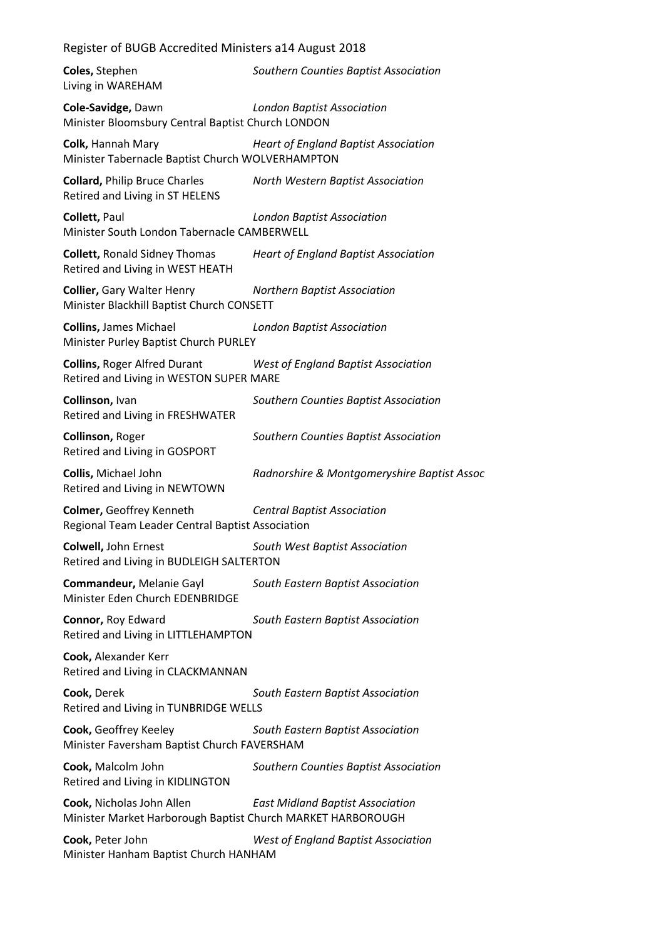| Register of BUGB Accredited Ministers a14 August 2018                                    |                                             |  |
|------------------------------------------------------------------------------------------|---------------------------------------------|--|
| Coles, Stephen<br>Living in WAREHAM                                                      | Southern Counties Baptist Association       |  |
| Cole-Savidge, Dawn<br>Minister Bloomsbury Central Baptist Church LONDON                  | <b>London Baptist Association</b>           |  |
| Colk, Hannah Mary<br>Minister Tabernacle Baptist Church WOLVERHAMPTON                    | <b>Heart of England Baptist Association</b> |  |
| <b>Collard, Philip Bruce Charles</b><br>Retired and Living in ST HELENS                  | North Western Baptist Association           |  |
| Collett, Paul<br>Minister South London Tabernacle CAMBERWELL                             | <b>London Baptist Association</b>           |  |
| <b>Collett, Ronald Sidney Thomas</b><br>Retired and Living in WEST HEATH                 | <b>Heart of England Baptist Association</b> |  |
| <b>Collier, Gary Walter Henry</b><br>Minister Blackhill Baptist Church CONSETT           | <b>Northern Baptist Association</b>         |  |
| <b>Collins, James Michael</b><br>Minister Purley Baptist Church PURLEY                   | <b>London Baptist Association</b>           |  |
| <b>Collins, Roger Alfred Durant</b><br>Retired and Living in WESTON SUPER MARE           | West of England Baptist Association         |  |
| Collinson, Ivan<br>Retired and Living in FRESHWATER                                      | Southern Counties Baptist Association       |  |
| Collinson, Roger<br>Retired and Living in GOSPORT                                        | Southern Counties Baptist Association       |  |
| <b>Collis, Michael John</b><br>Retired and Living in NEWTOWN                             | Radnorshire & Montgomeryshire Baptist Assoc |  |
| <b>Colmer, Geoffrey Kenneth</b><br>Regional Team Leader Central Baptist Association      | <b>Central Baptist Association</b>          |  |
| Colwell, John Ernest<br>Retired and Living in BUDLEIGH SALTERTON                         | South West Baptist Association              |  |
| Commandeur, Melanie Gayl<br>Minister Eden Church EDENBRIDGE                              | South Eastern Baptist Association           |  |
| Connor, Roy Edward<br>Retired and Living in LITTLEHAMPTON                                | South Eastern Baptist Association           |  |
| Cook, Alexander Kerr<br>Retired and Living in CLACKMANNAN                                |                                             |  |
| Cook, Derek<br>Retired and Living in TUNBRIDGE WELLS                                     | South Eastern Baptist Association           |  |
| Cook, Geoffrey Keeley<br>Minister Faversham Baptist Church FAVERSHAM                     | South Eastern Baptist Association           |  |
| Cook, Malcolm John<br>Retired and Living in KIDLINGTON                                   | Southern Counties Baptist Association       |  |
| Cook, Nicholas John Allen<br>Minister Market Harborough Baptist Church MARKET HARBOROUGH | <b>East Midland Baptist Association</b>     |  |
| Cook, Peter John<br>Minister Hanham Baptist Church HANHAM                                | <b>West of England Baptist Association</b>  |  |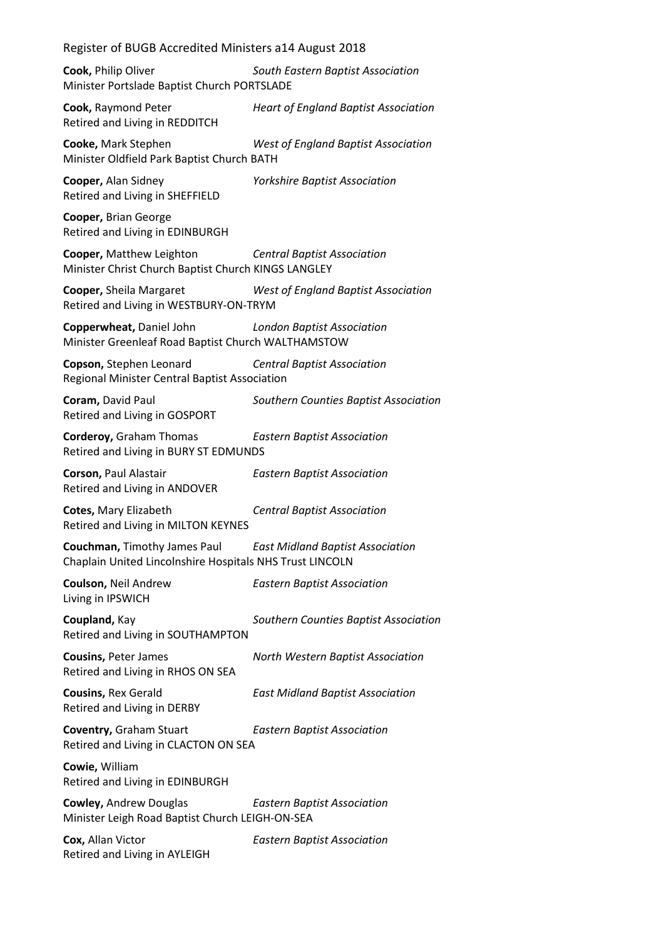**Cook,** Philip Oliver *South Eastern Baptist Association* Minister Portslade Baptist Church PORTSLADE

**Cook,** Raymond Peter *Heart of England Baptist Association* Retired and Living in REDDITCH

**Cooke,** Mark Stephen *West of England Baptist Association* Minister Oldfield Park Baptist Church BATH

Retired and Living in SHEFFIELD

**Cooper,** Alan Sidney *Yorkshire Baptist Association*

**Cooper,** Brian George Retired and Living in EDINBURGH

**Cooper,** Matthew Leighton *Central Baptist Association* Minister Christ Church Baptist Church KINGS LANGLEY

**Cooper,** Sheila Margaret *West of England Baptist Association* Retired and Living in WESTBURY-ON-TRYM

**Copperwheat,** Daniel John *London Baptist Association* Minister Greenleaf Road Baptist Church WALTHAMSTOW

**Copson,** Stephen Leonard *Central Baptist Association* Regional Minister Central Baptist Association

**Coram,** David Paul *Southern Counties Baptist Association* Retired and Living in GOSPORT

**Corderoy,** Graham Thomas *Eastern Baptist Association* Retired and Living in BURY ST EDMUNDS

**Corson,** Paul Alastair *Eastern Baptist Association* Retired and Living in ANDOVER

**Cotes,** Mary Elizabeth *Central Baptist Association* Retired and Living in MILTON KEYNES

**Couchman,** Timothy James Paul *East Midland Baptist Association* Chaplain United Lincolnshire Hospitals NHS Trust LINCOLN

**Coulson,** Neil Andrew *Eastern Baptist Association* Living in IPSWICH

**Coupland,** Kay *Southern Counties Baptist Association* Retired and Living in SOUTHAMPTON

**Cousins,** Peter James *North Western Baptist Association* Retired and Living in RHOS ON SEA

**Cousins,** Rex Gerald *East Midland Baptist Association* Retired and Living in DERBY

**Coventry,** Graham Stuart *Eastern Baptist Association* Retired and Living in CLACTON ON SEA

**Cowie,** William Retired and Living in EDINBURGH

**Cowley,** Andrew Douglas *Eastern Baptist Association* Minister Leigh Road Baptist Church LEIGH-ON-SEA

**Cox,** Allan Victor *Eastern Baptist Association* Retired and Living in AYLEIGH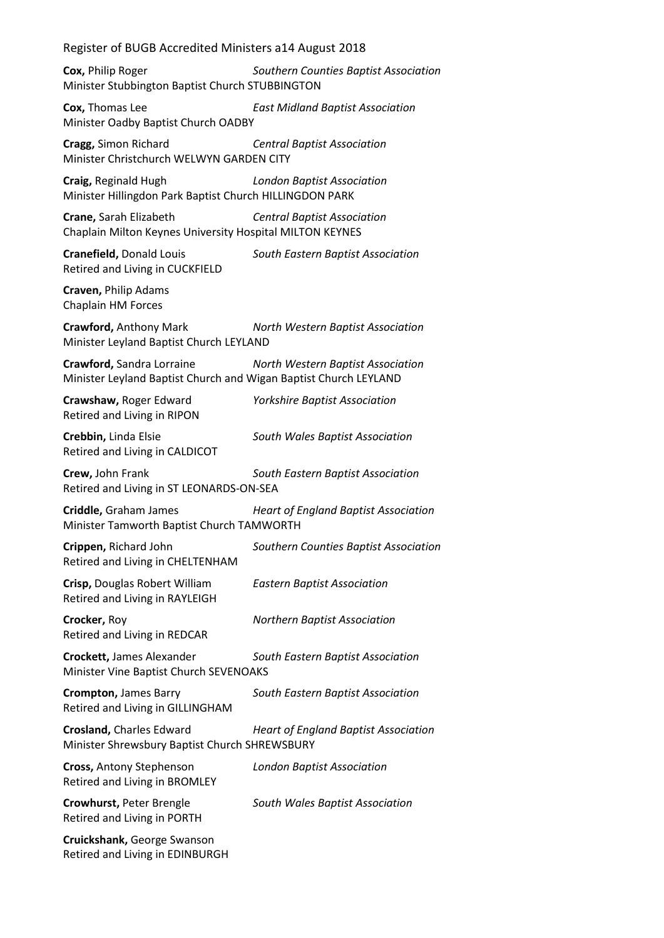**Cox,** Philip Roger *Southern Counties Baptist Association* Minister Stubbington Baptist Church STUBBINGTON

**Cox,** Thomas Lee *East Midland Baptist Association* Minister Oadby Baptist Church OADBY

**Cragg,** Simon Richard *Central Baptist Association* Minister Christchurch WELWYN GARDEN CITY

**Craig,** Reginald Hugh *London Baptist Association* Minister Hillingdon Park Baptist Church HILLINGDON PARK

**Crane,** Sarah Elizabeth *Central Baptist Association* Chaplain Milton Keynes University Hospital MILTON KEYNES

**Cranefield,** Donald Louis *South Eastern Baptist Association* Retired and Living in CUCKFIELD

**Craven,** Philip Adams Chaplain HM Forces

**Crawford,** Anthony Mark *North Western Baptist Association* Minister Leyland Baptist Church LEYLAND

**Crawford,** Sandra Lorraine *North Western Baptist Association* Minister Leyland Baptist Church and Wigan Baptist Church LEYLAND

Retired and Living in RIPON

**Crawshaw,** Roger Edward *Yorkshire Baptist Association*

**Crebbin,** Linda Elsie *South Wales Baptist Association* Retired and Living in CALDICOT

**Crew,** John Frank *South Eastern Baptist Association* Retired and Living in ST LEONARDS-ON-SEA

**Criddle,** Graham James *Heart of England Baptist Association* Minister Tamworth Baptist Church TAMWORTH

**Crippen,** Richard John *Southern Counties Baptist Association* Retired and Living in CHELTENHAM

**Crisp,** Douglas Robert William *Eastern Baptist Association* Retired and Living in RAYLEIGH

**Crocker,** Roy *Northern Baptist Association* Retired and Living in REDCAR

**Crockett,** James Alexander *South Eastern Baptist Association* Minister Vine Baptist Church SEVENOAKS

**Crompton,** James Barry *South Eastern Baptist Association* Retired and Living in GILLINGHAM

**Crosland,** Charles Edward *Heart of England Baptist Association* Minister Shrewsbury Baptist Church SHREWSBURY

**Cross,** Antony Stephenson *London Baptist Association* Retired and Living in BROMLEY

Retired and Living in PORTH

**Crowhurst,** Peter Brengle *South Wales Baptist Association*

**Cruickshank,** George Swanson Retired and Living in EDINBURGH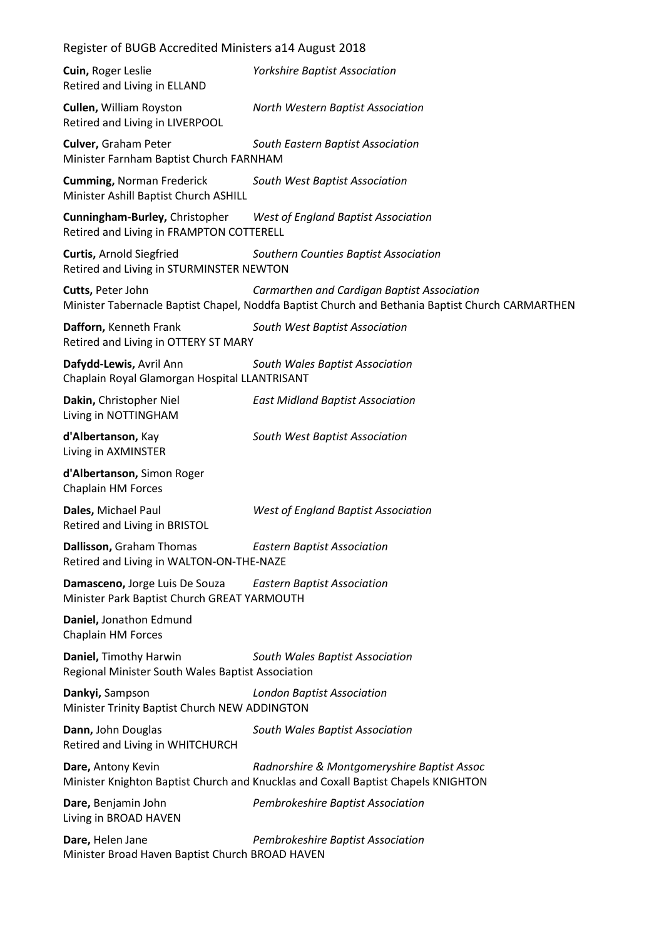| Register of BUGB Accredited Ministers a14 August 2018                                |                                                                                                                                                 |  |
|--------------------------------------------------------------------------------------|-------------------------------------------------------------------------------------------------------------------------------------------------|--|
| Cuin, Roger Leslie<br>Retired and Living in ELLAND                                   | <b>Yorkshire Baptist Association</b>                                                                                                            |  |
| <b>Cullen, William Royston</b><br>Retired and Living in LIVERPOOL                    | North Western Baptist Association                                                                                                               |  |
| <b>Culver, Graham Peter</b><br>Minister Farnham Baptist Church FARNHAM               | South Eastern Baptist Association                                                                                                               |  |
| <b>Cumming, Norman Frederick</b><br>Minister Ashill Baptist Church ASHILL            | South West Baptist Association                                                                                                                  |  |
| Cunningham-Burley, Christopher<br>Retired and Living in FRAMPTON COTTERELL           | <b>West of England Baptist Association</b>                                                                                                      |  |
| <b>Curtis, Arnold Siegfried</b><br>Retired and Living in STURMINSTER NEWTON          | Southern Counties Baptist Association                                                                                                           |  |
| Cutts, Peter John                                                                    | Carmarthen and Cardigan Baptist Association<br>Minister Tabernacle Baptist Chapel, Noddfa Baptist Church and Bethania Baptist Church CARMARTHEN |  |
| Dafforn, Kenneth Frank<br>Retired and Living in OTTERY ST MARY                       | South West Baptist Association                                                                                                                  |  |
| Dafydd-Lewis, Avril Ann<br>Chaplain Royal Glamorgan Hospital LLANTRISANT             | South Wales Baptist Association                                                                                                                 |  |
| Dakin, Christopher Niel<br>Living in NOTTINGHAM                                      | <b>East Midland Baptist Association</b>                                                                                                         |  |
| d'Albertanson, Kay<br>Living in AXMINSTER                                            | South West Baptist Association                                                                                                                  |  |
| d'Albertanson, Simon Roger<br>Chaplain HM Forces                                     |                                                                                                                                                 |  |
| Dales, Michael Paul<br>Retired and Living in BRISTOL                                 | <b>West of England Baptist Association</b>                                                                                                      |  |
| Dallisson, Graham Thomas<br>Retired and Living in WALTON-ON-THE-NAZE                 | <b>Eastern Baptist Association</b>                                                                                                              |  |
| <b>Damasceno, Jorge Luis De Souza</b><br>Minister Park Baptist Church GREAT YARMOUTH | <b>Eastern Baptist Association</b>                                                                                                              |  |
| Daniel, Jonathon Edmund<br>Chaplain HM Forces                                        |                                                                                                                                                 |  |
| Daniel, Timothy Harwin<br>Regional Minister South Wales Baptist Association          | South Wales Baptist Association                                                                                                                 |  |
| Dankyi, Sampson<br>Minister Trinity Baptist Church NEW ADDINGTON                     | <b>London Baptist Association</b>                                                                                                               |  |
| Dann, John Douglas<br>Retired and Living in WHITCHURCH                               | South Wales Baptist Association                                                                                                                 |  |
| Dare, Antony Kevin                                                                   | Radnorshire & Montgomeryshire Baptist Assoc<br>Minister Knighton Baptist Church and Knucklas and Coxall Baptist Chapels KNIGHTON                |  |
| Dare, Benjamin John<br>Living in BROAD HAVEN                                         | Pembrokeshire Baptist Association                                                                                                               |  |
| Dare, Helen Jane<br>Minister Broad Haven Baptist Church BROAD HAVEN                  | Pembrokeshire Baptist Association                                                                                                               |  |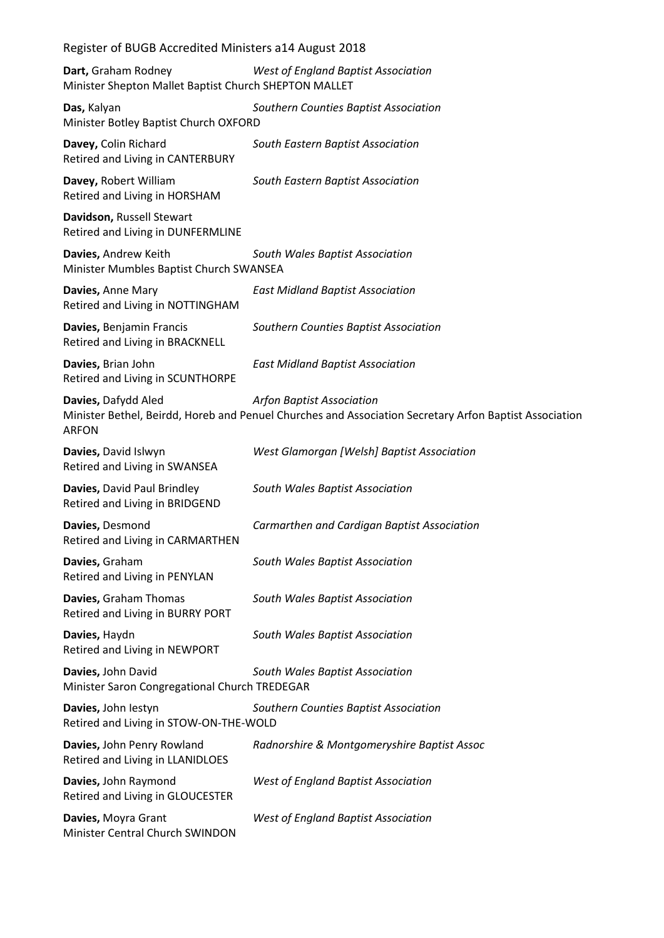| Register of BUGB Accredited Ministers a14 August 2018                               |                                       |  |
|-------------------------------------------------------------------------------------|---------------------------------------|--|
| <b>Dart, Graham Rodney</b><br>Minister Shepton Mallet Baptist Church SHEPTON MALLET | West of England Baptist Association   |  |
| Das, Kalyan<br>Minister Botley Baptist Church OXFORD                                | Southern Counties Baptist Association |  |
| Davey, Colin Richard<br>Retired and Living in CANTERBURY                            | South Eastern Baptist Association     |  |
| Davey, Robert William<br>Retired and Living in HORSHAM                              | South Eastern Baptist Association     |  |
| Davidson, Russell Stewart<br>Retired and Living in DUNFERMLINE                      |                                       |  |
| Davies, Andrew Keith<br>Minister Mumbles Baptist Church SWANSEA                     | South Wales Baptist Association       |  |

**Davies,** Anne Mary *East Midland Baptist Association* Retired and Living in NOTTINGHAM

**Davies,** Benjamin Francis *Southern Counties Baptist Association* Retired and Living in BRACKNELL

**Davies,** Brian John *East Midland Baptist Association* Retired and Living in SCUNTHORPE

**Davies,** Dafydd Aled *Arfon Baptist Association* Minister Bethel, Beirdd, Horeb and Penuel Churches and Association Secretary Arfon Baptist Association ARFON

**Davies,** David Islwyn *West Glamorgan [Welsh] Baptist Association* Retired and Living in SWANSEA

**Davies,** David Paul Brindley *South Wales Baptist Association* Retired and Living in BRIDGEND

**Davies,** Desmond *Carmarthen and Cardigan Baptist Association* Retired and Living in CARMARTHEN

**Davies,** Graham *South Wales Baptist Association* Retired and Living in PENYLAN

**Davies,** Graham Thomas *South Wales Baptist Association* Retired and Living in BURRY PORT

**Davies,** Haydn *South Wales Baptist Association* Retired and Living in NEWPORT

**Davies,** John David *South Wales Baptist Association* Minister Saron Congregational Church TREDEGAR

**Davies,** John Iestyn *Southern Counties Baptist Association* Retired and Living in STOW-ON-THE-WOLD **Davies,** John Penry Rowland *Radnorshire & Montgomeryshire Baptist Assoc*

Retired and Living in LLANIDLOES

**Davies,** John Raymond *West of England Baptist Association* Retired and Living in GLOUCESTER

**Davies,** Moyra Grant *West of England Baptist Association* Minister Central Church SWINDON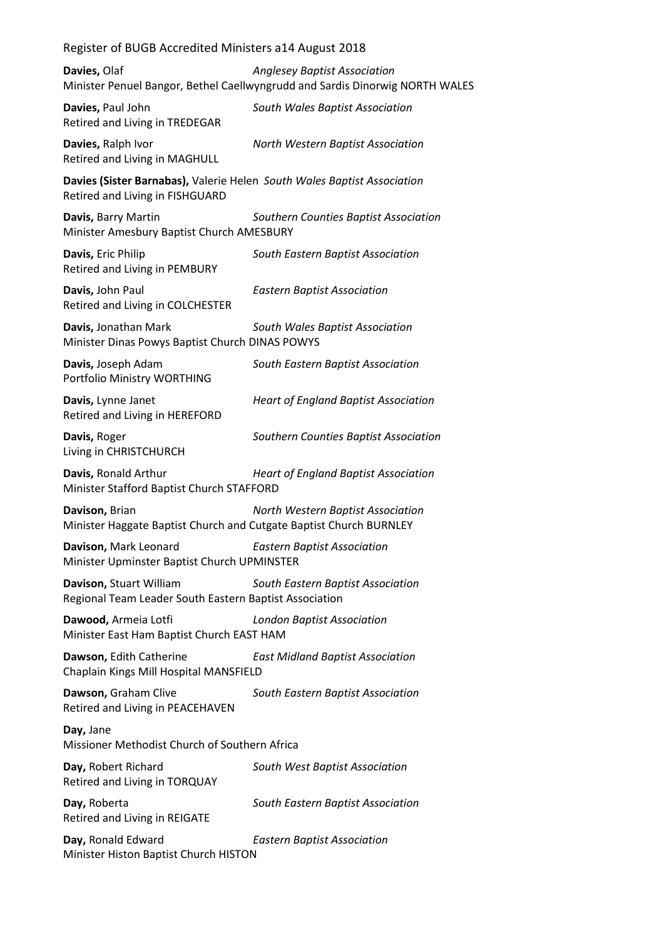| Davies, Olaf                                                                                               | <b>Anglesey Baptist Association</b><br>Minister Penuel Bangor, Bethel Caellwyngrudd and Sardis Dinorwig NORTH WALES |
|------------------------------------------------------------------------------------------------------------|---------------------------------------------------------------------------------------------------------------------|
| Davies, Paul John<br>Retired and Living in TREDEGAR                                                        | South Wales Baptist Association                                                                                     |
| Davies, Ralph Ivor<br>Retired and Living in MAGHULL                                                        | North Western Baptist Association                                                                                   |
| Davies (Sister Barnabas), Valerie Helen South Wales Baptist Association<br>Retired and Living in FISHGUARD |                                                                                                                     |
| Davis, Barry Martin<br>Minister Amesbury Baptist Church AMESBURY                                           | Southern Counties Baptist Association                                                                               |
| Davis, Eric Philip<br>Retired and Living in PEMBURY                                                        | South Eastern Baptist Association                                                                                   |
| Davis, John Paul<br>Retired and Living in COLCHESTER                                                       | <b>Eastern Baptist Association</b>                                                                                  |
| Davis, Jonathan Mark<br>Minister Dinas Powys Baptist Church DINAS POWYS                                    | South Wales Baptist Association                                                                                     |
| Davis, Joseph Adam<br>Portfolio Ministry WORTHING                                                          | South Eastern Baptist Association                                                                                   |
| Davis, Lynne Janet<br>Retired and Living in HEREFORD                                                       | <b>Heart of England Baptist Association</b>                                                                         |
| Davis, Roger<br>Living in CHRISTCHURCH                                                                     | Southern Counties Baptist Association                                                                               |
| Davis, Ronald Arthur<br>Minister Stafford Baptist Church STAFFORD                                          | <b>Heart of England Baptist Association</b>                                                                         |
| Davison, Brian<br>Minister Haggate Baptist Church and Cutgate Baptist Church BURNLEY                       | North Western Baptist Association                                                                                   |
| Davison, Mark Leonard<br>Minister Upminster Baptist Church UPMINSTER                                       | <b>Eastern Baptist Association</b>                                                                                  |
| Davison, Stuart William<br>Regional Team Leader South Eastern Baptist Association                          | South Eastern Baptist Association                                                                                   |
| Dawood, Armeia Lotfi<br>Minister East Ham Baptist Church EAST HAM                                          | <b>London Baptist Association</b>                                                                                   |
| Dawson, Edith Catherine<br>Chaplain Kings Mill Hospital MANSFIELD                                          | <b>East Midland Baptist Association</b>                                                                             |
| Dawson, Graham Clive<br>Retired and Living in PEACEHAVEN                                                   | South Eastern Baptist Association                                                                                   |
| Day, Jane<br>Missioner Methodist Church of Southern Africa                                                 |                                                                                                                     |
| Day, Robert Richard<br>Retired and Living in TORQUAY                                                       | South West Baptist Association                                                                                      |
| Day, Roberta<br>Retired and Living in REIGATE                                                              | South Eastern Baptist Association                                                                                   |
| Day, Ronald Edward<br>Minister Histon Baptist Church HISTON                                                | <b>Eastern Baptist Association</b>                                                                                  |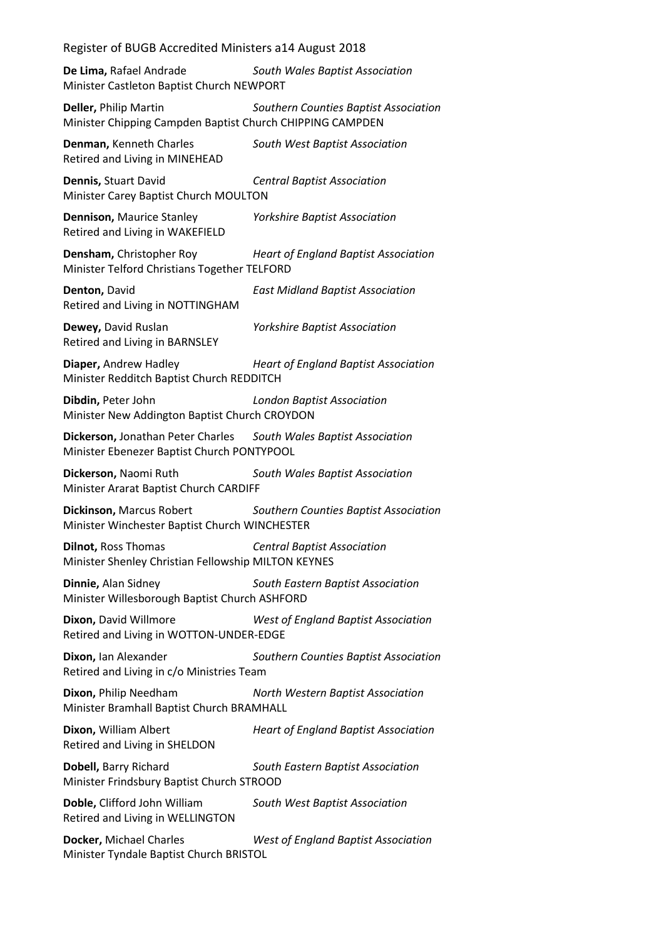**De Lima,** Rafael Andrade *South Wales Baptist Association* Minister Castleton Baptist Church NEWPORT

**Deller,** Philip Martin *Southern Counties Baptist Association* Minister Chipping Campden Baptist Church CHIPPING CAMPDEN

**Denman,** Kenneth Charles *South West Baptist Association* Retired and Living in MINEHEAD

**Dennis,** Stuart David *Central Baptist Association* Minister Carey Baptist Church MOULTON

**Dennison,** Maurice Stanley *Yorkshire Baptist Association* Retired and Living in WAKEFIELD

**Densham,** Christopher Roy *Heart of England Baptist Association* Minister Telford Christians Together TELFORD

**Denton,** David *East Midland Baptist Association* Retired and Living in NOTTINGHAM

**Dewey,** David Ruslan *Yorkshire Baptist Association* Retired and Living in BARNSLEY

**Diaper,** Andrew Hadley *Heart of England Baptist Association* Minister Redditch Baptist Church REDDITCH

**Dibdin,** Peter John *London Baptist Association* Minister New Addington Baptist Church CROYDON

**Dickerson,** Jonathan Peter Charles *South Wales Baptist Association* Minister Ebenezer Baptist Church PONTYPOOL

**Dickerson,** Naomi Ruth *South Wales Baptist Association* Minister Ararat Baptist Church CARDIFF

**Dickinson,** Marcus Robert *Southern Counties Baptist Association* Minister Winchester Baptist Church WINCHESTER

**Dilnot,** Ross Thomas *Central Baptist Association* Minister Shenley Christian Fellowship MILTON KEYNES

**Dinnie,** Alan Sidney *South Eastern Baptist Association* Minister Willesborough Baptist Church ASHFORD

**Dixon,** David Willmore *West of England Baptist Association* Retired and Living in WOTTON-UNDER-EDGE

**Dixon,** Ian Alexander *Southern Counties Baptist Association* Retired and Living in c/o Ministries Team

**Dixon,** Philip Needham *North Western Baptist Association* Minister Bramhall Baptist Church BRAMHALL

**Dixon,** William Albert *Heart of England Baptist Association* Retired and Living in SHELDON

**Dobell,** Barry Richard *South Eastern Baptist Association* Minister Frindsbury Baptist Church STROOD

**Doble,** Clifford John William *South West Baptist Association* Retired and Living in WELLINGTON

**Docker,** Michael Charles *West of England Baptist Association* Minister Tyndale Baptist Church BRISTOL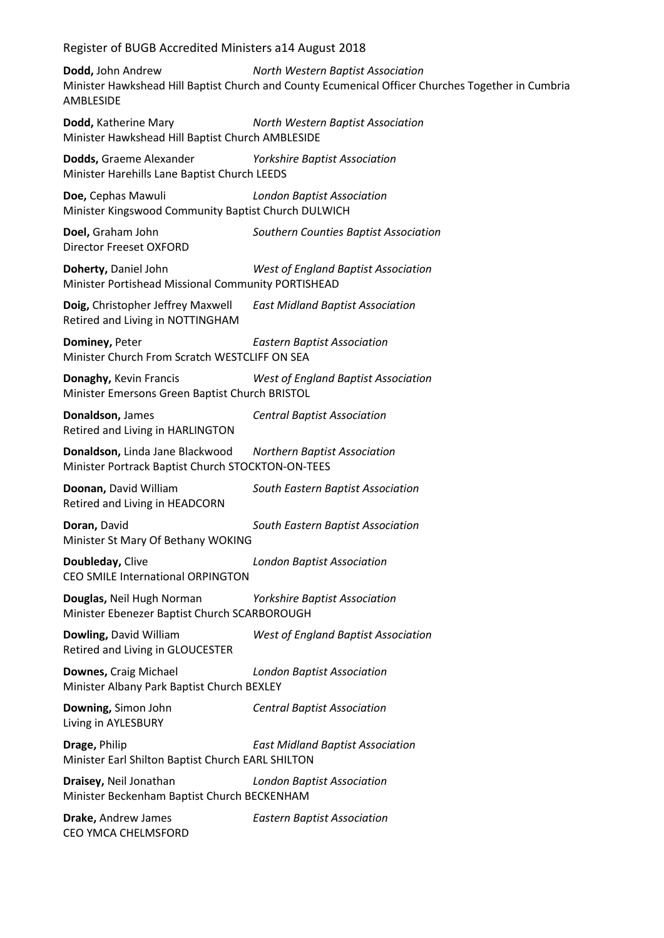**Dodd,** John Andrew *North Western Baptist Association* Minister Hawkshead Hill Baptist Church and County Ecumenical Officer Churches Together in Cumbria AMBLESIDE **Dodd,** Katherine Mary *North Western Baptist Association* Minister Hawkshead Hill Baptist Church AMBLESIDE **Dodds,** Graeme Alexander *Yorkshire Baptist Association* Minister Harehills Lane Baptist Church LEEDS **Doe,** Cephas Mawuli *London Baptist Association* Minister Kingswood Community Baptist Church DULWICH **Doel,** Graham John *Southern Counties Baptist Association* Director Freeset OXFORD **Doherty,** Daniel John *West of England Baptist Association* Minister Portishead Missional Community PORTISHEAD **Doig,** Christopher Jeffrey Maxwell *East Midland Baptist Association* Retired and Living in NOTTINGHAM **Dominey,** Peter *Eastern Baptist Association* Minister Church From Scratch WESTCLIFF ON SEA **Donaghy,** Kevin Francis *West of England Baptist Association* Minister Emersons Green Baptist Church BRISTOL **Donaldson,** James *Central Baptist Association* Retired and Living in HARLINGTON **Donaldson,** Linda Jane Blackwood *Northern Baptist Association* Minister Portrack Baptist Church STOCKTON-ON-TEES **Doonan,** David William *South Eastern Baptist Association* Retired and Living in HEADCORN **Doran,** David *South Eastern Baptist Association* Minister St Mary Of Bethany WOKING **Doubleday,** Clive *London Baptist Association* CEO SMILE International ORPINGTON **Douglas,** Neil Hugh Norman *Yorkshire Baptist Association* Minister Ebenezer Baptist Church SCARBOROUGH **Dowling,** David William *West of England Baptist Association* Retired and Living in GLOUCESTER **Downes,** Craig Michael *London Baptist Association* Minister Albany Park Baptist Church BEXLEY **Downing,** Simon John *Central Baptist Association* Living in AYLESBURY **Drage,** Philip *East Midland Baptist Association* Minister Earl Shilton Baptist Church EARL SHILTON **Draisey,** Neil Jonathan *London Baptist Association* Minister Beckenham Baptist Church BECKENHAM **Drake,** Andrew James *Eastern Baptist Association* CEO YMCA CHELMSFORD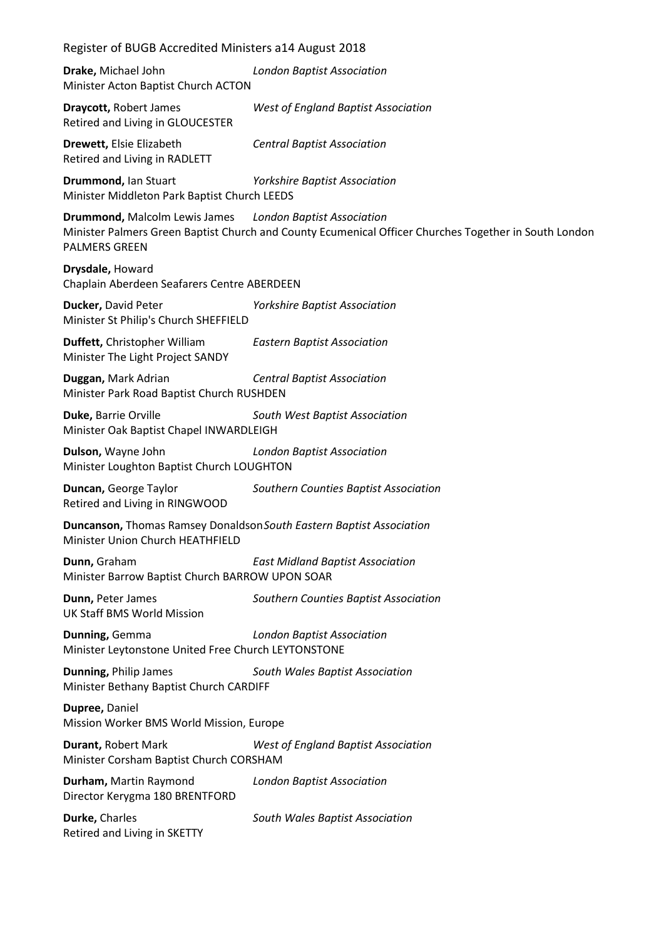| Register of BUGB Accredited Ministers a14 August 2018                                                                                                                                            |                                            |  |
|--------------------------------------------------------------------------------------------------------------------------------------------------------------------------------------------------|--------------------------------------------|--|
| Drake, Michael John<br><b>London Baptist Association</b><br>Minister Acton Baptist Church ACTON                                                                                                  |                                            |  |
| <b>Draycott, Robert James</b><br>Retired and Living in GLOUCESTER                                                                                                                                | <b>West of England Baptist Association</b> |  |
| Drewett, Elsie Elizabeth<br>Retired and Living in RADLETT                                                                                                                                        | <b>Central Baptist Association</b>         |  |
| Drummond, Ian Stuart<br>Minister Middleton Park Baptist Church LEEDS                                                                                                                             | <b>Yorkshire Baptist Association</b>       |  |
| <b>Drummond, Malcolm Lewis James</b> London Baptist Association<br>Minister Palmers Green Baptist Church and County Ecumenical Officer Churches Together in South London<br><b>PALMERS GREEN</b> |                                            |  |
| Drysdale, Howard<br>Chaplain Aberdeen Seafarers Centre ABERDEEN                                                                                                                                  |                                            |  |
| Ducker, David Peter<br>Minister St Philip's Church SHEFFIELD                                                                                                                                     | <b>Yorkshire Baptist Association</b>       |  |
| Duffett, Christopher William<br>Minister The Light Project SANDY                                                                                                                                 | <b>Eastern Baptist Association</b>         |  |
| Duggan, Mark Adrian<br>Minister Park Road Baptist Church RUSHDEN                                                                                                                                 | <b>Central Baptist Association</b>         |  |
| Duke, Barrie Orville<br>Minister Oak Baptist Chapel INWARDLEIGH                                                                                                                                  | South West Baptist Association             |  |
| Dulson, Wayne John<br>Minister Loughton Baptist Church LOUGHTON                                                                                                                                  | <b>London Baptist Association</b>          |  |
| Duncan, George Taylor<br>Retired and Living in RINGWOOD                                                                                                                                          | Southern Counties Baptist Association      |  |
| Duncanson, Thomas Ramsey Donaldson South Eastern Baptist Association<br>Minister Union Church HEATHFIELD                                                                                         |                                            |  |
| Dunn, Graham<br>Minister Barrow Baptist Church BARROW UPON SOAR                                                                                                                                  | <b>East Midland Baptist Association</b>    |  |
| Dunn, Peter James<br><b>UK Staff BMS World Mission</b>                                                                                                                                           | Southern Counties Baptist Association      |  |
| Dunning, Gemma<br>Minister Leytonstone United Free Church LEYTONSTONE                                                                                                                            | <b>London Baptist Association</b>          |  |
| Dunning, Philip James<br>Minister Bethany Baptist Church CARDIFF                                                                                                                                 | South Wales Baptist Association            |  |
| Dupree, Daniel<br>Mission Worker BMS World Mission, Europe                                                                                                                                       |                                            |  |
| Durant, Robert Mark<br>Minister Corsham Baptist Church CORSHAM                                                                                                                                   | <b>West of England Baptist Association</b> |  |
| Durham, Martin Raymond<br>Director Kerygma 180 BRENTFORD                                                                                                                                         | <b>London Baptist Association</b>          |  |
| Durke, Charles<br>Retired and Living in SKETTY                                                                                                                                                   | South Wales Baptist Association            |  |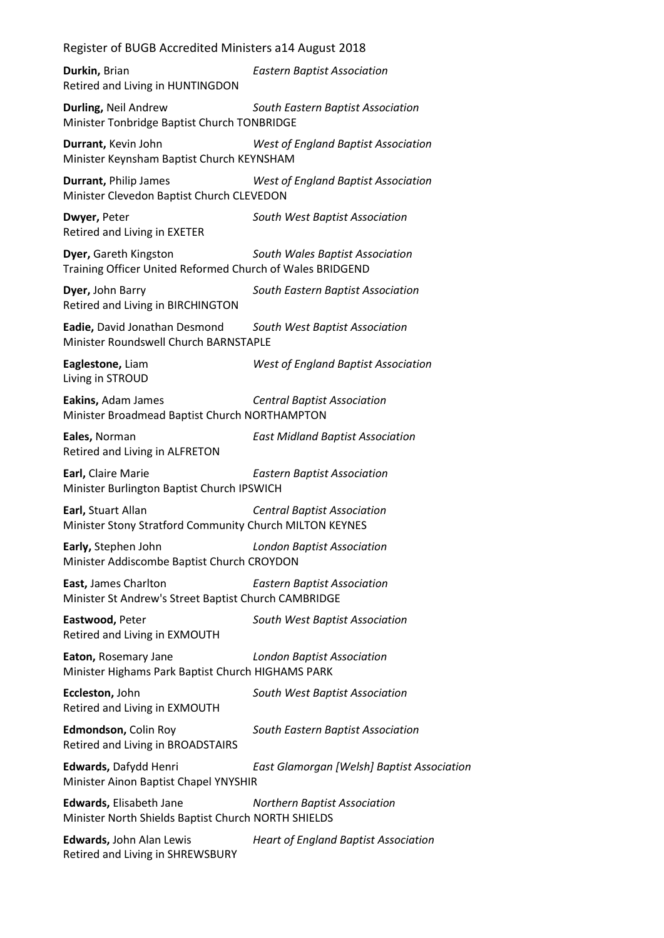Register of BUGB Accredited Ministers a14 August 2018 **Durkin,** Brian *Eastern Baptist Association* Retired and Living in HUNTINGDON **Durling,** Neil Andrew *South Eastern Baptist Association* Minister Tonbridge Baptist Church TONBRIDGE **Durrant,** Kevin John *West of England Baptist Association* Minister Keynsham Baptist Church KEYNSHAM **Durrant,** Philip James *West of England Baptist Association* Minister Clevedon Baptist Church CLEVEDON **Dwyer,** Peter *South West Baptist Association* Retired and Living in EXETER **Dyer,** Gareth Kingston *South Wales Baptist Association* Training Officer United Reformed Church of Wales BRIDGEND **Dyer,** John Barry *South Eastern Baptist Association* Retired and Living in BIRCHINGTON **Eadie,** David Jonathan Desmond *South West Baptist Association* Minister Roundswell Church BARNSTAPLE **Eaglestone,** Liam *West of England Baptist Association* Living in STROUD **Eakins,** Adam James *Central Baptist Association* Minister Broadmead Baptist Church NORTHAMPTON **Eales,** Norman *East Midland Baptist Association* Retired and Living in ALFRETON **Earl,** Claire Marie *Eastern Baptist Association* Minister Burlington Baptist Church IPSWICH **Earl,** Stuart Allan *Central Baptist Association* Minister Stony Stratford Community Church MILTON KEYNES **Early,** Stephen John *London Baptist Association* Minister Addiscombe Baptist Church CROYDON **East,** James Charlton *Eastern Baptist Association* Minister St Andrew's Street Baptist Church CAMBRIDGE **Eastwood,** Peter *South West Baptist Association* Retired and Living in EXMOUTH **Eaton,** Rosemary Jane *London Baptist Association* Minister Highams Park Baptist Church HIGHAMS PARK **Eccleston,** John *South West Baptist Association* Retired and Living in EXMOUTH **Edmondson,** Colin Roy *South Eastern Baptist Association* Retired and Living in BROADSTAIRS **Edwards,** Dafydd Henri *East Glamorgan [Welsh] Baptist Association* Minister Ainon Baptist Chapel YNYSHIR **Edwards,** Elisabeth Jane *Northern Baptist Association* Minister North Shields Baptist Church NORTH SHIELDS

**Edwards,** John Alan Lewis *Heart of England Baptist Association* Retired and Living in SHREWSBURY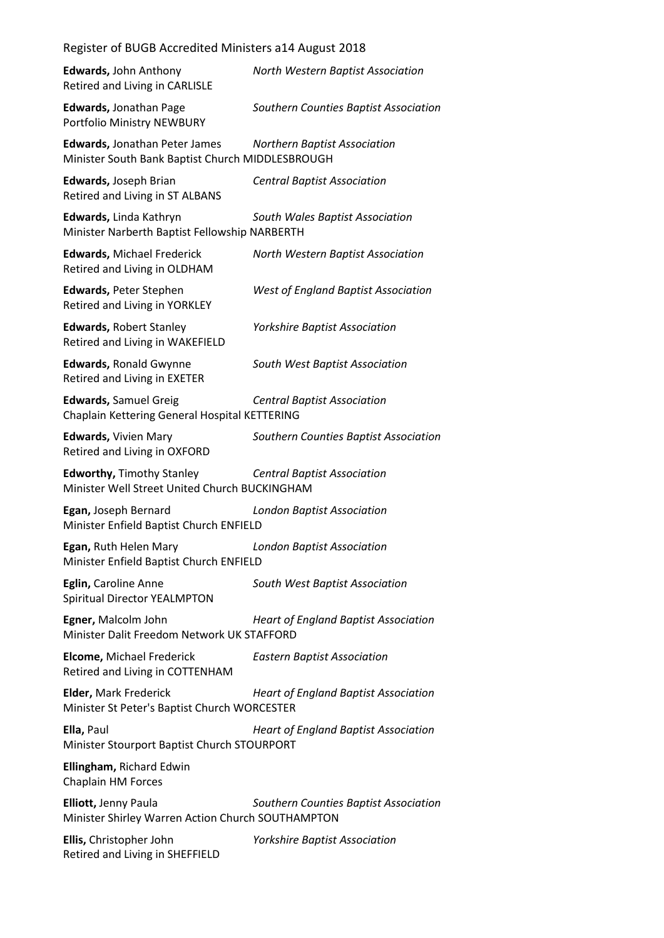# Register of BUGB Accredited Ministers a14 August 2018 **Edwards,** John Anthony *North Western Baptist Association* Retired and Living in CARLISLE **Edwards,** Jonathan Page *Southern Counties Baptist Association* Portfolio Ministry NEWBURY **Edwards,** Jonathan Peter James *Northern Baptist Association* Minister South Bank Baptist Church MIDDLESBROUGH **Edwards,** Joseph Brian *Central Baptist Association* Retired and Living in ST ALBANS **Edwards,** Linda Kathryn *South Wales Baptist Association* Minister Narberth Baptist Fellowship NARBERTH **Edwards,** Michael Frederick *North Western Baptist Association* Retired and Living in OLDHAM **Edwards,** Peter Stephen *West of England Baptist Association* Retired and Living in YORKLEY **Edwards,** Robert Stanley *Yorkshire Baptist Association* Retired and Living in WAKEFIELD **Edwards,** Ronald Gwynne *South West Baptist Association* Retired and Living in EXETER **Edwards,** Samuel Greig *Central Baptist Association* Chaplain Kettering General Hospital KETTERING **Edwards,** Vivien Mary *Southern Counties Baptist Association* Retired and Living in OXFORD **Edworthy,** Timothy Stanley *Central Baptist Association* Minister Well Street United Church BUCKINGHAM **Egan,** Joseph Bernard *London Baptist Association* Minister Enfield Baptist Church ENFIELD **Egan,** Ruth Helen Mary *London Baptist Association* Minister Enfield Baptist Church ENFIELD **Eglin,** Caroline Anne *South West Baptist Association* Spiritual Director YEALMPTON **Egner,** Malcolm John *Heart of England Baptist Association* Minister Dalit Freedom Network UK STAFFORD **Elcome,** Michael Frederick *Eastern Baptist Association* Retired and Living in COTTENHAM **Elder,** Mark Frederick *Heart of England Baptist Association* Minister St Peter's Baptist Church WORCESTER **Ella,** Paul *Heart of England Baptist Association* Minister Stourport Baptist Church STOURPORT **Ellingham,** Richard Edwin Chaplain HM Forces **Elliott,** Jenny Paula *Southern Counties Baptist Association* Minister Shirley Warren Action Church SOUTHAMPTON **Ellis,** Christopher John *Yorkshire Baptist Association* Retired and Living in SHEFFIELD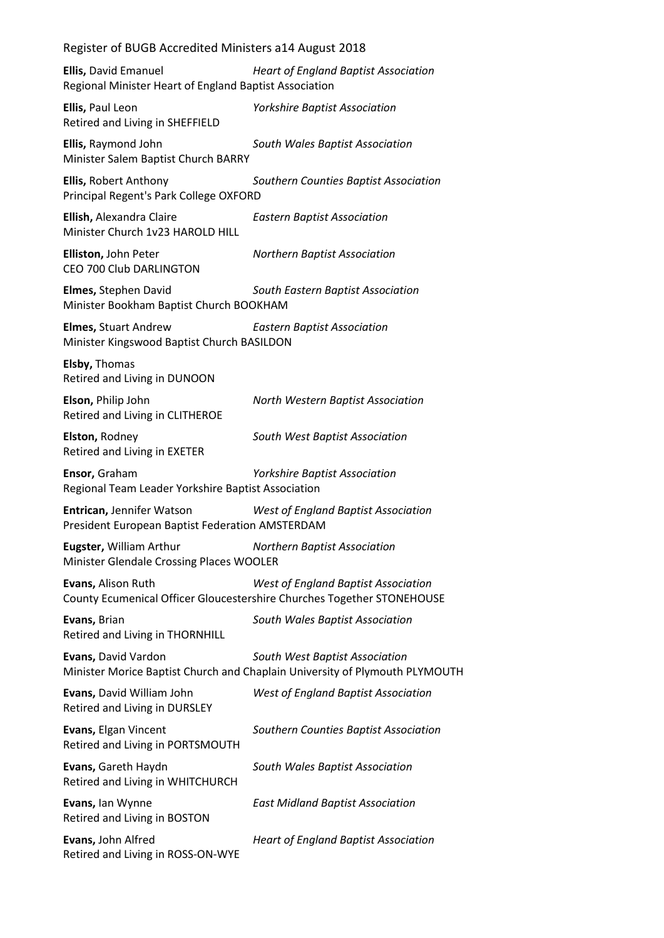**Ellis,** David Emanuel *Heart of England Baptist Association* Regional Minister Heart of England Baptist Association

**Ellis,** Paul Leon *Yorkshire Baptist Association* Retired and Living in SHEFFIELD

**Ellis,** Raymond John *South Wales Baptist Association* Minister Salem Baptist Church BARRY

**Ellis,** Robert Anthony *Southern Counties Baptist Association* Principal Regent's Park College OXFORD

**Ellish,** Alexandra Claire *Eastern Baptist Association* Minister Church 1v23 HAROLD HILL

**Elliston,** John Peter *Northern Baptist Association* CEO 700 Club DARLINGTON

**Elmes,** Stephen David *South Eastern Baptist Association* Minister Bookham Baptist Church BOOKHAM

**Elmes,** Stuart Andrew *Eastern Baptist Association* Minister Kingswood Baptist Church BASILDON

**Elsby,** Thomas Retired and Living in DUNOON

**Elson,** Philip John *North Western Baptist Association* Retired and Living in CLITHEROE

**Elston,** Rodney *South West Baptist Association* Retired and Living in EXETER

**Ensor,** Graham *Yorkshire Baptist Association* Regional Team Leader Yorkshire Baptist Association

**Entrican,** Jennifer Watson *West of England Baptist Association* President European Baptist Federation AMSTERDAM

**Eugster,** William Arthur *Northern Baptist Association* Minister Glendale Crossing Places WOOLER

**Evans,** Alison Ruth *West of England Baptist Association* County Ecumenical Officer Gloucestershire Churches Together STONEHOUSE

**Evans,** Brian *South Wales Baptist Association* Retired and Living in THORNHILL

**Evans,** David Vardon *South West Baptist Association* Minister Morice Baptist Church and Chaplain University of Plymouth PLYMOUTH

**Evans,** David William John *West of England Baptist Association* Retired and Living in DURSLEY

**Evans,** Elgan Vincent *Southern Counties Baptist Association* Retired and Living in PORTSMOUTH

**Evans,** Gareth Haydn *South Wales Baptist Association* Retired and Living in WHITCHURCH

**Evans,** Ian Wynne *East Midland Baptist Association* Retired and Living in BOSTON

**Evans,** John Alfred *Heart of England Baptist Association* Retired and Living in ROSS-ON-WYE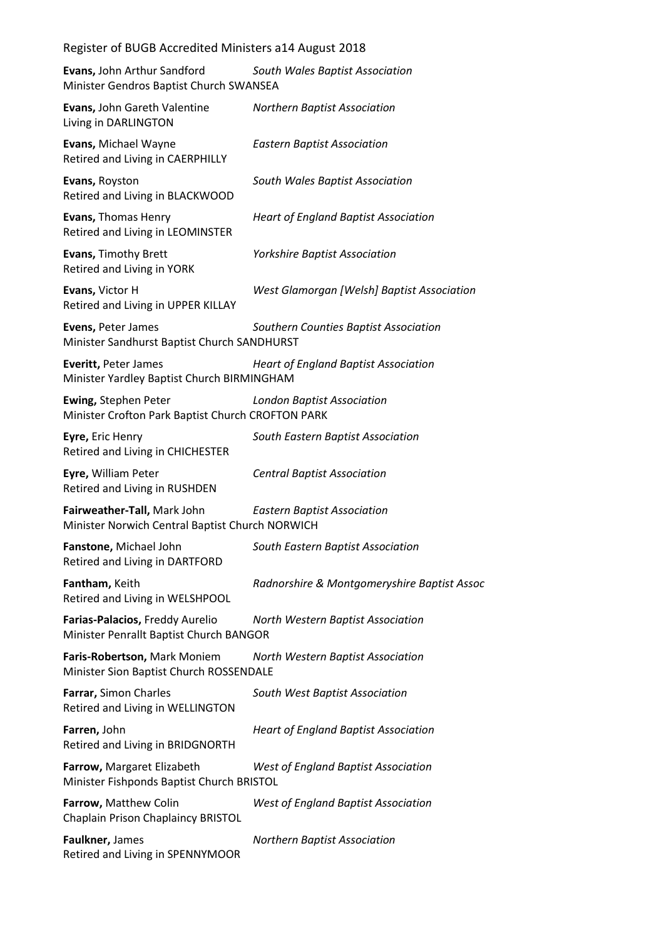| Register of BUGB Accredited Ministers a14 August 2018                          |                                             |
|--------------------------------------------------------------------------------|---------------------------------------------|
| <b>Evans, John Arthur Sandford</b><br>Minister Gendros Baptist Church SWANSEA  | South Wales Baptist Association             |
| Evans, John Gareth Valentine<br>Living in DARLINGTON                           | <b>Northern Baptist Association</b>         |
| Evans, Michael Wayne<br>Retired and Living in CAERPHILLY                       | <b>Eastern Baptist Association</b>          |
| Evans, Royston<br>Retired and Living in BLACKWOOD                              | South Wales Baptist Association             |
| Evans, Thomas Henry<br>Retired and Living in LEOMINSTER                        | <b>Heart of England Baptist Association</b> |
| Evans, Timothy Brett<br>Retired and Living in YORK                             | <b>Yorkshire Baptist Association</b>        |
| Evans, Victor H<br>Retired and Living in UPPER KILLAY                          | West Glamorgan [Welsh] Baptist Association  |
| Evens, Peter James<br>Minister Sandhurst Baptist Church SANDHURST              | Southern Counties Baptist Association       |
| Everitt, Peter James<br>Minister Yardley Baptist Church BIRMINGHAM             | <b>Heart of England Baptist Association</b> |
| Ewing, Stephen Peter<br>Minister Crofton Park Baptist Church CROFTON PARK      | <b>London Baptist Association</b>           |
| Eyre, Eric Henry<br>Retired and Living in CHICHESTER                           | South Eastern Baptist Association           |
| Eyre, William Peter<br>Retired and Living in RUSHDEN                           | <b>Central Baptist Association</b>          |
| Fairweather-Tall, Mark John<br>Minister Norwich Central Baptist Church NORWICH | <b>Eastern Baptist Association</b>          |
| Fanstone, Michael John<br>Retired and Living in DARTFORD                       | South Eastern Baptist Association           |
| Fantham, Keith<br>Retired and Living in WELSHPOOL                              | Radnorshire & Montgomeryshire Baptist Assoc |
| Farias-Palacios, Freddy Aurelio<br>Minister Penrallt Baptist Church BANGOR     | North Western Baptist Association           |
| Faris-Robertson, Mark Moniem<br>Minister Sion Baptist Church ROSSENDALE        | North Western Baptist Association           |
| Farrar, Simon Charles<br>Retired and Living in WELLINGTON                      | South West Baptist Association              |
| Farren, John<br>Retired and Living in BRIDGNORTH                               | <b>Heart of England Baptist Association</b> |
| Farrow, Margaret Elizabeth<br>Minister Fishponds Baptist Church BRISTOL        | <b>West of England Baptist Association</b>  |
| Farrow, Matthew Colin<br>Chaplain Prison Chaplaincy BRISTOL                    | <b>West of England Baptist Association</b>  |
| Faulkner, James<br>Retired and Living in SPENNYMOOR                            | <b>Northern Baptist Association</b>         |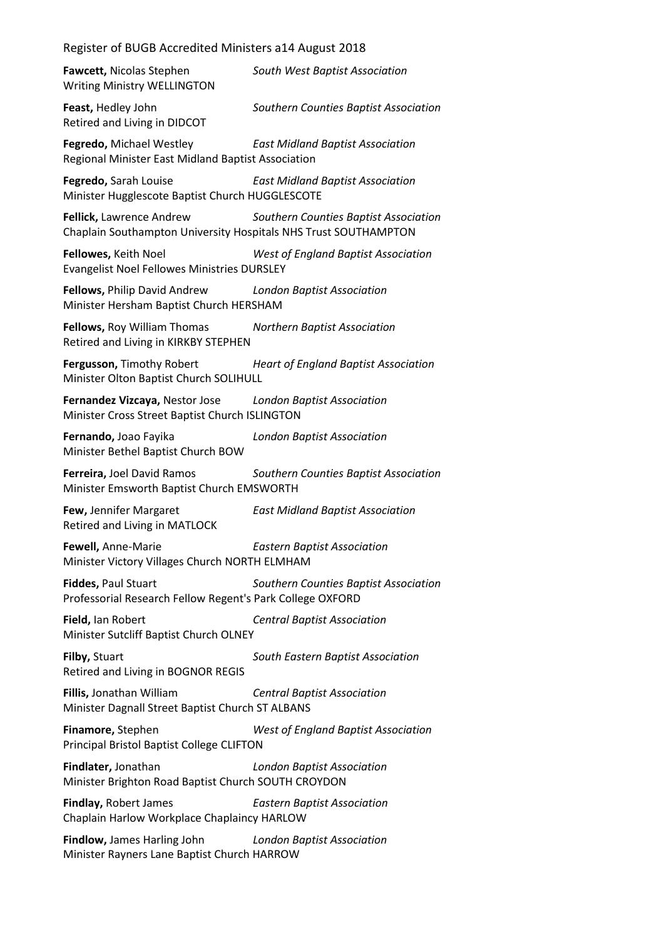**Fawcett,** Nicolas Stephen *South West Baptist Association* Writing Ministry WELLINGTON **Feast,** Hedley John *Southern Counties Baptist Association* Retired and Living in DIDCOT **Fegredo,** Michael Westley *East Midland Baptist Association* Regional Minister East Midland Baptist Association **Fegredo,** Sarah Louise *East Midland Baptist Association* Minister Hugglescote Baptist Church HUGGLESCOTE **Fellick,** Lawrence Andrew *Southern Counties Baptist Association* Chaplain Southampton University Hospitals NHS Trust SOUTHAMPTON **Fellowes,** Keith Noel *West of England Baptist Association* Evangelist Noel Fellowes Ministries DURSLEY **Fellows,** Philip David Andrew *London Baptist Association* Minister Hersham Baptist Church HERSHAM **Fellows,** Roy William Thomas *Northern Baptist Association* Retired and Living in KIRKBY STEPHEN **Fergusson,** Timothy Robert *Heart of England Baptist Association* Minister Olton Baptist Church SOLIHULL **Fernandez Vizcaya,** Nestor Jose *London Baptist Association* Minister Cross Street Baptist Church ISLINGTON **Fernando,** Joao Fayika *London Baptist Association* Minister Bethel Baptist Church BOW **Ferreira,** Joel David Ramos *Southern Counties Baptist Association* Minister Emsworth Baptist Church EMSWORTH **Few,** Jennifer Margaret *East Midland Baptist Association* Retired and Living in MATLOCK **Fewell,** Anne-Marie *Eastern Baptist Association* Minister Victory Villages Church NORTH ELMHAM **Fiddes,** Paul Stuart *Southern Counties Baptist Association* Professorial Research Fellow Regent's Park College OXFORD **Field,** Ian Robert *Central Baptist Association* Minister Sutcliff Baptist Church OLNEY **Filby,** Stuart *South Eastern Baptist Association* Retired and Living in BOGNOR REGIS **Fillis,** Jonathan William *Central Baptist Association* Minister Dagnall Street Baptist Church ST ALBANS **Finamore,** Stephen *West of England Baptist Association* Principal Bristol Baptist College CLIFTON **Findlater,** Jonathan *London Baptist Association* Minister Brighton Road Baptist Church SOUTH CROYDON **Findlay,** Robert James *Eastern Baptist Association* Chaplain Harlow Workplace Chaplaincy HARLOW

**Findlow,** James Harling John *London Baptist Association* Minister Rayners Lane Baptist Church HARROW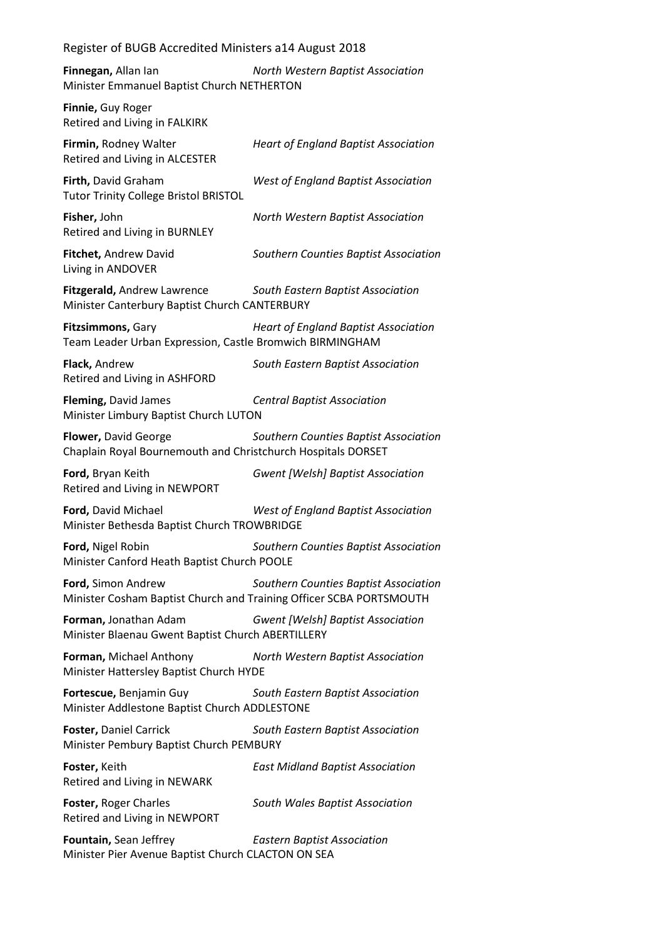**Finnegan,** Allan Ian *North Western Baptist Association* Minister Emmanuel Baptist Church NETHERTON

**Finnie,** Guy Roger Retired and Living in FALKIRK

**Firmin,** Rodney Walter *Heart of England Baptist Association* Retired and Living in ALCESTER

**Firth,** David Graham *West of England Baptist Association* Tutor Trinity College Bristol BRISTOL

**Fisher,** John *North Western Baptist Association* Retired and Living in BURNLEY

**Fitchet,** Andrew David *Southern Counties Baptist Association* Living in ANDOVER

**Fitzgerald,** Andrew Lawrence *South Eastern Baptist Association* Minister Canterbury Baptist Church CANTERBURY

**Fitzsimmons,** Gary *Heart of England Baptist Association* Team Leader Urban Expression, Castle Bromwich BIRMINGHAM

**Flack,** Andrew *South Eastern Baptist Association* Retired and Living in ASHFORD

**Fleming,** David James *Central Baptist Association* Minister Limbury Baptist Church LUTON

**Flower,** David George *Southern Counties Baptist Association* Chaplain Royal Bournemouth and Christchurch Hospitals DORSET

**Ford,** Bryan Keith *Gwent [Welsh] Baptist Association* Retired and Living in NEWPORT

**Ford,** David Michael *West of England Baptist Association* Minister Bethesda Baptist Church TROWBRIDGE

**Ford,** Nigel Robin *Southern Counties Baptist Association* Minister Canford Heath Baptist Church POOLE

**Ford,** Simon Andrew *Southern Counties Baptist Association* Minister Cosham Baptist Church and Training Officer SCBA PORTSMOUTH

**Forman,** Jonathan Adam *Gwent [Welsh] Baptist Association* Minister Blaenau Gwent Baptist Church ABERTILLERY

**Forman,** Michael Anthony *North Western Baptist Association* Minister Hattersley Baptist Church HYDE

**Fortescue,** Benjamin Guy *South Eastern Baptist Association* Minister Addlestone Baptist Church ADDLESTONE

**Foster,** Daniel Carrick *South Eastern Baptist Association* Minister Pembury Baptist Church PEMBURY

**Foster,** Keith *East Midland Baptist Association* Retired and Living in NEWARK

**Foster,** Roger Charles *South Wales Baptist Association* Retired and Living in NEWPORT

**Fountain,** Sean Jeffrey *Eastern Baptist Association* Minister Pier Avenue Baptist Church CLACTON ON SEA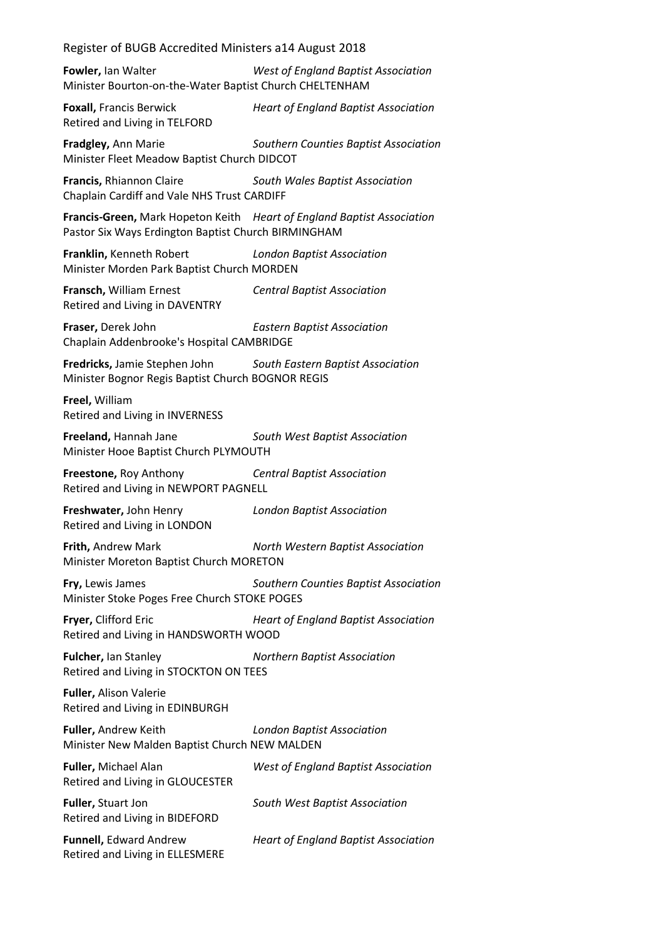**Fowler,** Ian Walter *West of England Baptist Association* Minister Bourton-on-the-Water Baptist Church CHELTENHAM

**Foxall,** Francis Berwick *Heart of England Baptist Association* Retired and Living in TELFORD

**Fradgley,** Ann Marie *Southern Counties Baptist Association* Minister Fleet Meadow Baptist Church DIDCOT

**Francis,** Rhiannon Claire *South Wales Baptist Association* Chaplain Cardiff and Vale NHS Trust CARDIFF

**Francis-Green,** Mark Hopeton Keith *Heart of England Baptist Association* Pastor Six Ways Erdington Baptist Church BIRMINGHAM

**Franklin,** Kenneth Robert *London Baptist Association* Minister Morden Park Baptist Church MORDEN

**Fransch,** William Ernest *Central Baptist Association* Retired and Living in DAVENTRY

**Fraser,** Derek John *Eastern Baptist Association* Chaplain Addenbrooke's Hospital CAMBRIDGE

**Fredricks,** Jamie Stephen John *South Eastern Baptist Association* Minister Bognor Regis Baptist Church BOGNOR REGIS

**Freel,** William Retired and Living in INVERNESS

**Freeland,** Hannah Jane *South West Baptist Association* Minister Hooe Baptist Church PLYMOUTH

**Freestone,** Roy Anthony *Central Baptist Association* Retired and Living in NEWPORT PAGNELL

**Freshwater,** John Henry *London Baptist Association* Retired and Living in LONDON

**Frith,** Andrew Mark *North Western Baptist Association* Minister Moreton Baptist Church MORETON

**Fry,** Lewis James *Southern Counties Baptist Association* Minister Stoke Poges Free Church STOKE POGES

**Fryer,** Clifford Eric *Heart of England Baptist Association* Retired and Living in HANDSWORTH WOOD

**Fulcher,** Ian Stanley *Northern Baptist Association* Retired and Living in STOCKTON ON TEES

**Fuller,** Alison Valerie Retired and Living in EDINBURGH

**Fuller,** Andrew Keith *London Baptist Association* Minister New Malden Baptist Church NEW MALDEN

**Fuller,** Michael Alan *West of England Baptist Association* Retired and Living in GLOUCESTER **Fuller,** Stuart Jon *South West Baptist Association* Retired and Living in BIDEFORD **Funnell,** Edward Andrew *Heart of England Baptist Association*

Retired and Living in ELLESMERE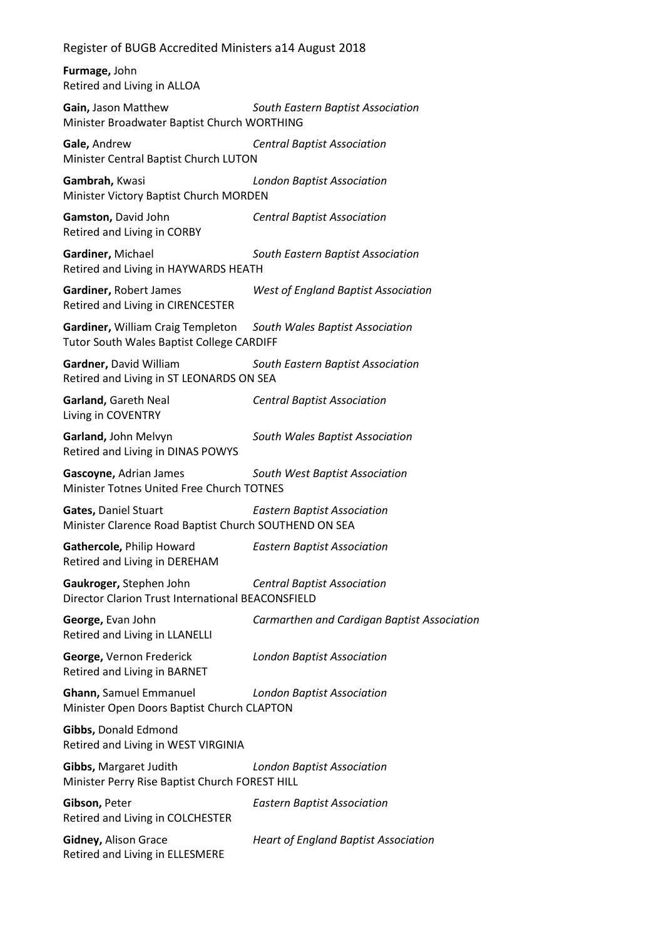**Furmage,** John Retired and Living in ALLOA

**Gain,** Jason Matthew *South Eastern Baptist Association* Minister Broadwater Baptist Church WORTHING

**Gale,** Andrew *Central Baptist Association* Minister Central Baptist Church LUTON

**Gambrah,** Kwasi *London Baptist Association* Minister Victory Baptist Church MORDEN

**Gamston,** David John *Central Baptist Association* Retired and Living in CORBY

**Gardiner,** Michael *South Eastern Baptist Association* Retired and Living in HAYWARDS HEATH

**Gardiner,** Robert James *West of England Baptist Association* Retired and Living in CIRENCESTER

**Gardiner,** William Craig Templeton *South Wales Baptist Association* Tutor South Wales Baptist College CARDIFF

**Gardner,** David William *South Eastern Baptist Association* Retired and Living in ST LEONARDS ON SEA

**Garland,** Gareth Neal *Central Baptist Association* Living in COVENTRY

**Garland,** John Melvyn *South Wales Baptist Association* Retired and Living in DINAS POWYS

**Gascoyne,** Adrian James *South West Baptist Association* Minister Totnes United Free Church TOTNES

**Gates,** Daniel Stuart *Eastern Baptist Association* Minister Clarence Road Baptist Church SOUTHEND ON SEA

**Gathercole,** Philip Howard *Eastern Baptist Association* Retired and Living in DEREHAM

**Gaukroger,** Stephen John *Central Baptist Association* Director Clarion Trust International BEACONSFIELD

**George,** Evan John *Carmarthen and Cardigan Baptist Association* Retired and Living in LLANELLI

**George,** Vernon Frederick *London Baptist Association* Retired and Living in BARNET

**Ghann,** Samuel Emmanuel *London Baptist Association* Minister Open Doors Baptist Church CLAPTON

**Gibbs,** Donald Edmond Retired and Living in WEST VIRGINIA

**Gibbs,** Margaret Judith *London Baptist Association* Minister Perry Rise Baptist Church FOREST HILL

**Gibson,** Peter *Eastern Baptist Association* Retired and Living in COLCHESTER

**Gidney,** Alison Grace *Heart of England Baptist Association* Retired and Living in ELLESMERE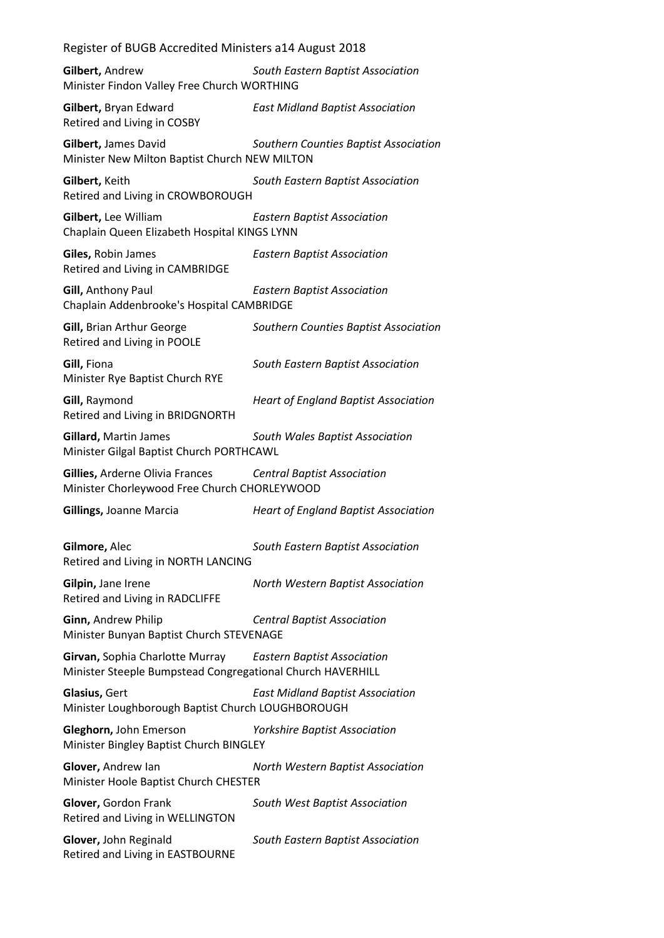**Gilbert,** Andrew *South Eastern Baptist Association* Minister Findon Valley Free Church WORTHING

**Gilbert,** Bryan Edward *East Midland Baptist Association* Retired and Living in COSBY

**Gilbert,** James David *Southern Counties Baptist Association* Minister New Milton Baptist Church NEW MILTON

**Gilbert,** Keith *South Eastern Baptist Association* Retired and Living in CROWBOROUGH

**Gilbert,** Lee William *Eastern Baptist Association* Chaplain Queen Elizabeth Hospital KINGS LYNN

**Giles,** Robin James *Eastern Baptist Association* Retired and Living in CAMBRIDGE

**Gill,** Anthony Paul *Eastern Baptist Association* Chaplain Addenbrooke's Hospital CAMBRIDGE

**Gill,** Brian Arthur George *Southern Counties Baptist Association* Retired and Living in POOLE

**Gill,** Fiona *South Eastern Baptist Association* Minister Rye Baptist Church RYE

**Gill,** Raymond *Heart of England Baptist Association* Retired and Living in BRIDGNORTH

**Gillard,** Martin James *South Wales Baptist Association* Minister Gilgal Baptist Church PORTHCAWL

**Gillies,** Arderne Olivia Frances *Central Baptist Association* Minister Chorleywood Free Church CHORLEYWOOD

**Gillings,** Joanne Marcia *Heart of England Baptist Association*

**Gilmore,** Alec *South Eastern Baptist Association* Retired and Living in NORTH LANCING

**Gilpin,** Jane Irene *North Western Baptist Association* Retired and Living in RADCLIFFE

**Ginn,** Andrew Philip *Central Baptist Association* Minister Bunyan Baptist Church STEVENAGE

**Girvan,** Sophia Charlotte Murray *Eastern Baptist Association* Minister Steeple Bumpstead Congregational Church HAVERHILL

**Glasius,** Gert *East Midland Baptist Association* Minister Loughborough Baptist Church LOUGHBOROUGH

**Gleghorn,** John Emerson *Yorkshire Baptist Association* Minister Bingley Baptist Church BINGLEY

**Glover,** Andrew Ian *North Western Baptist Association* Minister Hoole Baptist Church CHESTER

**Glover,** Gordon Frank *South West Baptist Association* Retired and Living in WELLINGTON

**Glover,** John Reginald *South Eastern Baptist Association* Retired and Living in EASTBOURNE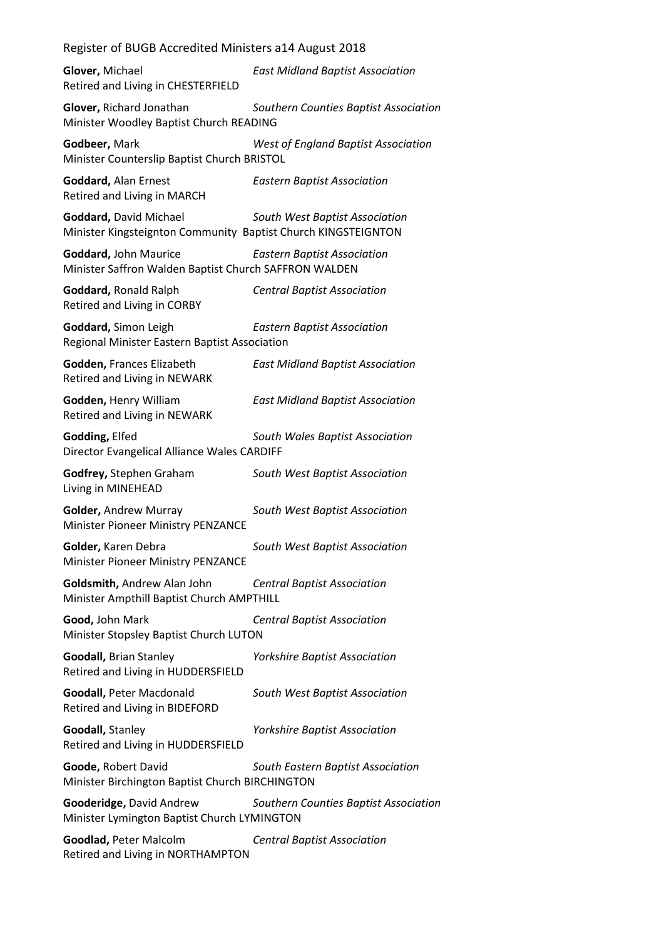| Register of BUGB Accredited Ministers a14 August 2018                                   |                                            |
|-----------------------------------------------------------------------------------------|--------------------------------------------|
| Glover, Michael<br>Retired and Living in CHESTERFIELD                                   | <b>East Midland Baptist Association</b>    |
| Glover, Richard Jonathan<br>Minister Woodley Baptist Church READING                     | Southern Counties Baptist Association      |
| Godbeer, Mark<br>Minister Counterslip Baptist Church BRISTOL                            | <b>West of England Baptist Association</b> |
| Goddard, Alan Ernest<br>Retired and Living in MARCH                                     | <b>Eastern Baptist Association</b>         |
| Goddard, David Michael<br>Minister Kingsteignton Community Baptist Church KINGSTEIGNTON | South West Baptist Association             |
| Goddard, John Maurice<br>Minister Saffron Walden Baptist Church SAFFRON WALDEN          | <b>Eastern Baptist Association</b>         |
| Goddard, Ronald Ralph<br>Retired and Living in CORBY                                    | <b>Central Baptist Association</b>         |
| Goddard, Simon Leigh<br>Regional Minister Eastern Baptist Association                   | <b>Eastern Baptist Association</b>         |
| Godden, Frances Elizabeth<br>Retired and Living in NEWARK                               | <b>East Midland Baptist Association</b>    |
| Godden, Henry William<br>Retired and Living in NEWARK                                   | <b>East Midland Baptist Association</b>    |
| <b>Godding, Elfed</b><br>Director Evangelical Alliance Wales CARDIFF                    | South Wales Baptist Association            |
| Godfrey, Stephen Graham<br>Living in MINEHEAD                                           | South West Baptist Association             |
| Golder, Andrew Murray<br>Minister Pioneer Ministry PENZANCE                             | South West Baptist Association             |
| Golder, Karen Debra<br>Minister Pioneer Ministry PENZANCE                               | South West Baptist Association             |
| Goldsmith, Andrew Alan John<br>Minister Ampthill Baptist Church AMPTHILL                | <b>Central Baptist Association</b>         |
| Good, John Mark<br>Minister Stopsley Baptist Church LUTON                               | <b>Central Baptist Association</b>         |
| <b>Goodall, Brian Stanley</b><br>Retired and Living in HUDDERSFIELD                     | <b>Yorkshire Baptist Association</b>       |
| Goodall, Peter Macdonald<br>Retired and Living in BIDEFORD                              | South West Baptist Association             |
| Goodall, Stanley<br>Retired and Living in HUDDERSFIELD                                  | <b>Yorkshire Baptist Association</b>       |
| Goode, Robert David<br>Minister Birchington Baptist Church BIRCHINGTON                  | South Eastern Baptist Association          |
| Gooderidge, David Andrew<br>Minister Lymington Baptist Church LYMINGTON                 | Southern Counties Baptist Association      |
| Goodlad, Peter Malcolm<br>Retired and Living in NORTHAMPTON                             | <b>Central Baptist Association</b>         |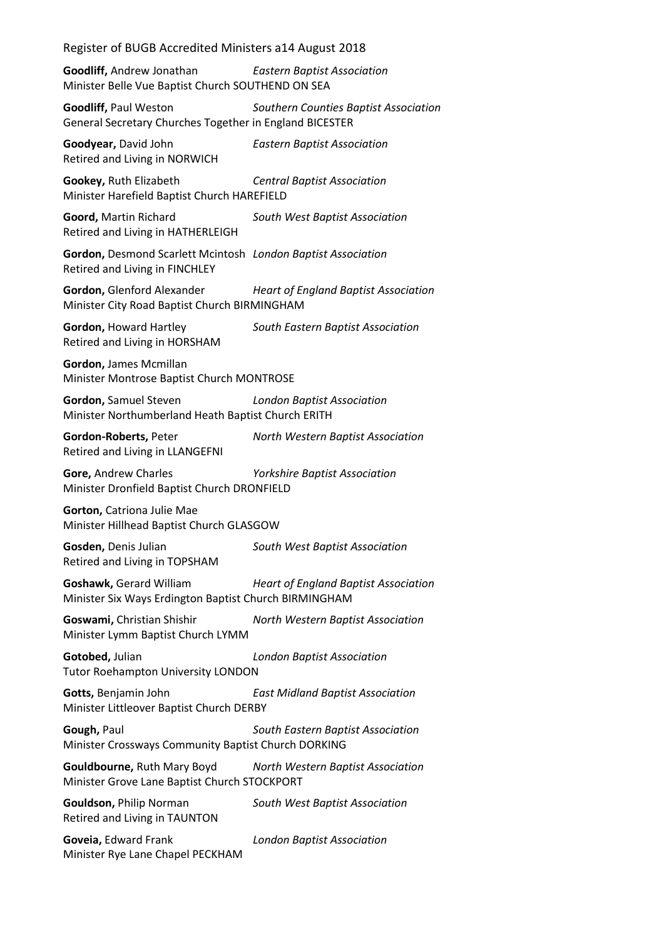**Goodliff,** Andrew Jonathan *Eastern Baptist Association* Minister Belle Vue Baptist Church SOUTHEND ON SEA

**Goodliff,** Paul Weston *Southern Counties Baptist Association* General Secretary Churches Together in England BICESTER

**Goodyear,** David John *Eastern Baptist Association* Retired and Living in NORWICH

**Gookey,** Ruth Elizabeth *Central Baptist Association* Minister Harefield Baptist Church HAREFIELD

**Goord,** Martin Richard *South West Baptist Association* Retired and Living in HATHERLEIGH

**Gordon,** Desmond Scarlett Mcintosh *London Baptist Association* Retired and Living in FINCHLEY

**Gordon,** Glenford Alexander *Heart of England Baptist Association* Minister City Road Baptist Church BIRMINGHAM

**Gordon,** Howard Hartley *South Eastern Baptist Association* Retired and Living in HORSHAM

**Gordon,** James Mcmillan Minister Montrose Baptist Church MONTROSE

**Gordon,** Samuel Steven *London Baptist Association* Minister Northumberland Heath Baptist Church ERITH

Retired and Living in LLANGEFNI

**Gordon-Roberts,** Peter *North Western Baptist Association*

**Gore,** Andrew Charles *Yorkshire Baptist Association* Minister Dronfield Baptist Church DRONFIELD

**Gorton,** Catriona Julie Mae Minister Hillhead Baptist Church GLASGOW

**Gosden,** Denis Julian *South West Baptist Association* Retired and Living in TOPSHAM

**Goshawk,** Gerard William *Heart of England Baptist Association* Minister Six Ways Erdington Baptist Church BIRMINGHAM

**Goswami,** Christian Shishir *North Western Baptist Association* Minister Lymm Baptist Church LYMM

**Gotobed,** Julian *London Baptist Association* Tutor Roehampton University LONDON

**Gotts,** Benjamin John *East Midland Baptist Association* Minister Littleover Baptist Church DERBY

**Gough,** Paul *South Eastern Baptist Association* Minister Crossways Community Baptist Church DORKING

**Gouldbourne,** Ruth Mary Boyd *North Western Baptist Association* Minister Grove Lane Baptist Church STOCKPORT

**Gouldson,** Philip Norman *South West Baptist Association* Retired and Living in TAUNTON

**Goveia,** Edward Frank *London Baptist Association* Minister Rye Lane Chapel PECKHAM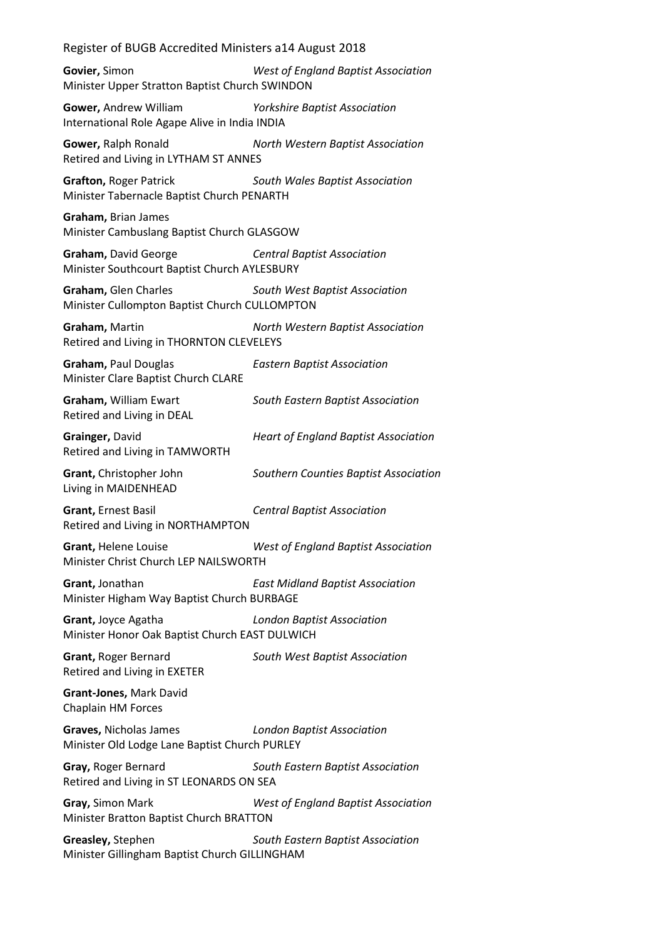**Govier,** Simon *West of England Baptist Association* Minister Upper Stratton Baptist Church SWINDON

**Gower,** Andrew William *Yorkshire Baptist Association* International Role Agape Alive in India INDIA

**Gower,** Ralph Ronald *North Western Baptist Association* Retired and Living in LYTHAM ST ANNES

**Grafton,** Roger Patrick *South Wales Baptist Association* Minister Tabernacle Baptist Church PENARTH

### **Graham,** Brian James Minister Cambuslang Baptist Church GLASGOW

**Graham,** David George *Central Baptist Association* Minister Southcourt Baptist Church AYLESBURY

**Graham,** Glen Charles *South West Baptist Association* Minister Cullompton Baptist Church CULLOMPTON

**Graham,** Martin *North Western Baptist Association* Retired and Living in THORNTON CLEVELEYS

**Graham,** Paul Douglas *Eastern Baptist Association* Minister Clare Baptist Church CLARE

**Graham,** William Ewart *South Eastern Baptist Association* Retired and Living in DEAL

**Grainger,** David *Heart of England Baptist Association* Retired and Living in TAMWORTH

**Grant,** Christopher John *Southern Counties Baptist Association* Living in MAIDENHEAD

**Grant,** Ernest Basil *Central Baptist Association* Retired and Living in NORTHAMPTON

**Grant,** Helene Louise *West of England Baptist Association* Minister Christ Church LEP NAILSWORTH

**Grant,** Jonathan *East Midland Baptist Association* Minister Higham Way Baptist Church BURBAGE

**Grant,** Joyce Agatha *London Baptist Association* Minister Honor Oak Baptist Church EAST DULWICH

**Grant,** Roger Bernard *South West Baptist Association* Retired and Living in EXETER

**Grant-Jones,** Mark David Chaplain HM Forces

**Graves,** Nicholas James *London Baptist Association* Minister Old Lodge Lane Baptist Church PURLEY

**Gray,** Roger Bernard *South Eastern Baptist Association* Retired and Living in ST LEONARDS ON SEA

**Gray,** Simon Mark *West of England Baptist Association* Minister Bratton Baptist Church BRATTON

**Greasley,** Stephen *South Eastern Baptist Association* Minister Gillingham Baptist Church GILLINGHAM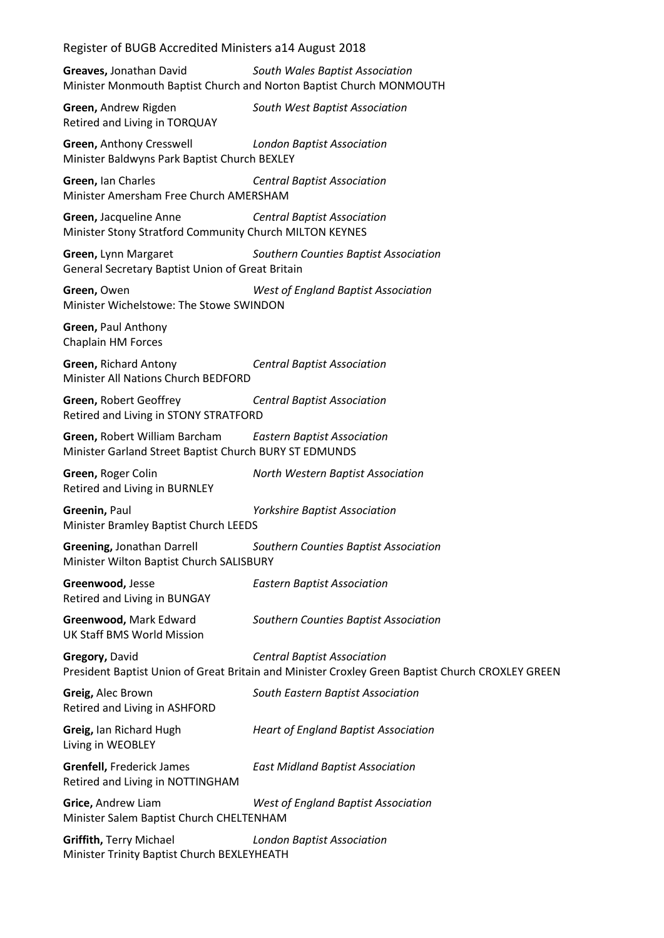**Greaves,** Jonathan David *South Wales Baptist Association* Minister Monmouth Baptist Church and Norton Baptist Church MONMOUTH

**Green,** Andrew Rigden *South West Baptist Association* Retired and Living in TORQUAY

**Green,** Anthony Cresswell *London Baptist Association* Minister Baldwyns Park Baptist Church BEXLEY

**Green,** Ian Charles *Central Baptist Association* Minister Amersham Free Church AMERSHAM

**Green,** Jacqueline Anne *Central Baptist Association* Minister Stony Stratford Community Church MILTON KEYNES

**Green,** Lynn Margaret *Southern Counties Baptist Association* General Secretary Baptist Union of Great Britain

**Green,** Owen *West of England Baptist Association* Minister Wichelstowe: The Stowe SWINDON

**Green,** Paul Anthony Chaplain HM Forces

**Green,** Richard Antony *Central Baptist Association* Minister All Nations Church BEDFORD

**Green,** Robert Geoffrey *Central Baptist Association* Retired and Living in STONY STRATFORD

**Green,** Robert William Barcham *Eastern Baptist Association* Minister Garland Street Baptist Church BURY ST EDMUNDS

**Green,** Roger Colin *North Western Baptist Association* Retired and Living in BURNLEY

**Greenin,** Paul *Yorkshire Baptist Association* Minister Bramley Baptist Church LEEDS

**Greening,** Jonathan Darrell *Southern Counties Baptist Association* Minister Wilton Baptist Church SALISBURY

**Greenwood,** Jesse *Eastern Baptist Association* Retired and Living in BUNGAY

**Greenwood,** Mark Edward *Southern Counties Baptist Association* UK Staff BMS World Mission

**Gregory,** David *Central Baptist Association* President Baptist Union of Great Britain and Minister Croxley Green Baptist Church CROXLEY GREEN

**Greig,** Alec Brown *South Eastern Baptist Association* Retired and Living in ASHFORD

Living in WEOBLEY

**Greig,** Ian Richard Hugh *Heart of England Baptist Association*

**Grenfell,** Frederick James *East Midland Baptist Association*

Retired and Living in NOTTINGHAM

**Grice,** Andrew Liam *West of England Baptist Association* Minister Salem Baptist Church CHELTENHAM

**Griffith,** Terry Michael *London Baptist Association* Minister Trinity Baptist Church BEXLEYHEATH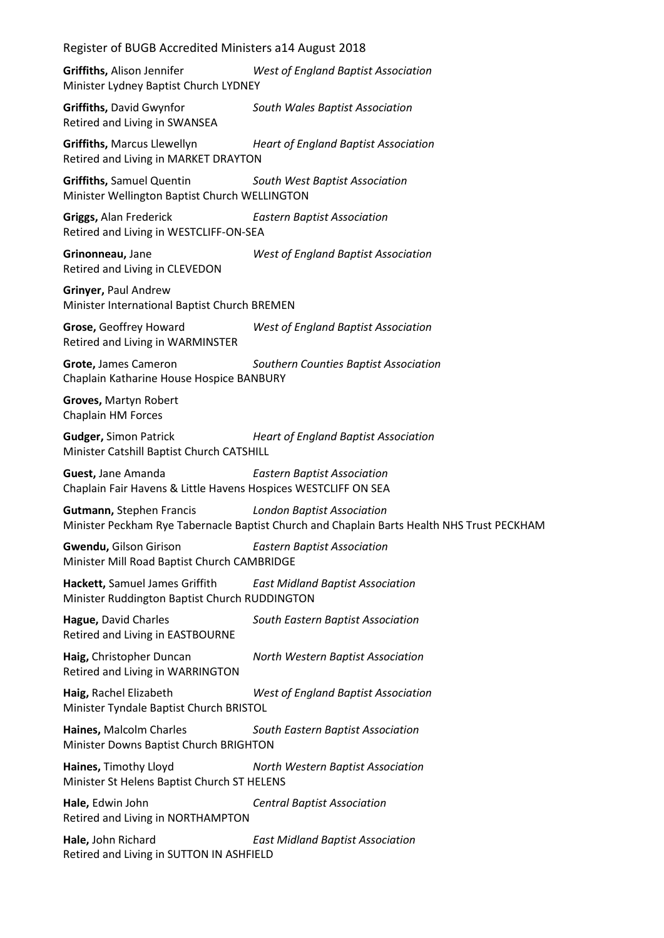Register of BUGB Accredited Ministers a14 August 2018 **Griffiths,** Alison Jennifer *West of England Baptist Association* Minister Lydney Baptist Church LYDNEY **Griffiths,** David Gwynfor *South Wales Baptist Association* Retired and Living in SWANSEA **Griffiths,** Marcus Llewellyn *Heart of England Baptist Association* Retired and Living in MARKET DRAYTON **Griffiths,** Samuel Quentin *South West Baptist Association* Minister Wellington Baptist Church WELLINGTON **Griggs,** Alan Frederick *Eastern Baptist Association* Retired and Living in WESTCLIFF-ON-SEA **Grinonneau,** Jane *West of England Baptist Association* Retired and Living in CLEVEDON **Grinyer,** Paul Andrew Minister International Baptist Church BREMEN **Grose,** Geoffrey Howard *West of England Baptist Association* Retired and Living in WARMINSTER **Grote,** James Cameron *Southern Counties Baptist Association* Chaplain Katharine House Hospice BANBURY **Groves,** Martyn Robert Chaplain HM Forces **Gudger,** Simon Patrick *Heart of England Baptist Association* Minister Catshill Baptist Church CATSHILL **Guest,** Jane Amanda *Eastern Baptist Association* Chaplain Fair Havens & Little Havens Hospices WESTCLIFF ON SEA **Gutmann,** Stephen Francis *London Baptist Association* Minister Peckham Rye Tabernacle Baptist Church and Chaplain Barts Health NHS Trust PECKHAM **Gwendu,** Gilson Girison *Eastern Baptist Association* Minister Mill Road Baptist Church CAMBRIDGE **Hackett,** Samuel James Griffith *East Midland Baptist Association* Minister Ruddington Baptist Church RUDDINGTON **Hague,** David Charles *South Eastern Baptist Association* Retired and Living in EASTBOURNE **Haig,** Christopher Duncan *North Western Baptist Association* Retired and Living in WARRINGTON **Haig,** Rachel Elizabeth *West of England Baptist Association* Minister Tyndale Baptist Church BRISTOL **Haines,** Malcolm Charles *South Eastern Baptist Association* Minister Downs Baptist Church BRIGHTON **Haines,** Timothy Lloyd *North Western Baptist Association* Minister St Helens Baptist Church ST HELENS **Hale,** Edwin John *Central Baptist Association* Retired and Living in NORTHAMPTON **Hale,** John Richard *East Midland Baptist Association* Retired and Living in SUTTON IN ASHFIELD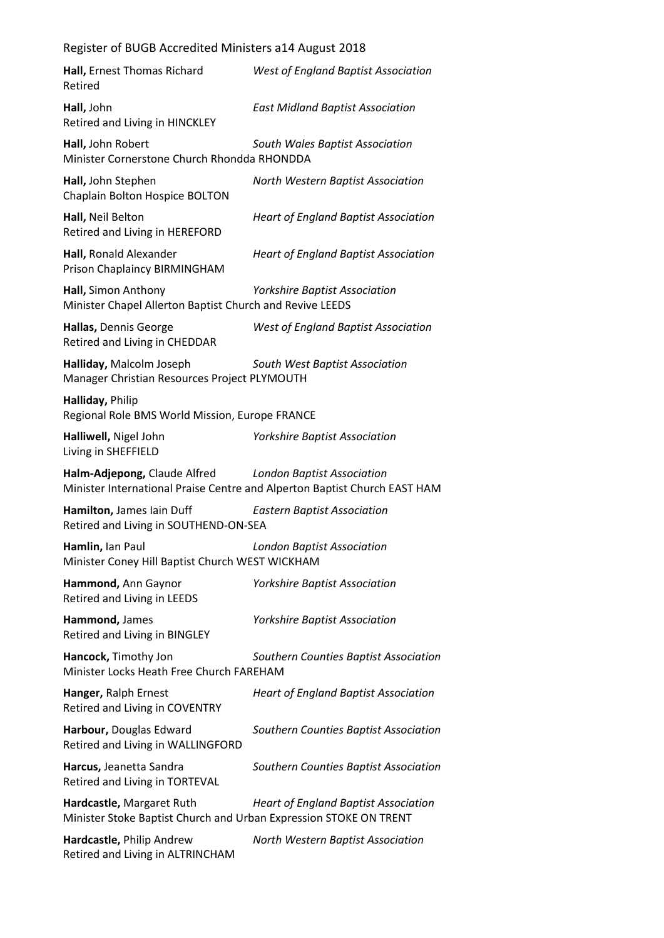| Hall, Ernest Thomas Richard<br>Retired                                                         | West of England Baptist Association                                                                            |
|------------------------------------------------------------------------------------------------|----------------------------------------------------------------------------------------------------------------|
| Hall, John<br>Retired and Living in HINCKLEY                                                   | <b>East Midland Baptist Association</b>                                                                        |
| Hall, John Robert<br>Minister Cornerstone Church Rhondda RHONDDA                               | South Wales Baptist Association                                                                                |
| Hall, John Stephen<br>Chaplain Bolton Hospice BOLTON                                           | North Western Baptist Association                                                                              |
| Hall, Neil Belton<br>Retired and Living in HEREFORD                                            | <b>Heart of England Baptist Association</b>                                                                    |
| Hall, Ronald Alexander<br>Prison Chaplaincy BIRMINGHAM                                         | <b>Heart of England Baptist Association</b>                                                                    |
| Hall, Simon Anthony<br>Minister Chapel Allerton Baptist Church and Revive LEEDS                | <b>Yorkshire Baptist Association</b>                                                                           |
| Hallas, Dennis George<br>Retired and Living in CHEDDAR                                         | West of England Baptist Association                                                                            |
| Halliday, Malcolm Joseph<br>Manager Christian Resources Project PLYMOUTH                       | South West Baptist Association                                                                                 |
| Halliday, Philip<br>Regional Role BMS World Mission, Europe FRANCE                             |                                                                                                                |
| Halliwell, Nigel John<br>Living in SHEFFIELD                                                   | <b>Yorkshire Baptist Association</b>                                                                           |
| Halm-Adjepong, Claude Alfred                                                                   | <b>London Baptist Association</b><br>Minister International Praise Centre and Alperton Baptist Church EAST HAM |
| Hamilton, James lain Duff<br>Retired and Living in SOUTHEND-ON-SEA                             | <b>Eastern Baptist Association</b>                                                                             |
| Hamlin, Ian Paul<br>Minister Coney Hill Baptist Church WEST WICKHAM                            | <b>London Baptist Association</b>                                                                              |
| Hammond, Ann Gaynor<br>Retired and Living in LEEDS                                             | Yorkshire Baptist Association                                                                                  |
| Hammond, James<br>Retired and Living in BINGLEY                                                | <b>Yorkshire Baptist Association</b>                                                                           |
| Hancock, Timothy Jon<br>Minister Locks Heath Free Church FAREHAM                               | Southern Counties Baptist Association                                                                          |
| Hanger, Ralph Ernest<br>Retired and Living in COVENTRY                                         | <b>Heart of England Baptist Association</b>                                                                    |
| Harbour, Douglas Edward<br>Retired and Living in WALLINGFORD                                   | Southern Counties Baptist Association                                                                          |
| Harcus, Jeanetta Sandra<br>Retired and Living in TORTEVAL                                      | Southern Counties Baptist Association                                                                          |
| Hardcastle, Margaret Ruth<br>Minister Stoke Baptist Church and Urban Expression STOKE ON TRENT | <b>Heart of England Baptist Association</b>                                                                    |
| Hardcastle, Philip Andrew<br>Retired and Living in ALTRINCHAM                                  | North Western Baptist Association                                                                              |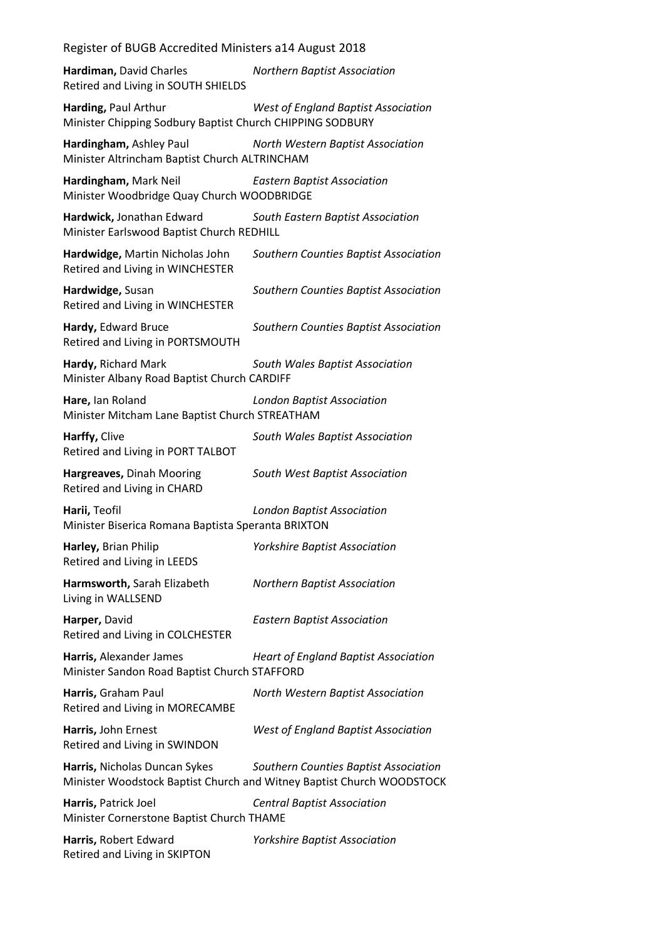**Hardiman,** David Charles *Northern Baptist Association* Retired and Living in SOUTH SHIELDS

**Harding,** Paul Arthur *West of England Baptist Association* Minister Chipping Sodbury Baptist Church CHIPPING SODBURY

**Hardingham,** Ashley Paul *North Western Baptist Association* Minister Altrincham Baptist Church ALTRINCHAM

**Hardingham,** Mark Neil *Eastern Baptist Association* Minister Woodbridge Quay Church WOODBRIDGE

**Hardwick,** Jonathan Edward *South Eastern Baptist Association* Minister Earlswood Baptist Church REDHILL

**Hardwidge,** Martin Nicholas John *Southern Counties Baptist Association* Retired and Living in WINCHESTER

**Hardwidge,** Susan *Southern Counties Baptist Association* Retired and Living in WINCHESTER

**Hardy,** Edward Bruce *Southern Counties Baptist Association* Retired and Living in PORTSMOUTH

**Hardy,** Richard Mark *South Wales Baptist Association* Minister Albany Road Baptist Church CARDIFF

**Hare,** Ian Roland *London Baptist Association* Minister Mitcham Lane Baptist Church STREATHAM

**Harffy,** Clive *South Wales Baptist Association* Retired and Living in PORT TALBOT

**Hargreaves,** Dinah Mooring *South West Baptist Association* Retired and Living in CHARD

**Harii,** Teofil *London Baptist Association* Minister Biserica Romana Baptista Speranta BRIXTON

**Harley,** Brian Philip *Yorkshire Baptist Association* Retired and Living in LEEDS

**Harmsworth,** Sarah Elizabeth *Northern Baptist Association* Living in WALLSEND

**Harper,** David *Eastern Baptist Association* Retired and Living in COLCHESTER

**Harris,** Alexander James *Heart of England Baptist Association* Minister Sandon Road Baptist Church STAFFORD

**Harris,** Graham Paul *North Western Baptist Association* Retired and Living in MORECAMBE

**Harris,** John Ernest *West of England Baptist Association* Retired and Living in SWINDON

**Harris,** Nicholas Duncan Sykes *Southern Counties Baptist Association* Minister Woodstock Baptist Church and Witney Baptist Church WOODSTOCK

**Harris,** Patrick Joel *Central Baptist Association* Minister Cornerstone Baptist Church THAME

**Harris,** Robert Edward *Yorkshire Baptist Association* Retired and Living in SKIPTON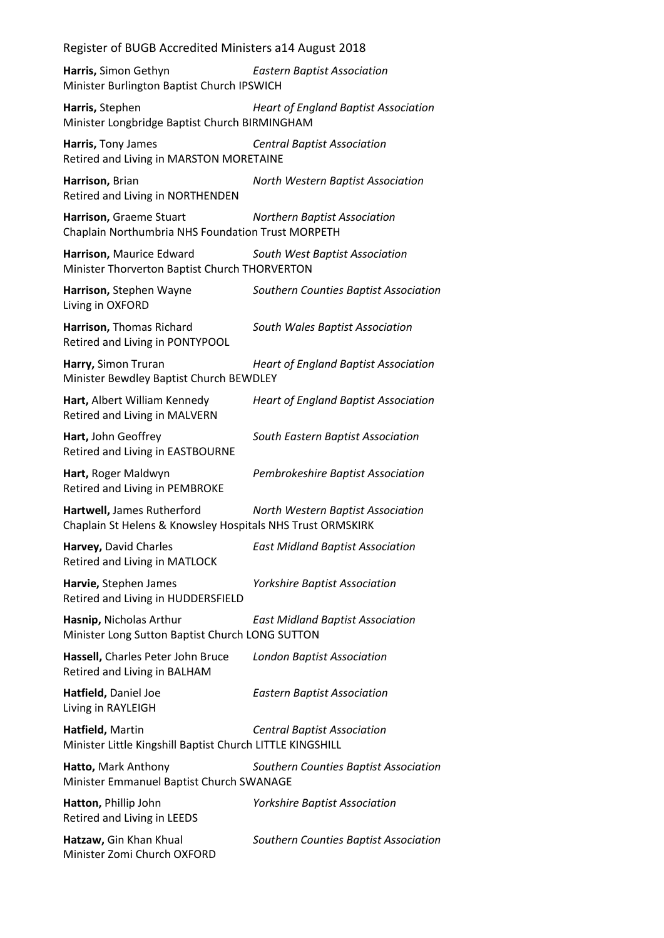**Harris,** Simon Gethyn *Eastern Baptist Association* Minister Burlington Baptist Church IPSWICH

**Harris,** Stephen *Heart of England Baptist Association* Minister Longbridge Baptist Church BIRMINGHAM

**Harris,** Tony James *Central Baptist Association* Retired and Living in MARSTON MORETAINE

**Harrison,** Brian *North Western Baptist Association* Retired and Living in NORTHENDEN

**Harrison,** Graeme Stuart *Northern Baptist Association* Chaplain Northumbria NHS Foundation Trust MORPETH

- **Harrison,** Maurice Edward *South West Baptist Association* Minister Thorverton Baptist Church THORVERTON
- **Harrison,** Stephen Wayne *Southern Counties Baptist Association* Living in OXFORD

**Harrison,** Thomas Richard *South Wales Baptist Association* Retired and Living in PONTYPOOL

**Harry,** Simon Truran *Heart of England Baptist Association* Minister Bewdley Baptist Church BEWDLEY

**Hart,** Albert William Kennedy *Heart of England Baptist Association* Retired and Living in MALVERN

**Hart,** John Geoffrey *South Eastern Baptist Association* Retired and Living in EASTBOURNE

**Hart,** Roger Maldwyn *Pembrokeshire Baptist Association* Retired and Living in PEMBROKE

**Hartwell,** James Rutherford *North Western Baptist Association* Chaplain St Helens & Knowsley Hospitals NHS Trust ORMSKIRK

**Harvey,** David Charles *East Midland Baptist Association* Retired and Living in MATLOCK

**Harvie,** Stephen James *Yorkshire Baptist Association* Retired and Living in HUDDERSFIELD

**Hasnip,** Nicholas Arthur *East Midland Baptist Association* Minister Long Sutton Baptist Church LONG SUTTON

**Hassell,** Charles Peter John Bruce *London Baptist Association* Retired and Living in BALHAM

**Hatfield,** Daniel Joe *Eastern Baptist Association* Living in RAYLEIGH

**Hatfield,** Martin *Central Baptist Association* Minister Little Kingshill Baptist Church LITTLE KINGSHILL

**Hatto,** Mark Anthony *Southern Counties Baptist Association* Minister Emmanuel Baptist Church SWANAGE

**Hatton,** Phillip John *Yorkshire Baptist Association* Retired and Living in LEEDS **Hatzaw,** Gin Khan Khual *Southern Counties Baptist Association* Minister Zomi Church OXFORD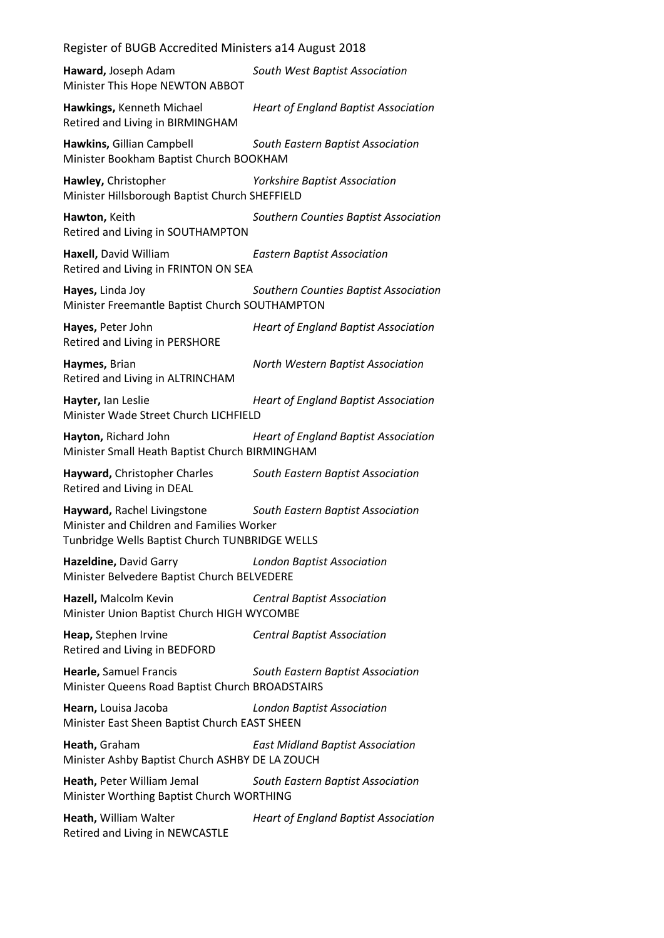**Haward,** Joseph Adam *South West Baptist Association* Minister This Hope NEWTON ABBOT **Hawkings,** Kenneth Michael *Heart of England Baptist Association* Retired and Living in BIRMINGHAM **Hawkins,** Gillian Campbell *South Eastern Baptist Association* Minister Bookham Baptist Church BOOKHAM **Hawley,** Christopher *Yorkshire Baptist Association* Minister Hillsborough Baptist Church SHEFFIELD **Hawton,** Keith *Southern Counties Baptist Association* Retired and Living in SOUTHAMPTON **Haxell,** David William *Eastern Baptist Association* Retired and Living in FRINTON ON SEA **Hayes,** Linda Joy *Southern Counties Baptist Association* Minister Freemantle Baptist Church SOUTHAMPTON **Hayes,** Peter John *Heart of England Baptist Association* Retired and Living in PERSHORE **Haymes,** Brian *North Western Baptist Association* Retired and Living in ALTRINCHAM **Hayter,** Ian Leslie *Heart of England Baptist Association* Minister Wade Street Church LICHFIELD **Hayton,** Richard John *Heart of England Baptist Association* Minister Small Heath Baptist Church BIRMINGHAM **Hayward,** Christopher Charles *South Eastern Baptist Association* Retired and Living in DEAL **Hayward,** Rachel Livingstone *South Eastern Baptist Association* Minister and Children and Families Worker Tunbridge Wells Baptist Church TUNBRIDGE WELLS **Hazeldine,** David Garry *London Baptist Association* Minister Belvedere Baptist Church BELVEDERE **Hazell,** Malcolm Kevin *Central Baptist Association* Minister Union Baptist Church HIGH WYCOMBE **Heap,** Stephen Irvine *Central Baptist Association* Retired and Living in BEDFORD **Hearle,** Samuel Francis *South Eastern Baptist Association* Minister Queens Road Baptist Church BROADSTAIRS **Hearn,** Louisa Jacoba *London Baptist Association* Minister East Sheen Baptist Church EAST SHEEN **Heath,** Graham *East Midland Baptist Association* Minister Ashby Baptist Church ASHBY DE LA ZOUCH **Heath,** Peter William Jemal *South Eastern Baptist Association* Minister Worthing Baptist Church WORTHING **Heath,** William Walter *Heart of England Baptist Association* Retired and Living in NEWCASTLE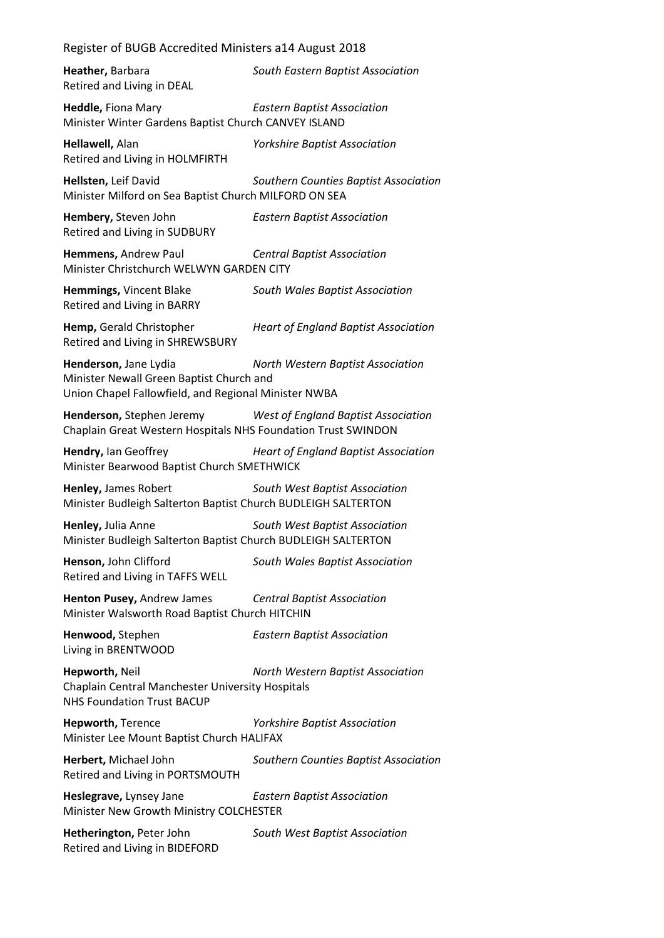**Heather,** Barbara *South Eastern Baptist Association* Retired and Living in DEAL **Heddle,** Fiona Mary *Eastern Baptist Association* Minister Winter Gardens Baptist Church CANVEY ISLAND **Hellawell,** Alan *Yorkshire Baptist Association* Retired and Living in HOLMFIRTH **Hellsten,** Leif David *Southern Counties Baptist Association* Minister Milford on Sea Baptist Church MILFORD ON SEA **Hembery,** Steven John *Eastern Baptist Association* Retired and Living in SUDBURY **Hemmens,** Andrew Paul *Central Baptist Association* Minister Christchurch WELWYN GARDEN CITY **Hemmings,** Vincent Blake *South Wales Baptist Association* Retired and Living in BARRY **Hemp,** Gerald Christopher *Heart of England Baptist Association* Retired and Living in SHREWSBURY **Henderson,** Jane Lydia *North Western Baptist Association* Minister Newall Green Baptist Church and Union Chapel Fallowfield, and Regional Minister NWBA **Henderson,** Stephen Jeremy *West of England Baptist Association* Chaplain Great Western Hospitals NHS Foundation Trust SWINDON **Hendry,** Ian Geoffrey *Heart of England Baptist Association* Minister Bearwood Baptist Church SMETHWICK **Henley,** James Robert *South West Baptist Association* Minister Budleigh Salterton Baptist Church BUDLEIGH SALTERTON **Henley,** Julia Anne *South West Baptist Association* Minister Budleigh Salterton Baptist Church BUDLEIGH SALTERTON **Henson,** John Clifford *South Wales Baptist Association* Retired and Living in TAFFS WELL **Henton Pusey,** Andrew James *Central Baptist Association* Minister Walsworth Road Baptist Church HITCHIN **Henwood,** Stephen *Eastern Baptist Association* Living in BRENTWOOD **Hepworth,** Neil *North Western Baptist Association* Chaplain Central Manchester University Hospitals NHS Foundation Trust BACUP **Hepworth,** Terence *Yorkshire Baptist Association* Minister Lee Mount Baptist Church HALIFAX **Herbert,** Michael John *Southern Counties Baptist Association* Retired and Living in PORTSMOUTH **Heslegrave,** Lynsey Jane *Eastern Baptist Association* Minister New Growth Ministry COLCHESTER **Hetherington,** Peter John *South West Baptist Association*

Retired and Living in BIDEFORD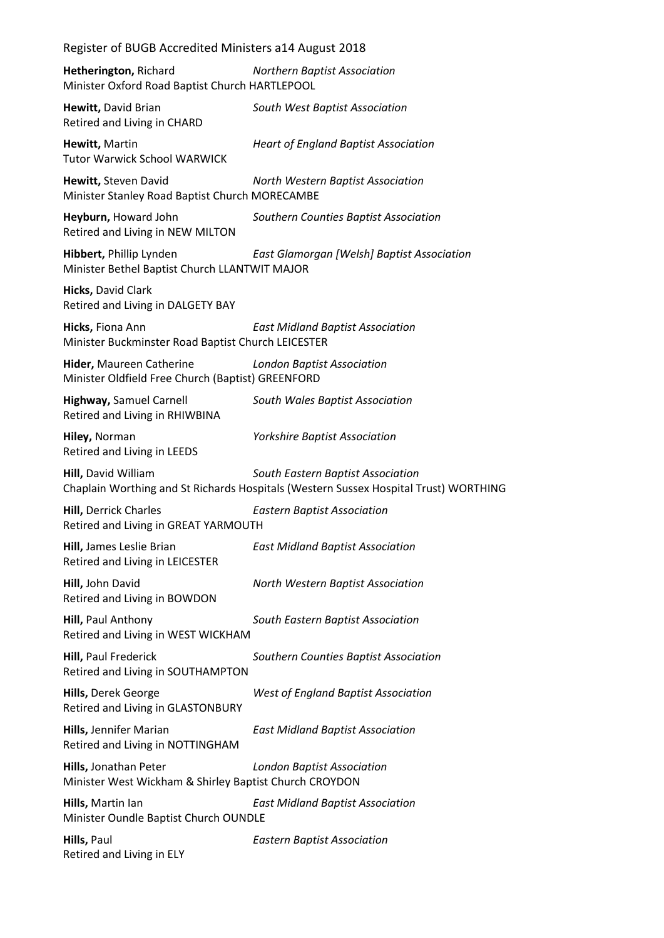| Register of BUGB Accredited Ministers a14 August 2018                           |                                                                                                                           |
|---------------------------------------------------------------------------------|---------------------------------------------------------------------------------------------------------------------------|
| Hetherington, Richard<br>Minister Oxford Road Baptist Church HARTLEPOOL         | <b>Northern Baptist Association</b>                                                                                       |
| Hewitt, David Brian<br>Retired and Living in CHARD                              | South West Baptist Association                                                                                            |
| Hewitt, Martin<br><b>Tutor Warwick School WARWICK</b>                           | <b>Heart of England Baptist Association</b>                                                                               |
| Hewitt, Steven David<br>Minister Stanley Road Baptist Church MORECAMBE          | North Western Baptist Association                                                                                         |
| Heyburn, Howard John<br>Retired and Living in NEW MILTON                        | Southern Counties Baptist Association                                                                                     |
| Hibbert, Phillip Lynden<br>Minister Bethel Baptist Church LLANTWIT MAJOR        | East Glamorgan [Welsh] Baptist Association                                                                                |
| Hicks, David Clark<br>Retired and Living in DALGETY BAY                         |                                                                                                                           |
| Hicks, Fiona Ann<br>Minister Buckminster Road Baptist Church LEICESTER          | <b>East Midland Baptist Association</b>                                                                                   |
| Hider, Maureen Catherine<br>Minister Oldfield Free Church (Baptist) GREENFORD   | <b>London Baptist Association</b>                                                                                         |
| <b>Highway, Samuel Carnell</b><br>Retired and Living in RHIWBINA                | South Wales Baptist Association                                                                                           |
| Hiley, Norman<br>Retired and Living in LEEDS                                    | <b>Yorkshire Baptist Association</b>                                                                                      |
| Hill, David William                                                             | South Eastern Baptist Association<br>Chaplain Worthing and St Richards Hospitals (Western Sussex Hospital Trust) WORTHING |
| <b>Hill, Derrick Charles</b><br>Retired and Living in GREAT YARMOUTH            | <b>Eastern Baptist Association</b>                                                                                        |
| Hill, James Leslie Brian<br>Retired and Living in LEICESTER                     | <b>East Midland Baptist Association</b>                                                                                   |
| Hill, John David<br>Retired and Living in BOWDON                                | North Western Baptist Association                                                                                         |
| Hill, Paul Anthony<br>Retired and Living in WEST WICKHAM                        | South Eastern Baptist Association                                                                                         |
| Hill, Paul Frederick<br>Retired and Living in SOUTHAMPTON                       | Southern Counties Baptist Association                                                                                     |
| Hills, Derek George<br>Retired and Living in GLASTONBURY                        | <b>West of England Baptist Association</b>                                                                                |
| Hills, Jennifer Marian<br>Retired and Living in NOTTINGHAM                      | <b>East Midland Baptist Association</b>                                                                                   |
| Hills, Jonathan Peter<br>Minister West Wickham & Shirley Baptist Church CROYDON | <b>London Baptist Association</b>                                                                                         |
| Hills, Martin lan<br>Minister Oundle Baptist Church OUNDLE                      | <b>East Midland Baptist Association</b>                                                                                   |
| Hills, Paul<br>Retired and Living in ELY                                        | <b>Eastern Baptist Association</b>                                                                                        |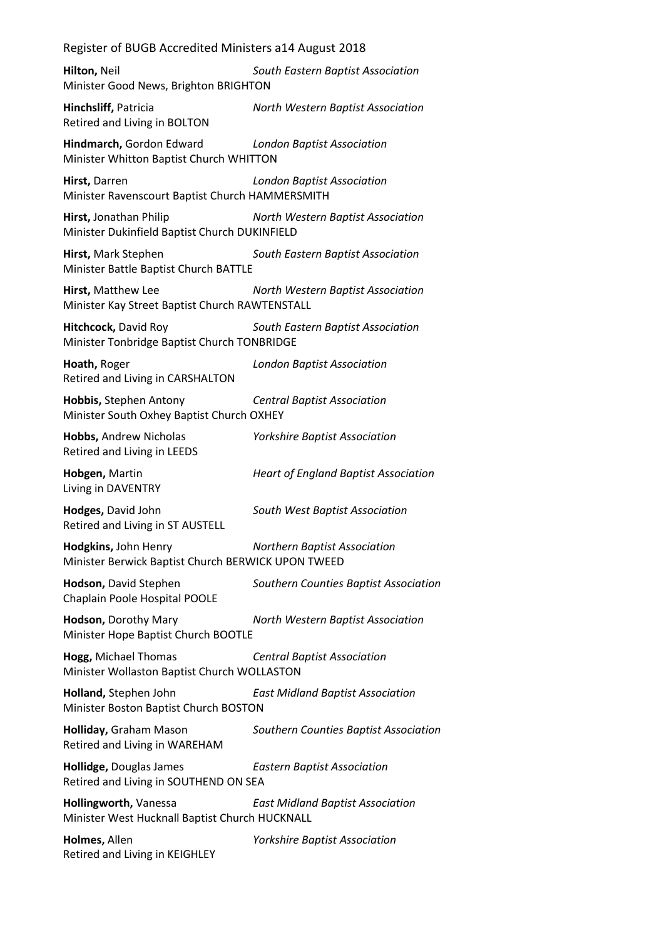**Hilton,** Neil *South Eastern Baptist Association* Minister Good News, Brighton BRIGHTON

**Hinchsliff,** Patricia *North Western Baptist Association* Retired and Living in BOLTON

**Hindmarch,** Gordon Edward *London Baptist Association* Minister Whitton Baptist Church WHITTON

**Hirst,** Darren *London Baptist Association* Minister Ravenscourt Baptist Church HAMMERSMITH

**Hirst,** Jonathan Philip *North Western Baptist Association* Minister Dukinfield Baptist Church DUKINFIELD

**Hirst,** Mark Stephen *South Eastern Baptist Association* Minister Battle Baptist Church BATTLE

**Hirst,** Matthew Lee *North Western Baptist Association* Minister Kay Street Baptist Church RAWTENSTALL

**Hitchcock,** David Roy *South Eastern Baptist Association* Minister Tonbridge Baptist Church TONBRIDGE

**Hoath,** Roger *London Baptist Association* Retired and Living in CARSHALTON

**Hobbis,** Stephen Antony *Central Baptist Association* Minister South Oxhey Baptist Church OXHEY

**Hobbs,** Andrew Nicholas *Yorkshire Baptist Association* Retired and Living in LEEDS

**Hobgen,** Martin *Heart of England Baptist Association* Living in DAVENTRY

**Hodges,** David John *South West Baptist Association* Retired and Living in ST AUSTELL

**Hodgkins,** John Henry *Northern Baptist Association* Minister Berwick Baptist Church BERWICK UPON TWEED

**Hodson,** David Stephen *Southern Counties Baptist Association* Chaplain Poole Hospital POOLE

**Hodson,** Dorothy Mary *North Western Baptist Association* Minister Hope Baptist Church BOOTLE

**Hogg,** Michael Thomas *Central Baptist Association* Minister Wollaston Baptist Church WOLLASTON

**Holland,** Stephen John *East Midland Baptist Association* Minister Boston Baptist Church BOSTON

**Holliday,** Graham Mason *Southern Counties Baptist Association* Retired and Living in WAREHAM

**Hollidge,** Douglas James *Eastern Baptist Association* Retired and Living in SOUTHEND ON SEA

**Hollingworth,** Vanessa *East Midland Baptist Association* Minister West Hucknall Baptist Church HUCKNALL

**Holmes,** Allen *Yorkshire Baptist Association* Retired and Living in KEIGHLEY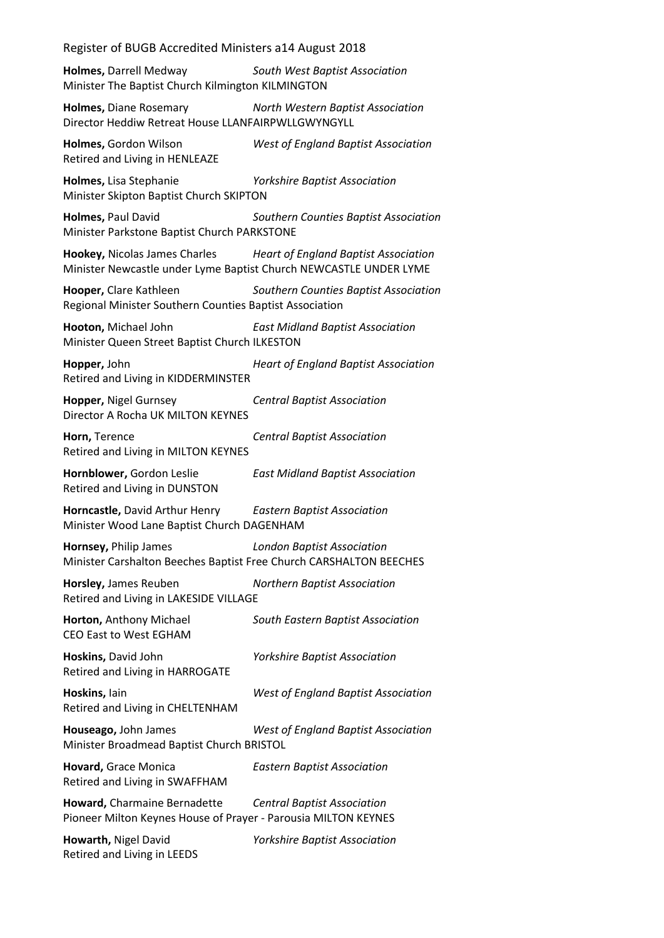**Holmes,** Darrell Medway *South West Baptist Association* Minister The Baptist Church Kilmington KILMINGTON

**Holmes,** Diane Rosemary *North Western Baptist Association* Director Heddiw Retreat House LLANFAIRPWLLGWYNGYLL

**Holmes,** Gordon Wilson *West of England Baptist Association* Retired and Living in HENLEAZE

**Holmes,** Lisa Stephanie *Yorkshire Baptist Association* Minister Skipton Baptist Church SKIPTON

**Holmes,** Paul David *Southern Counties Baptist Association* Minister Parkstone Baptist Church PARKSTONE

**Hookey,** Nicolas James Charles *Heart of England Baptist Association* Minister Newcastle under Lyme Baptist Church NEWCASTLE UNDER LYME

**Hooper,** Clare Kathleen *Southern Counties Baptist Association* Regional Minister Southern Counties Baptist Association

**Hooton,** Michael John *East Midland Baptist Association* Minister Queen Street Baptist Church ILKESTON

**Hopper,** John *Heart of England Baptist Association* Retired and Living in KIDDERMINSTER

**Hopper,** Nigel Gurnsey *Central Baptist Association* Director A Rocha UK MILTON KEYNES

**Horn,** Terence *Central Baptist Association* Retired and Living in MILTON KEYNES

**Hornblower,** Gordon Leslie *East Midland Baptist Association* Retired and Living in DUNSTON

**Horncastle,** David Arthur Henry *Eastern Baptist Association* Minister Wood Lane Baptist Church DAGENHAM

**Hornsey,** Philip James *London Baptist Association* Minister Carshalton Beeches Baptist Free Church CARSHALTON BEECHES

**Horsley,** James Reuben *Northern Baptist Association* Retired and Living in LAKESIDE VILLAGE

**Horton,** Anthony Michael *South Eastern Baptist Association* CEO East to West EGHAM

**Hoskins,** David John *Yorkshire Baptist Association* Retired and Living in HARROGATE

**Hoskins,** Iain *West of England Baptist Association* Retired and Living in CHELTENHAM

**Houseago,** John James *West of England Baptist Association* Minister Broadmead Baptist Church BRISTOL

**Hovard,** Grace Monica *Eastern Baptist Association* Retired and Living in SWAFFHAM

**Howard,** Charmaine Bernadette *Central Baptist Association* Pioneer Milton Keynes House of Prayer - Parousia MILTON KEYNES

**Howarth,** Nigel David *Yorkshire Baptist Association* Retired and Living in LEEDS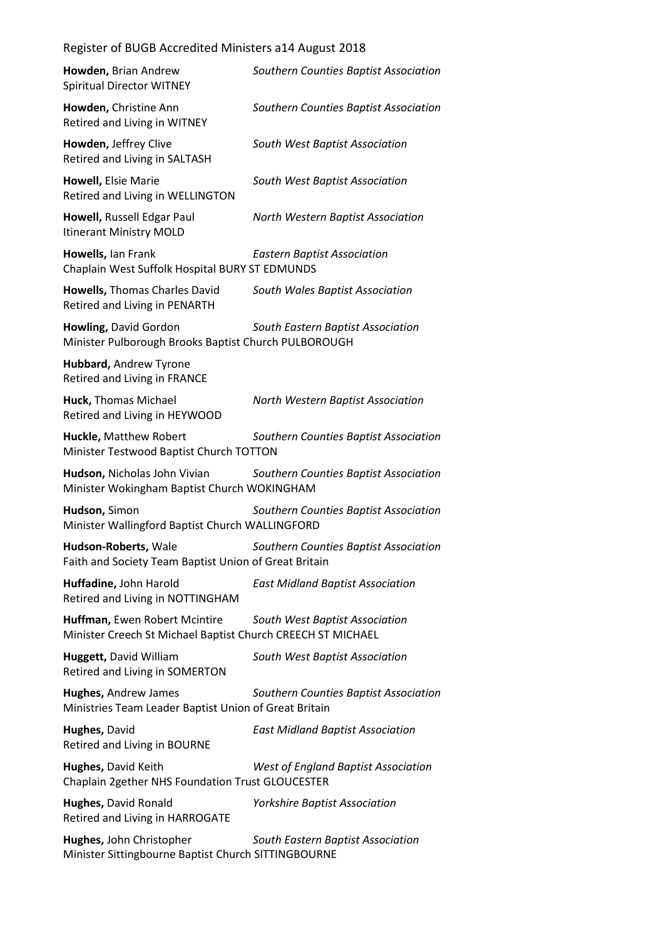| Howden, Brian Andrew<br><b>Spiritual Director WITNEY</b>                                     | Southern Counties Baptist Association      |
|----------------------------------------------------------------------------------------------|--------------------------------------------|
| Howden, Christine Ann<br>Retired and Living in WITNEY                                        | Southern Counties Baptist Association      |
| Howden, Jeffrey Clive<br>Retired and Living in SALTASH                                       | South West Baptist Association             |
| Howell, Elsie Marie<br>Retired and Living in WELLINGTON                                      | South West Baptist Association             |
| Howell, Russell Edgar Paul<br>Itinerant Ministry MOLD                                        | North Western Baptist Association          |
| Howells, Ian Frank<br>Chaplain West Suffolk Hospital BURY ST EDMUNDS                         | <b>Eastern Baptist Association</b>         |
| Howells, Thomas Charles David<br>Retired and Living in PENARTH                               | South Wales Baptist Association            |
| Howling, David Gordon<br>Minister Pulborough Brooks Baptist Church PULBOROUGH                | South Eastern Baptist Association          |
| Hubbard, Andrew Tyrone<br>Retired and Living in FRANCE                                       |                                            |
| Huck, Thomas Michael<br>Retired and Living in HEYWOOD                                        | North Western Baptist Association          |
| Huckle, Matthew Robert<br>Minister Testwood Baptist Church TOTTON                            | Southern Counties Baptist Association      |
| Hudson, Nicholas John Vivian                                                                 |                                            |
| Minister Wokingham Baptist Church WOKINGHAM                                                  | Southern Counties Baptist Association      |
| Hudson, Simon<br>Minister Wallingford Baptist Church WALLINGFORD                             | Southern Counties Baptist Association      |
| Hudson-Roberts, Wale<br>Faith and Society Team Baptist Union of Great Britain                | Southern Counties Baptist Association      |
| Huffadine, John Harold<br>Retired and Living in NOTTINGHAM                                   | <b>East Midland Baptist Association</b>    |
| Huffman, Ewen Robert Mcintire<br>Minister Creech St Michael Baptist Church CREECH ST MICHAEL | South West Baptist Association             |
| <b>Huggett, David William</b><br>Retired and Living in SOMERTON                              | South West Baptist Association             |
| <b>Hughes, Andrew James</b><br>Ministries Team Leader Baptist Union of Great Britain         | Southern Counties Baptist Association      |
| Hughes, David<br>Retired and Living in BOURNE                                                | <b>East Midland Baptist Association</b>    |
| Hughes, David Keith<br>Chaplain 2gether NHS Foundation Trust GLOUCESTER                      | <b>West of England Baptist Association</b> |
| Hughes, David Ronald<br>Retired and Living in HARROGATE                                      | <b>Yorkshire Baptist Association</b>       |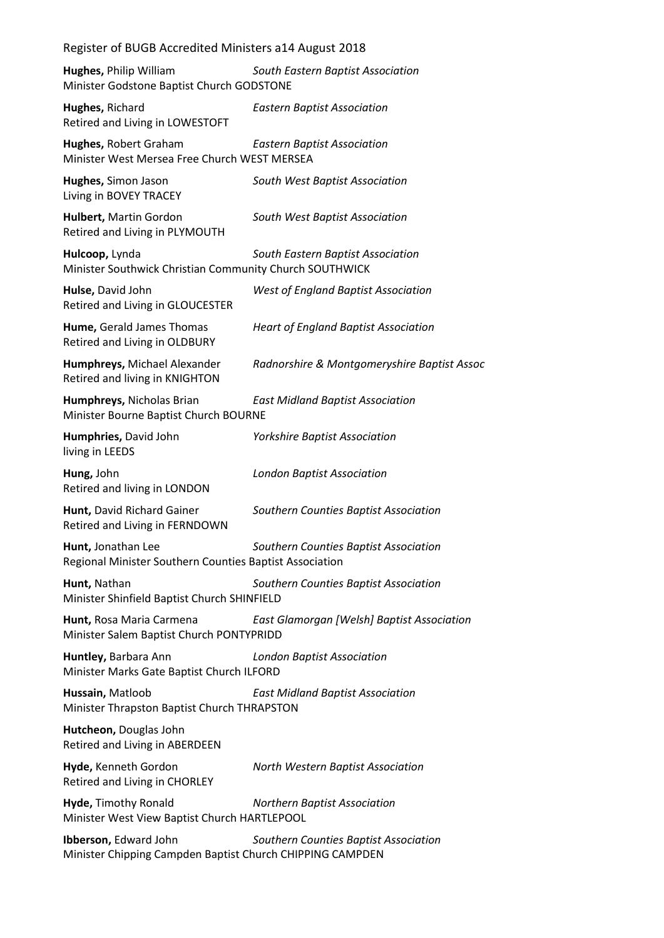| Register of BUGB Accredited Ministers a14 August 2018                                                         |                                             |  |
|---------------------------------------------------------------------------------------------------------------|---------------------------------------------|--|
| Hughes, Philip William<br>Minister Godstone Baptist Church GODSTONE                                           | South Eastern Baptist Association           |  |
| Hughes, Richard<br>Retired and Living in LOWESTOFT                                                            | <b>Eastern Baptist Association</b>          |  |
| Hughes, Robert Graham<br>Minister West Mersea Free Church WEST MERSEA                                         | <b>Eastern Baptist Association</b>          |  |
| Hughes, Simon Jason<br>Living in BOVEY TRACEY                                                                 | South West Baptist Association              |  |
| Hulbert, Martin Gordon<br>Retired and Living in PLYMOUTH                                                      | South West Baptist Association              |  |
| Hulcoop, Lynda<br>Minister Southwick Christian Community Church SOUTHWICK                                     | South Eastern Baptist Association           |  |
| Hulse, David John<br>Retired and Living in GLOUCESTER                                                         | <b>West of England Baptist Association</b>  |  |
| Hume, Gerald James Thomas<br>Retired and Living in OLDBURY                                                    | <b>Heart of England Baptist Association</b> |  |
| Humphreys, Michael Alexander<br>Retired and living in KNIGHTON                                                | Radnorshire & Montgomeryshire Baptist Assoc |  |
| Humphreys, Nicholas Brian<br><b>East Midland Baptist Association</b><br>Minister Bourne Baptist Church BOURNE |                                             |  |
| Humphries, David John<br>living in LEEDS                                                                      | <b>Yorkshire Baptist Association</b>        |  |
| Hung, John<br>Retired and living in LONDON                                                                    | <b>London Baptist Association</b>           |  |
| Hunt, David Richard Gainer<br>Retired and Living in FERNDOWN                                                  | Southern Counties Baptist Association       |  |
| Hunt, Jonathan Lee<br>Regional Minister Southern Counties Baptist Association                                 | Southern Counties Baptist Association       |  |
| Hunt, Nathan<br>Minister Shinfield Baptist Church SHINFIELD                                                   | Southern Counties Baptist Association       |  |
| Hunt, Rosa Maria Carmena<br>Minister Salem Baptist Church PONTYPRIDD                                          | East Glamorgan [Welsh] Baptist Association  |  |
| Huntley, Barbara Ann<br>Minister Marks Gate Baptist Church ILFORD                                             | <b>London Baptist Association</b>           |  |
| Hussain, Matloob<br>Minister Thrapston Baptist Church THRAPSTON                                               | <b>East Midland Baptist Association</b>     |  |
| Hutcheon, Douglas John<br>Retired and Living in ABERDEEN                                                      |                                             |  |
| Hyde, Kenneth Gordon<br>Retired and Living in CHORLEY                                                         | North Western Baptist Association           |  |
| Hyde, Timothy Ronald<br>Minister West View Baptist Church HARTLEPOOL                                          | <b>Northern Baptist Association</b>         |  |
| Ibberson, Edward John<br>Minister Chipping Campden Baptist Church CHIPPING CAMPDEN                            | Southern Counties Baptist Association       |  |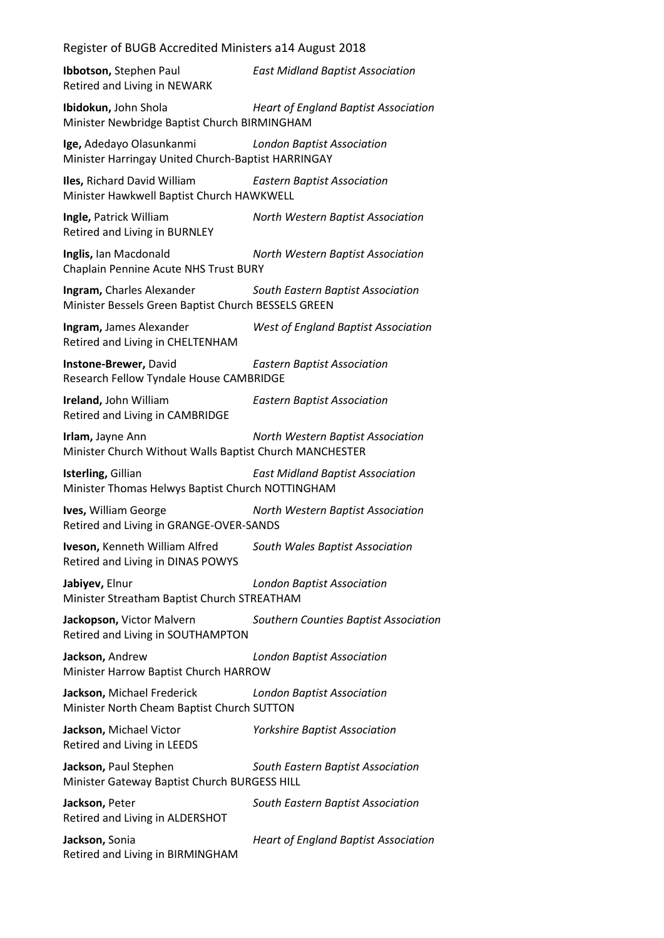| Ibbotson, Stephen Paul<br>Retired and Living in NEWARK                           | <b>East Midland Baptist Association</b>     |
|----------------------------------------------------------------------------------|---------------------------------------------|
| Ibidokun, John Shola<br>Minister Newbridge Baptist Church BIRMINGHAM             | <b>Heart of England Baptist Association</b> |
| Ige, Adedayo Olasunkanmi<br>Minister Harringay United Church-Baptist HARRINGAY   | <b>London Baptist Association</b>           |
| Iles, Richard David William<br>Minister Hawkwell Baptist Church HAWKWELL         | <b>Eastern Baptist Association</b>          |
| Ingle, Patrick William<br>Retired and Living in BURNLEY                          | North Western Baptist Association           |
| Inglis, Ian Macdonald<br>Chaplain Pennine Acute NHS Trust BURY                   | North Western Baptist Association           |
| Ingram, Charles Alexander<br>Minister Bessels Green Baptist Church BESSELS GREEN | South Eastern Baptist Association           |
| Ingram, James Alexander<br>Retired and Living in CHELTENHAM                      | West of England Baptist Association         |
| Instone-Brewer, David<br>Research Fellow Tyndale House CAMBRIDGE                 | <b>Eastern Baptist Association</b>          |
| Ireland, John William<br>Retired and Living in CAMBRIDGE                         | <b>Eastern Baptist Association</b>          |
| Irlam, Jayne Ann<br>Minister Church Without Walls Baptist Church MANCHESTER      | North Western Baptist Association           |
| Isterling, Gillian<br>Minister Thomas Helwys Baptist Church NOTTINGHAM           | <b>East Midland Baptist Association</b>     |
| Ives, William George<br>Retired and Living in GRANGE-OVER-SANDS                  | North Western Baptist Association           |
| Iveson, Kenneth William Alfred<br>Retired and Living in DINAS POWYS              | South Wales Baptist Association             |
| Jabiyev, Elnur<br>Minister Streatham Baptist Church STREATHAM                    | <b>London Baptist Association</b>           |
| Jackopson, Victor Malvern<br>Retired and Living in SOUTHAMPTON                   | Southern Counties Baptist Association       |
| Jackson, Andrew<br>Minister Harrow Baptist Church HARROW                         | <b>London Baptist Association</b>           |
| Jackson, Michael Frederick<br>Minister North Cheam Baptist Church SUTTON         | <b>London Baptist Association</b>           |
| Jackson, Michael Victor<br>Retired and Living in LEEDS                           | <b>Yorkshire Baptist Association</b>        |
| Jackson, Paul Stephen<br>Minister Gateway Baptist Church BURGESS HILL            | South Eastern Baptist Association           |
| Jackson, Peter<br>Retired and Living in ALDERSHOT                                | South Eastern Baptist Association           |
| Jackson, Sonia<br>Retired and Living in BIRMINGHAM                               | <b>Heart of England Baptist Association</b> |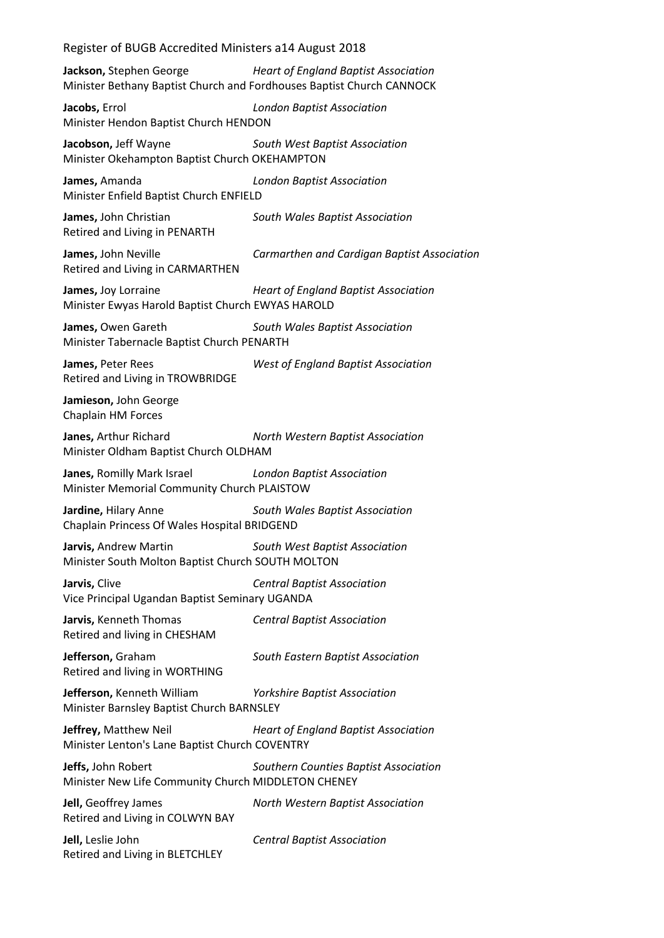**Jackson,** Stephen George *Heart of England Baptist Association* Minister Bethany Baptist Church and Fordhouses Baptist Church CANNOCK

**Jacobs,** Errol *London Baptist Association* Minister Hendon Baptist Church HENDON

**Jacobson,** Jeff Wayne *South West Baptist Association* Minister Okehampton Baptist Church OKEHAMPTON

**James,** Amanda *London Baptist Association* Minister Enfield Baptist Church ENFIELD

**James,** John Christian *South Wales Baptist Association* Retired and Living in PENARTH

**James,** John Neville *Carmarthen and Cardigan Baptist Association* Retired and Living in CARMARTHEN

**James,** Joy Lorraine *Heart of England Baptist Association* Minister Ewyas Harold Baptist Church EWYAS HAROLD

**James,** Owen Gareth *South Wales Baptist Association* Minister Tabernacle Baptist Church PENARTH

**James,** Peter Rees *West of England Baptist Association* Retired and Living in TROWBRIDGE

**Jamieson,** John George Chaplain HM Forces

**Janes,** Arthur Richard *North Western Baptist Association* Minister Oldham Baptist Church OLDHAM

**Janes,** Romilly Mark Israel *London Baptist Association* Minister Memorial Community Church PLAISTOW

**Jardine,** Hilary Anne *South Wales Baptist Association* Chaplain Princess Of Wales Hospital BRIDGEND

**Jarvis,** Andrew Martin *South West Baptist Association* Minister South Molton Baptist Church SOUTH MOLTON

**Jarvis,** Clive *Central Baptist Association* Vice Principal Ugandan Baptist Seminary UGANDA

**Jarvis,** Kenneth Thomas *Central Baptist Association* Retired and living in CHESHAM

**Jefferson,** Graham *South Eastern Baptist Association* Retired and living in WORTHING

**Jefferson,** Kenneth William *Yorkshire Baptist Association* Minister Barnsley Baptist Church BARNSLEY

**Jeffrey,** Matthew Neil *Heart of England Baptist Association* Minister Lenton's Lane Baptist Church COVENTRY

**Jeffs,** John Robert *Southern Counties Baptist Association* Minister New Life Community Church MIDDLETON CHENEY

**Jell,** Geoffrey James *North Western Baptist Association* Retired and Living in COLWYN BAY

**Jell,** Leslie John *Central Baptist Association* Retired and Living in BLETCHLEY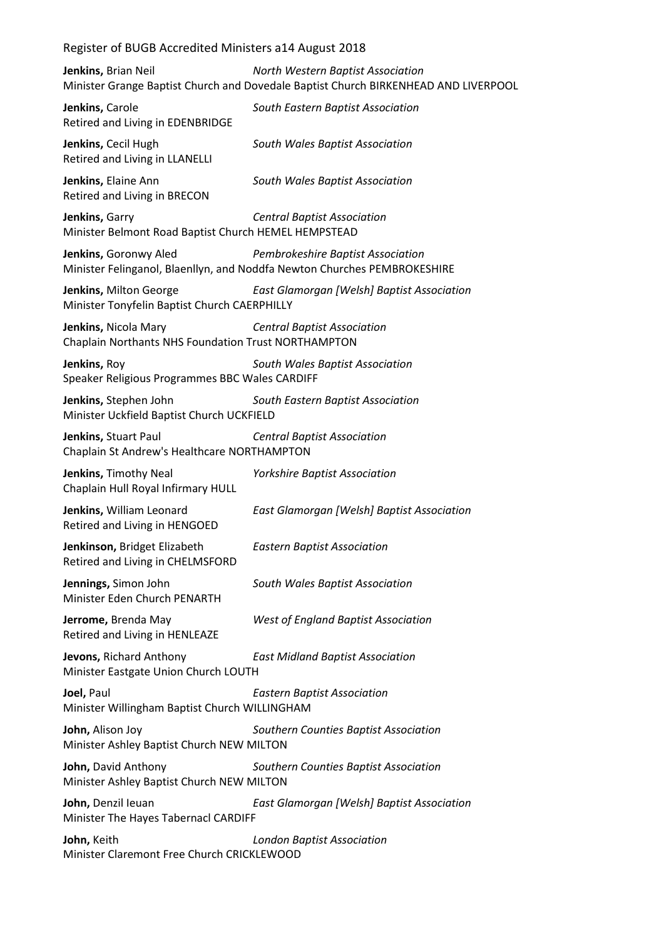**Jenkins,** Brian Neil *North Western Baptist Association* Minister Grange Baptist Church and Dovedale Baptist Church BIRKENHEAD AND LIVERPOOL

| Jenkins, Carole<br>Retired and Living in EDENBRIDGE                         | South Eastern Baptist Association                                                                             |
|-----------------------------------------------------------------------------|---------------------------------------------------------------------------------------------------------------|
| Jenkins, Cecil Hugh<br>Retired and Living in LLANELLI                       | South Wales Baptist Association                                                                               |
| Jenkins, Elaine Ann<br>Retired and Living in BRECON                         | South Wales Baptist Association                                                                               |
| Jenkins, Garry<br>Minister Belmont Road Baptist Church HEMEL HEMPSTEAD      | <b>Central Baptist Association</b>                                                                            |
| Jenkins, Goronwy Aled                                                       | Pembrokeshire Baptist Association<br>Minister Felinganol, Blaenllyn, and Noddfa Newton Churches PEMBROKESHIRE |
| Jenkins, Milton George<br>Minister Tonyfelin Baptist Church CAERPHILLY      | East Glamorgan [Welsh] Baptist Association                                                                    |
| Jenkins, Nicola Mary<br>Chaplain Northants NHS Foundation Trust NORTHAMPTON | <b>Central Baptist Association</b>                                                                            |
| Jenkins, Roy<br>Speaker Religious Programmes BBC Wales CARDIFF              | South Wales Baptist Association                                                                               |
| Jenkins, Stephen John<br>Minister Uckfield Baptist Church UCKFIELD          | South Eastern Baptist Association                                                                             |
| Jenkins, Stuart Paul<br>Chaplain St Andrew's Healthcare NORTHAMPTON         | <b>Central Baptist Association</b>                                                                            |
| Jenkins, Timothy Neal<br>Chaplain Hull Royal Infirmary HULL                 | <b>Yorkshire Baptist Association</b>                                                                          |
| Jenkins, William Leonard<br>Retired and Living in HENGOED                   | East Glamorgan [Welsh] Baptist Association                                                                    |
| Jenkinson, Bridget Elizabeth<br>Retired and Living in CHELMSFORD            | <b>Eastern Baptist Association</b>                                                                            |
| Jennings, Simon John<br>Minister Eden Church PENARTH                        | South Wales Baptist Association                                                                               |
| Jerrome, Brenda May<br>Retired and Living in HENLEAZE                       | <b>West of England Baptist Association</b>                                                                    |
| Jevons, Richard Anthony<br>Minister Eastgate Union Church LOUTH             | <b>East Midland Baptist Association</b>                                                                       |
| Joel, Paul<br>Minister Willingham Baptist Church WILLINGHAM                 | <b>Eastern Baptist Association</b>                                                                            |
| John, Alison Joy<br>Minister Ashley Baptist Church NEW MILTON               | Southern Counties Baptist Association                                                                         |
| John, David Anthony<br>Minister Ashley Baptist Church NEW MILTON            | Southern Counties Baptist Association                                                                         |
| John, Denzil leuan<br>Minister The Hayes Tabernacl CARDIFF                  | East Glamorgan [Welsh] Baptist Association                                                                    |
| John, Keith                                                                 | <b>London Baptist Association</b>                                                                             |

Minister Claremont Free Church CRICKLEWOOD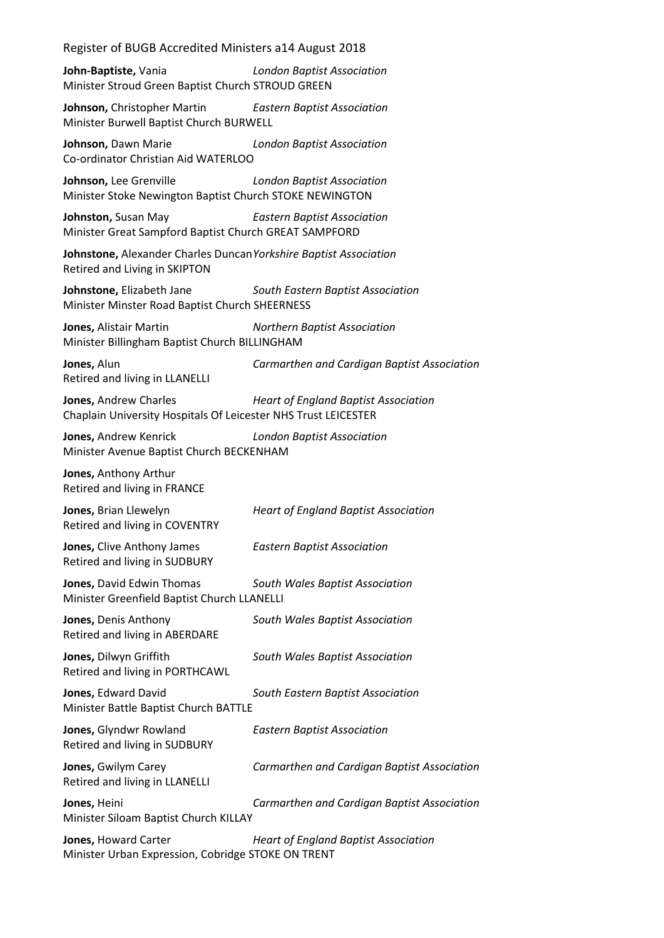| Register of BUGB Accredited Ministers a14 August 2018                                              |                                             |
|----------------------------------------------------------------------------------------------------|---------------------------------------------|
| John-Baptiste, Vania<br>Minister Stroud Green Baptist Church STROUD GREEN                          | <b>London Baptist Association</b>           |
| <b>Johnson, Christopher Martin</b><br>Minister Burwell Baptist Church BURWELL                      | <b>Eastern Baptist Association</b>          |
| Johnson, Dawn Marie<br>Co-ordinator Christian Aid WATERLOO                                         | <b>London Baptist Association</b>           |
| Johnson, Lee Grenville<br>Minister Stoke Newington Baptist Church STOKE NEWINGTON                  | <b>London Baptist Association</b>           |
| Johnston, Susan May<br>Minister Great Sampford Baptist Church GREAT SAMPFORD                       | <b>Eastern Baptist Association</b>          |
| Johnstone, Alexander Charles Duncan Yorkshire Baptist Association<br>Retired and Living in SKIPTON |                                             |
| Johnstone, Elizabeth Jane<br>Minister Minster Road Baptist Church SHEERNESS                        | South Eastern Baptist Association           |
| Jones, Alistair Martin<br>Minister Billingham Baptist Church BILLINGHAM                            | <b>Northern Baptist Association</b>         |
| Jones, Alun<br>Retired and living in LLANELLI                                                      | Carmarthen and Cardigan Baptist Association |
| Jones, Andrew Charles<br>Chaplain University Hospitals Of Leicester NHS Trust LEICESTER            | <b>Heart of England Baptist Association</b> |
| Jones, Andrew Kenrick<br>Minister Avenue Baptist Church BECKENHAM                                  | <b>London Baptist Association</b>           |
| Jones, Anthony Arthur<br>Retired and living in FRANCE                                              |                                             |
| Jones, Brian Llewelyn<br>Retired and living in COVENTRY                                            | <b>Heart of England Baptist Association</b> |
| Jones, Clive Anthony James<br>Retired and living in SUDBURY                                        | <b>Eastern Baptist Association</b>          |
| Jones, David Edwin Thomas<br>Minister Greenfield Baptist Church LLANELLI                           | South Wales Baptist Association             |
| Jones, Denis Anthony<br>Retired and living in ABERDARE                                             | South Wales Baptist Association             |
| Jones, Dilwyn Griffith<br>Retired and living in PORTHCAWL                                          | South Wales Baptist Association             |
| Jones, Edward David<br>Minister Battle Baptist Church BATTLE                                       | South Eastern Baptist Association           |
| Jones, Glyndwr Rowland<br>Retired and living in SUDBURY                                            | <b>Eastern Baptist Association</b>          |
| Jones, Gwilym Carey<br>Retired and living in LLANELLI                                              | Carmarthen and Cardigan Baptist Association |
| Jones, Heini<br>Minister Siloam Baptist Church KILLAY                                              | Carmarthen and Cardigan Baptist Association |
| Jones, Howard Carter<br>Minister Urban Expression, Cobridge STOKE ON TRENT                         | <b>Heart of England Baptist Association</b> |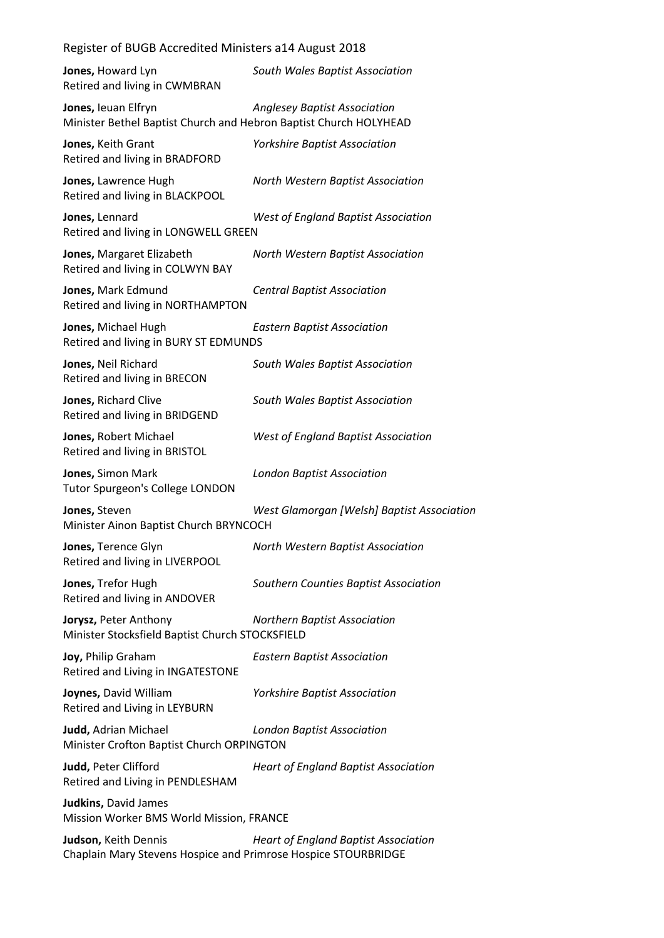| Register of BUGB Accredited Ministers a14 August 2018 |  |
|-------------------------------------------------------|--|
|-------------------------------------------------------|--|

| Jones, Howard Lyn<br>Retired and living in CWMBRAN                                       | South Wales Baptist Association             |
|------------------------------------------------------------------------------------------|---------------------------------------------|
| Jones, leuan Elfryn<br>Minister Bethel Baptist Church and Hebron Baptist Church HOLYHEAD | <b>Anglesey Baptist Association</b>         |
| Jones, Keith Grant<br>Retired and living in BRADFORD                                     | <b>Yorkshire Baptist Association</b>        |
| Jones, Lawrence Hugh<br>Retired and living in BLACKPOOL                                  | North Western Baptist Association           |
| Jones, Lennard<br>Retired and living in LONGWELL GREEN                                   | <b>West of England Baptist Association</b>  |
| Jones, Margaret Elizabeth<br>Retired and living in COLWYN BAY                            | North Western Baptist Association           |
| Jones, Mark Edmund<br>Retired and living in NORTHAMPTON                                  | <b>Central Baptist Association</b>          |
| Jones, Michael Hugh<br>Retired and living in BURY ST EDMUNDS                             | <b>Eastern Baptist Association</b>          |
| Jones, Neil Richard<br>Retired and living in BRECON                                      | South Wales Baptist Association             |
| Jones, Richard Clive<br>Retired and living in BRIDGEND                                   | South Wales Baptist Association             |
| Jones, Robert Michael<br>Retired and living in BRISTOL                                   | West of England Baptist Association         |
| Jones, Simon Mark<br><b>Tutor Spurgeon's College LONDON</b>                              | <b>London Baptist Association</b>           |
| Jones, Steven<br>Minister Ainon Baptist Church BRYNCOCH                                  | West Glamorgan [Welsh] Baptist Association  |
| Jones, Terence Glyn<br>Retired and living in LIVERPOOL                                   | North Western Baptist Association           |
| Jones, Trefor Hugh<br>Retired and living in ANDOVER                                      | Southern Counties Baptist Association       |
| Jorysz, Peter Anthony<br>Minister Stocksfield Baptist Church STOCKSFIELD                 | <b>Northern Baptist Association</b>         |
| Joy, Philip Graham<br>Retired and Living in INGATESTONE                                  | <b>Eastern Baptist Association</b>          |
| Joynes, David William<br>Retired and Living in LEYBURN                                   | <b>Yorkshire Baptist Association</b>        |
| Judd, Adrian Michael<br>Minister Crofton Baptist Church ORPINGTON                        | <b>London Baptist Association</b>           |
| Judd, Peter Clifford<br>Retired and Living in PENDLESHAM                                 | <b>Heart of England Baptist Association</b> |
| Judkins, David James<br>Mission Worker BMS World Mission, FRANCE                         |                                             |
| Judson, Keith Dennis<br>Chaplain Mary Stevens Hospice and Primrose Hospice STOURBRIDGE   | <b>Heart of England Baptist Association</b> |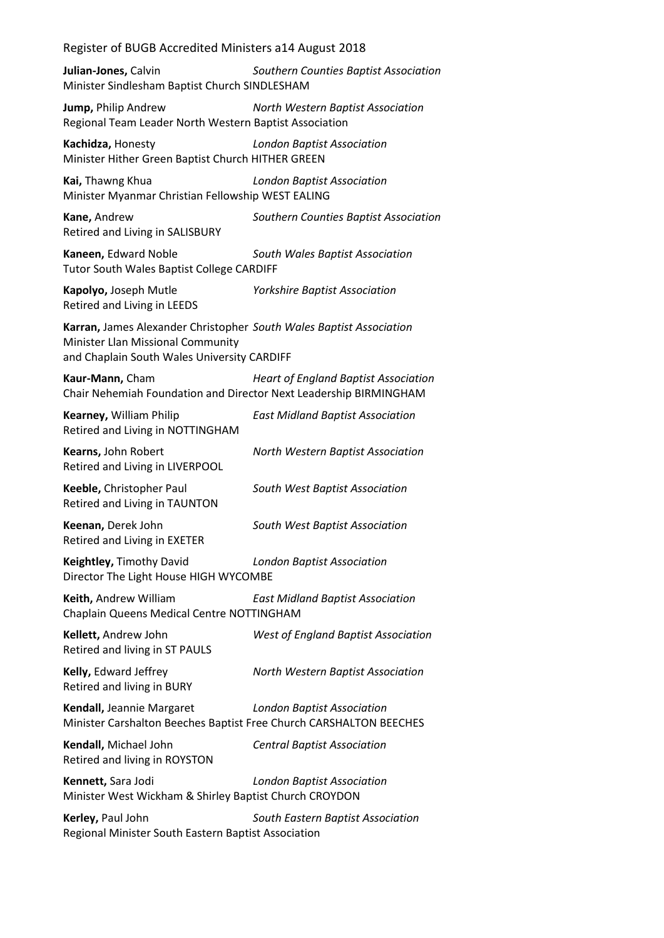**Julian-Jones,** Calvin *Southern Counties Baptist Association* Minister Sindlesham Baptist Church SINDLESHAM

**Jump,** Philip Andrew *North Western Baptist Association* Regional Team Leader North Western Baptist Association

**Kachidza,** Honesty *London Baptist Association* Minister Hither Green Baptist Church HITHER GREEN

**Kai,** Thawng Khua *London Baptist Association* Minister Myanmar Christian Fellowship WEST EALING

**Kane,** Andrew *Southern Counties Baptist Association* Retired and Living in SALISBURY

**Kaneen,** Edward Noble *South Wales Baptist Association* Tutor South Wales Baptist College CARDIFF

**Kapolyo,** Joseph Mutle *Yorkshire Baptist Association* Retired and Living in LEEDS

**Karran,** James Alexander Christopher *South Wales Baptist Association* Minister Llan Missional Community and Chaplain South Wales University CARDIFF

**Kaur-Mann,** Cham *Heart of England Baptist Association* Chair Nehemiah Foundation and Director Next Leadership BIRMINGHAM

**Kearney,** William Philip *East Midland Baptist Association* Retired and Living in NOTTINGHAM **Kearns,** John Robert *North Western Baptist Association* Retired and Living in LIVERPOOL **Keeble,** Christopher Paul *South West Baptist Association* Retired and Living in TAUNTON **Keenan,** Derek John *South West Baptist Association* Retired and Living in EXETER **Keightley,** Timothy David *London Baptist Association* Director The Light House HIGH WYCOMBE **Keith,** Andrew William *East Midland Baptist Association* Chaplain Queens Medical Centre NOTTINGHAM **Kellett,** Andrew John *West of England Baptist Association* Retired and living in ST PAULS

Retired and living in BURY

**Kelly,** Edward Jeffrey *North Western Baptist Association*

**Kendall,** Jeannie Margaret *London Baptist Association* Minister Carshalton Beeches Baptist Free Church CARSHALTON BEECHES

**Kendall,** Michael John *Central Baptist Association* Retired and living in ROYSTON

**Kennett,** Sara Jodi *London Baptist Association* Minister West Wickham & Shirley Baptist Church CROYDON

**Kerley,** Paul John *South Eastern Baptist Association* Regional Minister South Eastern Baptist Association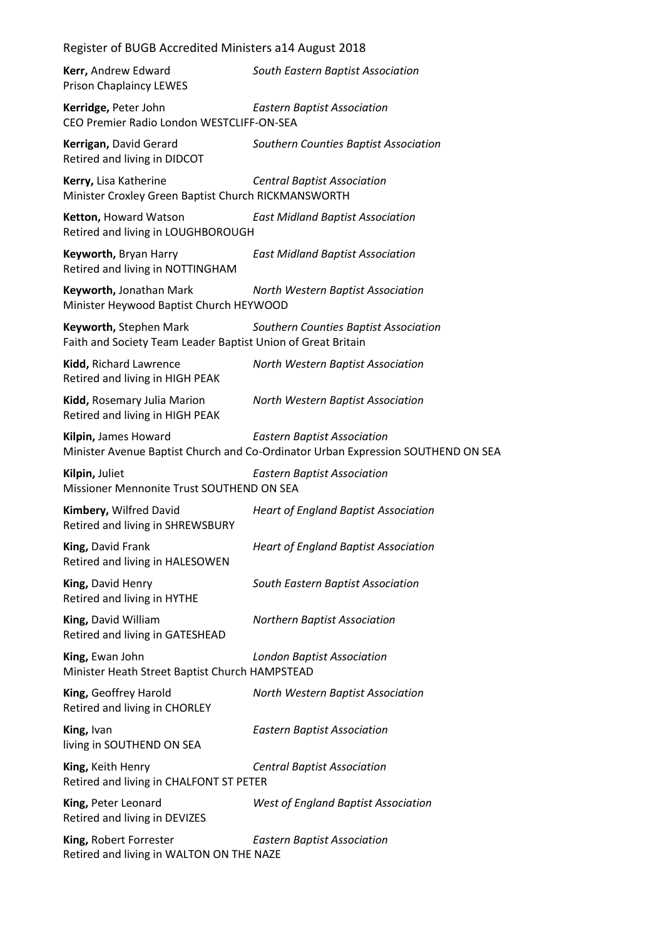| Register of BUGB Accredited Ministers a14 August 2018                                  |                                                                                                                        |  |
|----------------------------------------------------------------------------------------|------------------------------------------------------------------------------------------------------------------------|--|
| Kerr, Andrew Edward<br><b>Prison Chaplaincy LEWES</b>                                  | South Eastern Baptist Association                                                                                      |  |
| Kerridge, Peter John<br>CEO Premier Radio London WESTCLIFF-ON-SEA                      | <b>Eastern Baptist Association</b>                                                                                     |  |
| Kerrigan, David Gerard<br>Retired and living in DIDCOT                                 | Southern Counties Baptist Association                                                                                  |  |
| Kerry, Lisa Katherine<br>Minister Croxley Green Baptist Church RICKMANSWORTH           | <b>Central Baptist Association</b>                                                                                     |  |
| Ketton, Howard Watson<br>Retired and living in LOUGHBOROUGH                            | <b>East Midland Baptist Association</b>                                                                                |  |
| Keyworth, Bryan Harry<br>Retired and living in NOTTINGHAM                              | <b>East Midland Baptist Association</b>                                                                                |  |
| Keyworth, Jonathan Mark<br>Minister Heywood Baptist Church HEYWOOD                     | North Western Baptist Association                                                                                      |  |
| Keyworth, Stephen Mark<br>Faith and Society Team Leader Baptist Union of Great Britain | Southern Counties Baptist Association                                                                                  |  |
| Kidd, Richard Lawrence<br>Retired and living in HIGH PEAK                              | North Western Baptist Association                                                                                      |  |
| Kidd, Rosemary Julia Marion<br>Retired and living in HIGH PEAK                         | North Western Baptist Association                                                                                      |  |
| Kilpin, James Howard                                                                   | <b>Eastern Baptist Association</b><br>Minister Avenue Baptist Church and Co-Ordinator Urban Expression SOUTHEND ON SEA |  |
| Kilpin, Juliet<br>Missioner Mennonite Trust SOUTHEND ON SEA                            | <b>Eastern Baptist Association</b>                                                                                     |  |
| Kimbery, Wilfred David<br>Retired and living in SHREWSBURY                             | <b>Heart of England Baptist Association</b>                                                                            |  |
| King, David Frank<br>Retired and living in HALESOWEN                                   | <b>Heart of England Baptist Association</b>                                                                            |  |
| King, David Henry<br>Retired and living in HYTHE                                       | South Eastern Baptist Association                                                                                      |  |
| King, David William<br>Retired and living in GATESHEAD                                 | <b>Northern Baptist Association</b>                                                                                    |  |
| King, Ewan John<br>Minister Heath Street Baptist Church HAMPSTEAD                      | <b>London Baptist Association</b>                                                                                      |  |
| King, Geoffrey Harold<br>Retired and living in CHORLEY                                 | North Western Baptist Association                                                                                      |  |
| King, Ivan<br>living in SOUTHEND ON SEA                                                | <b>Eastern Baptist Association</b>                                                                                     |  |
| King, Keith Henry<br>Retired and living in CHALFONT ST PETER                           | <b>Central Baptist Association</b>                                                                                     |  |
| King, Peter Leonard<br>Retired and living in DEVIZES                                   | <b>West of England Baptist Association</b>                                                                             |  |
| King, Robert Forrester<br>Retired and living in WALTON ON THE NAZE                     | <b>Eastern Baptist Association</b>                                                                                     |  |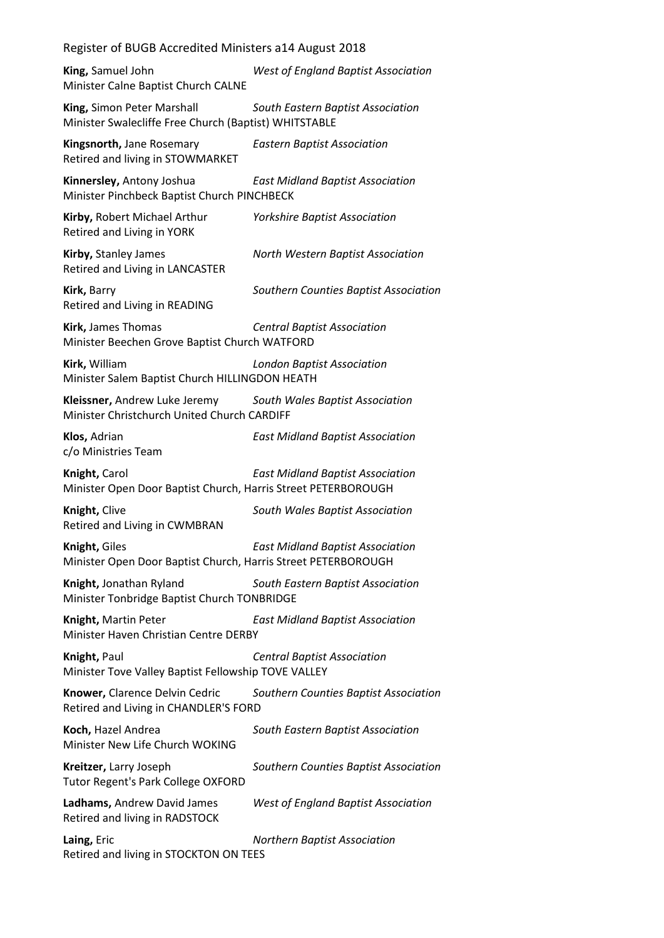| Register of BUGB Accredited Ministers a14 August 2018                               |                                            |
|-------------------------------------------------------------------------------------|--------------------------------------------|
| King, Samuel John<br>Minister Calne Baptist Church CALNE                            | <b>West of England Baptist Association</b> |
| King, Simon Peter Marshall<br>Minister Swalecliffe Free Church (Baptist) WHITSTABLE | South Eastern Baptist Association          |
| Kingsnorth, Jane Rosemary<br>Retired and living in STOWMARKET                       | <b>Eastern Baptist Association</b>         |
| Kinnersley, Antony Joshua<br>Minister Pinchbeck Baptist Church PINCHBECK            | <b>East Midland Baptist Association</b>    |
| Kirby, Robert Michael Arthur<br>Retired and Living in YORK                          | <b>Yorkshire Baptist Association</b>       |
| Kirby, Stanley James<br>Retired and Living in LANCASTER                             | North Western Baptist Association          |
| Kirk, Barry<br>Retired and Living in READING                                        | Southern Counties Baptist Association      |
| Kirk, James Thomas<br>Minister Beechen Grove Baptist Church WATFORD                 | <b>Central Baptist Association</b>         |
| Kirk, William<br>Minister Salem Baptist Church HILLINGDON HEATH                     | <b>London Baptist Association</b>          |
| Kleissner, Andrew Luke Jeremy<br>Minister Christchurch United Church CARDIFF        | South Wales Baptist Association            |
| Klos, Adrian<br>c/o Ministries Team                                                 | <b>East Midland Baptist Association</b>    |
| Knight, Carol<br>Minister Open Door Baptist Church, Harris Street PETERBOROUGH      | <b>East Midland Baptist Association</b>    |
| Knight, Clive<br>Retired and Living in CWMBRAN                                      | South Wales Baptist Association            |
| Knight, Giles<br>Minister Open Door Baptist Church, Harris Street PETERBOROUGH      | <b>East Midland Baptist Association</b>    |
| Knight, Jonathan Ryland<br>Minister Tonbridge Baptist Church TONBRIDGE              | South Eastern Baptist Association          |
| Knight, Martin Peter<br>Minister Haven Christian Centre DERBY                       | <b>East Midland Baptist Association</b>    |
| Knight, Paul<br>Minister Tove Valley Baptist Fellowship TOVE VALLEY                 | <b>Central Baptist Association</b>         |
| Knower, Clarence Delvin Cedric<br>Retired and Living in CHANDLER'S FORD             | Southern Counties Baptist Association      |
| Koch, Hazel Andrea<br>Minister New Life Church WOKING                               | South Eastern Baptist Association          |
| Kreitzer, Larry Joseph<br><b>Tutor Regent's Park College OXFORD</b>                 | Southern Counties Baptist Association      |
| Ladhams, Andrew David James<br>Retired and living in RADSTOCK                       | <b>West of England Baptist Association</b> |
| Laing, Eric<br>Retired and living in STOCKTON ON TEES                               | <b>Northern Baptist Association</b>        |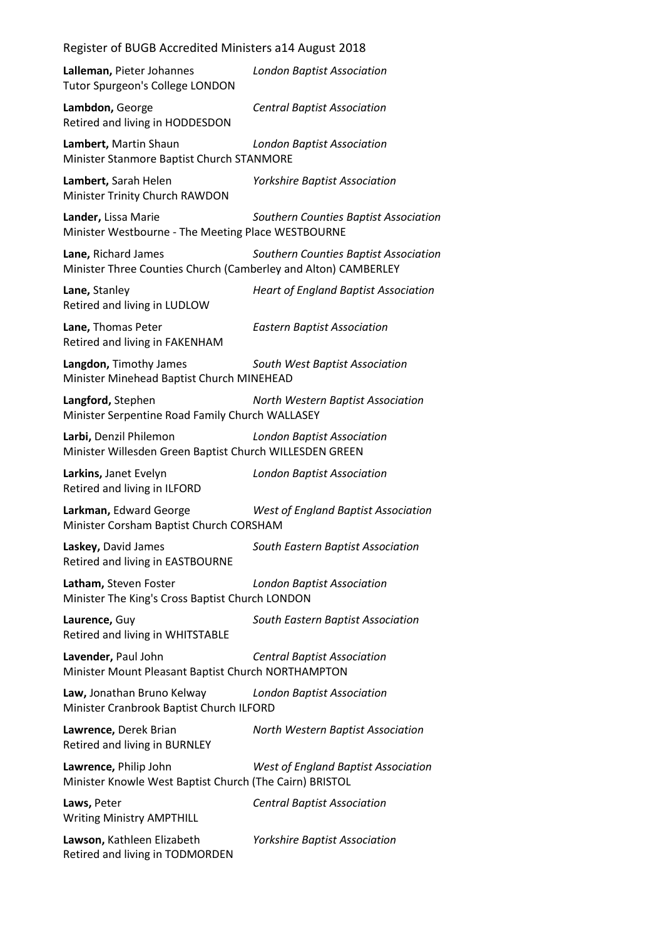| Lalleman, Pieter Johannes<br><b>Tutor Spurgeon's College LONDON</b>                   | <b>London Baptist Association</b>           |
|---------------------------------------------------------------------------------------|---------------------------------------------|
| Lambdon, George<br>Retired and living in HODDESDON                                    | <b>Central Baptist Association</b>          |
| Lambert, Martin Shaun<br>Minister Stanmore Baptist Church STANMORE                    | <b>London Baptist Association</b>           |
| Lambert, Sarah Helen<br>Minister Trinity Church RAWDON                                | <b>Yorkshire Baptist Association</b>        |
| Lander, Lissa Marie<br>Minister Westbourne - The Meeting Place WESTBOURNE             | Southern Counties Baptist Association       |
| Lane, Richard James<br>Minister Three Counties Church (Camberley and Alton) CAMBERLEY | Southern Counties Baptist Association       |
| Lane, Stanley<br>Retired and living in LUDLOW                                         | <b>Heart of England Baptist Association</b> |
| Lane, Thomas Peter<br>Retired and living in FAKENHAM                                  | <b>Eastern Baptist Association</b>          |
| Langdon, Timothy James<br>Minister Minehead Baptist Church MINEHEAD                   | South West Baptist Association              |
| Langford, Stephen<br>Minister Serpentine Road Family Church WALLASEY                  | North Western Baptist Association           |
| Larbi, Denzil Philemon<br>Minister Willesden Green Baptist Church WILLESDEN GREEN     | <b>London Baptist Association</b>           |
| Larkins, Janet Evelyn<br>Retired and living in ILFORD                                 | <b>London Baptist Association</b>           |
| Larkman, Edward George<br>Minister Corsham Baptist Church CORSHAM                     | West of England Baptist Association         |
| Laskey, David James<br>Retired and living in EASTBOURNE                               | South Eastern Baptist Association           |
| Latham, Steven Foster<br>Minister The King's Cross Baptist Church LONDON              | <b>London Baptist Association</b>           |
| Laurence, Guy<br>Retired and living in WHITSTABLE                                     | South Eastern Baptist Association           |
| Lavender, Paul John<br>Minister Mount Pleasant Baptist Church NORTHAMPTON             | <b>Central Baptist Association</b>          |
| Law, Jonathan Bruno Kelway<br>Minister Cranbrook Baptist Church ILFORD                | <b>London Baptist Association</b>           |
| Lawrence, Derek Brian<br>Retired and living in BURNLEY                                | North Western Baptist Association           |
| Lawrence, Philip John<br>Minister Knowle West Baptist Church (The Cairn) BRISTOL      | <b>West of England Baptist Association</b>  |
| Laws, Peter<br><b>Writing Ministry AMPTHILL</b>                                       | <b>Central Baptist Association</b>          |
| Lawson, Kathleen Elizabeth<br>Retired and living in TODMORDEN                         | <b>Yorkshire Baptist Association</b>        |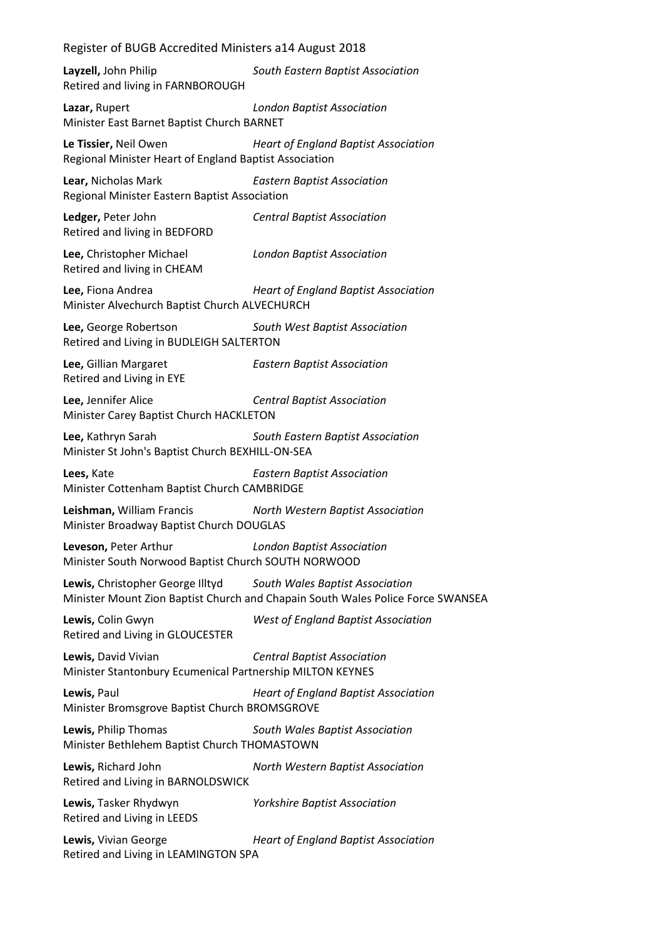**Layzell,** John Philip *South Eastern Baptist Association* Retired and living in FARNBOROUGH

**Lazar,** Rupert *London Baptist Association* Minister East Barnet Baptist Church BARNET

**Le Tissier,** Neil Owen *Heart of England Baptist Association* Regional Minister Heart of England Baptist Association

**Lear,** Nicholas Mark *Eastern Baptist Association* Regional Minister Eastern Baptist Association

**Ledger,** Peter John *Central Baptist Association* Retired and living in BEDFORD

**Lee,** Christopher Michael *London Baptist Association* Retired and living in CHEAM

**Lee,** Fiona Andrea *Heart of England Baptist Association* Minister Alvechurch Baptist Church ALVECHURCH

**Lee,** George Robertson *South West Baptist Association* Retired and Living in BUDLEIGH SALTERTON

**Lee,** Gillian Margaret *Eastern Baptist Association* Retired and Living in EYE

**Lee,** Jennifer Alice *Central Baptist Association* Minister Carey Baptist Church HACKLETON

**Lee,** Kathryn Sarah *South Eastern Baptist Association* Minister St John's Baptist Church BEXHILL-ON-SEA

**Lees,** Kate *Eastern Baptist Association* Minister Cottenham Baptist Church CAMBRIDGE

**Leishman,** William Francis *North Western Baptist Association* Minister Broadway Baptist Church DOUGLAS

**Leveson,** Peter Arthur *London Baptist Association* Minister South Norwood Baptist Church SOUTH NORWOOD

**Lewis,** Christopher George Illtyd *South Wales Baptist Association* Minister Mount Zion Baptist Church and Chapain South Wales Police Force SWANSEA

**Lewis,** Colin Gwyn *West of England Baptist Association* Retired and Living in GLOUCESTER

**Lewis,** David Vivian *Central Baptist Association* Minister Stantonbury Ecumenical Partnership MILTON KEYNES

**Lewis,** Paul *Heart of England Baptist Association* Minister Bromsgrove Baptist Church BROMSGROVE

**Lewis,** Philip Thomas *South Wales Baptist Association* Minister Bethlehem Baptist Church THOMASTOWN

**Lewis,** Richard John *North Western Baptist Association* Retired and Living in BARNOLDSWICK

**Lewis,** Tasker Rhydwyn *Yorkshire Baptist Association* Retired and Living in LEEDS

**Lewis,** Vivian George *Heart of England Baptist Association* Retired and Living in LEAMINGTON SPA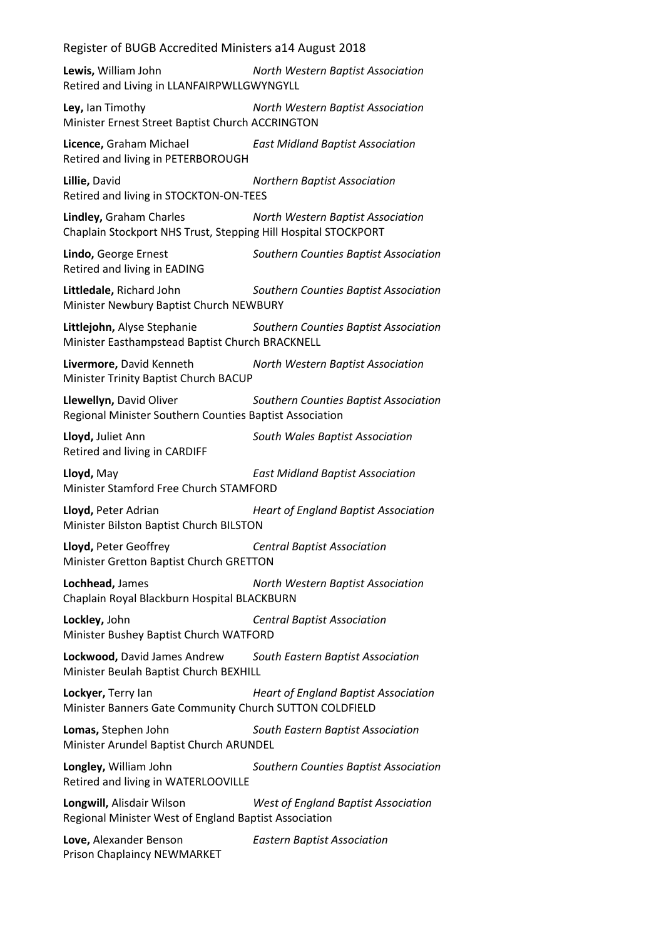**Lewis,** William John *North Western Baptist Association* Retired and Living in LLANFAIRPWLLGWYNGYLL

**Ley,** Ian Timothy *North Western Baptist Association* Minister Ernest Street Baptist Church ACCRINGTON

**Licence,** Graham Michael *East Midland Baptist Association* Retired and living in PETERBOROUGH

**Lillie,** David *Northern Baptist Association* Retired and living in STOCKTON-ON-TEES

**Lindley,** Graham Charles *North Western Baptist Association* Chaplain Stockport NHS Trust, Stepping Hill Hospital STOCKPORT

**Lindo,** George Ernest *Southern Counties Baptist Association* Retired and living in EADING

**Littledale,** Richard John *Southern Counties Baptist Association* Minister Newbury Baptist Church NEWBURY

**Littlejohn,** Alyse Stephanie *Southern Counties Baptist Association* Minister Easthampstead Baptist Church BRACKNELL

**Livermore,** David Kenneth *North Western Baptist Association* Minister Trinity Baptist Church BACUP

**Llewellyn,** David Oliver *Southern Counties Baptist Association* Regional Minister Southern Counties Baptist Association

**Lloyd,** Juliet Ann *South Wales Baptist Association* Retired and living in CARDIFF

**Lloyd,** May *East Midland Baptist Association* Minister Stamford Free Church STAMFORD

**Lloyd,** Peter Adrian *Heart of England Baptist Association* Minister Bilston Baptist Church BILSTON

**Lloyd,** Peter Geoffrey *Central Baptist Association* Minister Gretton Baptist Church GRETTON

**Lochhead,** James *North Western Baptist Association* Chaplain Royal Blackburn Hospital BLACKBURN

**Lockley,** John *Central Baptist Association* Minister Bushey Baptist Church WATFORD

**Lockwood,** David James Andrew *South Eastern Baptist Association* Minister Beulah Baptist Church BEXHILL

**Lockyer,** Terry Ian *Heart of England Baptist Association* Minister Banners Gate Community Church SUTTON COLDFIELD

**Lomas,** Stephen John *South Eastern Baptist Association* Minister Arundel Baptist Church ARUNDEL

**Longley,** William John *Southern Counties Baptist Association* Retired and living in WATERLOOVILLE

**Longwill,** Alisdair Wilson *West of England Baptist Association* Regional Minister West of England Baptist Association

**Love,** Alexander Benson *Eastern Baptist Association* Prison Chaplaincy NEWMARKET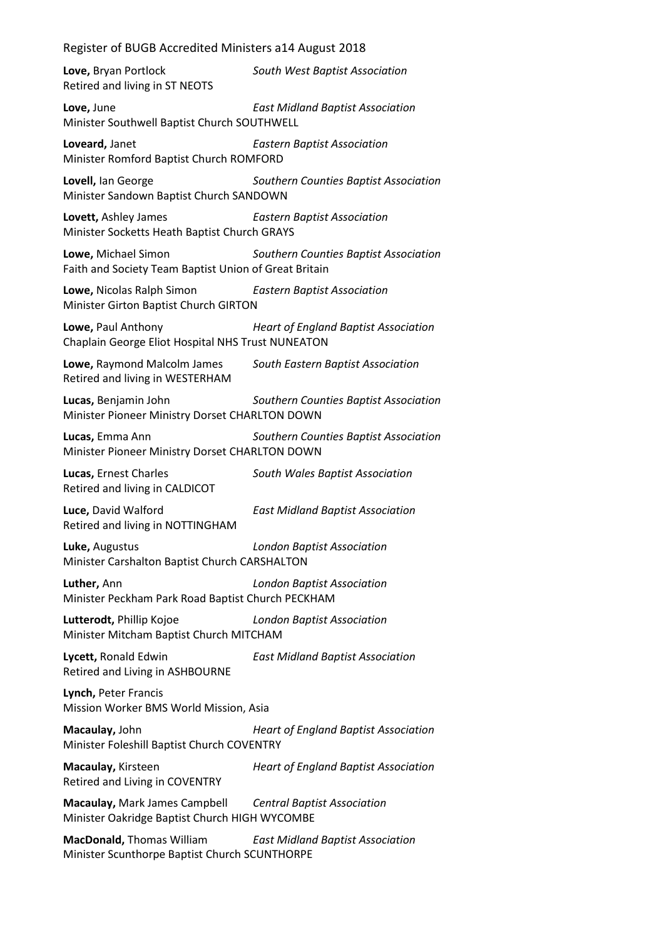**Love,** Bryan Portlock *South West Baptist Association* Retired and living in ST NEOTS **Love,** June *East Midland Baptist Association* Minister Southwell Baptist Church SOUTHWELL **Loveard,** Janet *Eastern Baptist Association* Minister Romford Baptist Church ROMFORD **Lovell,** Ian George *Southern Counties Baptist Association* Minister Sandown Baptist Church SANDOWN **Lovett,** Ashley James *Eastern Baptist Association* Minister Socketts Heath Baptist Church GRAYS **Lowe,** Michael Simon *Southern Counties Baptist Association* Faith and Society Team Baptist Union of Great Britain **Lowe,** Nicolas Ralph Simon *Eastern Baptist Association* Minister Girton Baptist Church GIRTON **Lowe,** Paul Anthony *Heart of England Baptist Association* Chaplain George Eliot Hospital NHS Trust NUNEATON **Lowe,** Raymond Malcolm James *South Eastern Baptist Association* Retired and living in WESTERHAM **Lucas,** Benjamin John *Southern Counties Baptist Association* Minister Pioneer Ministry Dorset CHARLTON DOWN **Lucas,** Emma Ann *Southern Counties Baptist Association* Minister Pioneer Ministry Dorset CHARLTON DOWN **Lucas,** Ernest Charles *South Wales Baptist Association* Retired and living in CALDICOT **Luce,** David Walford *East Midland Baptist Association* Retired and living in NOTTINGHAM **Luke,** Augustus *London Baptist Association* Minister Carshalton Baptist Church CARSHALTON **Luther,** Ann *London Baptist Association* Minister Peckham Park Road Baptist Church PECKHAM **Lutterodt,** Phillip Kojoe *London Baptist Association* Minister Mitcham Baptist Church MITCHAM **Lycett,** Ronald Edwin *East Midland Baptist Association* Retired and Living in ASHBOURNE **Lynch,** Peter Francis Mission Worker BMS World Mission, Asia **Macaulay,** John *Heart of England Baptist Association* Minister Foleshill Baptist Church COVENTRY **Macaulay,** Kirsteen *Heart of England Baptist Association* Retired and Living in COVENTRY **Macaulay,** Mark James Campbell *Central Baptist Association* Minister Oakridge Baptist Church HIGH WYCOMBE **MacDonald,** Thomas William *East Midland Baptist Association*

Minister Scunthorpe Baptist Church SCUNTHORPE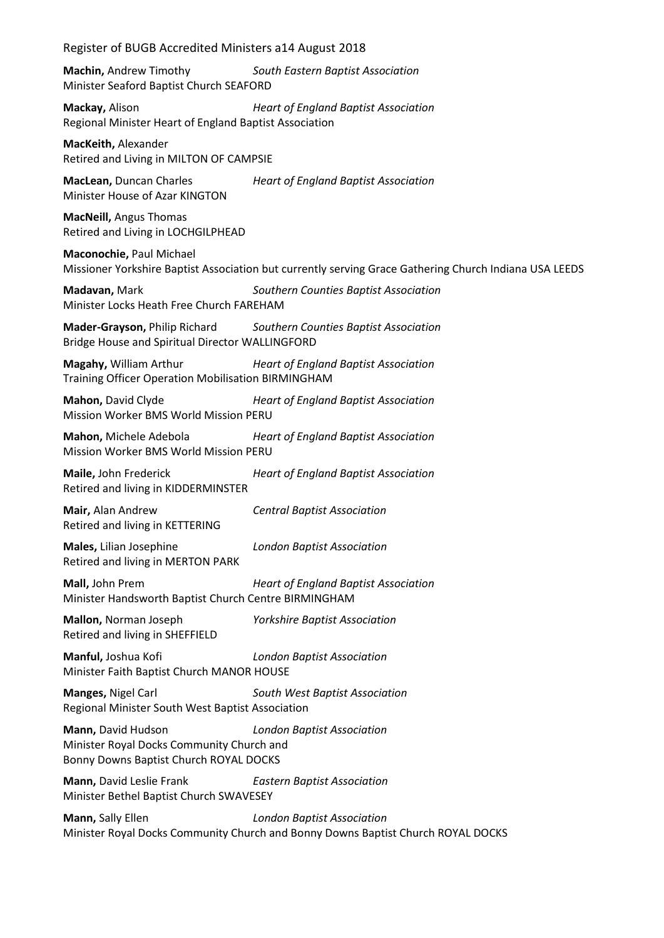| Register of BUGB Accredited Ministers a14 August 2018                                                                                          |  |
|------------------------------------------------------------------------------------------------------------------------------------------------|--|
| Machin, Andrew Timothy<br>South Eastern Baptist Association<br>Minister Seaford Baptist Church SEAFORD                                         |  |
| Mackay, Alison<br><b>Heart of England Baptist Association</b><br>Regional Minister Heart of England Baptist Association                        |  |
| MacKeith, Alexander<br>Retired and Living in MILTON OF CAMPSIE                                                                                 |  |
| MacLean, Duncan Charles<br><b>Heart of England Baptist Association</b><br>Minister House of Azar KINGTON                                       |  |
| <b>MacNeill, Angus Thomas</b><br>Retired and Living in LOCHGILPHEAD                                                                            |  |
| Maconochie, Paul Michael<br>Missioner Yorkshire Baptist Association but currently serving Grace Gathering Church Indiana USA LEEDS             |  |
| Madavan, Mark<br>Southern Counties Baptist Association<br>Minister Locks Heath Free Church FAREHAM                                             |  |
| <b>Mader-Grayson, Philip Richard</b><br>Southern Counties Baptist Association<br>Bridge House and Spiritual Director WALLINGFORD               |  |
| Magahy, William Arthur<br><b>Heart of England Baptist Association</b><br>Training Officer Operation Mobilisation BIRMINGHAM                    |  |
| Mahon, David Clyde<br><b>Heart of England Baptist Association</b><br>Mission Worker BMS World Mission PERU                                     |  |
| <b>Heart of England Baptist Association</b><br>Mahon, Michele Adebola<br>Mission Worker BMS World Mission PERU                                 |  |
| Maile, John Frederick<br><b>Heart of England Baptist Association</b><br>Retired and living in KIDDERMINSTER                                    |  |
| Mair, Alan Andrew<br><b>Central Baptist Association</b><br>Retired and living in KETTERING                                                     |  |
| Males, Lilian Josephine<br><b>London Baptist Association</b><br>Retired and living in MERTON PARK                                              |  |
| Mall, John Prem<br><b>Heart of England Baptist Association</b><br>Minister Handsworth Baptist Church Centre BIRMINGHAM                         |  |
| Mallon, Norman Joseph<br><b>Yorkshire Baptist Association</b><br>Retired and living in SHEFFIELD                                               |  |
| Manful, Joshua Kofi<br><b>London Baptist Association</b><br>Minister Faith Baptist Church MANOR HOUSE                                          |  |
| Manges, Nigel Carl<br>South West Baptist Association<br>Regional Minister South West Baptist Association                                       |  |
| Mann, David Hudson<br><b>London Baptist Association</b><br>Minister Royal Docks Community Church and<br>Bonny Downs Baptist Church ROYAL DOCKS |  |
| Mann, David Leslie Frank<br><b>Eastern Baptist Association</b><br>Minister Bethel Baptist Church SWAVESEY                                      |  |
| Mann, Sally Ellen<br><b>London Baptist Association</b><br>Minister Royal Docks Community Church and Bonny Downs Baptist Church ROYAL DOCKS     |  |
|                                                                                                                                                |  |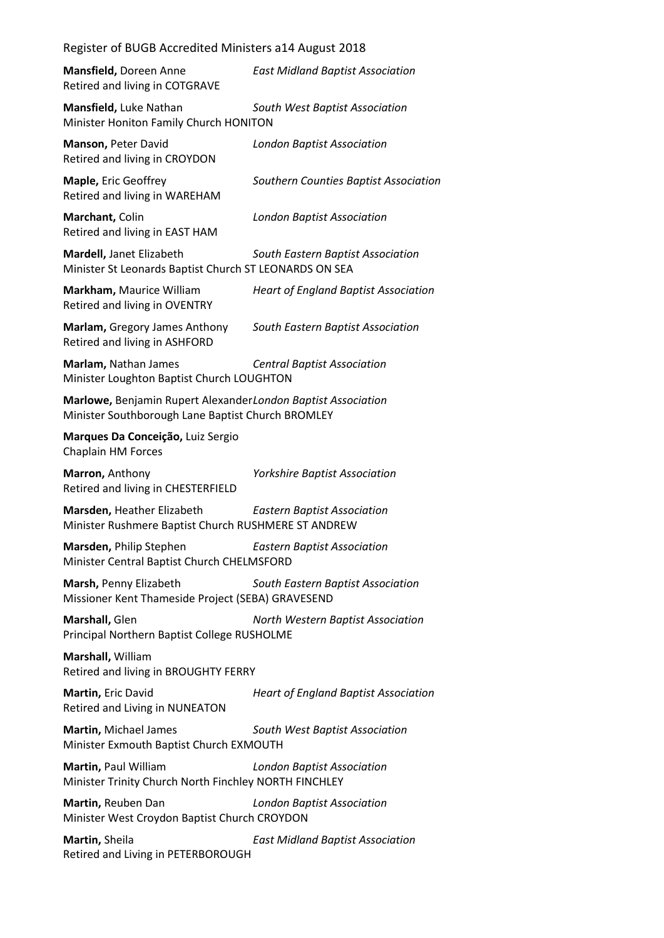**Mansfield,** Doreen Anne *East Midland Baptist Association* Retired and living in COTGRAVE

**Mansfield,** Luke Nathan *South West Baptist Association* Minister Honiton Family Church HONITON

**Manson,** Peter David *London Baptist Association* Retired and living in CROYDON

**Maple,** Eric Geoffrey *Southern Counties Baptist Association* Retired and living in WAREHAM

**Marchant,** Colin *London Baptist Association*

Retired and living in EAST HAM **Mardell,** Janet Elizabeth *South Eastern Baptist Association*

Minister St Leonards Baptist Church ST LEONARDS ON SEA

**Markham,** Maurice William *Heart of England Baptist Association* Retired and living in OVENTRY

**Marlam,** Gregory James Anthony *South Eastern Baptist Association* Retired and living in ASHFORD

**Marlam,** Nathan James *Central Baptist Association* Minister Loughton Baptist Church LOUGHTON

**Marlowe,** Benjamin Rupert Alexander*London Baptist Association* Minister Southborough Lane Baptist Church BROMLEY

**Marques Da Conceição,** Luiz Sergio Chaplain HM Forces

**Marron,** Anthony *Yorkshire Baptist Association* Retired and living in CHESTERFIELD

**Marsden,** Heather Elizabeth *Eastern Baptist Association*

Minister Rushmere Baptist Church RUSHMERE ST ANDREW

**Marsden,** Philip Stephen *Eastern Baptist Association* Minister Central Baptist Church CHELMSFORD

**Marsh,** Penny Elizabeth *South Eastern Baptist Association* Missioner Kent Thameside Project (SEBA) GRAVESEND

**Marshall,** Glen *North Western Baptist Association* Principal Northern Baptist College RUSHOLME

**Marshall,** William Retired and living in BROUGHTY FERRY

**Martin,** Eric David *Heart of England Baptist Association* Retired and Living in NUNEATON

**Martin,** Michael James *South West Baptist Association* Minister Exmouth Baptist Church EXMOUTH

**Martin,** Paul William *London Baptist Association* Minister Trinity Church North Finchley NORTH FINCHLEY

**Martin,** Reuben Dan *London Baptist Association* Minister West Croydon Baptist Church CROYDON

**Martin,** Sheila *East Midland Baptist Association* Retired and Living in PETERBOROUGH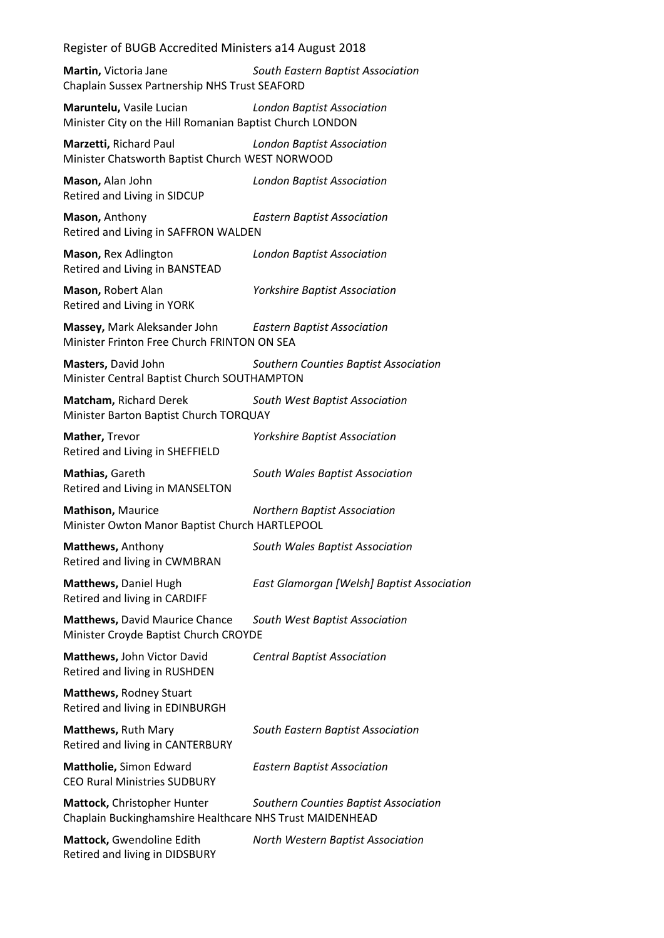**Martin,** Victoria Jane *South Eastern Baptist Association* Chaplain Sussex Partnership NHS Trust SEAFORD

**Maruntelu,** Vasile Lucian *London Baptist Association* Minister City on the Hill Romanian Baptist Church LONDON

**Marzetti,** Richard Paul *London Baptist Association* Minister Chatsworth Baptist Church WEST NORWOOD

**Mason,** Alan John *London Baptist Association* Retired and Living in SIDCUP

**Mason,** Anthony *Eastern Baptist Association* Retired and Living in SAFFRON WALDEN

**Mason,** Rex Adlington *London Baptist Association* Retired and Living in BANSTEAD

**Mason,** Robert Alan *Yorkshire Baptist Association* Retired and Living in YORK

**Massey,** Mark Aleksander John *Eastern Baptist Association* Minister Frinton Free Church FRINTON ON SEA

**Masters,** David John *Southern Counties Baptist Association* Minister Central Baptist Church SOUTHAMPTON

**Matcham,** Richard Derek *South West Baptist Association* Minister Barton Baptist Church TORQUAY

**Mather,** Trevor *Yorkshire Baptist Association* Retired and Living in SHEFFIELD

**Mathias,** Gareth *South Wales Baptist Association* Retired and Living in MANSELTON

**Mathison,** Maurice *Northern Baptist Association* Minister Owton Manor Baptist Church HARTLEPOOL

**Matthews,** Anthony *South Wales Baptist Association* Retired and living in CWMBRAN

**Matthews,** Daniel Hugh *East Glamorgan [Welsh] Baptist Association* Retired and living in CARDIFF

**Matthews,** David Maurice Chance *South West Baptist Association* Minister Croyde Baptist Church CROYDE

**Matthews,** John Victor David *Central Baptist Association* Retired and living in RUSHDEN

**Matthews,** Rodney Stuart Retired and living in EDINBURGH

**Matthews,** Ruth Mary *South Eastern Baptist Association* Retired and living in CANTERBURY

**Mattholie,** Simon Edward *Eastern Baptist Association* CEO Rural Ministries SUDBURY

**Mattock,** Christopher Hunter *Southern Counties Baptist Association* Chaplain Buckinghamshire Healthcare NHS Trust MAIDENHEAD

**Mattock,** Gwendoline Edith *North Western Baptist Association* Retired and living in DIDSBURY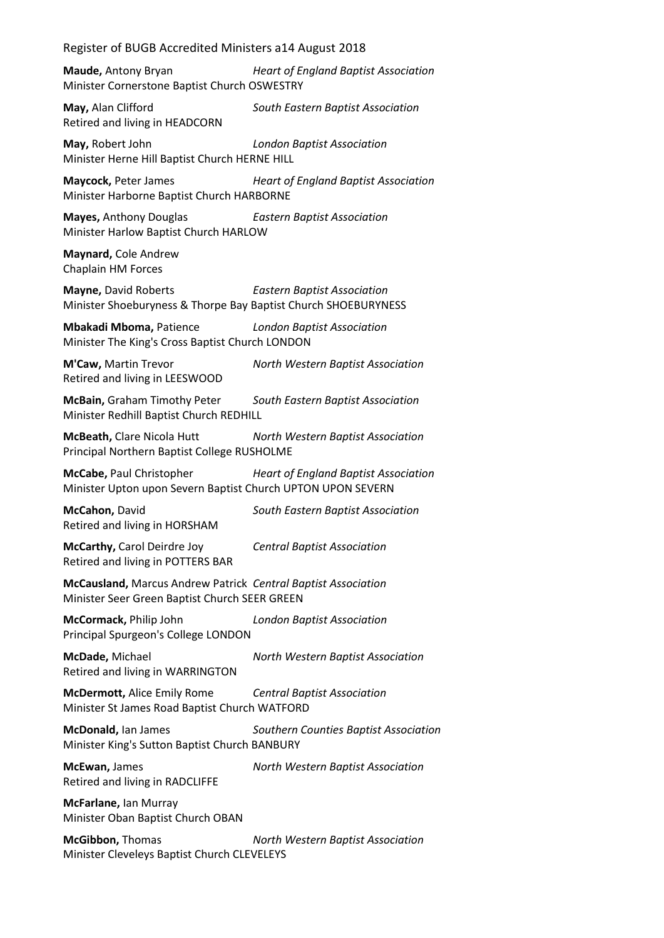**Maude,** Antony Bryan *Heart of England Baptist Association* Minister Cornerstone Baptist Church OSWESTRY

**May,** Alan Clifford *South Eastern Baptist Association* Retired and living in HEADCORN

**May,** Robert John *London Baptist Association* Minister Herne Hill Baptist Church HERNE HILL

**Maycock,** Peter James *Heart of England Baptist Association* Minister Harborne Baptist Church HARBORNE

**Mayes,** Anthony Douglas *Eastern Baptist Association* Minister Harlow Baptist Church HARLOW

**Maynard,** Cole Andrew Chaplain HM Forces

**Mayne,** David Roberts *Eastern Baptist Association* Minister Shoeburyness & Thorpe Bay Baptist Church SHOEBURYNESS

**Mbakadi Mboma,** Patience *London Baptist Association* Minister The King's Cross Baptist Church LONDON

**M'Caw,** Martin Trevor *North Western Baptist Association* Retired and living in LEESWOOD

**McBain,** Graham Timothy Peter *South Eastern Baptist Association* Minister Redhill Baptist Church REDHILL

**McBeath,** Clare Nicola Hutt *North Western Baptist Association* Principal Northern Baptist College RUSHOLME

**McCabe,** Paul Christopher *Heart of England Baptist Association* Minister Upton upon Severn Baptist Church UPTON UPON SEVERN

**McCahon,** David *South Eastern Baptist Association* Retired and living in HORSHAM

**McCarthy,** Carol Deirdre Joy *Central Baptist Association* Retired and living in POTTERS BAR

**McCausland,** Marcus Andrew Patrick *Central Baptist Association* Minister Seer Green Baptist Church SEER GREEN

**McCormack,** Philip John *London Baptist Association* Principal Spurgeon's College LONDON

**McDade,** Michael *North Western Baptist Association* Retired and living in WARRINGTON

**McDermott,** Alice Emily Rome *Central Baptist Association* Minister St James Road Baptist Church WATFORD

**McDonald,** Ian James *Southern Counties Baptist Association* Minister King's Sutton Baptist Church BANBURY

**McEwan,** James *North Western Baptist Association* Retired and living in RADCLIFFE

**McFarlane,** Ian Murray Minister Oban Baptist Church OBAN

**McGibbon,** Thomas *North Western Baptist Association* Minister Cleveleys Baptist Church CLEVELEYS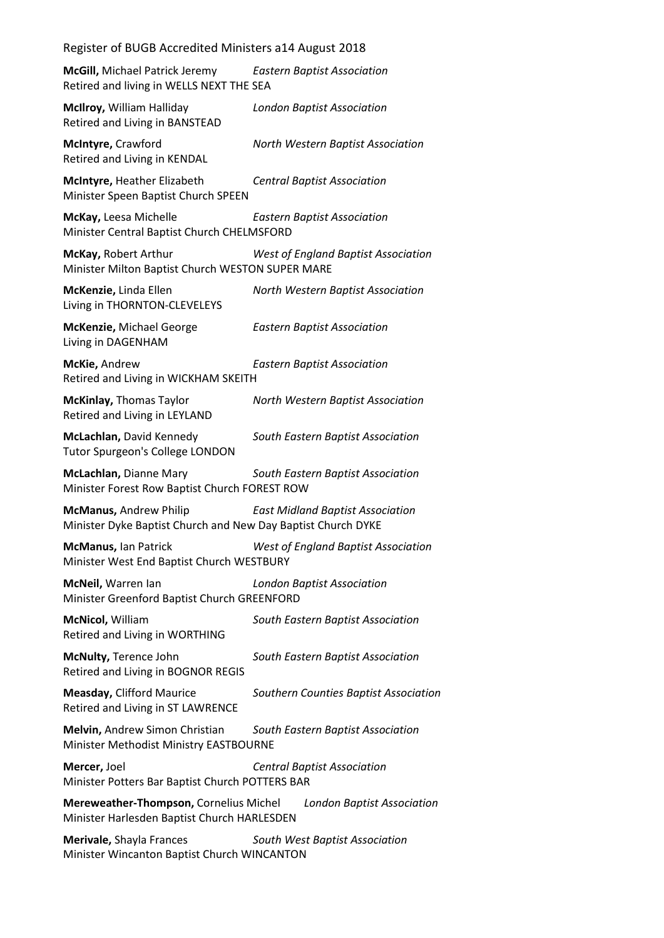**McGill,** Michael Patrick Jeremy *Eastern Baptist Association* Retired and living in WELLS NEXT THE SEA

**McIlroy,** William Halliday *London Baptist Association* Retired and Living in BANSTEAD

**McIntyre,** Crawford *North Western Baptist Association* Retired and Living in KENDAL

**McIntyre,** Heather Elizabeth *Central Baptist Association* Minister Speen Baptist Church SPEEN

**McKay,** Leesa Michelle *Eastern Baptist Association* Minister Central Baptist Church CHELMSFORD

**McKay,** Robert Arthur *West of England Baptist Association* Minister Milton Baptist Church WESTON SUPER MARE

**McKenzie,** Linda Ellen *North Western Baptist Association* Living in THORNTON-CLEVELEYS

**McKenzie,** Michael George *Eastern Baptist Association* Living in DAGENHAM

**McKie,** Andrew *Eastern Baptist Association* Retired and Living in WICKHAM SKEITH

**McKinlay,** Thomas Taylor *North Western Baptist Association* Retired and Living in LEYLAND

**McLachlan,** David Kennedy *South Eastern Baptist Association* Tutor Spurgeon's College LONDON

**McLachlan,** Dianne Mary *South Eastern Baptist Association* Minister Forest Row Baptist Church FOREST ROW

**McManus,** Andrew Philip *East Midland Baptist Association* Minister Dyke Baptist Church and New Day Baptist Church DYKE

**McManus,** Ian Patrick *West of England Baptist Association* Minister West End Baptist Church WESTBURY

**McNeil,** Warren Ian *London Baptist Association* Minister Greenford Baptist Church GREENFORD

**McNicol,** William *South Eastern Baptist Association* Retired and Living in WORTHING

**McNulty,** Terence John *South Eastern Baptist Association* Retired and Living in BOGNOR REGIS

**Measday,** Clifford Maurice *Southern Counties Baptist Association* Retired and Living in ST LAWRENCE

**Melvin,** Andrew Simon Christian *South Eastern Baptist Association* Minister Methodist Ministry EASTBOURNE

**Mercer,** Joel *Central Baptist Association* Minister Potters Bar Baptist Church POTTERS BAR

**Mereweather-Thompson,** Cornelius Michel *London Baptist Association* Minister Harlesden Baptist Church HARLESDEN

**Merivale,** Shayla Frances *South West Baptist Association* Minister Wincanton Baptist Church WINCANTON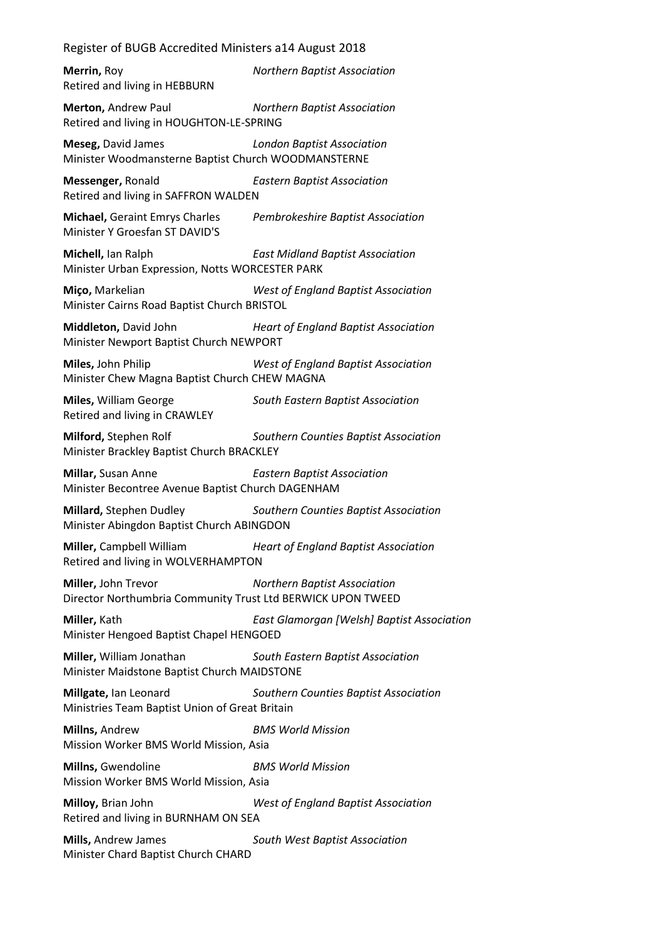**Merrin,** Roy *Northern Baptist Association* Retired and living in HEBBURN **Merton,** Andrew Paul *Northern Baptist Association* Retired and living in HOUGHTON-LE-SPRING **Meseg,** David James *London Baptist Association* Minister Woodmansterne Baptist Church WOODMANSTERNE **Messenger,** Ronald *Eastern Baptist Association* Retired and living in SAFFRON WALDEN **Michael,** Geraint Emrys Charles *Pembrokeshire Baptist Association* Minister Y Groesfan ST DAVID'S **Michell,** Ian Ralph *East Midland Baptist Association* Minister Urban Expression, Notts WORCESTER PARK **Miço,** Markelian *West of England Baptist Association* Minister Cairns Road Baptist Church BRISTOL **Middleton,** David John *Heart of England Baptist Association* Minister Newport Baptist Church NEWPORT **Miles,** John Philip *West of England Baptist Association* Minister Chew Magna Baptist Church CHEW MAGNA **Miles,** William George *South Eastern Baptist Association* Retired and living in CRAWLEY **Milford,** Stephen Rolf *Southern Counties Baptist Association* Minister Brackley Baptist Church BRACKLEY **Millar,** Susan Anne *Eastern Baptist Association* Minister Becontree Avenue Baptist Church DAGENHAM **Millard,** Stephen Dudley *Southern Counties Baptist Association* Minister Abingdon Baptist Church ABINGDON **Miller,** Campbell William *Heart of England Baptist Association* Retired and living in WOLVERHAMPTON **Miller,** John Trevor *Northern Baptist Association* Director Northumbria Community Trust Ltd BERWICK UPON TWEED **Miller,** Kath *East Glamorgan [Welsh] Baptist Association* Minister Hengoed Baptist Chapel HENGOED **Miller,** William Jonathan *South Eastern Baptist Association* Minister Maidstone Baptist Church MAIDSTONE **Millgate,** Ian Leonard *Southern Counties Baptist Association* Ministries Team Baptist Union of Great Britain **Millns,** Andrew *BMS World Mission* Mission Worker BMS World Mission, Asia **Millns,** Gwendoline *BMS World Mission* Mission Worker BMS World Mission, Asia **Milloy,** Brian John *West of England Baptist Association* Retired and living in BURNHAM ON SEA **Mills,** Andrew James *South West Baptist Association*

Minister Chard Baptist Church CHARD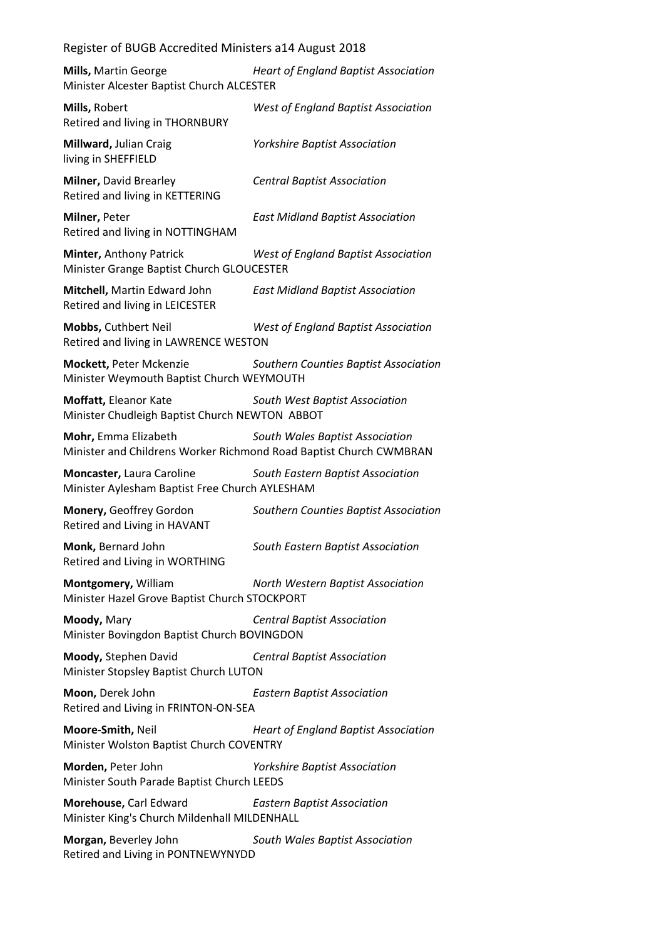| Mills, Martin George<br>Minister Alcester Baptist Church ALCESTER                          | <b>Heart of England Baptist Association</b> |
|--------------------------------------------------------------------------------------------|---------------------------------------------|
| Mills, Robert<br>Retired and living in THORNBURY                                           | West of England Baptist Association         |
| Millward, Julian Craig<br>living in SHEFFIELD                                              | <b>Yorkshire Baptist Association</b>        |
| Milner, David Brearley<br>Retired and living in KETTERING                                  | <b>Central Baptist Association</b>          |
| Milner, Peter<br>Retired and living in NOTTINGHAM                                          | <b>East Midland Baptist Association</b>     |
| Minter, Anthony Patrick<br>Minister Grange Baptist Church GLOUCESTER                       | West of England Baptist Association         |
| Mitchell, Martin Edward John<br>Retired and living in LEICESTER                            | <b>East Midland Baptist Association</b>     |
| Mobbs, Cuthbert Neil<br>Retired and living in LAWRENCE WESTON                              | West of England Baptist Association         |
| Mockett, Peter Mckenzie<br>Minister Weymouth Baptist Church WEYMOUTH                       | Southern Counties Baptist Association       |
| Moffatt, Eleanor Kate<br>Minister Chudleigh Baptist Church NEWTON ABBOT                    | South West Baptist Association              |
| Mohr, Emma Elizabeth<br>Minister and Childrens Worker Richmond Road Baptist Church CWMBRAN | South Wales Baptist Association             |
| Moncaster, Laura Caroline<br>Minister Aylesham Baptist Free Church AYLESHAM                | South Eastern Baptist Association           |
| Monery, Geoffrey Gordon<br>Retired and Living in HAVANT                                    | Southern Counties Baptist Association       |
| Monk, Bernard John<br>Retired and Living in WORTHING                                       | South Eastern Baptist Association           |
| Montgomery, William<br>Minister Hazel Grove Baptist Church STOCKPORT                       | North Western Baptist Association           |
| Moody, Mary<br>Minister Bovingdon Baptist Church BOVINGDON                                 | <b>Central Baptist Association</b>          |
| Moody, Stephen David<br>Minister Stopsley Baptist Church LUTON                             | <b>Central Baptist Association</b>          |
| Moon, Derek John<br>Retired and Living in FRINTON-ON-SEA                                   | <b>Eastern Baptist Association</b>          |
| Moore-Smith, Neil<br>Minister Wolston Baptist Church COVENTRY                              | <b>Heart of England Baptist Association</b> |
| Morden, Peter John<br>Minister South Parade Baptist Church LEEDS                           | <b>Yorkshire Baptist Association</b>        |
| Morehouse, Carl Edward<br>Minister King's Church Mildenhall MILDENHALL                     | <b>Eastern Baptist Association</b>          |
| Morgan, Beverley John                                                                      | South Wales Baptist Association             |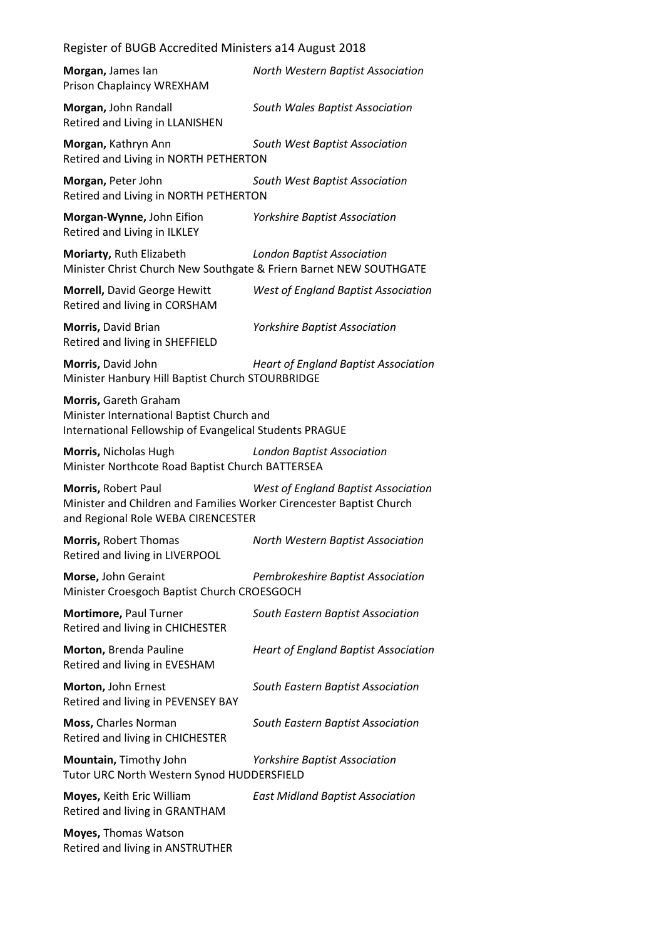| Morgan, James lan<br>Prison Chaplaincy WREXHAM                                                                                    | North Western Baptist Association           |
|-----------------------------------------------------------------------------------------------------------------------------------|---------------------------------------------|
| Morgan, John Randall<br>Retired and Living in LLANISHEN                                                                           | South Wales Baptist Association             |
| Morgan, Kathryn Ann<br>Retired and Living in NORTH PETHERTON                                                                      | South West Baptist Association              |
| Morgan, Peter John<br>Retired and Living in NORTH PETHERTON                                                                       | South West Baptist Association              |
| Morgan-Wynne, John Eifion<br>Retired and Living in ILKLEY                                                                         | <b>Yorkshire Baptist Association</b>        |
| Moriarty, Ruth Elizabeth<br>Minister Christ Church New Southgate & Friern Barnet NEW SOUTHGATE                                    | <b>London Baptist Association</b>           |
| Morrell, David George Hewitt<br>Retired and living in CORSHAM                                                                     | West of England Baptist Association         |
| Morris, David Brian<br>Retired and living in SHEFFIELD                                                                            | <b>Yorkshire Baptist Association</b>        |
| Morris, David John<br>Minister Hanbury Hill Baptist Church STOURBRIDGE                                                            | <b>Heart of England Baptist Association</b> |
| Morris, Gareth Graham<br>Minister International Baptist Church and<br>International Fellowship of Evangelical Students PRAGUE     |                                             |
| Morris, Nicholas Hugh<br>Minister Northcote Road Baptist Church BATTERSEA                                                         | <b>London Baptist Association</b>           |
| Morris, Robert Paul<br>Minister and Children and Families Worker Cirencester Baptist Church<br>and Regional Role WEBA CIRENCESTER | <b>West of England Baptist Association</b>  |
| Morris, Robert Thomas<br>Retired and living in LIVERPOOL                                                                          | North Western Baptist Association           |
| Morse, John Geraint<br>Minister Croesgoch Baptist Church CROESGOCH                                                                | Pembrokeshire Baptist Association           |
| Mortimore, Paul Turner<br>Retired and living in CHICHESTER                                                                        | South Eastern Baptist Association           |
| Morton, Brenda Pauline<br>Retired and living in EVESHAM                                                                           | <b>Heart of England Baptist Association</b> |
| Morton, John Ernest<br>Retired and living in PEVENSEY BAY                                                                         | South Eastern Baptist Association           |
| Moss, Charles Norman<br>Retired and living in CHICHESTER                                                                          | South Eastern Baptist Association           |
| Mountain, Timothy John<br>Tutor URC North Western Synod HUDDERSFIELD                                                              | Yorkshire Baptist Association               |
| Moyes, Keith Eric William<br>Retired and living in GRANTHAM                                                                       | <b>East Midland Baptist Association</b>     |
| Moyes, Thomas Watson<br>Retired and living in ANSTRUTHER                                                                          |                                             |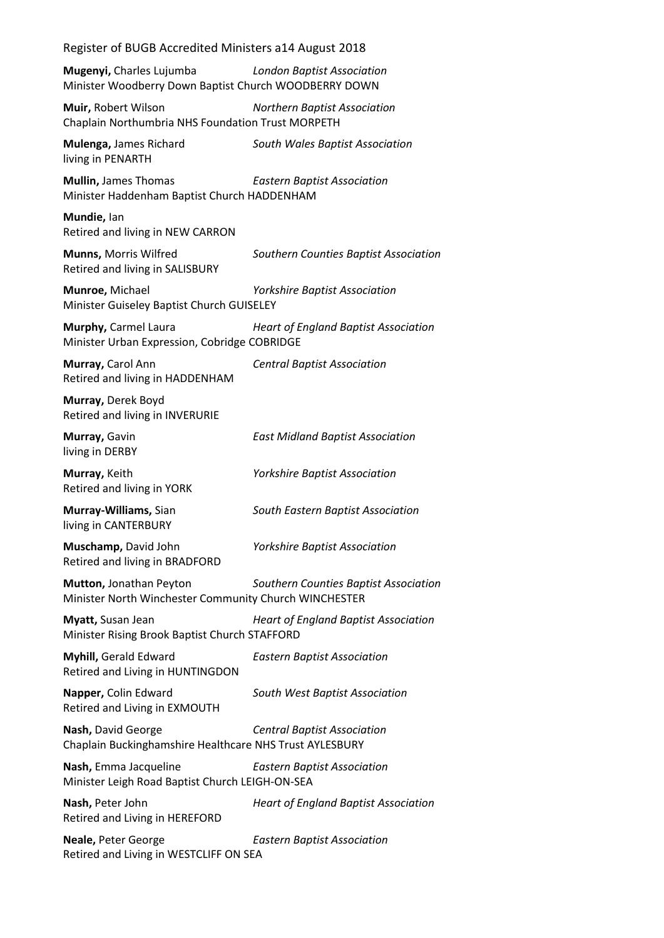| Register of BUGB Accredited Ministers a14 August 2018                                                                         |                                             |  |
|-------------------------------------------------------------------------------------------------------------------------------|---------------------------------------------|--|
| <b>Mugenyi, Charles Lujumba</b><br><b>London Baptist Association</b><br>Minister Woodberry Down Baptist Church WOODBERRY DOWN |                                             |  |
| Muir, Robert Wilson<br>Chaplain Northumbria NHS Foundation Trust MORPETH                                                      | <b>Northern Baptist Association</b>         |  |
| Mulenga, James Richard<br>living in PENARTH                                                                                   | South Wales Baptist Association             |  |
| <b>Mullin, James Thomas</b><br>Minister Haddenham Baptist Church HADDENHAM                                                    | <b>Eastern Baptist Association</b>          |  |
| Mundie, lan<br>Retired and living in NEW CARRON                                                                               |                                             |  |
| Munns, Morris Wilfred<br>Retired and living in SALISBURY                                                                      | Southern Counties Baptist Association       |  |
| Munroe, Michael<br>Minister Guiseley Baptist Church GUISELEY                                                                  | <b>Yorkshire Baptist Association</b>        |  |
| Murphy, Carmel Laura<br>Minister Urban Expression, Cobridge COBRIDGE                                                          | <b>Heart of England Baptist Association</b> |  |
| Murray, Carol Ann<br>Retired and living in HADDENHAM                                                                          | <b>Central Baptist Association</b>          |  |
| Murray, Derek Boyd<br>Retired and living in INVERURIE                                                                         |                                             |  |
| Murray, Gavin<br>living in DERBY                                                                                              | <b>East Midland Baptist Association</b>     |  |
| Murray, Keith<br>Retired and living in YORK                                                                                   | <b>Yorkshire Baptist Association</b>        |  |
| Murray-Williams, Sian<br>living in CANTERBURY                                                                                 | South Eastern Baptist Association           |  |
| Muschamp, David John<br>Retired and living in BRADFORD                                                                        | <b>Yorkshire Baptist Association</b>        |  |
| Mutton, Jonathan Peyton<br>Minister North Winchester Community Church WINCHESTER                                              | Southern Counties Baptist Association       |  |
| Myatt, Susan Jean<br>Minister Rising Brook Baptist Church STAFFORD                                                            | <b>Heart of England Baptist Association</b> |  |
| Myhill, Gerald Edward<br>Retired and Living in HUNTINGDON                                                                     | <b>Eastern Baptist Association</b>          |  |
| Napper, Colin Edward<br>Retired and Living in EXMOUTH                                                                         | South West Baptist Association              |  |
| Nash, David George<br>Chaplain Buckinghamshire Healthcare NHS Trust AYLESBURY                                                 | <b>Central Baptist Association</b>          |  |
| Nash, Emma Jacqueline<br>Minister Leigh Road Baptist Church LEIGH-ON-SEA                                                      | <b>Eastern Baptist Association</b>          |  |
| Nash, Peter John<br>Retired and Living in HEREFORD                                                                            | <b>Heart of England Baptist Association</b> |  |
| Neale, Peter George<br>Retired and Living in WESTCLIFF ON SEA                                                                 | <b>Eastern Baptist Association</b>          |  |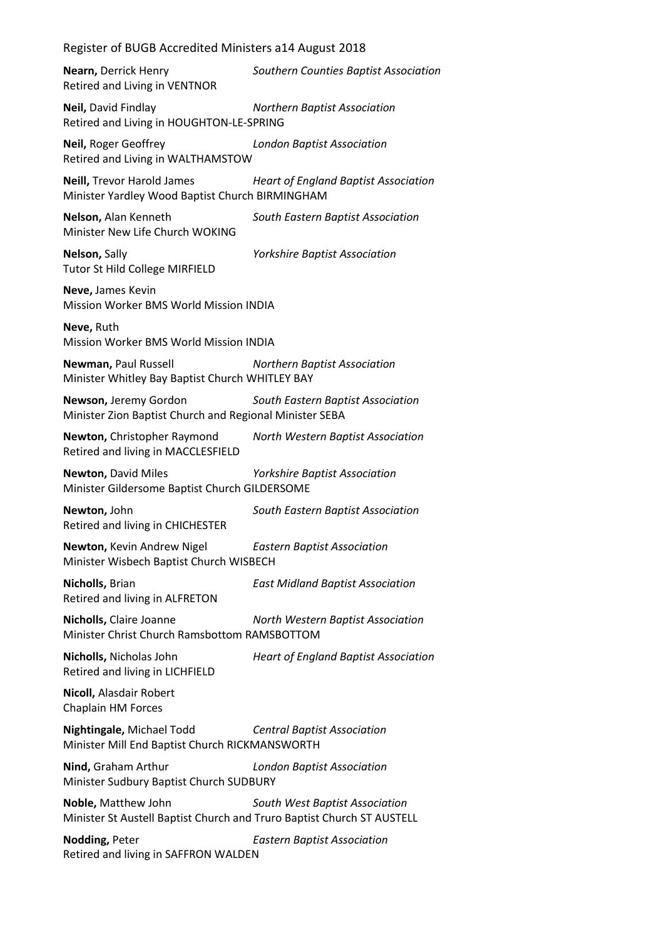**Nearn,** Derrick Henry *Southern Counties Baptist Association* Retired and Living in VENTNOR

**Neil,** David Findlay *Northern Baptist Association* Retired and Living in HOUGHTON-LE-SPRING

**Neil,** Roger Geoffrey *London Baptist Association* Retired and Living in WALTHAMSTOW

**Neill,** Trevor Harold James *Heart of England Baptist Association* Minister Yardley Wood Baptist Church BIRMINGHAM

**Nelson,** Alan Kenneth *South Eastern Baptist Association* Minister New Life Church WOKING

**Nelson,** Sally *Yorkshire Baptist Association* Tutor St Hild College MIRFIELD

**Neve,** James Kevin Mission Worker BMS World Mission INDIA

**Neve,** Ruth Mission Worker BMS World Mission INDIA

**Newman,** Paul Russell *Northern Baptist Association* Minister Whitley Bay Baptist Church WHITLEY BAY

**Newson,** Jeremy Gordon *South Eastern Baptist Association* Minister Zion Baptist Church and Regional Minister SEBA

**Newton,** Christopher Raymond *North Western Baptist Association* Retired and living in MACCLESFIELD

**Newton,** David Miles *Yorkshire Baptist Association* Minister Gildersome Baptist Church GILDERSOME

**Newton,** John *South Eastern Baptist Association* Retired and living in CHICHESTER

**Newton,** Kevin Andrew Nigel *Eastern Baptist Association* Minister Wisbech Baptist Church WISBECH

**Nicholls,** Brian *East Midland Baptist Association* Retired and living in ALFRETON

**Nicholls,** Claire Joanne *North Western Baptist Association* Minister Christ Church Ramsbottom RAMSBOTTOM

**Nicholls,** Nicholas John *Heart of England Baptist Association* Retired and living in LICHFIELD

**Nicoll,** Alasdair Robert Chaplain HM Forces

**Nightingale,** Michael Todd *Central Baptist Association* Minister Mill End Baptist Church RICKMANSWORTH

**Nind,** Graham Arthur *London Baptist Association* Minister Sudbury Baptist Church SUDBURY

**Noble,** Matthew John *South West Baptist Association* Minister St Austell Baptist Church and Truro Baptist Church ST AUSTELL

**Nodding,** Peter *Eastern Baptist Association* Retired and living in SAFFRON WALDEN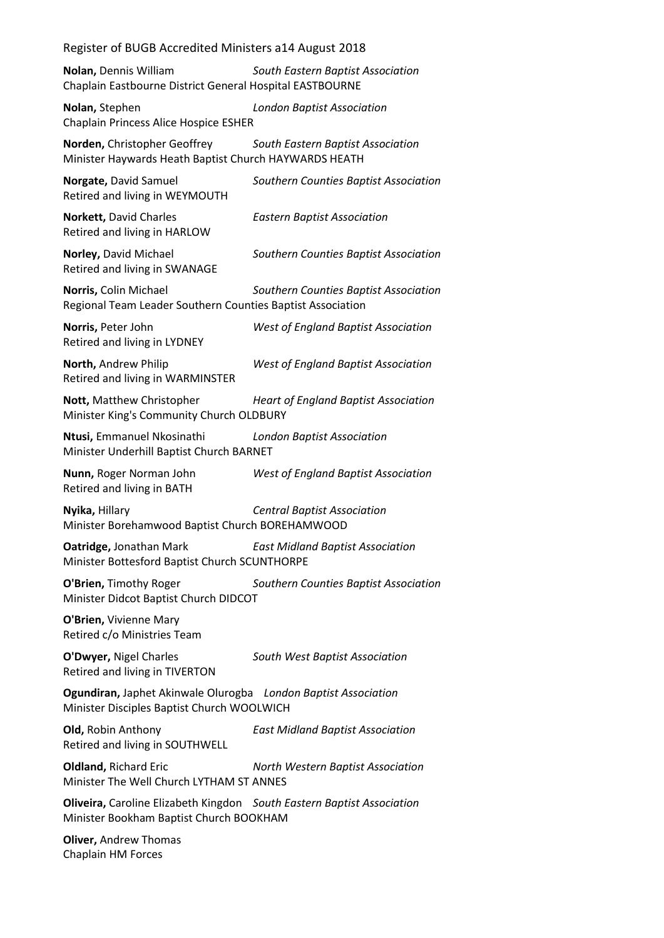**Nolan,** Dennis William *South Eastern Baptist Association* Chaplain Eastbourne District General Hospital EASTBOURNE

**Nolan,** Stephen *London Baptist Association* Chaplain Princess Alice Hospice ESHER

**Norden,** Christopher Geoffrey *South Eastern Baptist Association* Minister Haywards Heath Baptist Church HAYWARDS HEATH

**Norgate,** David Samuel *Southern Counties Baptist Association* Retired and living in WEYMOUTH **Norkett,** David Charles *Eastern Baptist Association* Retired and living in HARLOW **Norley,** David Michael *Southern Counties Baptist Association* Retired and living in SWANAGE **Norris,** Colin Michael *Southern Counties Baptist Association* Regional Team Leader Southern Counties Baptist Association **Norris,** Peter John *West of England Baptist Association* Retired and living in LYDNEY

**North,** Andrew Philip *West of England Baptist Association* Retired and living in WARMINSTER

**Nott,** Matthew Christopher *Heart of England Baptist Association* Minister King's Community Church OLDBURY

**Ntusi,** Emmanuel Nkosinathi *London Baptist Association* Minister Underhill Baptist Church BARNET

**Nunn,** Roger Norman John *West of England Baptist Association* Retired and living in BATH

**Nyika,** Hillary *Central Baptist Association*

Minister Borehamwood Baptist Church BOREHAMWOOD

**Oatridge,** Jonathan Mark *East Midland Baptist Association* Minister Bottesford Baptist Church SCUNTHORPE

**O'Brien,** Timothy Roger *Southern Counties Baptist Association* Minister Didcot Baptist Church DIDCOT

**O'Brien,** Vivienne Mary Retired c/o Ministries Team

**O'Dwyer,** Nigel Charles *South West Baptist Association* Retired and living in TIVERTON

**Ogundiran,** Japhet Akinwale Olurogba *London Baptist Association* Minister Disciples Baptist Church WOOLWICH

**Old,** Robin Anthony *East Midland Baptist Association* Retired and living in SOUTHWELL

**Oldland,** Richard Eric *North Western Baptist Association* Minister The Well Church LYTHAM ST ANNES

**Oliveira,** Caroline Elizabeth Kingdon *South Eastern Baptist Association* Minister Bookham Baptist Church BOOKHAM

**Oliver,** Andrew Thomas Chaplain HM Forces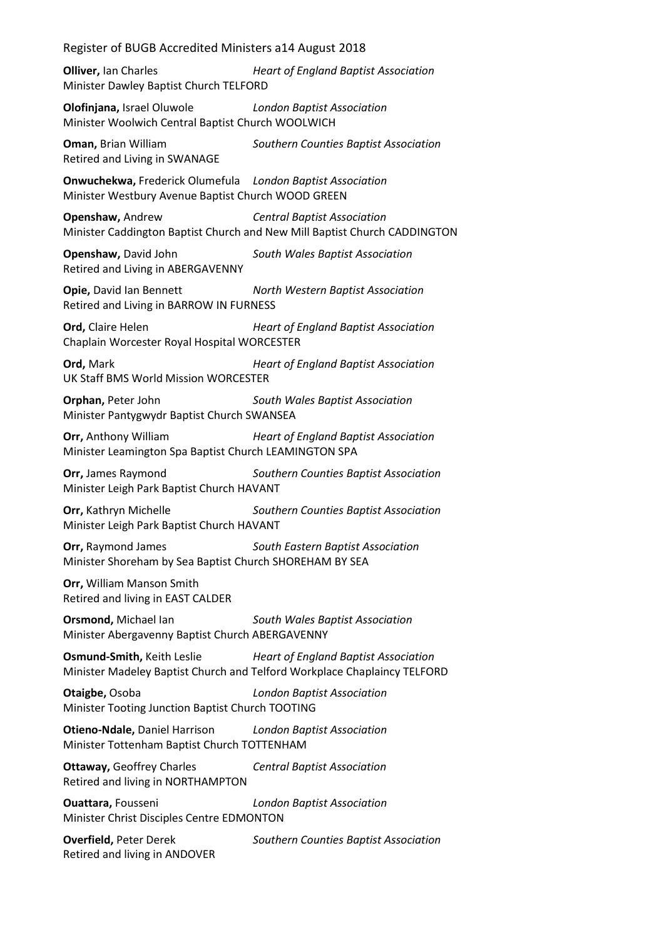**Olliver,** Ian Charles *Heart of England Baptist Association* Minister Dawley Baptist Church TELFORD

**Olofinjana,** Israel Oluwole *London Baptist Association* Minister Woolwich Central Baptist Church WOOLWICH

**Oman,** Brian William *Southern Counties Baptist Association* Retired and Living in SWANAGE

**Onwuchekwa,** Frederick Olumefula *London Baptist Association* Minister Westbury Avenue Baptist Church WOOD GREEN

**Openshaw,** Andrew *Central Baptist Association* Minister Caddington Baptist Church and New Mill Baptist Church CADDINGTON

**Openshaw,** David John *South Wales Baptist Association* Retired and Living in ABERGAVENNY

**Opie,** David Ian Bennett *North Western Baptist Association* Retired and Living in BARROW IN FURNESS

**Ord,** Claire Helen *Heart of England Baptist Association* Chaplain Worcester Royal Hospital WORCESTER

**Ord,** Mark *Heart of England Baptist Association* UK Staff BMS World Mission WORCESTER

**Orphan,** Peter John *South Wales Baptist Association* Minister Pantygwydr Baptist Church SWANSEA

**Orr,** Anthony William *Heart of England Baptist Association* Minister Leamington Spa Baptist Church LEAMINGTON SPA

**Orr,** James Raymond *Southern Counties Baptist Association* Minister Leigh Park Baptist Church HAVANT

**Orr,** Kathryn Michelle *Southern Counties Baptist Association* Minister Leigh Park Baptist Church HAVANT

**Orr,** Raymond James *South Eastern Baptist Association* Minister Shoreham by Sea Baptist Church SHOREHAM BY SEA

**Orr,** William Manson Smith Retired and living in EAST CALDER

**Orsmond,** Michael Ian *South Wales Baptist Association* Minister Abergavenny Baptist Church ABERGAVENNY

**Osmund-Smith,** Keith Leslie *Heart of England Baptist Association* Minister Madeley Baptist Church and Telford Workplace Chaplaincy TELFORD

**Otaigbe,** Osoba *London Baptist Association* Minister Tooting Junction Baptist Church TOOTING

**Otieno-Ndale,** Daniel Harrison *London Baptist Association* Minister Tottenham Baptist Church TOTTENHAM

**Ottaway,** Geoffrey Charles *Central Baptist Association* Retired and living in NORTHAMPTON

**Ouattara,** Fousseni *London Baptist Association* Minister Christ Disciples Centre EDMONTON

**Overfield,** Peter Derek *Southern Counties Baptist Association* Retired and living in ANDOVER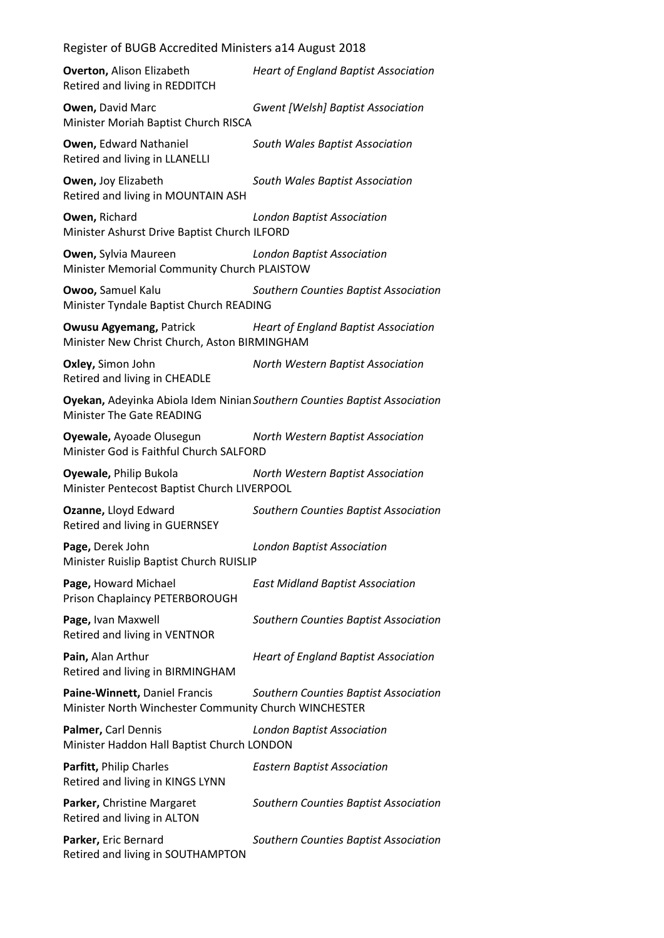| <b>Overton, Alison Elizabeth</b><br>Retired and living in REDDITCH                                            | <b>Heart of England Baptist Association</b> |  |
|---------------------------------------------------------------------------------------------------------------|---------------------------------------------|--|
| Owen, David Marc<br>Minister Moriah Baptist Church RISCA                                                      | <b>Gwent [Welsh] Baptist Association</b>    |  |
| Owen, Edward Nathaniel<br>Retired and living in LLANELLI                                                      | South Wales Baptist Association             |  |
| Owen, Joy Elizabeth<br>Retired and living in MOUNTAIN ASH                                                     | South Wales Baptist Association             |  |
| Owen, Richard<br>Minister Ashurst Drive Baptist Church ILFORD                                                 | <b>London Baptist Association</b>           |  |
| <b>Owen, Sylvia Maureen</b><br>Minister Memorial Community Church PLAISTOW                                    | <b>London Baptist Association</b>           |  |
| Owoo, Samuel Kalu<br>Minister Tyndale Baptist Church READING                                                  | Southern Counties Baptist Association       |  |
| <b>Owusu Agyemang, Patrick</b><br>Minister New Christ Church, Aston BIRMINGHAM                                | <b>Heart of England Baptist Association</b> |  |
| Oxley, Simon John<br>Retired and living in CHEADLE                                                            | North Western Baptist Association           |  |
| Oyekan, Adeyinka Abiola Idem Ninian Southern Counties Baptist Association<br><b>Minister The Gate READING</b> |                                             |  |
| Oyewale, Ayoade Olusegun<br>Minister God is Faithful Church SALFORD                                           | North Western Baptist Association           |  |
| Oyewale, Philip Bukola<br>Minister Pentecost Baptist Church LIVERPOOL                                         | North Western Baptist Association           |  |
| Ozanne, Lloyd Edward                                                                                          |                                             |  |
| Retired and living in GUERNSEY                                                                                | Southern Counties Baptist Association       |  |
| Page, Derek John<br>Minister Ruislip Baptist Church RUISLIP                                                   | <b>London Baptist Association</b>           |  |
| Page, Howard Michael<br>Prison Chaplaincy PETERBOROUGH                                                        | <b>East Midland Baptist Association</b>     |  |
| Page, Ivan Maxwell<br>Retired and living in VENTNOR                                                           | Southern Counties Baptist Association       |  |
| Pain, Alan Arthur<br>Retired and living in BIRMINGHAM                                                         | <b>Heart of England Baptist Association</b> |  |
| Paine-Winnett, Daniel Francis<br>Minister North Winchester Community Church WINCHESTER                        | Southern Counties Baptist Association       |  |
| Palmer, Carl Dennis<br>Minister Haddon Hall Baptist Church LONDON                                             | <b>London Baptist Association</b>           |  |
| Parfitt, Philip Charles<br>Retired and living in KINGS LYNN                                                   | <b>Eastern Baptist Association</b>          |  |
| Parker, Christine Margaret<br>Retired and living in ALTON                                                     | Southern Counties Baptist Association       |  |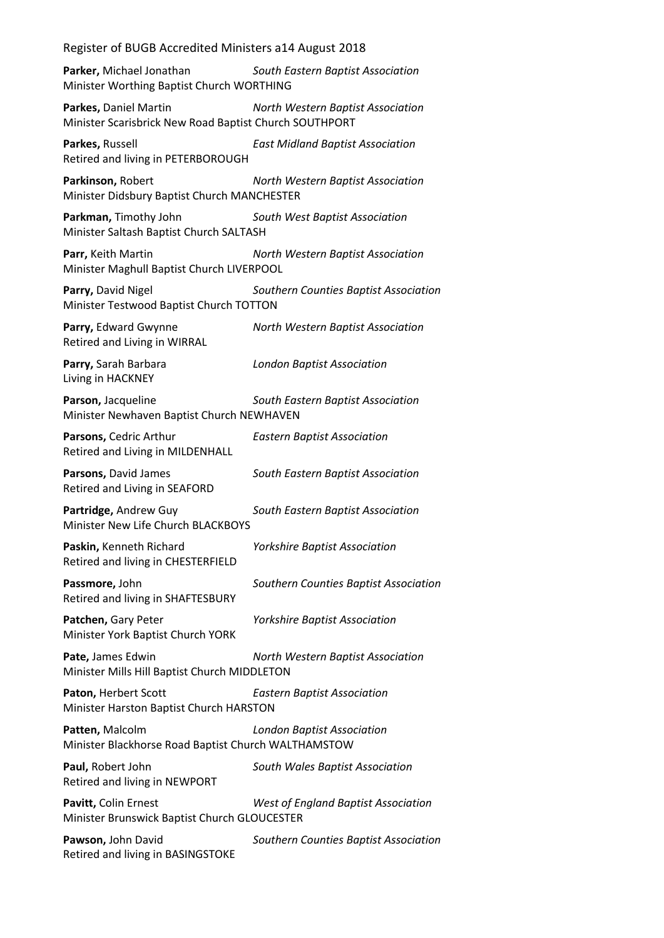**Parker,** Michael Jonathan *South Eastern Baptist Association* Minister Worthing Baptist Church WORTHING

**Parkes,** Daniel Martin *North Western Baptist Association* Minister Scarisbrick New Road Baptist Church SOUTHPORT

**Parkes,** Russell *East Midland Baptist Association* Retired and living in PETERBOROUGH

**Parkinson,** Robert *North Western Baptist Association* Minister Didsbury Baptist Church MANCHESTER

**Parkman,** Timothy John *South West Baptist Association* Minister Saltash Baptist Church SALTASH

**Parr,** Keith Martin *North Western Baptist Association* Minister Maghull Baptist Church LIVERPOOL

**Parry,** David Nigel *Southern Counties Baptist Association* Minister Testwood Baptist Church TOTTON

**Parry,** Edward Gwynne *North Western Baptist Association* Retired and Living in WIRRAL

**Parry,** Sarah Barbara *London Baptist Association* Living in HACKNEY

**Parson,** Jacqueline *South Eastern Baptist Association* Minister Newhaven Baptist Church NEWHAVEN

**Parsons,** Cedric Arthur *Eastern Baptist Association* Retired and Living in MILDENHALL

**Parsons,** David James *South Eastern Baptist Association* Retired and Living in SEAFORD

**Partridge,** Andrew Guy *South Eastern Baptist Association* Minister New Life Church BLACKBOYS

**Paskin,** Kenneth Richard *Yorkshire Baptist Association* Retired and living in CHESTERFIELD

**Passmore,** John *Southern Counties Baptist Association* Retired and living in SHAFTESBURY

**Patchen,** Gary Peter *Yorkshire Baptist Association* Minister York Baptist Church YORK

**Pate,** James Edwin *North Western Baptist Association* Minister Mills Hill Baptist Church MIDDLETON

**Paton,** Herbert Scott *Eastern Baptist Association* Minister Harston Baptist Church HARSTON

**Patten,** Malcolm *London Baptist Association* Minister Blackhorse Road Baptist Church WALTHAMSTOW

**Paul,** Robert John *South Wales Baptist Association* Retired and living in NEWPORT

**Pavitt,** Colin Ernest *West of England Baptist Association* Minister Brunswick Baptist Church GLOUCESTER

**Pawson,** John David *Southern Counties Baptist Association* Retired and living in BASINGSTOKE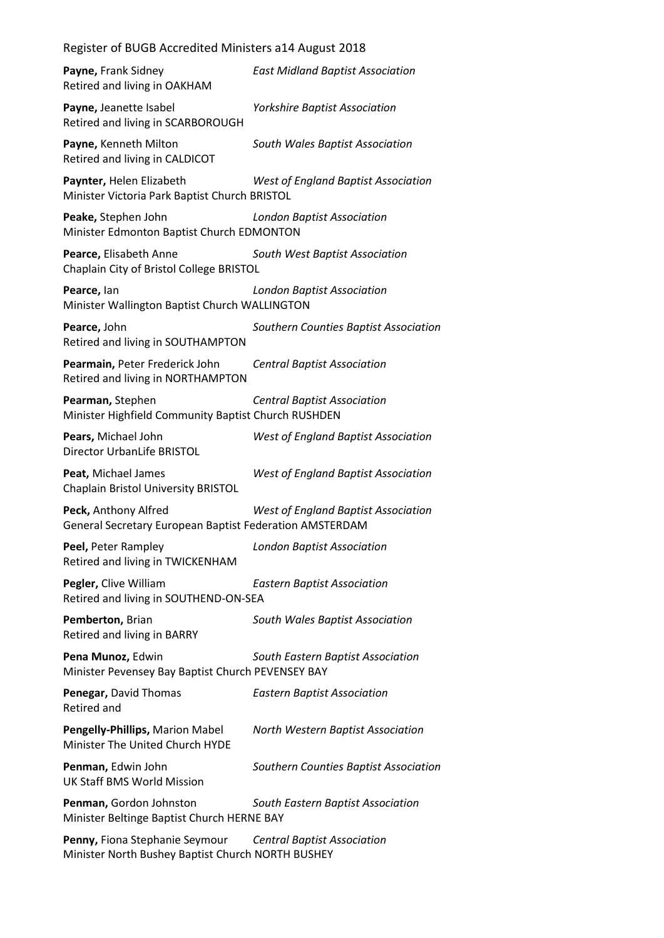| Payne, Frank Sidney<br>Retired and living in OAKHAM                                 | <b>East Midland Baptist Association</b>    |
|-------------------------------------------------------------------------------------|--------------------------------------------|
| Payne, Jeanette Isabel<br>Retired and living in SCARBOROUGH                         | <b>Yorkshire Baptist Association</b>       |
| Payne, Kenneth Milton<br>Retired and living in CALDICOT                             | South Wales Baptist Association            |
| Paynter, Helen Elizabeth<br>Minister Victoria Park Baptist Church BRISTOL           | <b>West of England Baptist Association</b> |
| Peake, Stephen John<br>Minister Edmonton Baptist Church EDMONTON                    | <b>London Baptist Association</b>          |
| Pearce, Elisabeth Anne<br>Chaplain City of Bristol College BRISTOL                  | South West Baptist Association             |
| Pearce, lan<br>Minister Wallington Baptist Church WALLINGTON                        | <b>London Baptist Association</b>          |
| Pearce, John<br>Retired and living in SOUTHAMPTON                                   | Southern Counties Baptist Association      |
| Pearmain, Peter Frederick John<br>Retired and living in NORTHAMPTON                 | <b>Central Baptist Association</b>         |
| Pearman, Stephen<br>Minister Highfield Community Baptist Church RUSHDEN             | <b>Central Baptist Association</b>         |
| Pears, Michael John<br>Director UrbanLife BRISTOL                                   | West of England Baptist Association        |
| Peat, Michael James<br><b>Chaplain Bristol University BRISTOL</b>                   | West of England Baptist Association        |
| Peck, Anthony Alfred<br>General Secretary European Baptist Federation AMSTERDAM     | West of England Baptist Association        |
| Peel, Peter Rampley<br>Retired and living in TWICKENHAM                             | <b>London Baptist Association</b>          |
| Pegler, Clive William<br>Retired and living in SOUTHEND-ON-SEA                      | <b>Eastern Baptist Association</b>         |
| Pemberton, Brian<br>Retired and living in BARRY                                     | South Wales Baptist Association            |
| Pena Munoz, Edwin<br>Minister Pevensey Bay Baptist Church PEVENSEY BAY              | South Eastern Baptist Association          |
| Penegar, David Thomas<br><b>Retired and</b>                                         | <b>Eastern Baptist Association</b>         |
| Pengelly-Phillips, Marion Mabel<br>Minister The United Church HYDE                  | North Western Baptist Association          |
| Penman, Edwin John<br><b>UK Staff BMS World Mission</b>                             | Southern Counties Baptist Association      |
| Penman, Gordon Johnston<br>Minister Beltinge Baptist Church HERNE BAY               | South Eastern Baptist Association          |
| Penny, Fiona Stephanie Seymour<br>Minister North Bushey Baptist Church NORTH BUSHEY | <b>Central Baptist Association</b>         |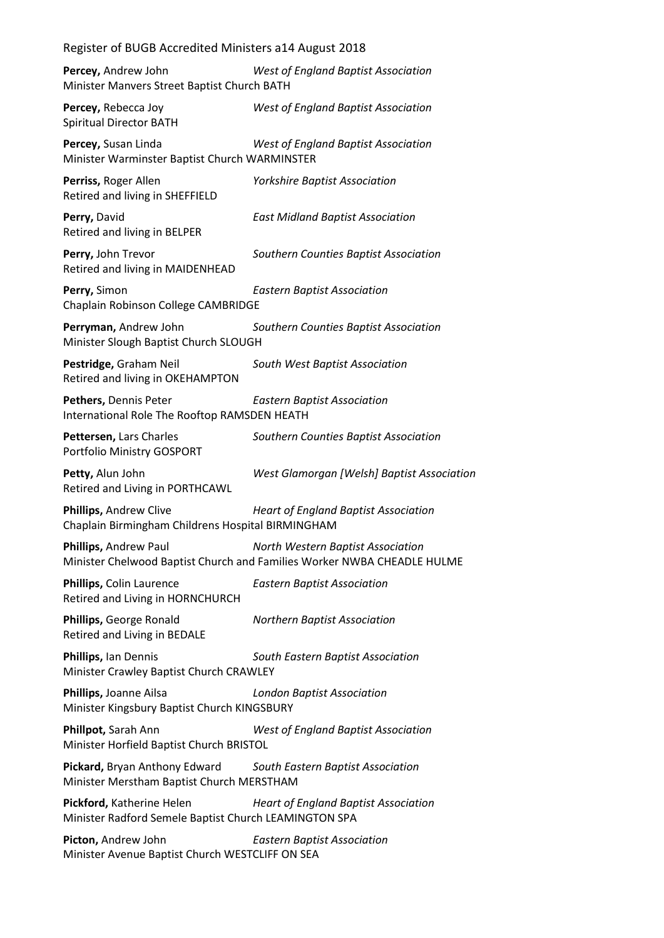| Register of BUGB Accredited Ministers a14 August 2018                              |                                                                                                              |
|------------------------------------------------------------------------------------|--------------------------------------------------------------------------------------------------------------|
| Percey, Andrew John<br>Minister Manvers Street Baptist Church BATH                 | West of England Baptist Association                                                                          |
| Percey, Rebecca Joy<br><b>Spiritual Director BATH</b>                              | <b>West of England Baptist Association</b>                                                                   |
| Percey, Susan Linda<br>Minister Warminster Baptist Church WARMINSTER               | West of England Baptist Association                                                                          |
| Perriss, Roger Allen<br>Retired and living in SHEFFIELD                            | <b>Yorkshire Baptist Association</b>                                                                         |
| Perry, David<br>Retired and living in BELPER                                       | <b>East Midland Baptist Association</b>                                                                      |
| Perry, John Trevor<br>Retired and living in MAIDENHEAD                             | Southern Counties Baptist Association                                                                        |
| Perry, Simon<br>Chaplain Robinson College CAMBRIDGE                                | <b>Eastern Baptist Association</b>                                                                           |
| Perryman, Andrew John<br>Minister Slough Baptist Church SLOUGH                     | Southern Counties Baptist Association                                                                        |
| Pestridge, Graham Neil<br>Retired and living in OKEHAMPTON                         | South West Baptist Association                                                                               |
| Pethers, Dennis Peter<br>International Role The Rooftop RAMSDEN HEATH              | <b>Eastern Baptist Association</b>                                                                           |
| Pettersen, Lars Charles<br>Portfolio Ministry GOSPORT                              | Southern Counties Baptist Association                                                                        |
| Petty, Alun John<br>Retired and Living in PORTHCAWL                                | West Glamorgan [Welsh] Baptist Association                                                                   |
| Phillips, Andrew Clive<br>Chaplain Birmingham Childrens Hospital BIRMINGHAM        | <b>Heart of England Baptist Association</b>                                                                  |
| Phillips, Andrew Paul                                                              | North Western Baptist Association<br>Minister Chelwood Baptist Church and Families Worker NWBA CHEADLE HULME |
| Phillips, Colin Laurence<br>Retired and Living in HORNCHURCH                       | <b>Eastern Baptist Association</b>                                                                           |
| Phillips, George Ronald<br>Retired and Living in BEDALE                            | <b>Northern Baptist Association</b>                                                                          |
| Phillips, Ian Dennis<br>Minister Crawley Baptist Church CRAWLEY                    | South Eastern Baptist Association                                                                            |
| Phillips, Joanne Ailsa<br>Minister Kingsbury Baptist Church KINGSBURY              | <b>London Baptist Association</b>                                                                            |
| Phillpot, Sarah Ann<br>Minister Horfield Baptist Church BRISTOL                    | <b>West of England Baptist Association</b>                                                                   |
| <b>Pickard, Bryan Anthony Edward</b><br>Minister Merstham Baptist Church MERSTHAM  | South Eastern Baptist Association                                                                            |
| Pickford, Katherine Helen<br>Minister Radford Semele Baptist Church LEAMINGTON SPA | <b>Heart of England Baptist Association</b>                                                                  |
| Picton, Andrew John<br>Minister Avenue Baptist Church WESTCLIFF ON SEA             | <b>Eastern Baptist Association</b>                                                                           |
|                                                                                    |                                                                                                              |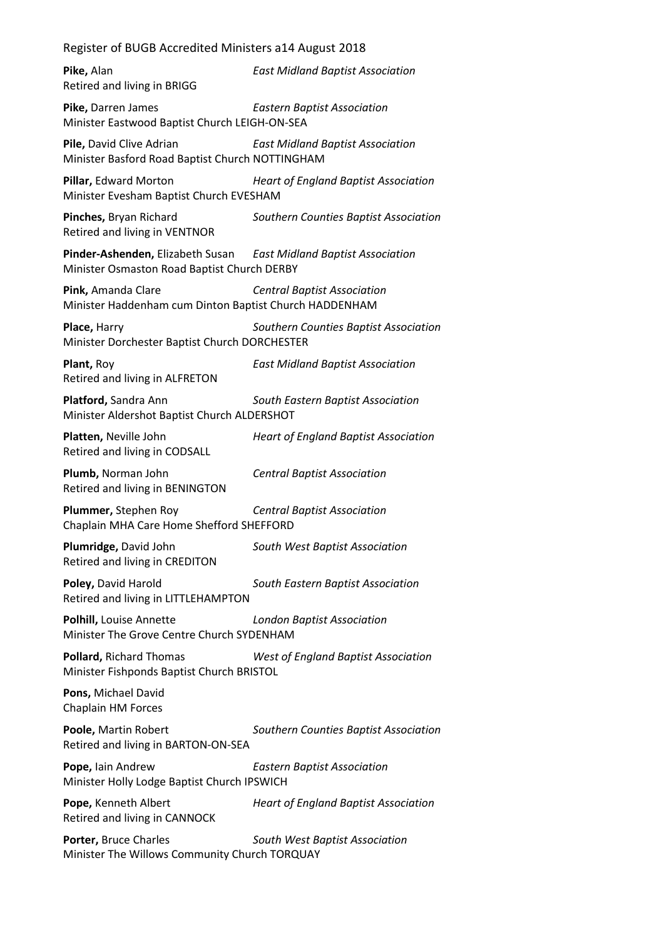| Pike, Alan<br>Retired and living in BRIGG                                                                        | <b>East Midland Baptist Association</b>     |
|------------------------------------------------------------------------------------------------------------------|---------------------------------------------|
| Pike, Darren James<br>Minister Eastwood Baptist Church LEIGH-ON-SEA                                              | <b>Eastern Baptist Association</b>          |
| Pile, David Clive Adrian<br>Minister Basford Road Baptist Church NOTTINGHAM                                      | <b>East Midland Baptist Association</b>     |
| Pillar, Edward Morton<br>Minister Evesham Baptist Church EVESHAM                                                 | <b>Heart of England Baptist Association</b> |
| Pinches, Bryan Richard<br>Retired and living in VENTNOR                                                          | Southern Counties Baptist Association       |
| Pinder-Ashenden, Elizabeth Susan East Midland Baptist Association<br>Minister Osmaston Road Baptist Church DERBY |                                             |
| Pink, Amanda Clare<br>Minister Haddenham cum Dinton Baptist Church HADDENHAM                                     | <b>Central Baptist Association</b>          |
| <b>Place, Harry</b><br>Minister Dorchester Baptist Church DORCHESTER                                             | Southern Counties Baptist Association       |
| Plant, Roy<br>Retired and living in ALFRETON                                                                     | <b>East Midland Baptist Association</b>     |
| Platford, Sandra Ann<br>Minister Aldershot Baptist Church ALDERSHOT                                              | South Eastern Baptist Association           |
| Platten, Neville John<br>Retired and living in CODSALL                                                           | <b>Heart of England Baptist Association</b> |
| Plumb, Norman John<br>Retired and living in BENINGTON                                                            | <b>Central Baptist Association</b>          |
| Plummer, Stephen Roy<br>Chaplain MHA Care Home Shefford SHEFFORD                                                 | <b>Central Baptist Association</b>          |
| Plumridge, David John<br>Retired and living in CREDITON                                                          | South West Baptist Association              |
| Poley, David Harold<br>Retired and living in LITTLEHAMPTON                                                       | South Eastern Baptist Association           |
| Polhill, Louise Annette<br>Minister The Grove Centre Church SYDENHAM                                             | <b>London Baptist Association</b>           |
| <b>Pollard, Richard Thomas</b><br>Minister Fishponds Baptist Church BRISTOL                                      | <b>West of England Baptist Association</b>  |
| Pons, Michael David<br>Chaplain HM Forces                                                                        |                                             |
| Poole, Martin Robert<br>Retired and living in BARTON-ON-SEA                                                      | Southern Counties Baptist Association       |
| Pope, Iain Andrew<br>Minister Holly Lodge Baptist Church IPSWICH                                                 | <b>Eastern Baptist Association</b>          |
| Pope, Kenneth Albert<br>Retired and living in CANNOCK                                                            | <b>Heart of England Baptist Association</b> |
| Porter, Bruce Charles<br>Minister The Willows Community Church TORQUAY                                           | South West Baptist Association              |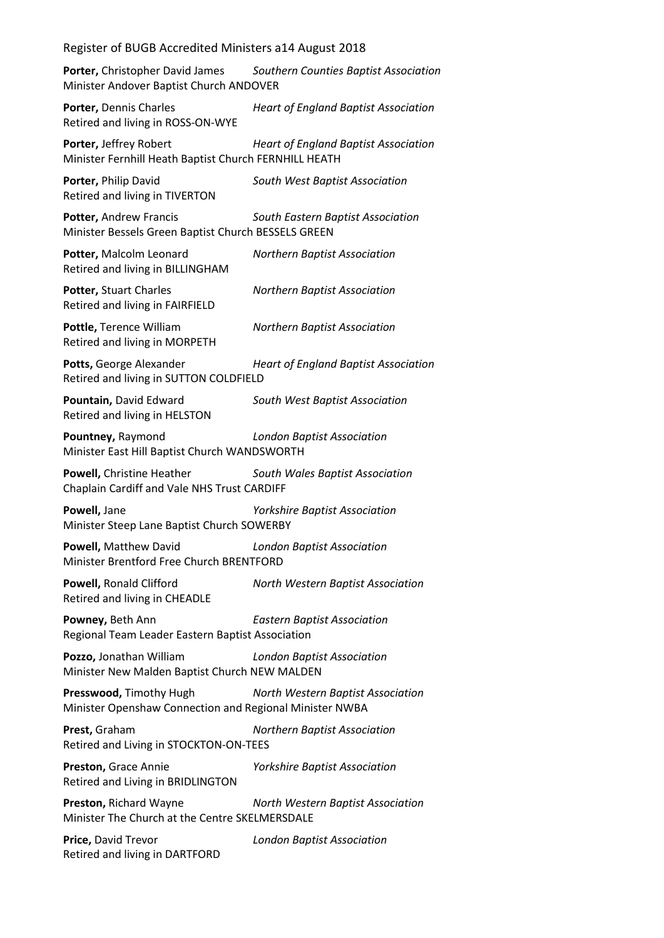**Porter,** Christopher David James *Southern Counties Baptist Association* Minister Andover Baptist Church ANDOVER

**Porter,** Dennis Charles *Heart of England Baptist Association* Retired and living in ROSS-ON-WYE

**Porter,** Jeffrey Robert *Heart of England Baptist Association* Minister Fernhill Heath Baptist Church FERNHILL HEATH

**Porter,** Philip David *South West Baptist Association* Retired and living in TIVERTON

**Potter,** Andrew Francis *South Eastern Baptist Association* Minister Bessels Green Baptist Church BESSELS GREEN

**Potter,** Malcolm Leonard *Northern Baptist Association* Retired and living in BILLINGHAM

**Potter,** Stuart Charles *Northern Baptist Association* Retired and living in FAIRFIELD

**Pottle,** Terence William *Northern Baptist Association* Retired and living in MORPETH

**Potts,** George Alexander *Heart of England Baptist Association* Retired and living in SUTTON COLDFIELD

**Pountain,** David Edward *South West Baptist Association* Retired and living in HELSTON

**Pountney,** Raymond *London Baptist Association* Minister East Hill Baptist Church WANDSWORTH

**Powell,** Christine Heather *South Wales Baptist Association* Chaplain Cardiff and Vale NHS Trust CARDIFF

**Powell,** Jane *Yorkshire Baptist Association* Minister Steep Lane Baptist Church SOWERBY

**Powell,** Matthew David *London Baptist Association* Minister Brentford Free Church BRENTFORD

**Powell,** Ronald Clifford *North Western Baptist Association* Retired and living in CHEADLE

**Powney,** Beth Ann *Eastern Baptist Association* Regional Team Leader Eastern Baptist Association

**Pozzo,** Jonathan William *London Baptist Association* Minister New Malden Baptist Church NEW MALDEN

**Presswood,** Timothy Hugh *North Western Baptist Association* Minister Openshaw Connection and Regional Minister NWBA

**Prest,** Graham *Northern Baptist Association* Retired and Living in STOCKTON-ON-TEES

**Preston,** Grace Annie *Yorkshire Baptist Association* Retired and Living in BRIDLINGTON

**Preston,** Richard Wayne *North Western Baptist Association* Minister The Church at the Centre SKELMERSDALE

**Price,** David Trevor *London Baptist Association* Retired and living in DARTFORD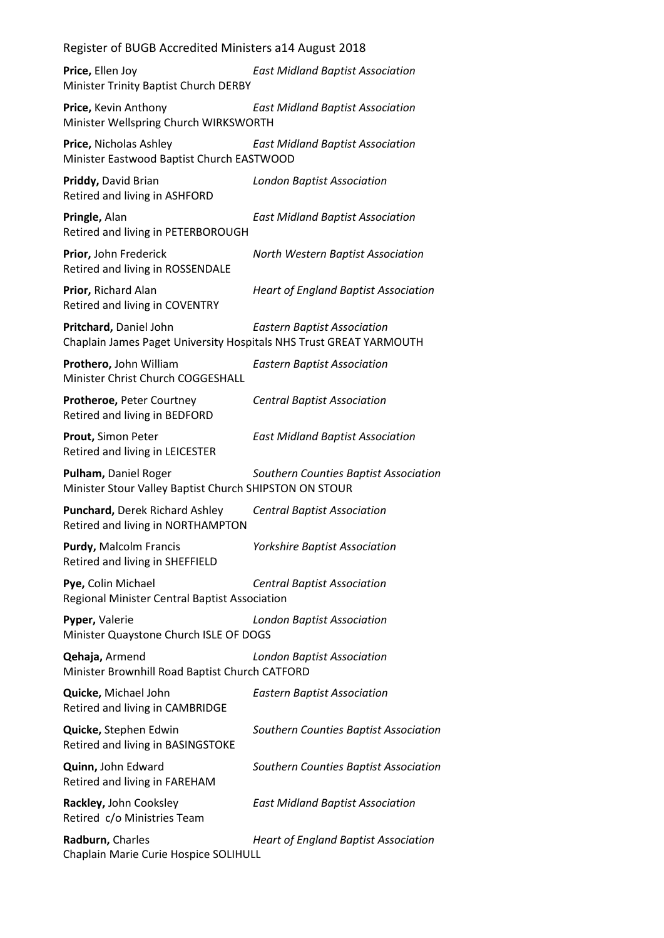**Price,** Ellen Joy *East Midland Baptist Association* Minister Trinity Baptist Church DERBY

**Price,** Kevin Anthony *East Midland Baptist Association* Minister Wellspring Church WIRKSWORTH

**Price,** Nicholas Ashley *East Midland Baptist Association* Minister Eastwood Baptist Church EASTWOOD

**Priddy,** David Brian *London Baptist Association* Retired and living in ASHFORD

**Pringle,** Alan *East Midland Baptist Association* Retired and living in PETERBOROUGH

**Prior,** John Frederick *North Western Baptist Association* Retired and living in ROSSENDALE

**Prior,** Richard Alan *Heart of England Baptist Association* Retired and living in COVENTRY

**Pritchard,** Daniel John *Eastern Baptist Association* Chaplain James Paget University Hospitals NHS Trust GREAT YARMOUTH

**Prothero,** John William *Eastern Baptist Association* Minister Christ Church COGGESHALL

**Protheroe,** Peter Courtney *Central Baptist Association* Retired and living in BEDFORD

**Prout,** Simon Peter *East Midland Baptist Association* Retired and living in LEICESTER

**Pulham,** Daniel Roger *Southern Counties Baptist Association* Minister Stour Valley Baptist Church SHIPSTON ON STOUR

**Punchard,** Derek Richard Ashley *Central Baptist Association* Retired and living in NORTHAMPTON

**Purdy,** Malcolm Francis *Yorkshire Baptist Association* Retired and living in SHEFFIELD

**Pye,** Colin Michael *Central Baptist Association* Regional Minister Central Baptist Association

**Pyper,** Valerie *London Baptist Association* Minister Quaystone Church ISLE OF DOGS

**Qehaja,** Armend *London Baptist Association* Minister Brownhill Road Baptist Church CATFORD

**Quicke,** Michael John *Eastern Baptist Association* Retired and living in CAMBRIDGE

**Quicke,** Stephen Edwin *Southern Counties Baptist Association* Retired and living in BASINGSTOKE

**Quinn,** John Edward *Southern Counties Baptist Association* Retired and living in FAREHAM

**Rackley,** John Cooksley *East Midland Baptist Association* Retired c/o Ministries Team

**Radburn,** Charles *Heart of England Baptist Association* Chaplain Marie Curie Hospice SOLIHULL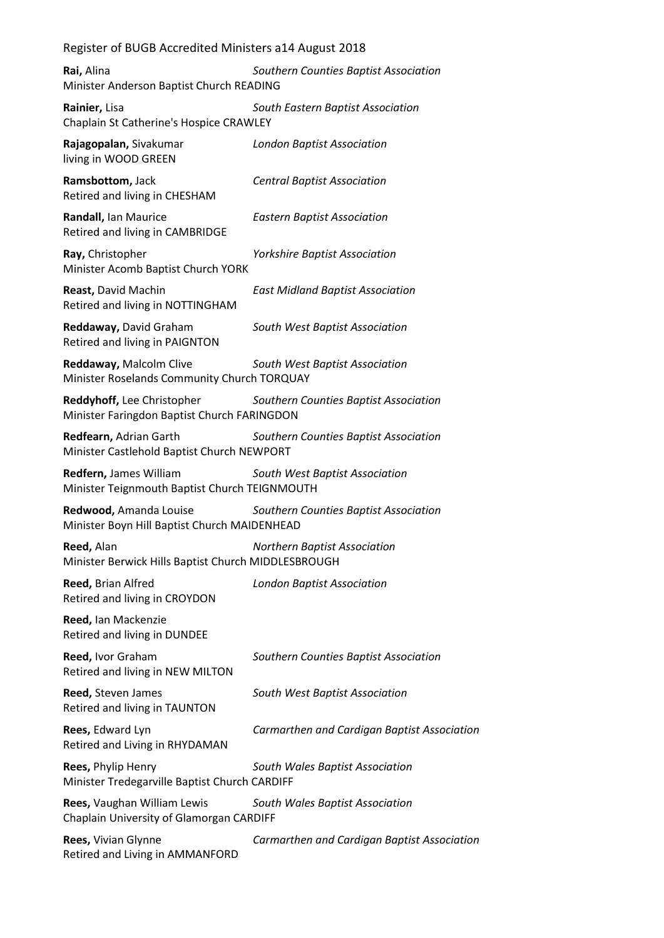**Rai,** Alina *Southern Counties Baptist Association* Minister Anderson Baptist Church READING

**Rainier,** Lisa *South Eastern Baptist Association* Chaplain St Catherine's Hospice CRAWLEY

**Rajagopalan,** Sivakumar *London Baptist Association* living in WOOD GREEN

**Ramsbottom,** Jack *Central Baptist Association* Retired and living in CHESHAM

**Randall,** Ian Maurice *Eastern Baptist Association* Retired and living in CAMBRIDGE

**Ray,** Christopher *Yorkshire Baptist Association* Minister Acomb Baptist Church YORK

**Reast,** David Machin *East Midland Baptist Association* Retired and living in NOTTINGHAM

**Reddaway,** David Graham *South West Baptist Association* Retired and living in PAIGNTON

**Reddaway,** Malcolm Clive *South West Baptist Association* Minister Roselands Community Church TORQUAY

**Reddyhoff,** Lee Christopher *Southern Counties Baptist Association* Minister Faringdon Baptist Church FARINGDON

**Redfearn,** Adrian Garth *Southern Counties Baptist Association* Minister Castlehold Baptist Church NEWPORT

**Redfern,** James William *South West Baptist Association* Minister Teignmouth Baptist Church TEIGNMOUTH

**Redwood,** Amanda Louise *Southern Counties Baptist Association* Minister Boyn Hill Baptist Church MAIDENHEAD

**Reed,** Alan *Northern Baptist Association* Minister Berwick Hills Baptist Church MIDDLESBROUGH

**Reed,** Brian Alfred *London Baptist Association* Retired and living in CROYDON

**Reed,** Ian Mackenzie Retired and living in DUNDEE

**Reed,** Ivor Graham *Southern Counties Baptist Association* Retired and living in NEW MILTON

**Reed,** Steven James *South West Baptist Association* Retired and living in TAUNTON

**Rees,** Edward Lyn *Carmarthen and Cardigan Baptist Association* Retired and Living in RHYDAMAN

**Rees,** Phylip Henry *South Wales Baptist Association* Minister Tredegarville Baptist Church CARDIFF

**Rees,** Vaughan William Lewis *South Wales Baptist Association* Chaplain University of Glamorgan CARDIFF

**Rees,** Vivian Glynne *Carmarthen and Cardigan Baptist Association* Retired and Living in AMMANFORD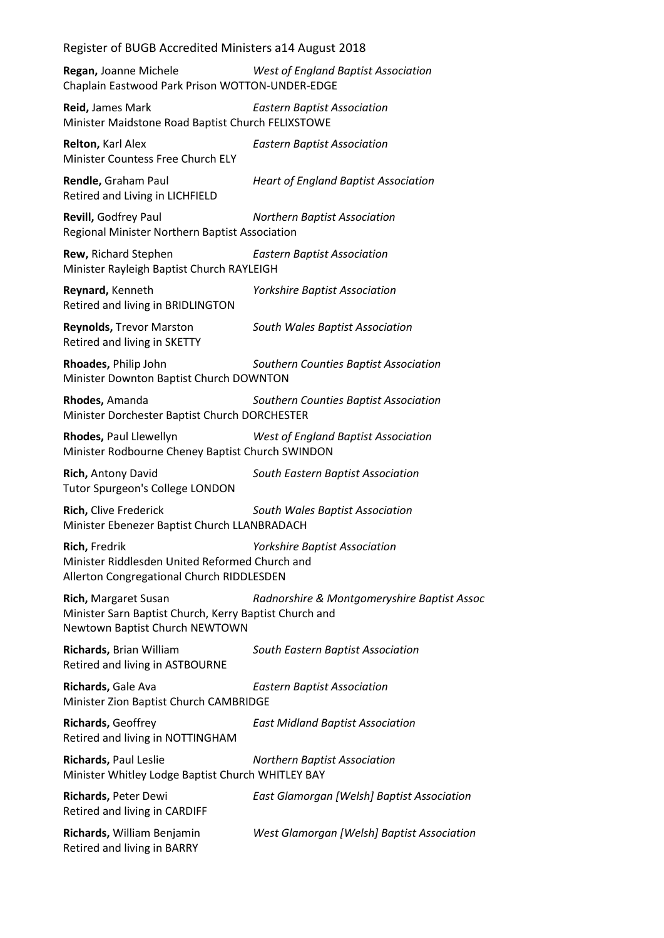**Regan,** Joanne Michele *West of England Baptist Association* Chaplain Eastwood Park Prison WOTTON-UNDER-EDGE

**Reid,** James Mark *Eastern Baptist Association* Minister Maidstone Road Baptist Church FELIXSTOWE

**Relton,** Karl Alex *Eastern Baptist Association* Minister Countess Free Church ELY

**Rendle,** Graham Paul *Heart of England Baptist Association* Retired and Living in LICHFIELD

**Revill,** Godfrey Paul *Northern Baptist Association* Regional Minister Northern Baptist Association

**Rew,** Richard Stephen *Eastern Baptist Association* Minister Rayleigh Baptist Church RAYLEIGH

**Reynard,** Kenneth *Yorkshire Baptist Association* Retired and living in BRIDLINGTON

**Reynolds,** Trevor Marston *South Wales Baptist Association* Retired and living in SKETTY

**Rhoades,** Philip John *Southern Counties Baptist Association* Minister Downton Baptist Church DOWNTON

**Rhodes,** Amanda *Southern Counties Baptist Association* Minister Dorchester Baptist Church DORCHESTER

**Rhodes,** Paul Llewellyn *West of England Baptist Association* Minister Rodbourne Cheney Baptist Church SWINDON

**Rich,** Antony David *South Eastern Baptist Association* Tutor Spurgeon's College LONDON

**Rich,** Clive Frederick *South Wales Baptist Association* Minister Ebenezer Baptist Church LLANBRADACH

**Rich,** Fredrik *Yorkshire Baptist Association* Minister Riddlesden United Reformed Church and Allerton Congregational Church RIDDLESDEN

**Rich,** Margaret Susan *Radnorshire & Montgomeryshire Baptist Assoc* Minister Sarn Baptist Church, Kerry Baptist Church and Newtown Baptist Church NEWTOWN

**Richards,** Brian William *South Eastern Baptist Association* Retired and living in ASTBOURNE

**Richards,** Gale Ava *Eastern Baptist Association* Minister Zion Baptist Church CAMBRIDGE

**Richards,** Geoffrey *East Midland Baptist Association* Retired and living in NOTTINGHAM

**Richards,** Paul Leslie *Northern Baptist Association* Minister Whitley Lodge Baptist Church WHITLEY BAY

**Richards,** Peter Dewi *East Glamorgan [Welsh] Baptist Association* Retired and living in CARDIFF **Richards,** William Benjamin *West Glamorgan [Welsh] Baptist Association* Retired and living in BARRY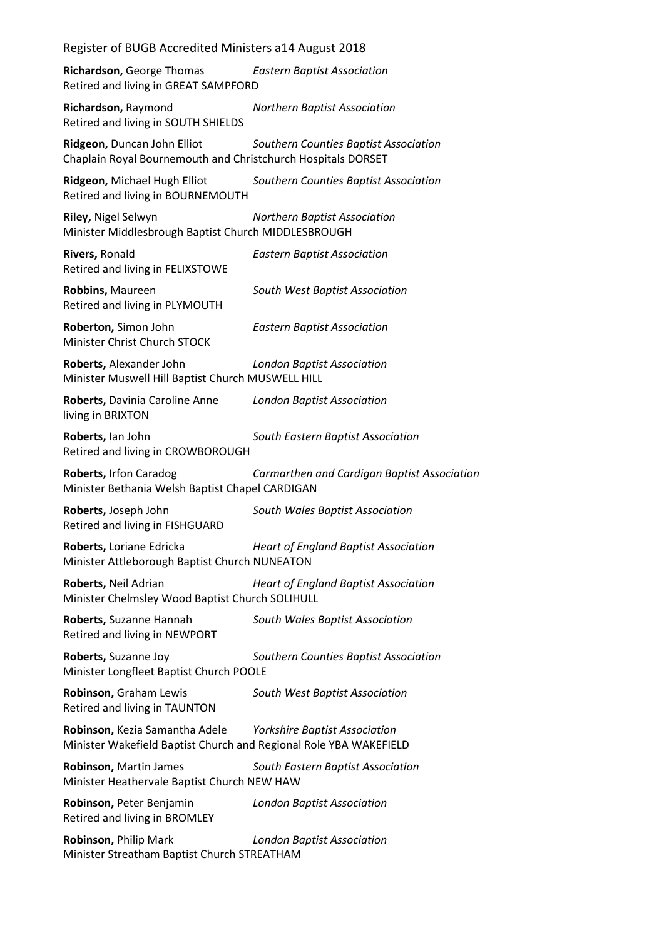| Register of BUGB Accredited Ministers a14 August 2018                                               |                                             |
|-----------------------------------------------------------------------------------------------------|---------------------------------------------|
| Richardson, George Thomas<br>Retired and living in GREAT SAMPFORD                                   | <b>Eastern Baptist Association</b>          |
| Richardson, Raymond<br>Retired and living in SOUTH SHIELDS                                          | <b>Northern Baptist Association</b>         |
| Ridgeon, Duncan John Elliot<br>Chaplain Royal Bournemouth and Christchurch Hospitals DORSET         | Southern Counties Baptist Association       |
| Ridgeon, Michael Hugh Elliot<br>Retired and living in BOURNEMOUTH                                   | Southern Counties Baptist Association       |
| Riley, Nigel Selwyn<br>Minister Middlesbrough Baptist Church MIDDLESBROUGH                          | <b>Northern Baptist Association</b>         |
| Rivers, Ronald<br>Retired and living in FELIXSTOWE                                                  | <b>Eastern Baptist Association</b>          |
| Robbins, Maureen<br>Retired and living in PLYMOUTH                                                  | South West Baptist Association              |
| Roberton, Simon John<br>Minister Christ Church STOCK                                                | <b>Eastern Baptist Association</b>          |
| Roberts, Alexander John<br>Minister Muswell Hill Baptist Church MUSWELL HILL                        | <b>London Baptist Association</b>           |
| Roberts, Davinia Caroline Anne<br>living in BRIXTON                                                 | <b>London Baptist Association</b>           |
| Roberts, Ian John<br>Retired and living in CROWBOROUGH                                              | South Eastern Baptist Association           |
| Roberts, Irfon Caradog<br>Minister Bethania Welsh Baptist Chapel CARDIGAN                           | Carmarthen and Cardigan Baptist Association |
| Roberts, Joseph John<br>Retired and living in FISHGUARD                                             | South Wales Baptist Association             |
| Roberts, Loriane Edricka<br>Minister Attleborough Baptist Church NUNEATON                           | <b>Heart of England Baptist Association</b> |
| Roberts, Neil Adrian<br>Minister Chelmsley Wood Baptist Church SOLIHULL                             | <b>Heart of England Baptist Association</b> |
| Roberts, Suzanne Hannah<br>Retired and living in NEWPORT                                            | South Wales Baptist Association             |
| Roberts, Suzanne Joy<br>Minister Longfleet Baptist Church POOLE                                     | Southern Counties Baptist Association       |
| Robinson, Graham Lewis<br>Retired and living in TAUNTON                                             | South West Baptist Association              |
| Robinson, Kezia Samantha Adele<br>Minister Wakefield Baptist Church and Regional Role YBA WAKEFIELD | <b>Yorkshire Baptist Association</b>        |
| Robinson, Martin James<br>Minister Heathervale Baptist Church NEW HAW                               | South Eastern Baptist Association           |
| Robinson, Peter Benjamin<br>Retired and living in BROMLEY                                           | <b>London Baptist Association</b>           |
| Robinson, Philip Mark<br>Minister Streatham Baptist Church STREATHAM                                | <b>London Baptist Association</b>           |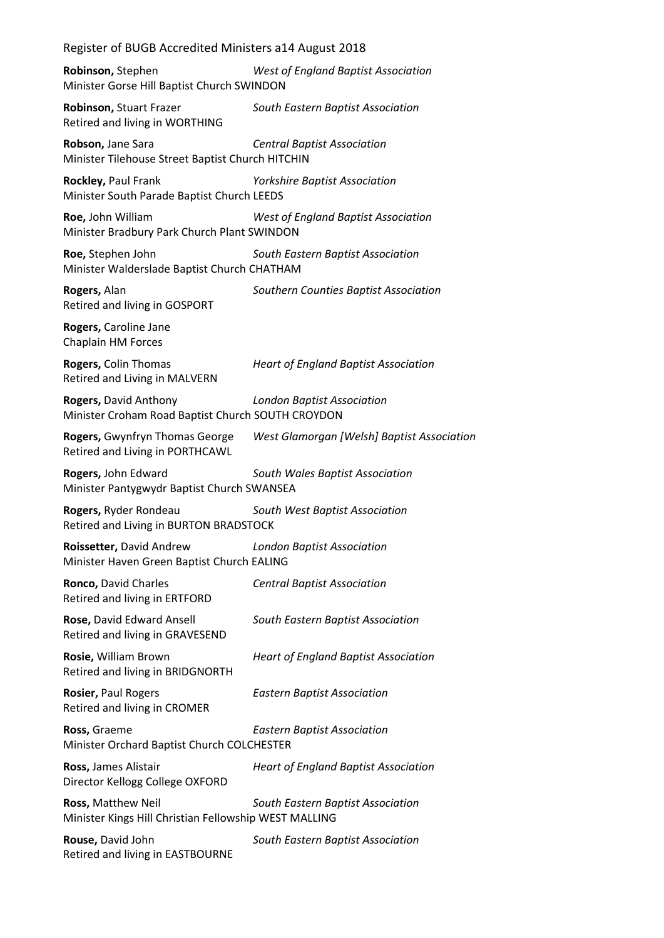| Register of BUGB Accredited Ministers a14 August 2018                                      |
|--------------------------------------------------------------------------------------------|
| <b>West of England Baptist Association</b><br>Minister Gorse Hill Baptist Church SWINDON   |
| South Eastern Baptist Association                                                          |
| <b>Central Baptist Association</b><br>Minister Tilehouse Street Baptist Church HITCHIN     |
| <b>Yorkshire Baptist Association</b><br>Minister South Parade Baptist Church LEEDS         |
| West of England Baptist Association<br>Minister Bradbury Park Church Plant SWINDON         |
| South Eastern Baptist Association<br>Minister Walderslade Baptist Church CHATHAM           |
| Southern Counties Baptist Association                                                      |
|                                                                                            |
| <b>Heart of England Baptist Association</b>                                                |
| <b>London Baptist Association</b><br>Minister Croham Road Baptist Church SOUTH CROYDON     |
| West Glamorgan [Welsh] Baptist Association                                                 |
| South Wales Baptist Association<br>Minister Pantygwydr Baptist Church SWANSEA              |
| South West Baptist Association<br>Retired and Living in BURTON BRADSTOCK                   |
| <b>London Baptist Association</b><br>Minister Haven Green Baptist Church EALING            |
| <b>Central Baptist Association</b>                                                         |
| South Eastern Baptist Association                                                          |
| <b>Heart of England Baptist Association</b>                                                |
| <b>Eastern Baptist Association</b>                                                         |
| <b>Eastern Baptist Association</b><br>Minister Orchard Baptist Church COLCHESTER           |
| <b>Heart of England Baptist Association</b>                                                |
| South Eastern Baptist Association<br>Minister Kings Hill Christian Fellowship WEST MALLING |
| South Eastern Baptist Association                                                          |
|                                                                                            |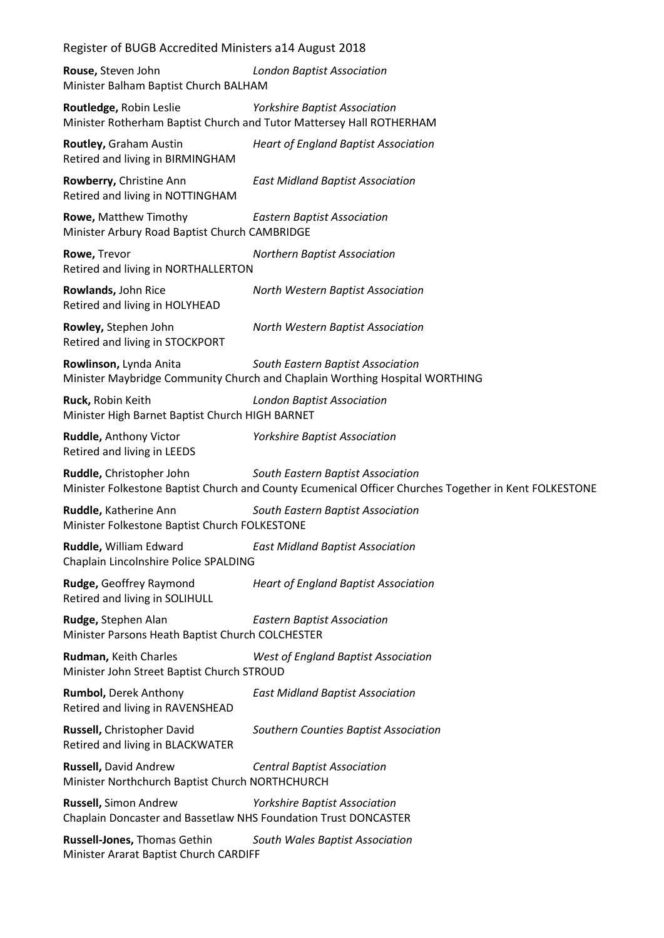| Register of BUGB Accredited Ministers a14 August 2018                                    |                                                                                                                                            |  |
|------------------------------------------------------------------------------------------|--------------------------------------------------------------------------------------------------------------------------------------------|--|
| Rouse, Steven John<br>Minister Balham Baptist Church BALHAM                              | <b>London Baptist Association</b>                                                                                                          |  |
| Routledge, Robin Leslie                                                                  | <b>Yorkshire Baptist Association</b><br>Minister Rotherham Baptist Church and Tutor Mattersey Hall ROTHERHAM                               |  |
| Routley, Graham Austin<br>Retired and living in BIRMINGHAM                               | <b>Heart of England Baptist Association</b>                                                                                                |  |
| Rowberry, Christine Ann<br>Retired and living in NOTTINGHAM                              | <b>East Midland Baptist Association</b>                                                                                                    |  |
| Rowe, Matthew Timothy<br>Minister Arbury Road Baptist Church CAMBRIDGE                   | <b>Eastern Baptist Association</b>                                                                                                         |  |
| Rowe, Trevor<br>Retired and living in NORTHALLERTON                                      | <b>Northern Baptist Association</b>                                                                                                        |  |
| Rowlands, John Rice<br>Retired and living in HOLYHEAD                                    | North Western Baptist Association                                                                                                          |  |
| Rowley, Stephen John<br>Retired and living in STOCKPORT                                  | North Western Baptist Association                                                                                                          |  |
| Rowlinson, Lynda Anita                                                                   | South Eastern Baptist Association<br>Minister Maybridge Community Church and Chaplain Worthing Hospital WORTHING                           |  |
| Ruck, Robin Keith<br>Minister High Barnet Baptist Church HIGH BARNET                     | <b>London Baptist Association</b>                                                                                                          |  |
| Ruddle, Anthony Victor<br>Retired and living in LEEDS                                    | <b>Yorkshire Baptist Association</b>                                                                                                       |  |
| Ruddle, Christopher John                                                                 | South Eastern Baptist Association<br>Minister Folkestone Baptist Church and County Ecumenical Officer Churches Together in Kent FOLKESTONE |  |
| Ruddle, Katherine Ann<br>Minister Folkestone Baptist Church FOLKESTONE                   | South Eastern Baptist Association                                                                                                          |  |
| Ruddle, William Edward<br>Chaplain Lincolnshire Police SPALDING                          | <b>East Midland Baptist Association</b>                                                                                                    |  |
| Rudge, Geoffrey Raymond<br>Retired and living in SOLIHULL                                | <b>Heart of England Baptist Association</b>                                                                                                |  |
| Rudge, Stephen Alan<br>Minister Parsons Heath Baptist Church COLCHESTER                  | <b>Eastern Baptist Association</b>                                                                                                         |  |
| Rudman, Keith Charles<br>Minister John Street Baptist Church STROUD                      | <b>West of England Baptist Association</b>                                                                                                 |  |
| <b>Rumbol, Derek Anthony</b><br>Retired and living in RAVENSHEAD                         | <b>East Midland Baptist Association</b>                                                                                                    |  |
| Russell, Christopher David<br>Retired and living in BLACKWATER                           | Southern Counties Baptist Association                                                                                                      |  |
| Russell, David Andrew<br>Minister Northchurch Baptist Church NORTHCHURCH                 | <b>Central Baptist Association</b>                                                                                                         |  |
| Russell, Simon Andrew<br>Chaplain Doncaster and Bassetlaw NHS Foundation Trust DONCASTER | <b>Yorkshire Baptist Association</b>                                                                                                       |  |
| Russell-Jones, Thomas Gethin<br>Minister Ararat Baptist Church CARDIFF                   | South Wales Baptist Association                                                                                                            |  |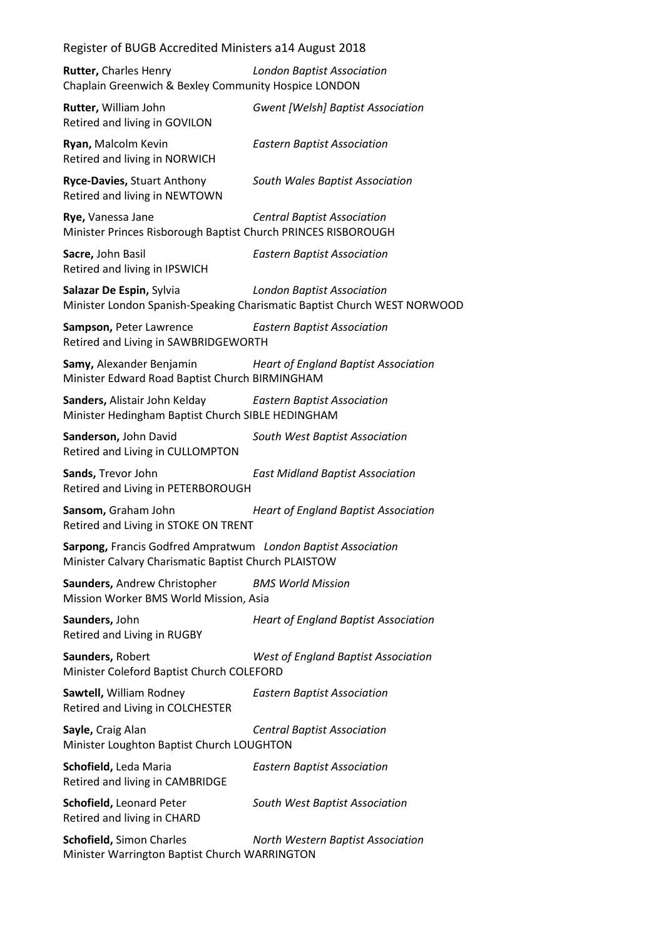**Rutter,** Charles Henry *London Baptist Association* Chaplain Greenwich & Bexley Community Hospice LONDON **Rutter,** William John *Gwent [Welsh] Baptist Association* Retired and living in GOVILON **Ryan,** Malcolm Kevin *Eastern Baptist Association* Retired and living in NORWICH **Ryce-Davies,** Stuart Anthony *South Wales Baptist Association* Retired and living in NEWTOWN **Rye,** Vanessa Jane *Central Baptist Association* Minister Princes Risborough Baptist Church PRINCES RISBOROUGH **Sacre,** John Basil *Eastern Baptist Association* Retired and living in IPSWICH **Salazar De Espin,** Sylvia *London Baptist Association* Minister London Spanish-Speaking Charismatic Baptist Church WEST NORWOOD **Sampson,** Peter Lawrence *Eastern Baptist Association* Retired and Living in SAWBRIDGEWORTH **Samy,** Alexander Benjamin *Heart of England Baptist Association* Minister Edward Road Baptist Church BIRMINGHAM **Sanders,** Alistair John Kelday *Eastern Baptist Association* Minister Hedingham Baptist Church SIBLE HEDINGHAM **Sanderson,** John David *South West Baptist Association* Retired and Living in CULLOMPTON **Sands,** Trevor John *East Midland Baptist Association* Retired and Living in PETERBOROUGH **Sansom,** Graham John *Heart of England Baptist Association* Retired and Living in STOKE ON TRENT **Sarpong,** Francis Godfred Ampratwum *London Baptist Association* Minister Calvary Charismatic Baptist Church PLAISTOW **Saunders,** Andrew Christopher *BMS World Mission* Mission Worker BMS World Mission, Asia **Saunders,** John *Heart of England Baptist Association* Retired and Living in RUGBY **Saunders,** Robert *West of England Baptist Association* Minister Coleford Baptist Church COLEFORD **Sawtell,** William Rodney *Eastern Baptist Association* Retired and Living in COLCHESTER **Sayle,** Craig Alan *Central Baptist Association* Minister Loughton Baptist Church LOUGHTON **Schofield,** Leda Maria *Eastern Baptist Association* Retired and living in CAMBRIDGE **Schofield,** Leonard Peter *South West Baptist Association* Retired and living in CHARD **Schofield,** Simon Charles *North Western Baptist Association* Minister Warrington Baptist Church WARRINGTON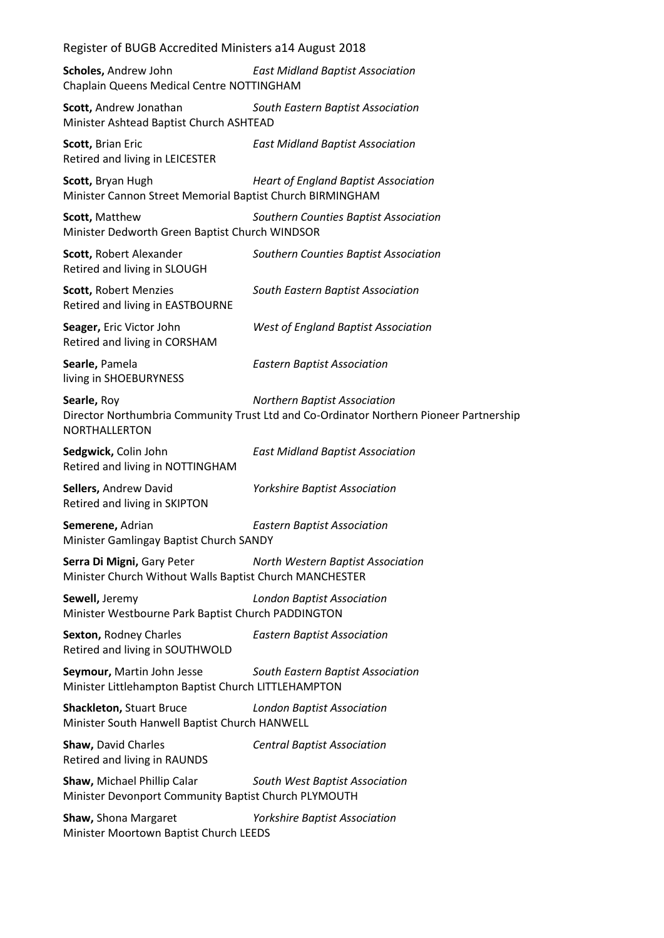| Register of BUGB Accredited Ministers a14 August 2018                                                                      |                                                                                                                               |  |
|----------------------------------------------------------------------------------------------------------------------------|-------------------------------------------------------------------------------------------------------------------------------|--|
| Scholes, Andrew John<br>Chaplain Queens Medical Centre NOTTINGHAM                                                          | <b>East Midland Baptist Association</b>                                                                                       |  |
| Scott, Andrew Jonathan<br>Minister Ashtead Baptist Church ASHTEAD                                                          | South Eastern Baptist Association                                                                                             |  |
| Scott, Brian Eric<br>Retired and living in LEICESTER                                                                       | <b>East Midland Baptist Association</b>                                                                                       |  |
| Scott, Bryan Hugh<br>Minister Cannon Street Memorial Baptist Church BIRMINGHAM                                             | <b>Heart of England Baptist Association</b>                                                                                   |  |
| Scott, Matthew<br>Minister Dedworth Green Baptist Church WINDSOR                                                           | Southern Counties Baptist Association                                                                                         |  |
| Scott, Robert Alexander<br>Retired and living in SLOUGH                                                                    | Southern Counties Baptist Association                                                                                         |  |
| Scott, Robert Menzies<br>Retired and living in EASTBOURNE                                                                  | South Eastern Baptist Association                                                                                             |  |
| Seager, Eric Victor John<br>Retired and living in CORSHAM                                                                  | <b>West of England Baptist Association</b>                                                                                    |  |
| Searle, Pamela<br>living in SHOEBURYNESS                                                                                   | <b>Eastern Baptist Association</b>                                                                                            |  |
| Searle, Roy<br>NORTHALLERTON                                                                                               | <b>Northern Baptist Association</b><br>Director Northumbria Community Trust Ltd and Co-Ordinator Northern Pioneer Partnership |  |
| Sedgwick, Colin John<br>Retired and living in NOTTINGHAM                                                                   | <b>East Midland Baptist Association</b>                                                                                       |  |
| Sellers, Andrew David<br>Retired and living in SKIPTON                                                                     | Yorkshire Baptist Association                                                                                                 |  |
| Semerene, Adrian<br>Minister Gamlingay Baptist Church SANDY                                                                | <b>Eastern Baptist Association</b>                                                                                            |  |
| Serra Di Migni, Gary Peter<br>North Western Baptist Association<br>Minister Church Without Walls Baptist Church MANCHESTER |                                                                                                                               |  |
| Sewell, Jeremy<br><b>London Baptist Association</b><br>Minister Westbourne Park Baptist Church PADDINGTON                  |                                                                                                                               |  |
| Sexton, Rodney Charles<br>Retired and living in SOUTHWOLD                                                                  | <b>Eastern Baptist Association</b>                                                                                            |  |
| Seymour, Martin John Jesse<br>Minister Littlehampton Baptist Church LITTLEHAMPTON                                          | South Eastern Baptist Association                                                                                             |  |
| <b>Shackleton, Stuart Bruce</b><br>Minister South Hanwell Baptist Church HANWELL                                           | <b>London Baptist Association</b>                                                                                             |  |
| Shaw, David Charles<br>Retired and living in RAUNDS                                                                        | <b>Central Baptist Association</b>                                                                                            |  |
| Shaw, Michael Phillip Calar<br>Minister Devonport Community Baptist Church PLYMOUTH                                        | South West Baptist Association                                                                                                |  |
| Shaw, Shona Margaret<br>Minister Moortown Baptist Church LEEDS                                                             | <b>Yorkshire Baptist Association</b>                                                                                          |  |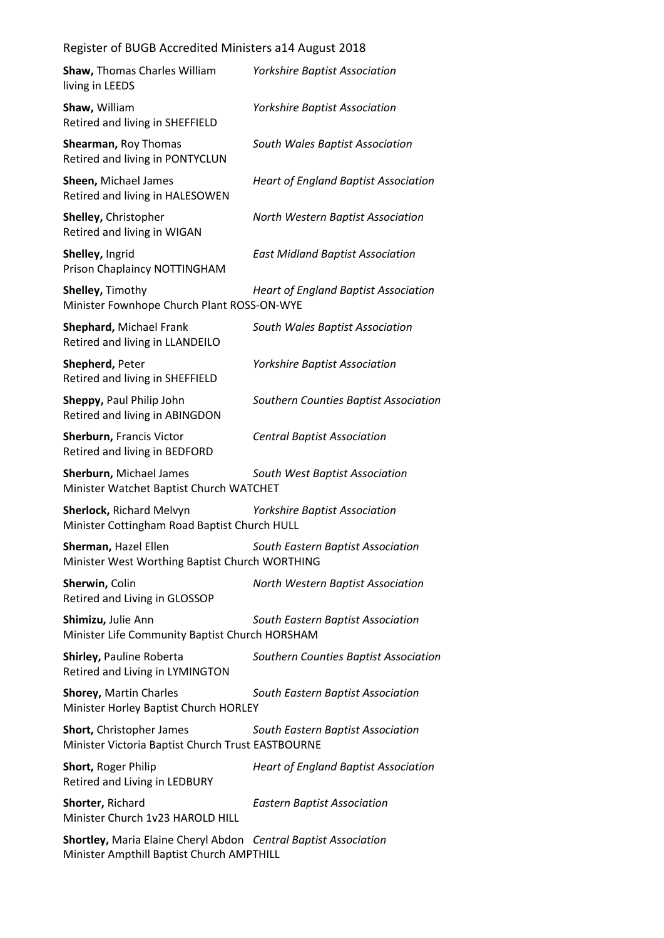| Shaw, Thomas Charles William<br>living in LEEDS                                                              | <b>Yorkshire Baptist Association</b>        |
|--------------------------------------------------------------------------------------------------------------|---------------------------------------------|
| Shaw, William<br>Retired and living in SHEFFIELD                                                             | <b>Yorkshire Baptist Association</b>        |
| Shearman, Roy Thomas<br>Retired and living in PONTYCLUN                                                      | South Wales Baptist Association             |
| Sheen, Michael James<br>Retired and living in HALESOWEN                                                      | <b>Heart of England Baptist Association</b> |
| Shelley, Christopher<br>Retired and living in WIGAN                                                          | North Western Baptist Association           |
| Shelley, Ingrid<br>Prison Chaplaincy NOTTINGHAM                                                              | <b>East Midland Baptist Association</b>     |
| <b>Shelley, Timothy</b><br>Minister Fownhope Church Plant ROSS-ON-WYE                                        | <b>Heart of England Baptist Association</b> |
| Shephard, Michael Frank<br>Retired and living in LLANDEILO                                                   | South Wales Baptist Association             |
| Shepherd, Peter<br>Retired and living in SHEFFIELD                                                           | <b>Yorkshire Baptist Association</b>        |
| Sheppy, Paul Philip John<br>Retired and living in ABINGDON                                                   | Southern Counties Baptist Association       |
| Sherburn, Francis Victor<br>Retired and living in BEDFORD                                                    | <b>Central Baptist Association</b>          |
| Sherburn, Michael James<br>Minister Watchet Baptist Church WATCHET                                           | South West Baptist Association              |
| Sherlock, Richard Melvyn<br>Minister Cottingham Road Baptist Church HULL                                     | <b>Yorkshire Baptist Association</b>        |
| Sherman, Hazel Ellen<br>Minister West Worthing Baptist Church WORTHING                                       | South Eastern Baptist Association           |
| Sherwin, Colin<br>Retired and Living in GLOSSOP                                                              | North Western Baptist Association           |
| Shimizu, Julie Ann<br>Minister Life Community Baptist Church HORSHAM                                         | South Eastern Baptist Association           |
| Shirley, Pauline Roberta<br>Retired and Living in LYMINGTON                                                  | Southern Counties Baptist Association       |
| <b>Shorey, Martin Charles</b><br>Minister Horley Baptist Church HORLEY                                       | South Eastern Baptist Association           |
| Short, Christopher James<br>Minister Victoria Baptist Church Trust EASTBOURNE                                | South Eastern Baptist Association           |
| Short, Roger Philip<br>Retired and Living in LEDBURY                                                         | <b>Heart of England Baptist Association</b> |
| Shorter, Richard<br>Minister Church 1v23 HAROLD HILL                                                         | <b>Eastern Baptist Association</b>          |
| Shortley, Maria Elaine Cheryl Abdon Central Baptist Association<br>Minister Ampthill Baptist Church AMPTHILL |                                             |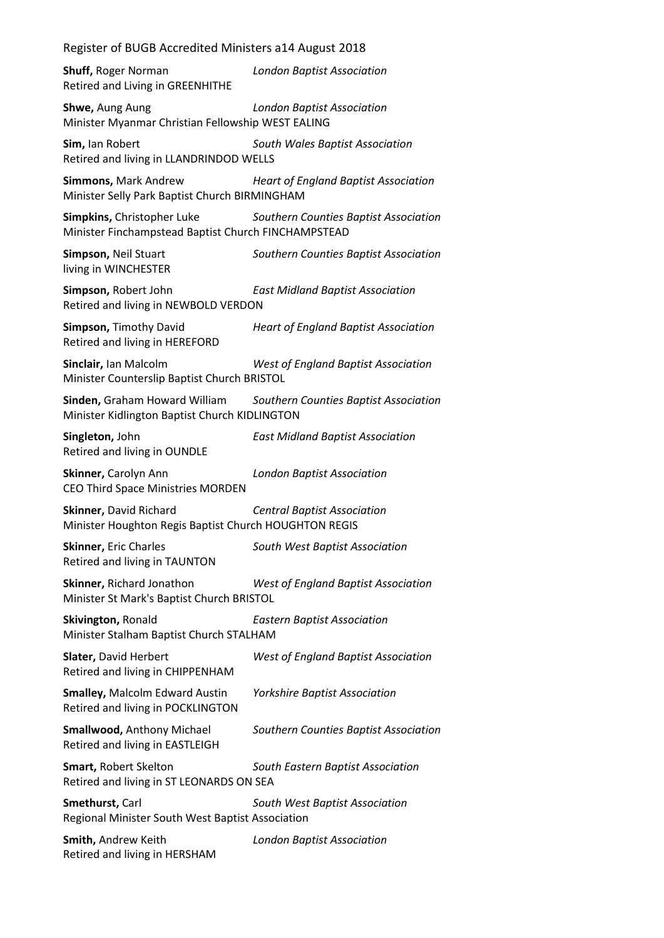**Shuff,** Roger Norman *London Baptist Association* Retired and Living in GREENHITHE

**Shwe,** Aung Aung *London Baptist Association* Minister Myanmar Christian Fellowship WEST EALING

**Sim,** Ian Robert *South Wales Baptist Association* Retired and living in LLANDRINDOD WELLS

**Simmons,** Mark Andrew *Heart of England Baptist Association* Minister Selly Park Baptist Church BIRMINGHAM

**Simpkins,** Christopher Luke *Southern Counties Baptist Association* Minister Finchampstead Baptist Church FINCHAMPSTEAD

**Simpson,** Neil Stuart *Southern Counties Baptist Association* living in WINCHESTER

**Simpson,** Robert John *East Midland Baptist Association* Retired and living in NEWBOLD VERDON

**Simpson,** Timothy David *Heart of England Baptist Association* Retired and living in HEREFORD

**Sinclair,** Ian Malcolm *West of England Baptist Association* Minister Counterslip Baptist Church BRISTOL

**Sinden,** Graham Howard William *Southern Counties Baptist Association* Minister Kidlington Baptist Church KIDLINGTON

**Singleton,** John *East Midland Baptist Association* Retired and living in OUNDLE

**Skinner,** Carolyn Ann *London Baptist Association* CEO Third Space Ministries MORDEN

**Skinner,** David Richard *Central Baptist Association* Minister Houghton Regis Baptist Church HOUGHTON REGIS

**Skinner,** Eric Charles *South West Baptist Association* Retired and living in TAUNTON

**Skinner,** Richard Jonathon *West of England Baptist Association* Minister St Mark's Baptist Church BRISTOL

**Skivington,** Ronald *Eastern Baptist Association* Minister Stalham Baptist Church STALHAM

| Slater, David Herbert<br>Retired and living in CHIPPENHAM                  | <b>West of England Baptist Association</b> |
|----------------------------------------------------------------------------|--------------------------------------------|
| <b>Smalley, Malcolm Edward Austin</b><br>Retired and living in POCKLINGTON | <b>Yorkshire Baptist Association</b>       |
| <b>Smallwood, Anthony Michael</b><br>Retired and living in EASTLEIGH       | Southern Counties Baptist Association      |
| <b>Smart, Robert Skelton</b><br>Retired and living in ST LEONARDS ON SEA   | South Eastern Baptist Association          |
| Smethurst, Carl<br>Regional Minister South West Baptist Association        | South West Baptist Association             |
| Smith, Andrew Keith                                                        | <b>London Baptist Association</b>          |

Retired and living in HERSHAM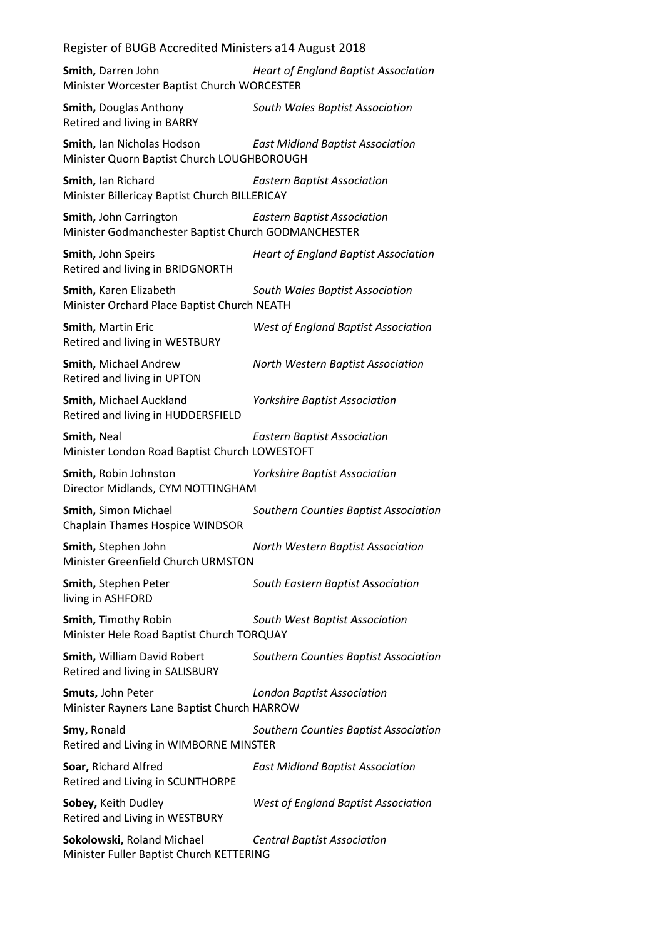Register of BUGB Accredited Ministers a14 August 2018 **Smith,** Darren John *Heart of England Baptist Association* Minister Worcester Baptist Church WORCESTER **Smith,** Douglas Anthony *South Wales Baptist Association* Retired and living in BARRY **Smith,** Ian Nicholas Hodson *East Midland Baptist Association* Minister Quorn Baptist Church LOUGHBOROUGH **Smith,** Ian Richard *Eastern Baptist Association* Minister Billericay Baptist Church BILLERICAY **Smith,** John Carrington *Eastern Baptist Association* Minister Godmanchester Baptist Church GODMANCHESTER **Smith,** John Speirs *Heart of England Baptist Association* Retired and living in BRIDGNORTH **Smith,** Karen Elizabeth *South Wales Baptist Association* Minister Orchard Place Baptist Church NEATH **Smith,** Martin Eric *West of England Baptist Association* Retired and living in WESTBURY **Smith,** Michael Andrew *North Western Baptist Association* Retired and living in UPTON **Smith,** Michael Auckland *Yorkshire Baptist Association* Retired and living in HUDDERSFIELD **Smith,** Neal *Eastern Baptist Association* Minister London Road Baptist Church LOWESTOFT **Smith,** Robin Johnston *Yorkshire Baptist Association* Director Midlands, CYM NOTTINGHAM **Smith,** Simon Michael *Southern Counties Baptist Association* Chaplain Thames Hospice WINDSOR **Smith,** Stephen John *North Western Baptist Association* Minister Greenfield Church URMSTON **Smith,** Stephen Peter *South Eastern Baptist Association* living in ASHFORD **Smith,** Timothy Robin *South West Baptist Association* Minister Hele Road Baptist Church TORQUAY **Smith,** William David Robert *Southern Counties Baptist Association* Retired and living in SALISBURY **Smuts,** John Peter *London Baptist Association* Minister Rayners Lane Baptist Church HARROW **Smy,** Ronald *Southern Counties Baptist Association* Retired and Living in WIMBORNE MINSTER **Soar,** Richard Alfred *East Midland Baptist Association* Retired and Living in SCUNTHORPE **Sobey,** Keith Dudley *West of England Baptist Association* Retired and Living in WESTBURY **Sokolowski,** Roland Michael *Central Baptist Association* Minister Fuller Baptist Church KETTERING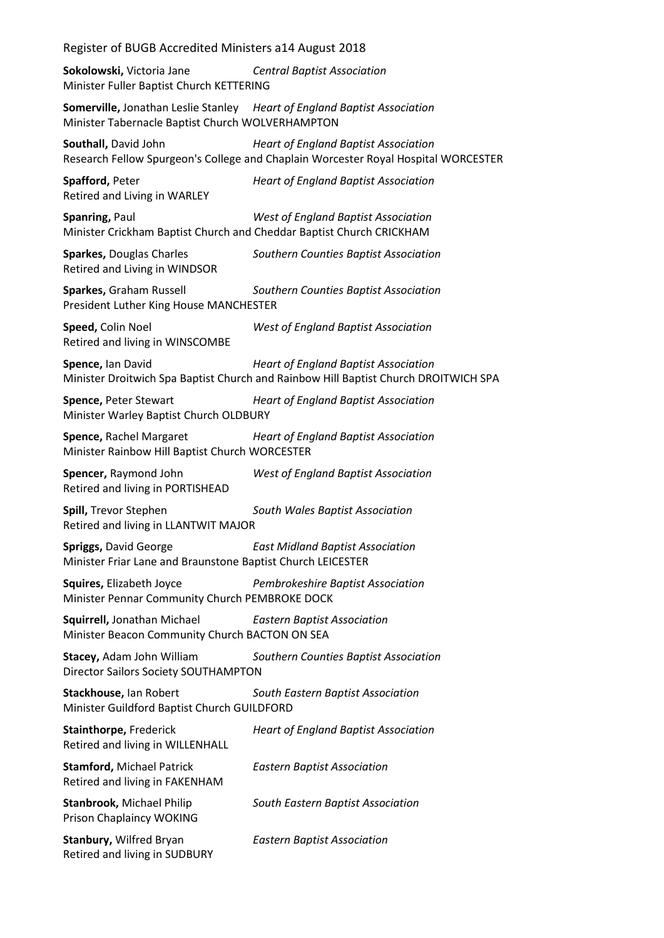**Sokolowski,** Victoria Jane *Central Baptist Association* Minister Fuller Baptist Church KETTERING

**Somerville,** Jonathan Leslie Stanley *Heart of England Baptist Association* Minister Tabernacle Baptist Church WOLVERHAMPTON

**Southall,** David John *Heart of England Baptist Association* Research Fellow Spurgeon's College and Chaplain Worcester Royal Hospital WORCESTER

**Spafford,** Peter *Heart of England Baptist Association* Retired and Living in WARLEY **Spanring,** Paul *West of England Baptist Association* Minister Crickham Baptist Church and Cheddar Baptist Church CRICKHAM **Sparkes,** Douglas Charles *Southern Counties Baptist Association* Retired and Living in WINDSOR **Sparkes,** Graham Russell *Southern Counties Baptist Association* President Luther King House MANCHESTER **Speed,** Colin Noel *West of England Baptist Association* Retired and living in WINSCOMBE

**Spence,** Ian David *Heart of England Baptist Association* Minister Droitwich Spa Baptist Church and Rainbow Hill Baptist Church DROITWICH SPA

**Spence,** Peter Stewart *Heart of England Baptist Association* Minister Warley Baptist Church OLDBURY

**Spence,** Rachel Margaret *Heart of England Baptist Association* Minister Rainbow Hill Baptist Church WORCESTER

**Spencer,** Raymond John *West of England Baptist Association* Retired and living in PORTISHEAD

**Spill,** Trevor Stephen *South Wales Baptist Association* Retired and living in LLANTWIT MAJOR

**Spriggs,** David George *East Midland Baptist Association* Minister Friar Lane and Braunstone Baptist Church LEICESTER

**Squires,** Elizabeth Joyce *Pembrokeshire Baptist Association* Minister Pennar Community Church PEMBROKE DOCK

**Squirrell,** Jonathan Michael *Eastern Baptist Association* Minister Beacon Community Church BACTON ON SEA

**Stacey,** Adam John William *Southern Counties Baptist Association* Director Sailors Society SOUTHAMPTON

**Stackhouse,** Ian Robert *South Eastern Baptist Association* Minister Guildford Baptist Church GUILDFORD

| <b>Stainthorpe, Frederick</b><br>Retired and living in WILLENHALL  | <b>Heart of England Baptist Association</b> |
|--------------------------------------------------------------------|---------------------------------------------|
| <b>Stamford, Michael Patrick</b><br>Retired and living in FAKENHAM | <b>Eastern Baptist Association</b>          |
| <b>Stanbrook, Michael Philip</b><br>Prison Chaplaincy WOKING       | South Eastern Baptist Association           |
| <b>Stanbury, Wilfred Bryan</b><br>Retired and living in SUDBURY    | <b>Eastern Baptist Association</b>          |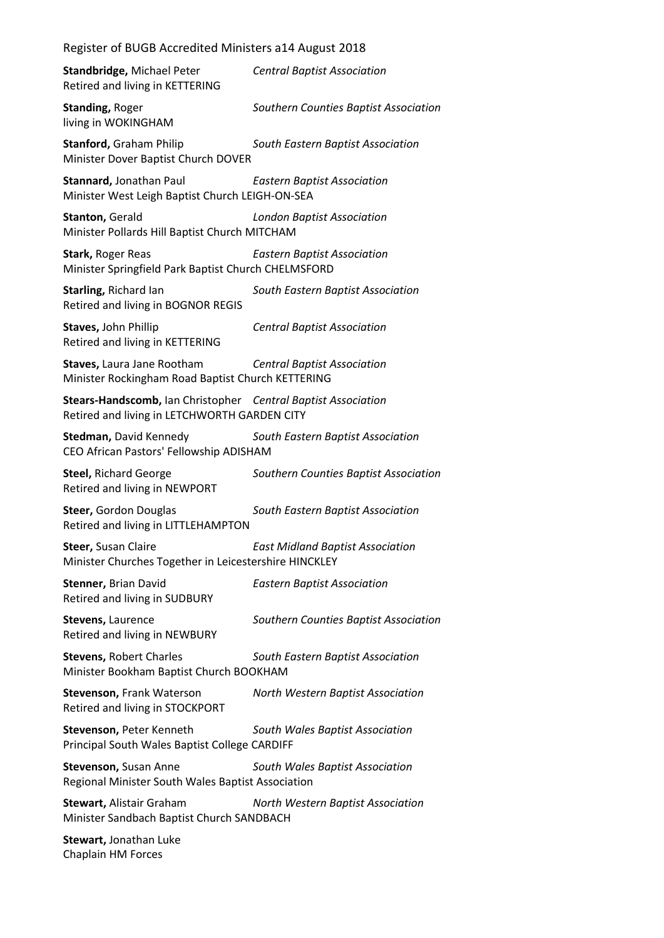| <b>Standbridge, Michael Peter</b><br>Retired and living in KETTERING                                          | <b>Central Baptist Association</b>      |
|---------------------------------------------------------------------------------------------------------------|-----------------------------------------|
| <b>Standing, Roger</b><br>living in WOKINGHAM                                                                 | Southern Counties Baptist Association   |
| <b>Stanford, Graham Philip</b><br>Minister Dover Baptist Church DOVER                                         | South Eastern Baptist Association       |
| Stannard, Jonathan Paul<br>Minister West Leigh Baptist Church LEIGH-ON-SEA                                    | <b>Eastern Baptist Association</b>      |
| <b>Stanton, Gerald</b><br>Minister Pollards Hill Baptist Church MITCHAM                                       | <b>London Baptist Association</b>       |
| Stark, Roger Reas<br>Minister Springfield Park Baptist Church CHELMSFORD                                      | <b>Eastern Baptist Association</b>      |
| Starling, Richard Ian<br>Retired and living in BOGNOR REGIS                                                   | South Eastern Baptist Association       |
| Staves, John Phillip<br>Retired and living in KETTERING                                                       | <b>Central Baptist Association</b>      |
| Staves, Laura Jane Rootham<br>Minister Rockingham Road Baptist Church KETTERING                               | <b>Central Baptist Association</b>      |
| Stears-Handscomb, Ian Christopher Central Baptist Association<br>Retired and living in LETCHWORTH GARDEN CITY |                                         |
| <b>Stedman, David Kennedy</b><br>CEO African Pastors' Fellowship ADISHAM                                      | South Eastern Baptist Association       |
| <b>Steel, Richard George</b><br>Retired and living in NEWPORT                                                 | Southern Counties Baptist Association   |
| Steer, Gordon Douglas<br>Retired and living in LITTLEHAMPTON                                                  | South Eastern Baptist Association       |
| Steer, Susan Claire<br>Minister Churches Together in Leicestershire HINCKLEY                                  | <b>East Midland Baptist Association</b> |
| Stenner, Brian David<br>Retired and living in SUDBURY                                                         | <b>Eastern Baptist Association</b>      |
| Stevens, Laurence<br>Retired and living in NEWBURY                                                            | Southern Counties Baptist Association   |
| <b>Stevens, Robert Charles</b><br>Minister Bookham Baptist Church BOOKHAM                                     | South Eastern Baptist Association       |
| Stevenson, Frank Waterson<br>Retired and living in STOCKPORT                                                  | North Western Baptist Association       |
| Stevenson, Peter Kenneth<br>Principal South Wales Baptist College CARDIFF                                     | South Wales Baptist Association         |
| Stevenson, Susan Anne<br>Regional Minister South Wales Baptist Association                                    | South Wales Baptist Association         |
| <b>Stewart, Alistair Graham</b><br>Minister Sandbach Baptist Church SANDBACH                                  | North Western Baptist Association       |
| <b>Stewart, Jonathan Luke</b><br>Chaplain HM Forces                                                           |                                         |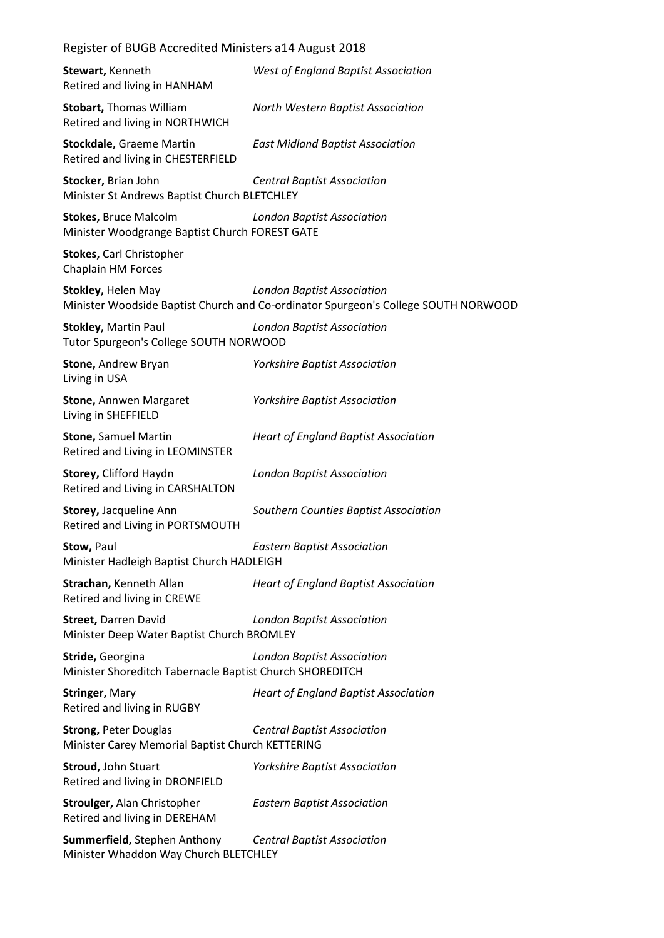| Register of BUGB Accredited Ministers a14 August 2018                            |                                                                                                                         |  |
|----------------------------------------------------------------------------------|-------------------------------------------------------------------------------------------------------------------------|--|
| Stewart, Kenneth<br>Retired and living in HANHAM                                 | <b>West of England Baptist Association</b>                                                                              |  |
| <b>Stobart, Thomas William</b><br>Retired and living in NORTHWICH                | North Western Baptist Association                                                                                       |  |
| <b>Stockdale, Graeme Martin</b><br>Retired and living in CHESTERFIELD            | <b>East Midland Baptist Association</b>                                                                                 |  |
| Stocker, Brian John<br>Minister St Andrews Baptist Church BLETCHLEY              | <b>Central Baptist Association</b>                                                                                      |  |
| <b>Stokes, Bruce Malcolm</b><br>Minister Woodgrange Baptist Church FOREST GATE   | <b>London Baptist Association</b>                                                                                       |  |
| Stokes, Carl Christopher<br><b>Chaplain HM Forces</b>                            |                                                                                                                         |  |
| Stokley, Helen May                                                               | <b>London Baptist Association</b><br>Minister Woodside Baptist Church and Co-ordinator Spurgeon's College SOUTH NORWOOD |  |
| <b>Stokley, Martin Paul</b><br>Tutor Spurgeon's College SOUTH NORWOOD            | London Baptist Association                                                                                              |  |
| Stone, Andrew Bryan<br>Living in USA                                             | <b>Yorkshire Baptist Association</b>                                                                                    |  |
| <b>Stone, Annwen Margaret</b><br>Living in SHEFFIELD                             | <b>Yorkshire Baptist Association</b>                                                                                    |  |
| <b>Stone, Samuel Martin</b><br>Retired and Living in LEOMINSTER                  | <b>Heart of England Baptist Association</b>                                                                             |  |
| Storey, Clifford Haydn<br>Retired and Living in CARSHALTON                       | <b>London Baptist Association</b>                                                                                       |  |
| Storey, Jacqueline Ann<br>Retired and Living in PORTSMOUTH                       | Southern Counties Baptist Association                                                                                   |  |
| Stow, Paul<br>Minister Hadleigh Baptist Church HADLEIGH                          | <b>Eastern Baptist Association</b>                                                                                      |  |
| Strachan, Kenneth Allan<br>Retired and living in CREWE                           | <b>Heart of England Baptist Association</b>                                                                             |  |
| Street, Darren David<br>Minister Deep Water Baptist Church BROMLEY               | <b>London Baptist Association</b>                                                                                       |  |
| Stride, Georgina<br>Minister Shoreditch Tabernacle Baptist Church SHOREDITCH     | <b>London Baptist Association</b>                                                                                       |  |
| <b>Stringer, Mary</b><br>Retired and living in RUGBY                             | <b>Heart of England Baptist Association</b>                                                                             |  |
| <b>Strong, Peter Douglas</b><br>Minister Carey Memorial Baptist Church KETTERING | <b>Central Baptist Association</b>                                                                                      |  |
| <b>Stroud, John Stuart</b><br>Retired and living in DRONFIELD                    | <b>Yorkshire Baptist Association</b>                                                                                    |  |
| <b>Stroulger, Alan Christopher</b><br>Retired and living in DEREHAM              | <b>Eastern Baptist Association</b>                                                                                      |  |
| Summerfield, Stephen Anthony<br>Minister Whaddon Way Church BLETCHLEY            | <b>Central Baptist Association</b>                                                                                      |  |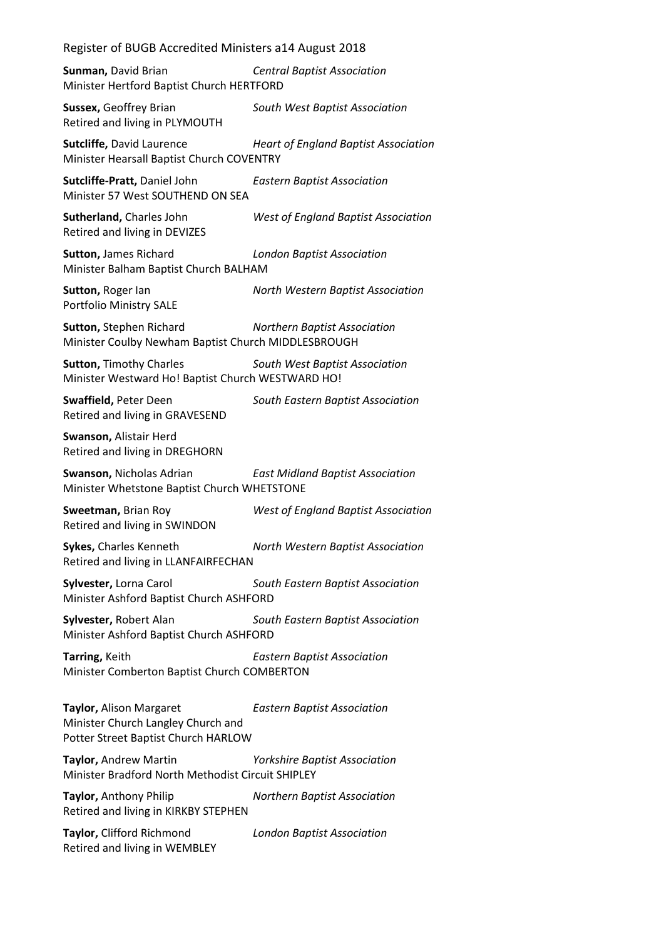**Sunman,** David Brian *Central Baptist Association* Minister Hertford Baptist Church HERTFORD

**Sussex,** Geoffrey Brian *South West Baptist Association* Retired and living in PLYMOUTH

**Sutcliffe,** David Laurence *Heart of England Baptist Association* Minister Hearsall Baptist Church COVENTRY

**Sutcliffe-Pratt,** Daniel John *Eastern Baptist Association* Minister 57 West SOUTHEND ON SEA

**Sutherland,** Charles John *West of England Baptist Association* Retired and living in DEVIZES

**Sutton,** James Richard *London Baptist Association* Minister Balham Baptist Church BALHAM

**Sutton,** Roger Ian *North Western Baptist Association* Portfolio Ministry SALE

**Sutton,** Stephen Richard *Northern Baptist Association* Minister Coulby Newham Baptist Church MIDDLESBROUGH

**Sutton,** Timothy Charles *South West Baptist Association* Minister Westward Ho! Baptist Church WESTWARD HO!

**Swaffield,** Peter Deen *South Eastern Baptist Association* Retired and living in GRAVESEND

**Swanson,** Alistair Herd Retired and living in DREGHORN

**Swanson,** Nicholas Adrian *East Midland Baptist Association* Minister Whetstone Baptist Church WHETSTONE

**Sweetman,** Brian Roy *West of England Baptist Association* Retired and living in SWINDON

**Sykes,** Charles Kenneth *North Western Baptist Association* Retired and living in LLANFAIRFECHAN

**Sylvester,** Lorna Carol *South Eastern Baptist Association* Minister Ashford Baptist Church ASHFORD

**Sylvester,** Robert Alan *South Eastern Baptist Association* Minister Ashford Baptist Church ASHFORD

**Tarring,** Keith *Eastern Baptist Association* Minister Comberton Baptist Church COMBERTON

**Taylor,** Alison Margaret *Eastern Baptist Association* Minister Church Langley Church and Potter Street Baptist Church HARLOW

**Taylor,** Andrew Martin *Yorkshire Baptist Association* Minister Bradford North Methodist Circuit SHIPLEY

**Taylor,** Anthony Philip *Northern Baptist Association* Retired and living in KIRKBY STEPHEN

**Taylor,** Clifford Richmond *London Baptist Association* Retired and living in WEMBLEY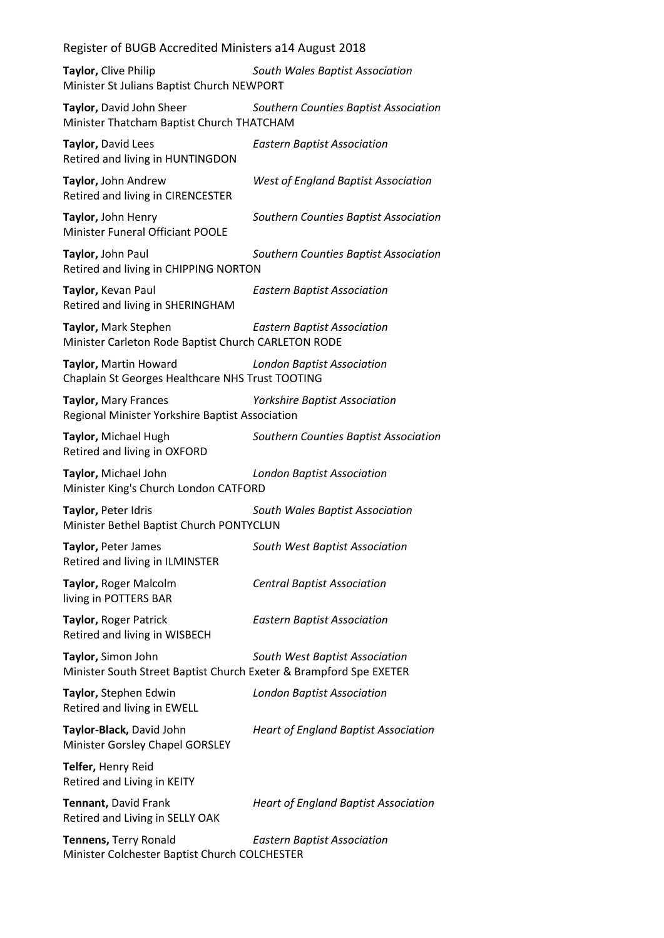**Taylor,** Clive Philip *South Wales Baptist Association* Minister St Julians Baptist Church NEWPORT

**Taylor,** David John Sheer *Southern Counties Baptist Association* Minister Thatcham Baptist Church THATCHAM

**Taylor,** David Lees *Eastern Baptist Association* Retired and living in HUNTINGDON

**Taylor,** John Andrew *West of England Baptist Association* Retired and living in CIRENCESTER

**Taylor,** John Henry *Southern Counties Baptist Association* Minister Funeral Officiant POOLE

**Taylor,** John Paul *Southern Counties Baptist Association* Retired and living in CHIPPING NORTON

**Taylor,** Kevan Paul *Eastern Baptist Association* Retired and living in SHERINGHAM

**Taylor,** Mark Stephen *Eastern Baptist Association* Minister Carleton Rode Baptist Church CARLETON RODE

**Taylor,** Martin Howard *London Baptist Association* Chaplain St Georges Healthcare NHS Trust TOOTING

**Taylor,** Mary Frances *Yorkshire Baptist Association* Regional Minister Yorkshire Baptist Association

**Taylor,** Michael Hugh *Southern Counties Baptist Association* Retired and living in OXFORD

**Taylor,** Michael John *London Baptist Association* Minister King's Church London CATFORD

**Taylor,** Peter Idris *South Wales Baptist Association* Minister Bethel Baptist Church PONTYCLUN

**Taylor,** Peter James *South West Baptist Association* Retired and living in ILMINSTER

**Taylor,** Roger Malcolm *Central Baptist Association* living in POTTERS BAR

**Taylor,** Roger Patrick *Eastern Baptist Association*

Retired and living in WISBECH

**Taylor,** Simon John *South West Baptist Association* Minister South Street Baptist Church Exeter & Brampford Spe EXETER

Retired and living in EWELL

**Taylor,** Stephen Edwin *London Baptist Association*

Minister Gorsley Chapel GORSLEY

**Taylor-Black,** David John *Heart of England Baptist Association*

**Telfer,** Henry Reid Retired and Living in KEITY

Retired and Living in SELLY OAK

**Tennant,** David Frank *Heart of England Baptist Association*

**Tennens,** Terry Ronald *Eastern Baptist Association* Minister Colchester Baptist Church COLCHESTER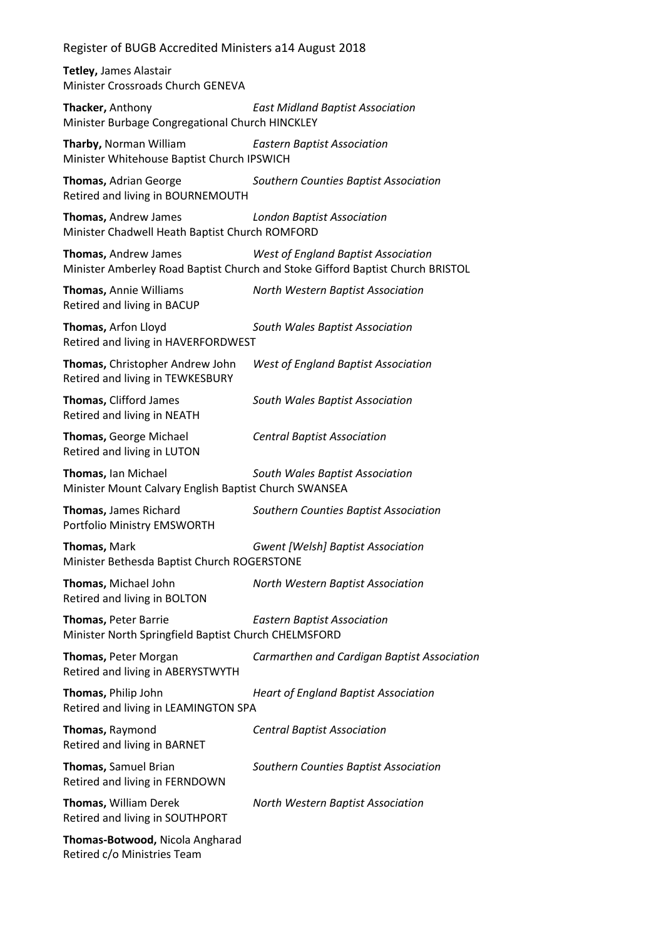**Tetley,** James Alastair Minister Crossroads Church GENEVA

**Thacker,** Anthony *East Midland Baptist Association* Minister Burbage Congregational Church HINCKLEY

**Tharby,** Norman William *Eastern Baptist Association* Minister Whitehouse Baptist Church IPSWICH

**Thomas,** Adrian George *Southern Counties Baptist Association* Retired and living in BOURNEMOUTH

**Thomas,** Andrew James *London Baptist Association* Minister Chadwell Heath Baptist Church ROMFORD

**Thomas,** Andrew James *West of England Baptist Association* Minister Amberley Road Baptist Church and Stoke Gifford Baptist Church BRISTOL

**Thomas,** Annie Williams *North Western Baptist Association* Retired and living in BACUP

**Thomas,** Arfon Lloyd *South Wales Baptist Association* Retired and living in HAVERFORDWEST

**Thomas,** Christopher Andrew John *West of England Baptist Association* Retired and living in TEWKESBURY

**Thomas,** Clifford James *South Wales Baptist Association* Retired and living in NEATH

**Thomas,** George Michael *Central Baptist Association* Retired and living in LUTON

**Thomas,** Ian Michael *South Wales Baptist Association* Minister Mount Calvary English Baptist Church SWANSEA

**Thomas,** James Richard *Southern Counties Baptist Association* Portfolio Ministry EMSWORTH

**Thomas,** Mark *Gwent [Welsh] Baptist Association* Minister Bethesda Baptist Church ROGERSTONE

**Thomas,** Michael John *North Western Baptist Association* Retired and living in BOLTON

**Thomas,** Peter Barrie *Eastern Baptist Association* Minister North Springfield Baptist Church CHELMSFORD

**Thomas,** Peter Morgan *Carmarthen and Cardigan Baptist Association* Retired and living in ABERYSTWYTH **Thomas,** Philip John *Heart of England Baptist Association*

Retired and living in LEAMINGTON SPA

**Thomas,** Raymond *Central Baptist Association* Retired and living in BARNET

**Thomas,** Samuel Brian *Southern Counties Baptist Association* Retired and living in FERNDOWN

**Thomas,** William Derek *North Western Baptist Association* Retired and living in SOUTHPORT

**Thomas-Botwood,** Nicola Angharad Retired c/o Ministries Team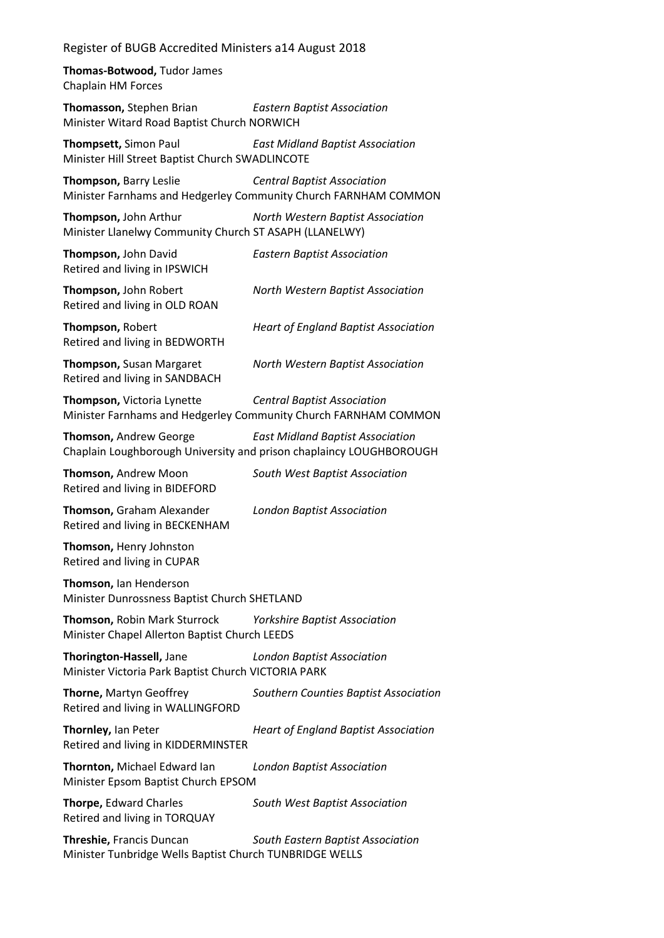**Thomas-Botwood,** Tudor James Chaplain HM Forces

**Thomasson,** Stephen Brian *Eastern Baptist Association* Minister Witard Road Baptist Church NORWICH

**Thompsett,** Simon Paul *East Midland Baptist Association* Minister Hill Street Baptist Church SWADLINCOTE

**Thompson,** Barry Leslie *Central Baptist Association* Minister Farnhams and Hedgerley Community Church FARNHAM COMMON

**Thompson,** John Arthur *North Western Baptist Association* Minister Llanelwy Community Church ST ASAPH (LLANELWY)

**Thompson,** John David *Eastern Baptist Association* Retired and living in IPSWICH

**Thompson,** John Robert *North Western Baptist Association* Retired and living in OLD ROAN

**Thompson,** Robert *Heart of England Baptist Association* Retired and living in BEDWORTH

Retired and living in SANDBACH

**Thompson,** Susan Margaret *North Western Baptist Association*

**Thompson,** Victoria Lynette *Central Baptist Association* Minister Farnhams and Hedgerley Community Church FARNHAM COMMON

**Thomson,** Andrew George *East Midland Baptist Association* Chaplain Loughborough University and prison chaplaincy LOUGHBOROUGH

Retired and living in BIDEFORD

**Thomson,** Andrew Moon *South West Baptist Association*

**Thomson,** Graham Alexander *London Baptist Association* Retired and living in BECKENHAM

**Thomson,** Henry Johnston Retired and living in CUPAR

**Thomson,** Ian Henderson Minister Dunrossness Baptist Church SHETLAND

**Thomson,** Robin Mark Sturrock *Yorkshire Baptist Association* Minister Chapel Allerton Baptist Church LEEDS

**Thorington-Hassell,** Jane *London Baptist Association* Minister Victoria Park Baptist Church VICTORIA PARK

**Thorne,** Martyn Geoffrey *Southern Counties Baptist Association* Retired and living in WALLINGFORD

**Thornley,** Ian Peter *Heart of England Baptist Association* Retired and living in KIDDERMINSTER

**Thornton,** Michael Edward Ian *London Baptist Association* Minister Epsom Baptist Church EPSOM

**Thorpe,** Edward Charles *South West Baptist Association* Retired and living in TORQUAY

**Threshie,** Francis Duncan *South Eastern Baptist Association* Minister Tunbridge Wells Baptist Church TUNBRIDGE WELLS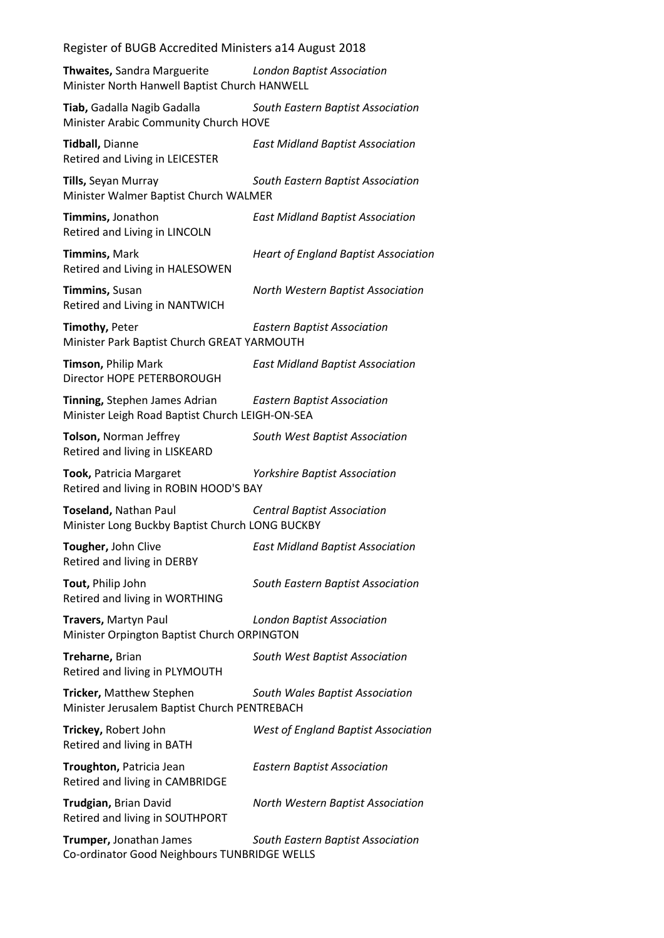**Thwaites,** Sandra Marguerite *London Baptist Association* Minister North Hanwell Baptist Church HANWELL

**Tiab,** Gadalla Nagib Gadalla *South Eastern Baptist Association* Minister Arabic Community Church HOVE

**Tidball,** Dianne *East Midland Baptist Association* Retired and Living in LEICESTER

**Tills,** Seyan Murray *South Eastern Baptist Association* Minister Walmer Baptist Church WALMER

**Timmins,** Jonathon *East Midland Baptist Association* Retired and Living in LINCOLN

**Timmins,** Mark *Heart of England Baptist Association* Retired and Living in HALESOWEN

**Timmins,** Susan *North Western Baptist Association* Retired and Living in NANTWICH

**Timothy,** Peter *Eastern Baptist Association* Minister Park Baptist Church GREAT YARMOUTH

**Timson,** Philip Mark *East Midland Baptist Association* Director HOPE PETERBOROUGH

**Tinning,** Stephen James Adrian *Eastern Baptist Association* Minister Leigh Road Baptist Church LEIGH-ON-SEA

**Tolson,** Norman Jeffrey *South West Baptist Association* Retired and living in LISKEARD

**Took,** Patricia Margaret *Yorkshire Baptist Association* Retired and living in ROBIN HOOD'S BAY

**Toseland,** Nathan Paul *Central Baptist Association* Minister Long Buckby Baptist Church LONG BUCKBY

**Tougher,** John Clive *East Midland Baptist Association* Retired and living in DERBY

**Tout,** Philip John *South Eastern Baptist Association* Retired and living in WORTHING

**Travers,** Martyn Paul *London Baptist Association* Minister Orpington Baptist Church ORPINGTON

**Treharne,** Brian *South West Baptist Association* Retired and living in PLYMOUTH

**Tricker,** Matthew Stephen *South Wales Baptist Association* Minister Jerusalem Baptist Church PENTREBACH

| Trickey, Robert John<br>Retired and living in BATH          | <b>West of England Baptist Association</b> |
|-------------------------------------------------------------|--------------------------------------------|
| Troughton, Patricia Jean<br>Retired and living in CAMBRIDGE | <b>Eastern Baptist Association</b>         |
| Trudgian, Brian David<br>Retired and living in SOUTHPORT    | North Western Baptist Association          |
| <b>Trumner</b> lonathan lames                               | South Eastern Rantist Association          |

**Trumper,** Jonathan James *South Eastern Baptist Association* Co-ordinator Good Neighbours TUNBRIDGE WELLS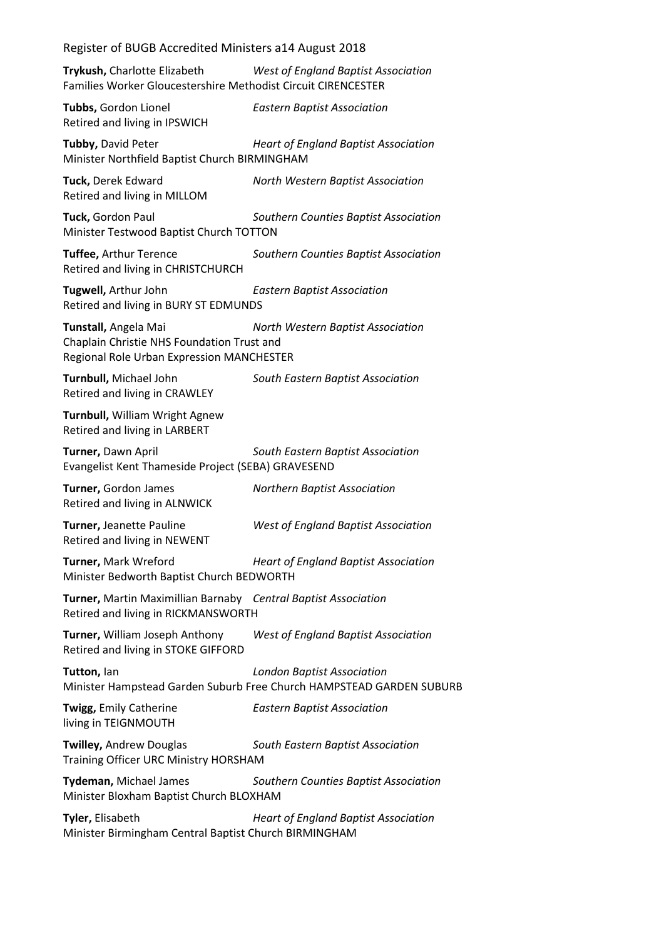|  |  | Register of BUGB Accredited Ministers a14 August 2018 |  |
|--|--|-------------------------------------------------------|--|

**Trykush,** Charlotte Elizabeth *West of England Baptist Association* Families Worker Gloucestershire Methodist Circuit CIRENCESTER

**Tubbs,** Gordon Lionel *Eastern Baptist Association* Retired and living in IPSWICH

**Tubby,** David Peter *Heart of England Baptist Association* Minister Northfield Baptist Church BIRMINGHAM

**Tuck,** Derek Edward *North Western Baptist Association* Retired and living in MILLOM

**Tuck,** Gordon Paul *Southern Counties Baptist Association* Minister Testwood Baptist Church TOTTON

**Tuffee,** Arthur Terence *Southern Counties Baptist Association* Retired and living in CHRISTCHURCH

**Tugwell,** Arthur John *Eastern Baptist Association* Retired and living in BURY ST EDMUNDS

**Tunstall,** Angela Mai *North Western Baptist Association* Chaplain Christie NHS Foundation Trust and Regional Role Urban Expression MANCHESTER

**Turnbull,** Michael John *South Eastern Baptist Association* Retired and living in CRAWLEY

**Turnbull,** William Wright Agnew Retired and living in LARBERT

**Turner,** Dawn April *South Eastern Baptist Association* Evangelist Kent Thameside Project (SEBA) GRAVESEND

**Turner,** Gordon James *Northern Baptist Association* Retired and living in ALNWICK

**Turner,** Jeanette Pauline *West of England Baptist Association* Retired and living in NEWENT

**Turner,** Mark Wreford *Heart of England Baptist Association* Minister Bedworth Baptist Church BEDWORTH

**Turner,** Martin Maximillian Barnaby *Central Baptist Association* Retired and living in RICKMANSWORTH

**Turner,** William Joseph Anthony *West of England Baptist Association* Retired and living in STOKE GIFFORD

**Tutton,** Ian *London Baptist Association* Minister Hampstead Garden Suburb Free Church HAMPSTEAD GARDEN SUBURB

living in TEIGNMOUTH

**Twigg,** Emily Catherine *Eastern Baptist Association*

**Twilley,** Andrew Douglas *South Eastern Baptist Association* Training Officer URC Ministry HORSHAM

**Tydeman,** Michael James *Southern Counties Baptist Association* Minister Bloxham Baptist Church BLOXHAM

**Tyler,** Elisabeth *Heart of England Baptist Association* Minister Birmingham Central Baptist Church BIRMINGHAM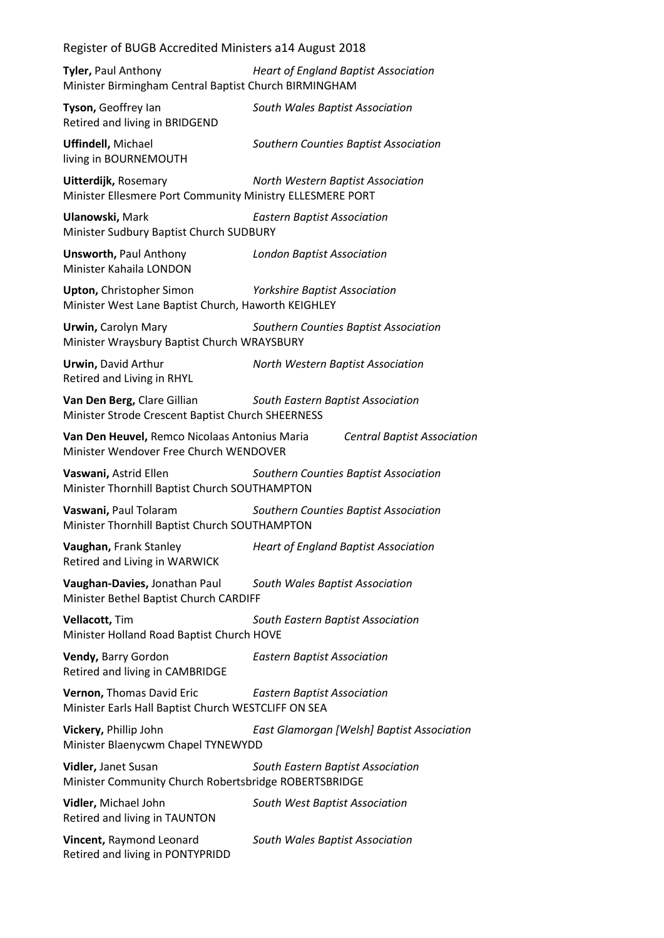| Register of BUGB Accredited Ministers a14 August 2018                                    |                                                   |
|------------------------------------------------------------------------------------------|---------------------------------------------------|
| Tyler, Paul Anthony<br>Minister Birmingham Central Baptist Church BIRMINGHAM             | <b>Heart of England Baptist Association</b>       |
| Tyson, Geoffrey lan<br>Retired and living in BRIDGEND                                    | South Wales Baptist Association                   |
| <b>Uffindell, Michael</b><br>living in BOURNEMOUTH                                       | Southern Counties Baptist Association             |
| <b>Uitterdijk, Rosemary</b><br>Minister Ellesmere Port Community Ministry ELLESMERE PORT | North Western Baptist Association                 |
| Ulanowski, Mark<br>Minister Sudbury Baptist Church SUDBURY                               | <b>Eastern Baptist Association</b>                |
| <b>Unsworth, Paul Anthony</b><br>Minister Kahaila LONDON                                 | <b>London Baptist Association</b>                 |
| <b>Upton, Christopher Simon</b><br>Minister West Lane Baptist Church, Haworth KEIGHLEY   | <b>Yorkshire Baptist Association</b>              |
| <b>Urwin, Carolyn Mary</b><br>Minister Wraysbury Baptist Church WRAYSBURY                | Southern Counties Baptist Association             |
| <b>Urwin, David Arthur</b><br>Retired and Living in RHYL                                 | North Western Baptist Association                 |
| Van Den Berg, Clare Gillian<br>Minister Strode Crescent Baptist Church SHEERNESS         | South Eastern Baptist Association                 |
| Van Den Heuvel, Remco Nicolaas Antonius Maria<br>Minister Wendover Free Church WENDOVER  | <b>Central Baptist Association</b>                |
| Vaswani, Astrid Ellen<br>Minister Thornhill Baptist Church SOUTHAMPTON                   | Southern Counties Baptist Association             |
| Vaswani, Paul Tolaram<br>Minister Thornhill Baptist Church SOUTHAMPTON                   | Southern Counties Baptist Association             |
| Vaughan, Frank Stanley<br>Retired and Living in WARWICK                                  | <b>Heart of England Baptist Association</b>       |
| Vaughan-Davies, Jonathan Paul<br>Minister Bethel Baptist Church CARDIFF                  | South Wales Baptist Association                   |
| Vellacott, Tim<br>Minister Holland Road Baptist Church HOVE                              | South Eastern Baptist Association                 |
| Vendy, Barry Gordon<br>Retired and living in CAMBRIDGE                                   | <b>Eastern Baptist Association</b>                |
| Vernon, Thomas David Eric<br>Minister Earls Hall Baptist Church WESTCLIFF ON SEA         | <b>Eastern Baptist Association</b>                |
| Vickery, Phillip John<br>Minister Blaenycwm Chapel TYNEWYDD                              | <b>East Glamorgan [Welsh] Baptist Association</b> |
| Vidler, Janet Susan<br>Minister Community Church Robertsbridge ROBERTSBRIDGE             | South Eastern Baptist Association                 |
| Vidler, Michael John<br>Retired and living in TAUNTON                                    | South West Baptist Association                    |
| Vincent, Raymond Leonard<br>Retired and living in PONTYPRIDD                             | South Wales Baptist Association                   |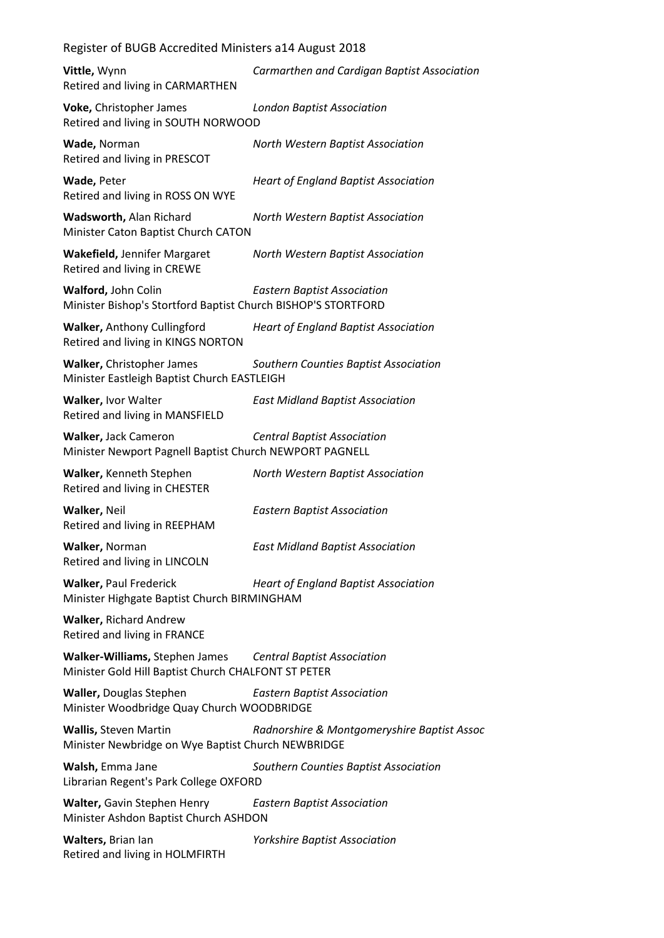| Register of BUGB Accredited Ministers a14 August 2018                                                             |                                             |
|-------------------------------------------------------------------------------------------------------------------|---------------------------------------------|
| Vittle, Wynn<br>Retired and living in CARMARTHEN                                                                  | Carmarthen and Cardigan Baptist Association |
| Voke, Christopher James<br>Retired and living in SOUTH NORWOOD                                                    | <b>London Baptist Association</b>           |
| Wade, Norman<br>Retired and living in PRESCOT                                                                     | North Western Baptist Association           |
| Wade, Peter<br>Retired and living in ROSS ON WYE                                                                  | <b>Heart of England Baptist Association</b> |
| Wadsworth, Alan Richard<br>Minister Caton Baptist Church CATON                                                    | North Western Baptist Association           |
| <b>Wakefield, Jennifer Margaret</b><br>Retired and living in CREWE                                                | North Western Baptist Association           |
| Walford, John Colin<br>Minister Bishop's Stortford Baptist Church BISHOP'S STORTFORD                              | <b>Eastern Baptist Association</b>          |
| Walker, Anthony Cullingford<br>Retired and living in KINGS NORTON                                                 | <b>Heart of England Baptist Association</b> |
| Walker, Christopher James<br>Minister Eastleigh Baptist Church EASTLEIGH                                          | Southern Counties Baptist Association       |
| Walker, Ivor Walter<br>Retired and living in MANSFIELD                                                            | <b>East Midland Baptist Association</b>     |
| Walker, Jack Cameron<br>Minister Newport Pagnell Baptist Church NEWPORT PAGNELL                                   | <b>Central Baptist Association</b>          |
| Walker, Kenneth Stephen<br>Retired and living in CHESTER                                                          | North Western Baptist Association           |
| Walker, Neil<br>Retired and living in REEPHAM                                                                     | <b>Eastern Baptist Association</b>          |
| Walker, Norman<br>Retired and living in LINCOLN                                                                   | <b>East Midland Baptist Association</b>     |
| <b>Walker, Paul Frederick</b><br>Minister Highgate Baptist Church BIRMINGHAM                                      | <b>Heart of England Baptist Association</b> |
| <b>Walker, Richard Andrew</b><br>Retired and living in FRANCE                                                     |                                             |
| Walker-Williams, Stephen James Central Baptist Association<br>Minister Gold Hill Baptist Church CHALFONT ST PETER |                                             |
| <b>Waller, Douglas Stephen</b><br>Minister Woodbridge Quay Church WOODBRIDGE                                      | <b>Eastern Baptist Association</b>          |
| <b>Wallis, Steven Martin</b><br>Minister Newbridge on Wye Baptist Church NEWBRIDGE                                | Radnorshire & Montgomeryshire Baptist Assoc |
| Walsh, Emma Jane<br>Librarian Regent's Park College OXFORD                                                        | Southern Counties Baptist Association       |
| Walter, Gavin Stephen Henry<br>Minister Ashdon Baptist Church ASHDON                                              | <b>Eastern Baptist Association</b>          |
| Walters, Brian lan<br>Retired and living in HOLMFIRTH                                                             | <b>Yorkshire Baptist Association</b>        |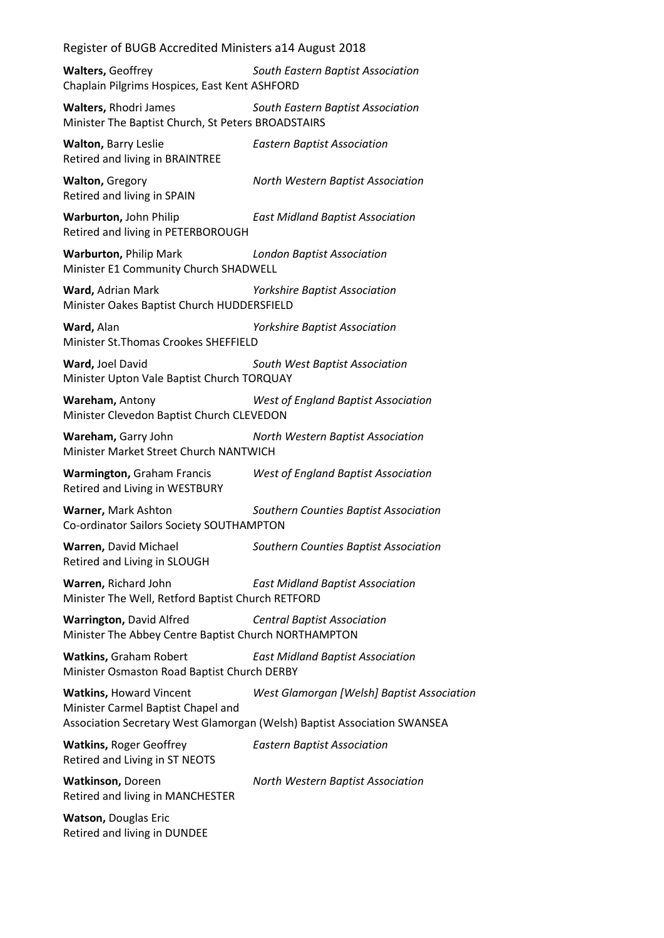**Walters,** Geoffrey *South Eastern Baptist Association* Chaplain Pilgrims Hospices, East Kent ASHFORD

**Walters,** Rhodri James *South Eastern Baptist Association* Minister The Baptist Church, St Peters BROADSTAIRS

**Walton,** Barry Leslie *Eastern Baptist Association* Retired and living in BRAINTREE

**Walton,** Gregory *North Western Baptist Association* Retired and living in SPAIN

**Warburton,** John Philip *East Midland Baptist Association* Retired and living in PETERBOROUGH

**Warburton,** Philip Mark *London Baptist Association* Minister E1 Community Church SHADWELL

**Ward,** Adrian Mark *Yorkshire Baptist Association* Minister Oakes Baptist Church HUDDERSFIELD

**Ward,** Alan *Yorkshire Baptist Association* Minister St.Thomas Crookes SHEFFIELD

**Ward,** Joel David *South West Baptist Association* Minister Upton Vale Baptist Church TORQUAY

**Wareham,** Antony *West of England Baptist Association* Minister Clevedon Baptist Church CLEVEDON

**Wareham,** Garry John *North Western Baptist Association* Minister Market Street Church NANTWICH

**Warmington,** Graham Francis *West of England Baptist Association* Retired and Living in WESTBURY

**Warner,** Mark Ashton *Southern Counties Baptist Association* Co-ordinator Sailors Society SOUTHAMPTON

**Warren,** David Michael *Southern Counties Baptist Association* Retired and Living in SLOUGH

**Warren,** Richard John *East Midland Baptist Association* Minister The Well, Retford Baptist Church RETFORD

**Warrington,** David Alfred *Central Baptist Association* Minister The Abbey Centre Baptist Church NORTHAMPTON

**Watkins,** Graham Robert *East Midland Baptist Association* Minister Osmaston Road Baptist Church DERBY

**Watkins,** Howard Vincent *West Glamorgan [Welsh] Baptist Association* Minister Carmel Baptist Chapel and Association Secretary West Glamorgan (Welsh) Baptist Association SWANSEA

**Watkins,** Roger Geoffrey *Eastern Baptist Association* Retired and Living in ST NEOTS

**Watkinson,** Doreen *North Western Baptist Association* Retired and living in MANCHESTER

**Watson,** Douglas Eric Retired and living in DUNDEE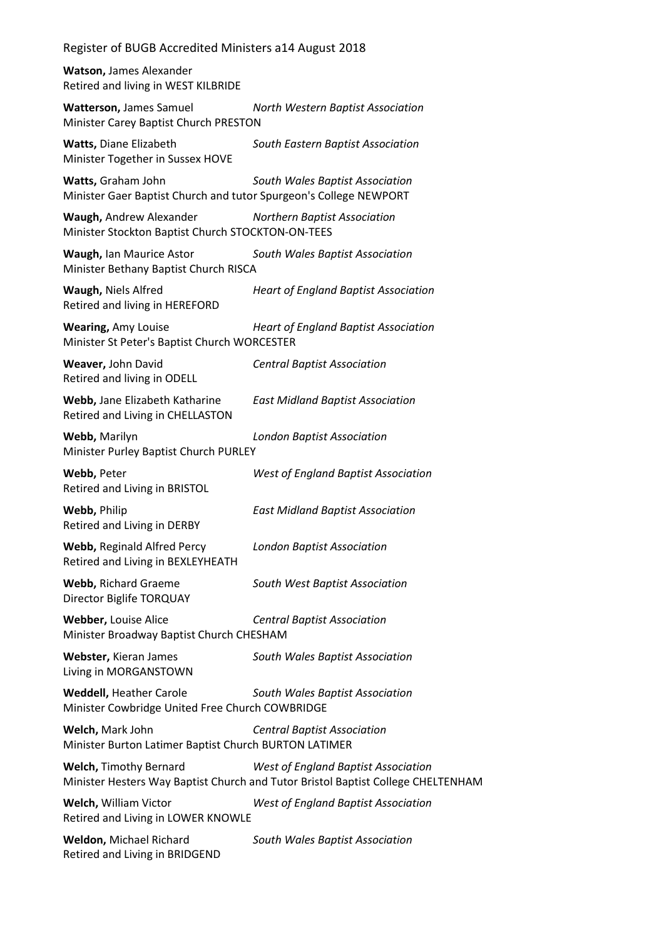**Watson,** James Alexander Retired and living in WEST KILBRIDE

**Watterson,** James Samuel *North Western Baptist Association* Minister Carey Baptist Church PRESTON

**Watts,** Diane Elizabeth *South Eastern Baptist Association* Minister Together in Sussex HOVE

**Watts,** Graham John *South Wales Baptist Association* Minister Gaer Baptist Church and tutor Spurgeon's College NEWPORT

**Waugh,** Andrew Alexander *Northern Baptist Association* Minister Stockton Baptist Church STOCKTON-ON-TEES

**Waugh,** Ian Maurice Astor *South Wales Baptist Association* Minister Bethany Baptist Church RISCA

**Waugh,** Niels Alfred *Heart of England Baptist Association* Retired and living in HEREFORD

**Wearing,** Amy Louise *Heart of England Baptist Association* Minister St Peter's Baptist Church WORCESTER

**Weaver,** John David *Central Baptist Association* Retired and living in ODELL

**Webb,** Jane Elizabeth Katharine *East Midland Baptist Association* Retired and Living in CHELLASTON

**Webb,** Marilyn *London Baptist Association* Minister Purley Baptist Church PURLEY

**Webb,** Peter *West of England Baptist Association* Retired and Living in BRISTOL

**Webb,** Philip *East Midland Baptist Association* Retired and Living in DERBY

**Webb,** Reginald Alfred Percy *London Baptist Association* Retired and Living in BEXLEYHEATH

**Webb,** Richard Graeme *South West Baptist Association* Director Biglife TORQUAY

**Webber,** Louise Alice *Central Baptist Association* Minister Broadway Baptist Church CHESHAM

**Webster,** Kieran James *South Wales Baptist Association* Living in MORGANSTOWN

**Weddell,** Heather Carole *South Wales Baptist Association* Minister Cowbridge United Free Church COWBRIDGE

**Welch,** Mark John *Central Baptist Association* Minister Burton Latimer Baptist Church BURTON LATIMER

**Welch,** Timothy Bernard *West of England Baptist Association* Minister Hesters Way Baptist Church and Tutor Bristol Baptist College CHELTENHAM

**Welch,** William Victor *West of England Baptist Association* Retired and Living in LOWER KNOWLE

**Weldon,** Michael Richard *South Wales Baptist Association* Retired and Living in BRIDGEND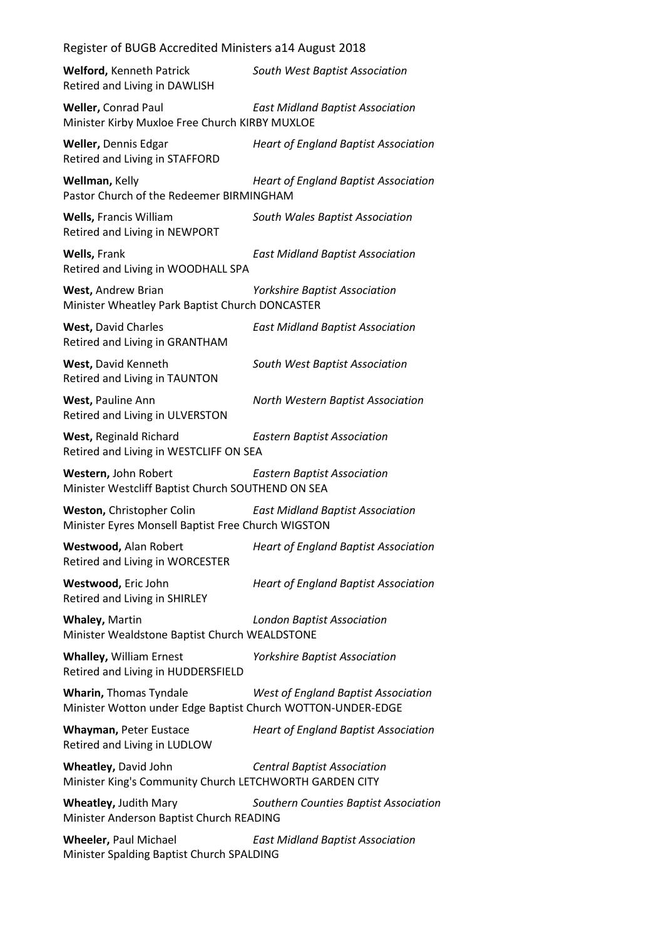| Register of bodb Accredited Millisters all4 August 2016                                      |                                             |
|----------------------------------------------------------------------------------------------|---------------------------------------------|
| <b>Welford, Kenneth Patrick</b><br>Retired and Living in DAWLISH                             | South West Baptist Association              |
| Weller, Conrad Paul<br>Minister Kirby Muxloe Free Church KIRBY MUXLOE                        | <b>East Midland Baptist Association</b>     |
| Weller, Dennis Edgar<br>Retired and Living in STAFFORD                                       | <b>Heart of England Baptist Association</b> |
| Wellman, Kelly<br>Pastor Church of the Redeemer BIRMINGHAM                                   | <b>Heart of England Baptist Association</b> |
| <b>Wells, Francis William</b><br>Retired and Living in NEWPORT                               | South Wales Baptist Association             |
| Wells, Frank<br>Retired and Living in WOODHALL SPA                                           | <b>East Midland Baptist Association</b>     |
| West, Andrew Brian<br>Minister Wheatley Park Baptist Church DONCASTER                        | <b>Yorkshire Baptist Association</b>        |
| <b>West, David Charles</b><br>Retired and Living in GRANTHAM                                 | <b>East Midland Baptist Association</b>     |
| West, David Kenneth<br>Retired and Living in TAUNTON                                         | South West Baptist Association              |
| West, Pauline Ann<br>Retired and Living in ULVERSTON                                         | North Western Baptist Association           |
| West, Reginald Richard<br>Retired and Living in WESTCLIFF ON SEA                             | <b>Eastern Baptist Association</b>          |
| Western, John Robert<br>Minister Westcliff Baptist Church SOUTHEND ON SEA                    | <b>Eastern Baptist Association</b>          |
| Weston, Christopher Colin<br>Minister Eyres Monsell Baptist Free Church WIGSTON              | <b>East Midland Baptist Association</b>     |
| Westwood, Alan Robert<br>Retired and Living in WORCESTER                                     | <b>Heart of England Baptist Association</b> |
| Westwood, Eric John<br>Retired and Living in SHIRLEY                                         | <b>Heart of England Baptist Association</b> |
| Whaley, Martin<br>Minister Wealdstone Baptist Church WEALDSTONE                              | <b>London Baptist Association</b>           |
| <b>Whalley, William Ernest</b><br>Retired and Living in HUDDERSFIELD                         | <b>Yorkshire Baptist Association</b>        |
| <b>Wharin, Thomas Tyndale</b><br>Minister Wotton under Edge Baptist Church WOTTON-UNDER-EDGE | <b>West of England Baptist Association</b>  |
| Whayman, Peter Eustace<br>Retired and Living in LUDLOW                                       | <b>Heart of England Baptist Association</b> |
| Wheatley, David John<br>Minister King's Community Church LETCHWORTH GARDEN CITY              | <b>Central Baptist Association</b>          |
| <b>Wheatley, Judith Mary</b><br>Minister Anderson Baptist Church READING                     | Southern Counties Baptist Association       |
| <b>Wheeler, Paul Michael</b><br>Minister Spalding Baptist Church SPALDING                    | <b>East Midland Baptist Association</b>     |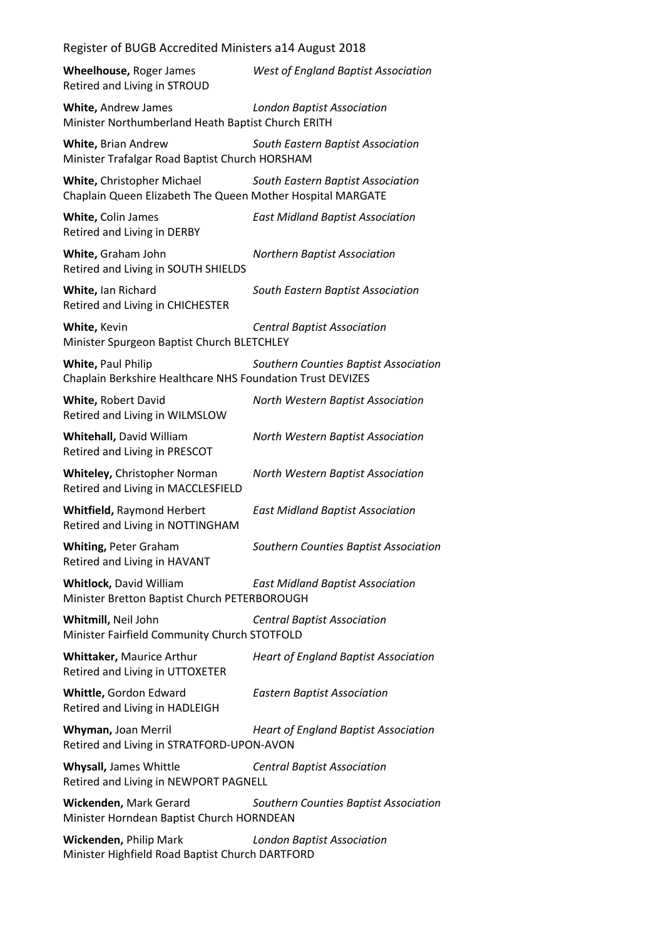| Wheelhouse, Roger James<br>Retired and Living in STROUD                                  | West of England Baptist Association         |
|------------------------------------------------------------------------------------------|---------------------------------------------|
| White, Andrew James<br>Minister Northumberland Heath Baptist Church ERITH                | <b>London Baptist Association</b>           |
| White, Brian Andrew<br>Minister Trafalgar Road Baptist Church HORSHAM                    | South Eastern Baptist Association           |
| White, Christopher Michael<br>Chaplain Queen Elizabeth The Queen Mother Hospital MARGATE | South Eastern Baptist Association           |
| White, Colin James<br>Retired and Living in DERBY                                        | <b>East Midland Baptist Association</b>     |
| White, Graham John<br>Retired and Living in SOUTH SHIELDS                                | <b>Northern Baptist Association</b>         |
| White, Ian Richard<br>Retired and Living in CHICHESTER                                   | South Eastern Baptist Association           |
| White, Kevin<br>Minister Spurgeon Baptist Church BLETCHLEY                               | <b>Central Baptist Association</b>          |
| <b>White, Paul Philip</b><br>Chaplain Berkshire Healthcare NHS Foundation Trust DEVIZES  | Southern Counties Baptist Association       |
| White, Robert David<br>Retired and Living in WILMSLOW                                    | North Western Baptist Association           |
| <b>Whitehall, David William</b><br>Retired and Living in PRESCOT                         | North Western Baptist Association           |
| Whiteley, Christopher Norman<br>Retired and Living in MACCLESFIELD                       | North Western Baptist Association           |
| Whitfield, Raymond Herbert<br>Retired and Living in NOTTINGHAM                           | <b>East Midland Baptist Association</b>     |
| <b>Whiting, Peter Graham</b><br>Retired and Living in HAVANT                             | Southern Counties Baptist Association       |
| <b>Whitlock, David William</b><br>Minister Bretton Baptist Church PETERBOROUGH           | <b>East Midland Baptist Association</b>     |
| Whitmill, Neil John<br>Minister Fairfield Community Church STOTFOLD                      | <b>Central Baptist Association</b>          |
| Whittaker, Maurice Arthur<br>Retired and Living in UTTOXETER                             | <b>Heart of England Baptist Association</b> |
| Whittle, Gordon Edward<br>Retired and Living in HADLEIGH                                 | <b>Eastern Baptist Association</b>          |
| Whyman, Joan Merril<br>Retired and Living in STRATFORD-UPON-AVON                         | <b>Heart of England Baptist Association</b> |
| Whysall, James Whittle<br>Retired and Living in NEWPORT PAGNELL                          | <b>Central Baptist Association</b>          |
| Wickenden, Mark Gerard<br>Minister Horndean Baptist Church HORNDEAN                      | Southern Counties Baptist Association       |
| Wickenden, Philip Mark<br>Minister Highfield Road Baptist Church DARTFORD                | <b>London Baptist Association</b>           |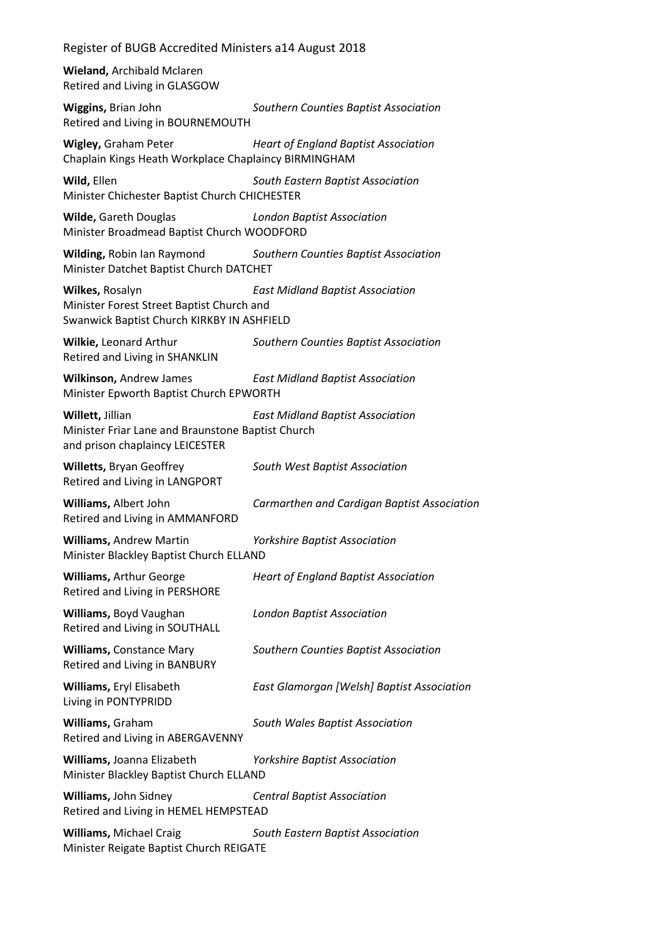## Register of BUGB Accredited Ministers a14 August 2018

**Wieland,** Archibald Mclaren Retired and Living in GLASGOW

**Wiggins,** Brian John *Southern Counties Baptist Association* Retired and Living in BOURNEMOUTH

**Wigley,** Graham Peter *Heart of England Baptist Association* Chaplain Kings Heath Workplace Chaplaincy BIRMINGHAM

**Wild,** Ellen *South Eastern Baptist Association* Minister Chichester Baptist Church CHICHESTER

**Wilde,** Gareth Douglas *London Baptist Association* Minister Broadmead Baptist Church WOODFORD

**Wilding,** Robin Ian Raymond *Southern Counties Baptist Association* Minister Datchet Baptist Church DATCHET

**Wilkes,** Rosalyn *East Midland Baptist Association* Minister Forest Street Baptist Church and Swanwick Baptist Church KIRKBY IN ASHFIELD

**Wilkie,** Leonard Arthur *Southern Counties Baptist Association* Retired and Living in SHANKLIN

**Wilkinson,** Andrew James *East Midland Baptist Association* Minister Epworth Baptist Church EPWORTH

**Willett,** Jillian *East Midland Baptist Association* Minister Friar Lane and Braunstone Baptist Church and prison chaplaincy LEICESTER

**Willetts,** Bryan Geoffrey *South West Baptist Association* Retired and Living in LANGPORT

**Williams,** Albert John *Carmarthen and Cardigan Baptist Association* Retired and Living in AMMANFORD

**Williams,** Andrew Martin *Yorkshire Baptist Association* Minister Blackley Baptist Church ELLAND

**Williams,** Arthur George *Heart of England Baptist Association* Retired and Living in PERSHORE

**Williams,** Boyd Vaughan *London Baptist Association* Retired and Living in SOUTHALL

**Williams,** Constance Mary *Southern Counties Baptist Association*

Retired and Living in BANBURY

**Williams,** Eryl Elisabeth *East Glamorgan [Welsh] Baptist Association* Living in PONTYPRIDD

**Williams,** Graham *South Wales Baptist Association* Retired and Living in ABERGAVENNY

**Williams,** Joanna Elizabeth *Yorkshire Baptist Association* Minister Blackley Baptist Church ELLAND

**Williams,** John Sidney *Central Baptist Association* Retired and Living in HEMEL HEMPSTEAD

**Williams,** Michael Craig *South Eastern Baptist Association* Minister Reigate Baptist Church REIGATE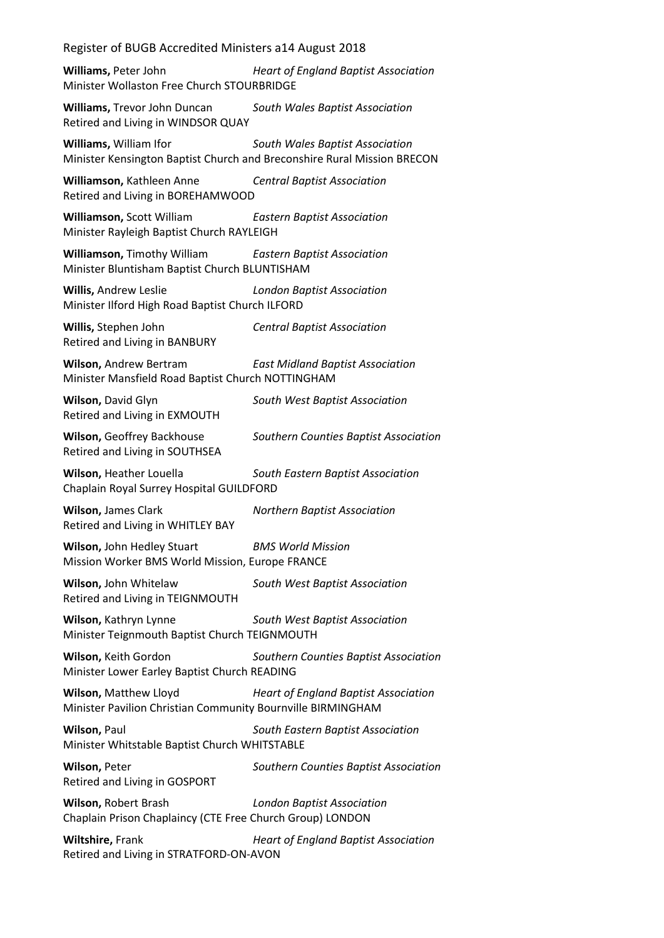## Register of BUGB Accredited Ministers a14 August 2018

**Williams,** Peter John *Heart of England Baptist Association* Minister Wollaston Free Church STOURBRIDGE

**Williams,** Trevor John Duncan *South Wales Baptist Association* Retired and Living in WINDSOR QUAY

**Williams,** William Ifor *South Wales Baptist Association* Minister Kensington Baptist Church and Breconshire Rural Mission BRECON

**Williamson,** Kathleen Anne *Central Baptist Association* Retired and Living in BOREHAMWOOD

**Williamson,** Scott William *Eastern Baptist Association* Minister Rayleigh Baptist Church RAYLEIGH

**Williamson,** Timothy William *Eastern Baptist Association* Minister Bluntisham Baptist Church BLUNTISHAM

**Willis,** Andrew Leslie *London Baptist Association* Minister Ilford High Road Baptist Church ILFORD

**Willis,** Stephen John *Central Baptist Association* Retired and Living in BANBURY

**Wilson,** Andrew Bertram *East Midland Baptist Association* Minister Mansfield Road Baptist Church NOTTINGHAM

**Wilson,** David Glyn *South West Baptist Association* Retired and Living in EXMOUTH

**Wilson,** Geoffrey Backhouse *Southern Counties Baptist Association* Retired and Living in SOUTHSEA

**Wilson,** Heather Louella *South Eastern Baptist Association* Chaplain Royal Surrey Hospital GUILDFORD

**Wilson,** James Clark *Northern Baptist Association* Retired and Living in WHITLEY BAY

**Wilson,** John Hedley Stuart *BMS World Mission* Mission Worker BMS World Mission, Europe FRANCE

**Wilson,** John Whitelaw *South West Baptist Association* Retired and Living in TEIGNMOUTH

**Wilson,** Kathryn Lynne *South West Baptist Association* Minister Teignmouth Baptist Church TEIGNMOUTH

**Wilson,** Keith Gordon *Southern Counties Baptist Association* Minister Lower Earley Baptist Church READING

**Wilson,** Matthew Lloyd *Heart of England Baptist Association* Minister Pavilion Christian Community Bournville BIRMINGHAM

**Wilson,** Paul *South Eastern Baptist Association* Minister Whitstable Baptist Church WHITSTABLE

**Wilson,** Peter *Southern Counties Baptist Association* Retired and Living in GOSPORT

**Wilson,** Robert Brash *London Baptist Association* Chaplain Prison Chaplaincy (CTE Free Church Group) LONDON

**Wiltshire,** Frank *Heart of England Baptist Association* Retired and Living in STRATFORD-ON-AVON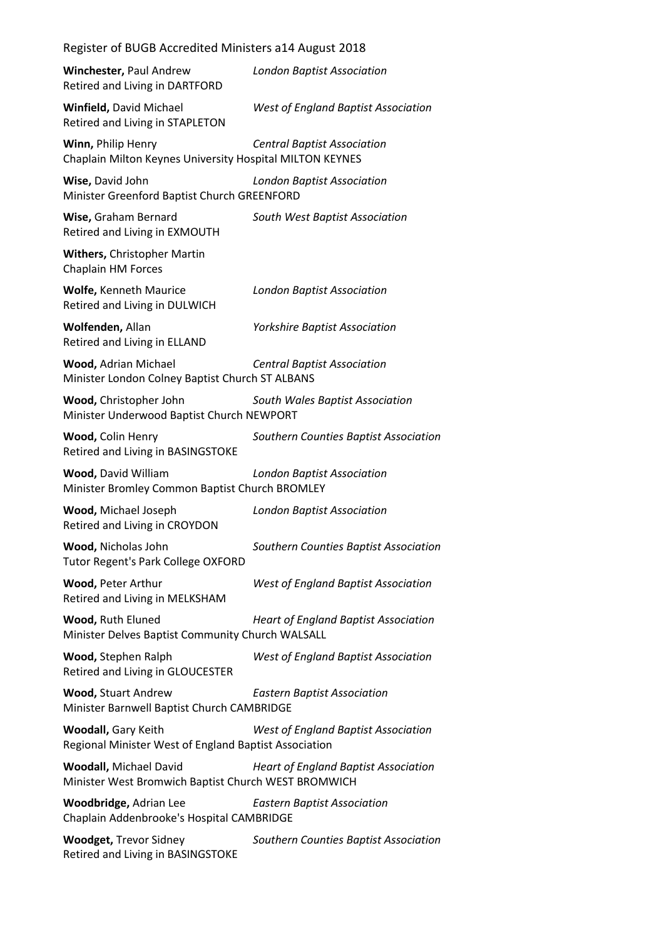| Register of BUGB Accredited Ministers a14 August 2018                                                                |                                             |
|----------------------------------------------------------------------------------------------------------------------|---------------------------------------------|
| Winchester, Paul Andrew<br>Retired and Living in DARTFORD                                                            | <b>London Baptist Association</b>           |
| Winfield, David Michael<br>Retired and Living in STAPLETON                                                           | West of England Baptist Association         |
| Winn, Philip Henry<br>Chaplain Milton Keynes University Hospital MILTON KEYNES                                       | <b>Central Baptist Association</b>          |
| Wise, David John<br><b>London Baptist Association</b><br>Minister Greenford Baptist Church GREENFORD                 |                                             |
| Wise, Graham Bernard<br>Retired and Living in EXMOUTH                                                                | South West Baptist Association              |
| Withers, Christopher Martin<br>Chaplain HM Forces                                                                    |                                             |
| <b>Wolfe, Kenneth Maurice</b><br>Retired and Living in DULWICH                                                       | <b>London Baptist Association</b>           |
| Wolfenden, Allan<br>Retired and Living in ELLAND                                                                     | <b>Yorkshire Baptist Association</b>        |
| Wood, Adrian Michael<br>Minister London Colney Baptist Church ST ALBANS                                              | <b>Central Baptist Association</b>          |
| Wood, Christopher John<br>Minister Underwood Baptist Church NEWPORT                                                  | South Wales Baptist Association             |
| Wood, Colin Henry<br>Retired and Living in BASINGSTOKE                                                               | Southern Counties Baptist Association       |
| <b>Wood, David William</b><br>Minister Bromley Common Baptist Church BROMLEY                                         | <b>London Baptist Association</b>           |
| Wood, Michael Joseph<br>Retired and Living in CROYDON                                                                | <b>London Baptist Association</b>           |
| Wood, Nicholas John<br><b>Tutor Regent's Park College OXFORD</b>                                                     | Southern Counties Baptist Association       |
| Wood, Peter Arthur<br>Retired and Living in MELKSHAM                                                                 | <b>West of England Baptist Association</b>  |
| Wood, Ruth Eluned<br><b>Heart of England Baptist Association</b><br>Minister Delves Baptist Community Church WALSALL |                                             |
| Wood, Stephen Ralph<br>Retired and Living in GLOUCESTER                                                              | <b>West of England Baptist Association</b>  |
| <b>Wood, Stuart Andrew</b><br>Minister Barnwell Baptist Church CAMBRIDGE                                             | <b>Eastern Baptist Association</b>          |
| <b>Woodall, Gary Keith</b><br>Regional Minister West of England Baptist Association                                  | <b>West of England Baptist Association</b>  |
| <b>Woodall, Michael David</b><br>Minister West Bromwich Baptist Church WEST BROMWICH                                 | <b>Heart of England Baptist Association</b> |
| Woodbridge, Adrian Lee<br>Chaplain Addenbrooke's Hospital CAMBRIDGE                                                  | <b>Eastern Baptist Association</b>          |
| <b>Woodget, Trevor Sidney</b><br>Retired and Living in BASINGSTOKE                                                   | Southern Counties Baptist Association       |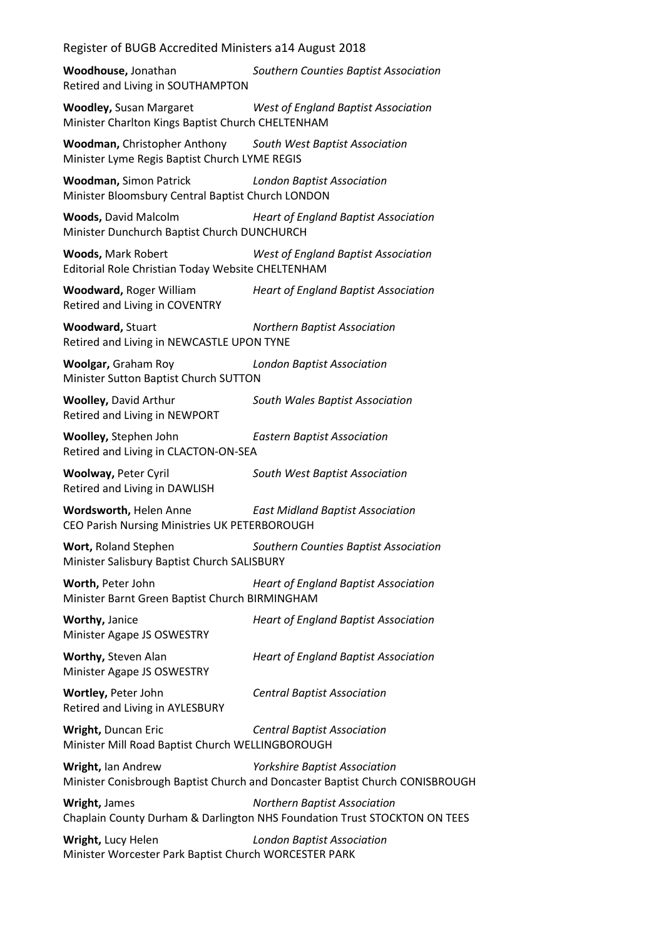## Register of BUGB Accredited Ministers a14 August 2018

**Woodhouse,** Jonathan *Southern Counties Baptist Association* Retired and Living in SOUTHAMPTON

**Woodley,** Susan Margaret *West of England Baptist Association* Minister Charlton Kings Baptist Church CHELTENHAM

**Woodman,** Christopher Anthony *South West Baptist Association* Minister Lyme Regis Baptist Church LYME REGIS

**Woodman,** Simon Patrick *London Baptist Association* Minister Bloomsbury Central Baptist Church LONDON

**Woods,** David Malcolm *Heart of England Baptist Association* Minister Dunchurch Baptist Church DUNCHURCH

**Woods,** Mark Robert *West of England Baptist Association* Editorial Role Christian Today Website CHELTENHAM

**Woodward,** Roger William *Heart of England Baptist Association* Retired and Living in COVENTRY

**Woodward,** Stuart *Northern Baptist Association* Retired and Living in NEWCASTLE UPON TYNE

**Woolgar,** Graham Roy *London Baptist Association* Minister Sutton Baptist Church SUTTON

**Woolley,** David Arthur *South Wales Baptist Association* Retired and Living in NEWPORT

**Woolley,** Stephen John *Eastern Baptist Association* Retired and Living in CLACTON-ON-SEA

**Woolway,** Peter Cyril *South West Baptist Association* Retired and Living in DAWLISH

**Wordsworth,** Helen Anne *East Midland Baptist Association* CEO Parish Nursing Ministries UK PETERBOROUGH

**Wort,** Roland Stephen *Southern Counties Baptist Association* Minister Salisbury Baptist Church SALISBURY

**Worth,** Peter John *Heart of England Baptist Association* Minister Barnt Green Baptist Church BIRMINGHAM

**Worthy,** Janice *Heart of England Baptist Association* Minister Agape JS OSWESTRY

Minister Agape JS OSWESTRY

**Worthy,** Steven Alan *Heart of England Baptist Association*

**Wortley,** Peter John *Central Baptist Association* Retired and Living in AYLESBURY

**Wright,** Duncan Eric *Central Baptist Association* Minister Mill Road Baptist Church WELLINGBOROUGH

**Wright,** Ian Andrew *Yorkshire Baptist Association* Minister Conisbrough Baptist Church and Doncaster Baptist Church CONISBROUGH

**Wright,** James *Northern Baptist Association* Chaplain County Durham & Darlington NHS Foundation Trust STOCKTON ON TEES

**Wright,** Lucy Helen *London Baptist Association* Minister Worcester Park Baptist Church WORCESTER PARK